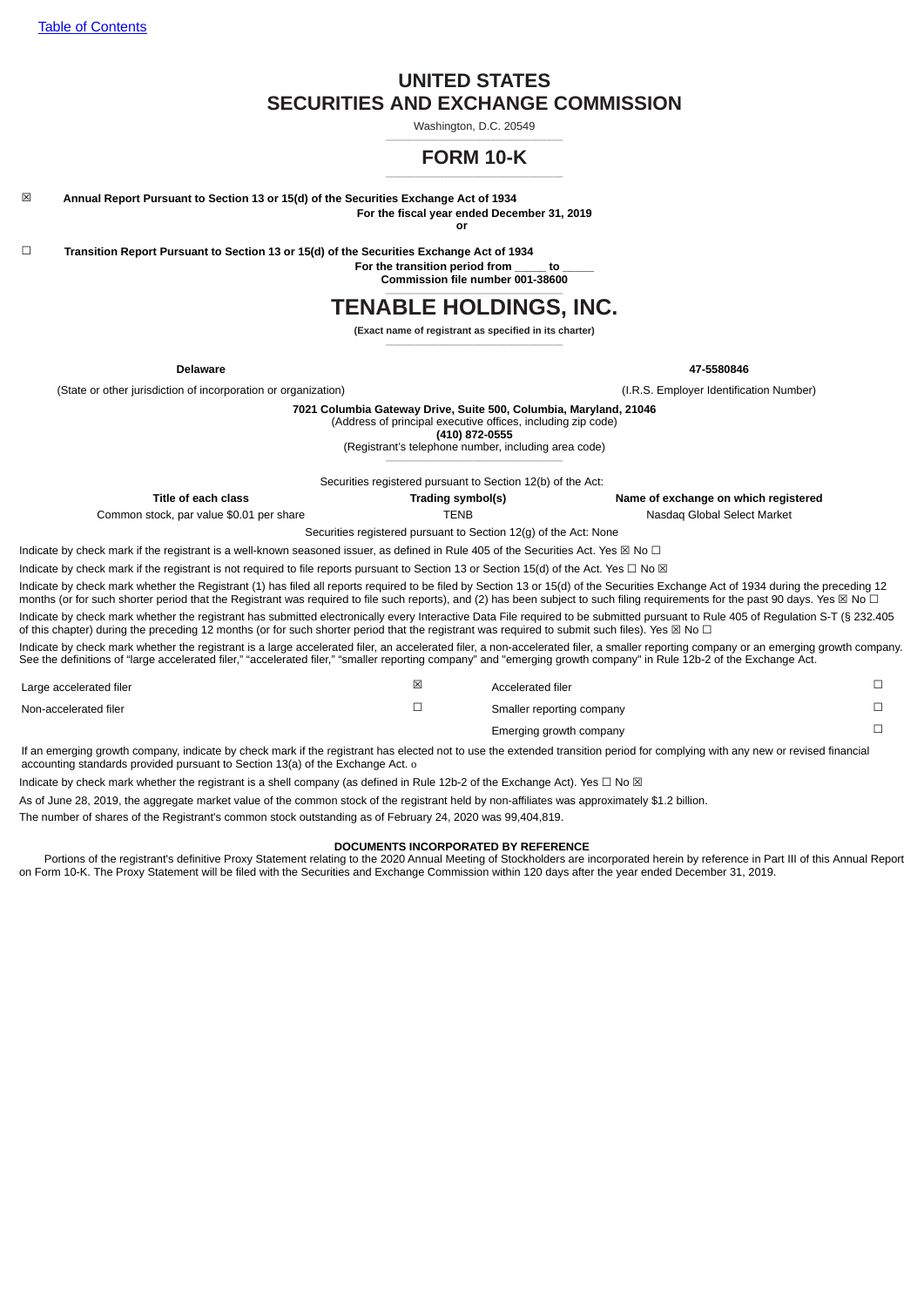# **UNITED STATES SECURITIES AND EXCHANGE COMMISSION**

Washington, D.C. 20549 **\_\_\_\_\_\_\_\_\_\_\_\_\_\_\_\_\_\_\_\_\_\_\_\_\_\_\_\_\_\_\_\_\_\_\_\_\_\_**

#### **FORM 10-K \_\_\_\_\_\_\_\_\_\_\_\_\_\_\_\_\_\_\_\_\_\_\_\_\_\_\_\_\_\_\_\_\_\_\_\_\_\_**

☒ **Annual Report Pursuant to Section 13 or 15(d) of the Securities Exchange Act of 1934**

**For the fiscal year ended December 31, 2019**

**or**

☐ **Transition Report Pursuant to Section 13 or 15(d) of the Securities Exchange Act of 1934**

**For the transition period from \_\_\_\_\_ to \_\_\_\_\_ Commission file number 001-38600**

**\_\_\_\_\_\_\_\_\_\_\_\_\_\_\_\_\_\_\_\_\_\_\_\_\_\_\_\_\_\_\_\_\_\_\_\_\_\_ TENABLE HOLDINGS, INC.**

**(Exact name of registrant as specified in its charter) \_\_\_\_\_\_\_\_\_\_\_\_\_\_\_\_\_\_\_\_\_\_\_\_\_\_\_\_\_\_\_\_\_\_\_\_\_\_**

**Delaware 47-5580846**

(State or other jurisdiction of incorporation or organization) (I.R.S. Employer Identification Number)

**7021 Columbia Gateway Drive, Suite 500, Columbia, Maryland, 21046**

(Address of principal executive offices, including zip code) **(410) 872-0555**

(Registrant's telephone number, including area code) **\_\_\_\_\_\_\_\_\_\_\_\_\_\_\_\_\_\_\_\_\_\_\_\_\_\_\_\_\_\_\_\_\_\_\_\_\_\_**

Securities registered pursuant to Section 12(b) of the Act:

**Title of each class Trading symbol(s) Name of exchange on which registered**

Common stock, par value \$0.01 per share TENB TENB Nasdaq Global Select Market

Securities registered pursuant to Section 12(g) of the Act: None

Indicate by check mark if the registrant is a well-known seasoned issuer, as defined in Rule 405 of the Securities Act. Yes  $\boxtimes$  No  $\Box$ 

Indicate by check mark if the registrant is not required to file reports pursuant to Section 13 or Section 15(d) of the Act. Yes  $\Box$  No  $\boxtimes$ 

Indicate by check mark whether the Registrant (1) has filed all reports required to be filed by Section 13 or 15(d) of the Securities Exchange Act of 1934 during the preceding 12 months (or for such shorter period that the Registrant was required to file such reports), and (2) has been subject to such filing requirements for the past 90 days. Yes  $\boxtimes$  No  $\Box$ 

Indicate by check mark whether the registrant has submitted electronically every Interactive Data File required to be submitted pursuant to Rule 405 of Regulation S-T (§ 232.405 of this chapter) during the preceding 12 months (or for such shorter period that the registrant was required to submit such files). Yes  $\boxtimes$  No  $\Box$ 

Indicate by check mark whether the registrant is a large accelerated filer, an accelerated filer, a non-accelerated filer, a smaller reporting company or an emerging growth company. See the definitions of "large accelerated filer," "accelerated filer," "smaller reporting company" and "emerging growth company" in Rule 12b-2 of the Exchange Act.

| Large accelerated filer | X | Accelerated filer         |  |
|-------------------------|---|---------------------------|--|
| Non-accelerated filer   |   | Smaller reporting company |  |
|                         |   | Emerging growth company   |  |

If an emerging growth company, indicate by check mark if the registrant has elected not to use the extended transition period for complying with any new or revised financial accounting standards provided pursuant to Section 13(a) of the Exchange Act. o

Indicate by check mark whether the registrant is a shell company (as defined in Rule 12b-2 of the Exchange Act). Yes  $\Box$  No  $\boxtimes$ 

As of June 28, 2019, the aggregate market value of the common stock of the registrant held by non-affiliates was approximately \$1.2 billion.

The number of shares of the Registrant's common stock outstanding as of February 24, 2020 was 99,404,819.

#### **DOCUMENTS INCORPORATED BY REFERENCE**

Portions of the registrant's definitive Proxy Statement relating to the 2020 Annual Meeting of Stockholders are incorporated herein by reference in Part III of this Annual Report on Form 10-K. The Proxy Statement will be filed with the Securities and Exchange Commission within 120 days after the year ended December 31, 2019.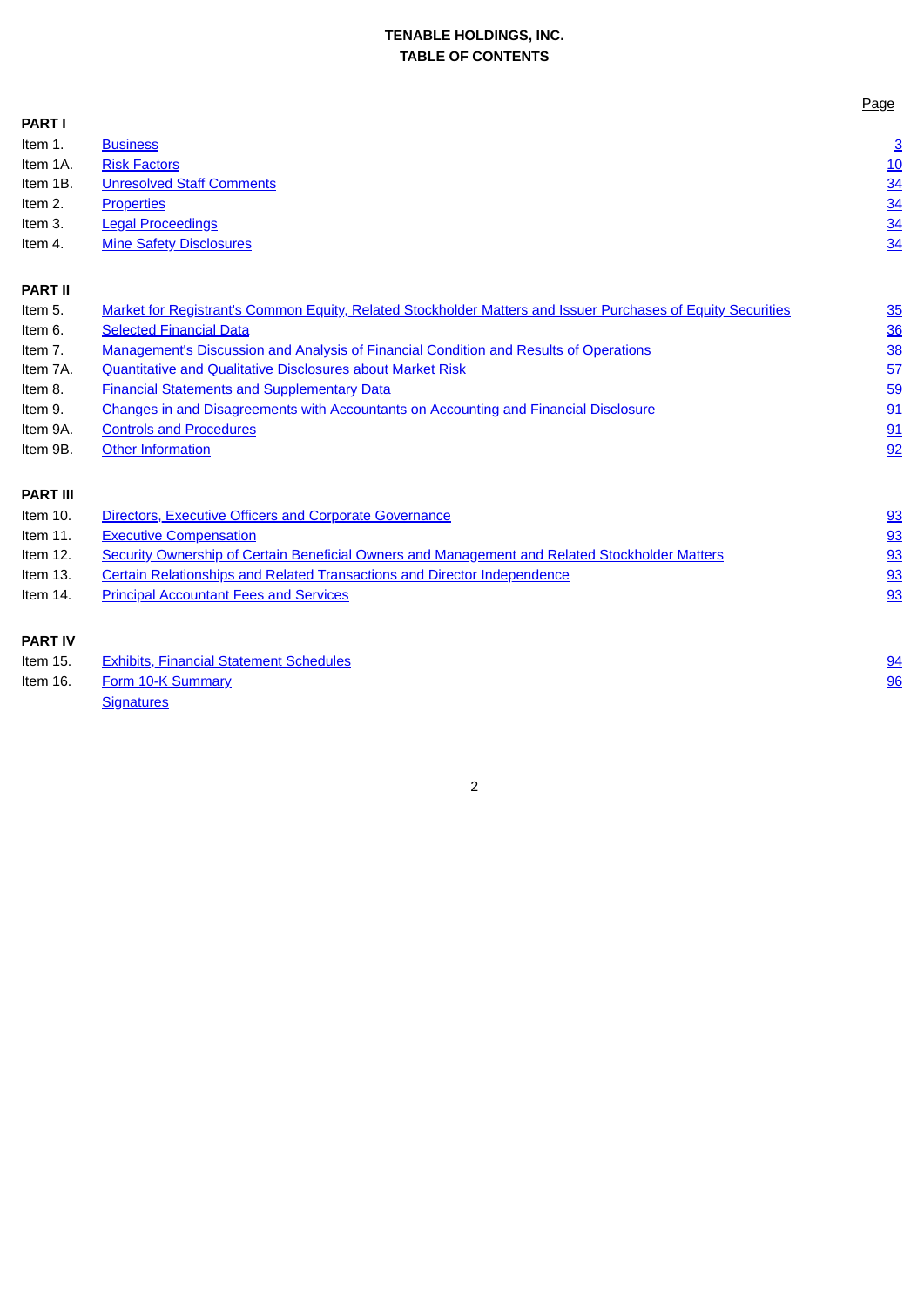# **TENABLE HOLDINGS, INC. TABLE OF CONTENTS**

<span id="page-1-0"></span>

|                 |                                                                                                              | Page             |
|-----------------|--------------------------------------------------------------------------------------------------------------|------------------|
| <b>PART I</b>   |                                                                                                              |                  |
| Item 1.         | <b>Business</b>                                                                                              | $\overline{3}$   |
| Item 1A.        | <b>Risk Factors</b>                                                                                          | $\underline{10}$ |
| Item 1B.        | <b>Unresolved Staff Comments</b>                                                                             | $\frac{34}{5}$   |
| Item 2.         | <b>Properties</b>                                                                                            | $\frac{34}{34}$  |
| Item 3.         | <b>Legal Proceedings</b>                                                                                     |                  |
| Item 4.         | <b>Mine Safety Disclosures</b>                                                                               | $\overline{34}$  |
| <b>PART II</b>  |                                                                                                              |                  |
| Item 5.         | Market for Registrant's Common Equity, Related Stockholder Matters and Issuer Purchases of Equity Securities | 35               |
| Item 6.         | <b>Selected Financial Data</b>                                                                               | 36               |
| Item 7.         | <b>Management's Discussion and Analysis of Financial Condition and Results of Operations</b>                 | <u>38</u>        |
| Item 7A.        | Quantitative and Qualitative Disclosures about Market Risk                                                   | 57               |
| Item 8.         | <b>Financial Statements and Supplementary Data</b>                                                           | 59               |
| Item 9.         | Changes in and Disagreements with Accountants on Accounting and Financial Disclosure                         | 91               |
| Item 9A.        | <b>Controls and Procedures</b>                                                                               | 91               |
| Item 9B.        | <b>Other Information</b>                                                                                     | 92               |
| <b>PART III</b> |                                                                                                              |                  |
| Item 10.        | <b>Directors, Executive Officers and Corporate Governance</b>                                                | 93               |
| Item 11.        | <b>Executive Compensation</b>                                                                                | 93               |
| Item $12$ .     | Security Ownership of Certain Beneficial Owners and Management and Related Stockholder Matters               | 93               |
| Item $13.$      | <b>Certain Relationships and Related Transactions and Director Independence</b>                              | 93               |
| Item 14.        | <b>Principal Accountant Fees and Services</b>                                                                | 93               |
| <b>PART IV</b>  |                                                                                                              |                  |
| Item 15.        | <b>Exhibits, Financial Statement Schedules</b>                                                               | 94               |
| Item 16.        | Form 10-K Summary                                                                                            | 96               |
|                 | <b>Signatures</b>                                                                                            |                  |
|                 |                                                                                                              |                  |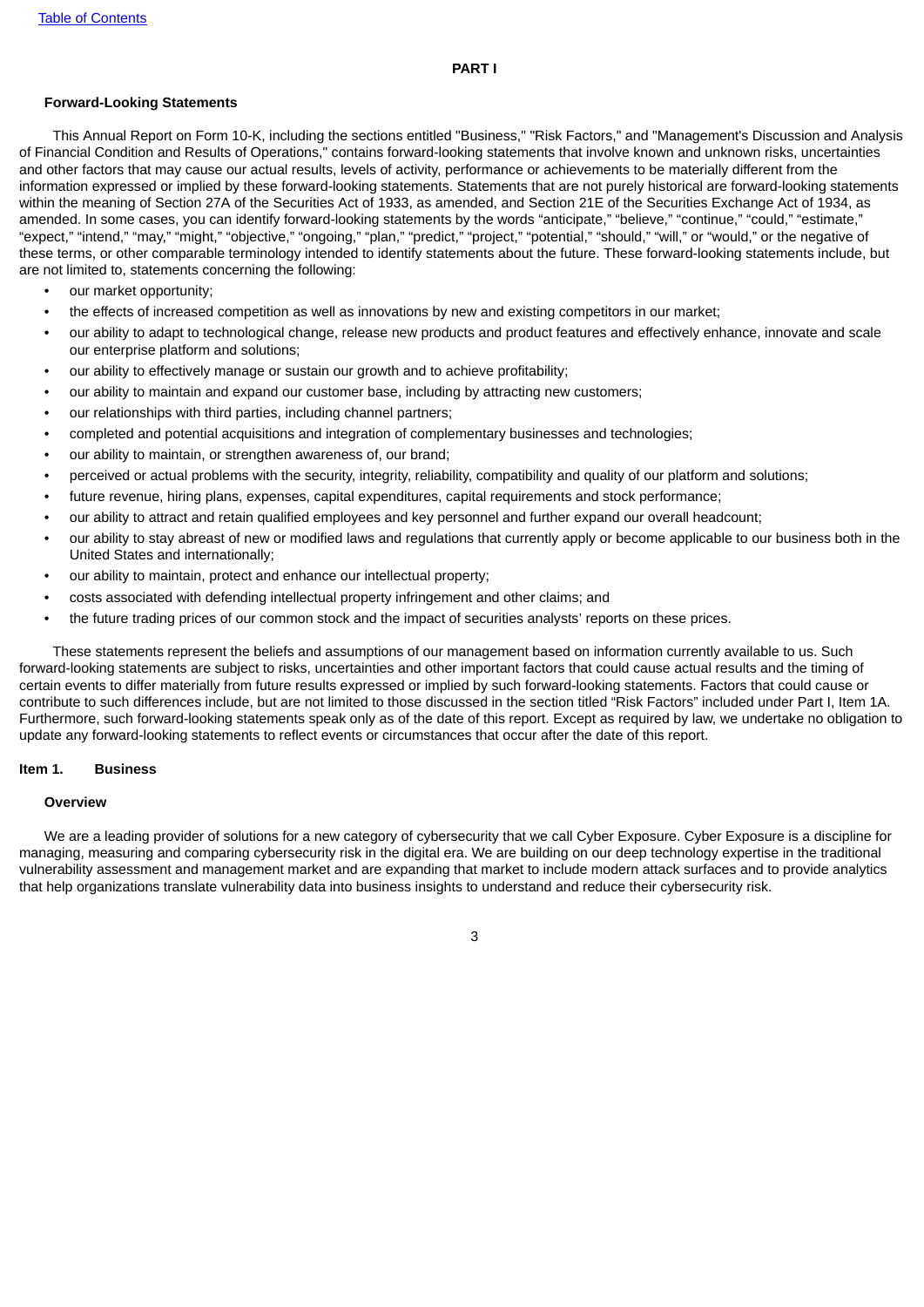### **PART I**

# **Forward-Looking Statements**

This Annual Report on Form 10-K, including the sections entitled "Business," "Risk Factors," and "Management's Discussion and Analysis of Financial Condition and Results of Operations," contains forward-looking statements that involve known and unknown risks, uncertainties and other factors that may cause our actual results, levels of activity, performance or achievements to be materially different from the information expressed or implied by these forward-looking statements. Statements that are not purely historical are forward-looking statements within the meaning of Section 27A of the Securities Act of 1933, as amended, and Section 21E of the Securities Exchange Act of 1934, as amended. In some cases, you can identify forward-looking statements by the words "anticipate," "believe," "continue," "could," "estimate," "expect," "intend," "may," "might," "objective," "ongoing," "plan," "predict," "project," "potential," "should," "will," or "would," or the negative of these terms, or other comparable terminology intended to identify statements about the future. These forward-looking statements include, but are not limited to, statements concerning the following:

- our market opportunity:
- the effects of increased competition as well as innovations by new and existing competitors in our market;
- our ability to adapt to technological change, release new products and product features and effectively enhance, innovate and scale our enterprise platform and solutions;
- our ability to effectively manage or sustain our growth and to achieve profitability;
- our ability to maintain and expand our customer base, including by attracting new customers;
- our relationships with third parties, including channel partners;
- completed and potential acquisitions and integration of complementary businesses and technologies;
- our ability to maintain, or strengthen awareness of, our brand;
- perceived or actual problems with the security, integrity, reliability, compatibility and quality of our platform and solutions;
- future revenue, hiring plans, expenses, capital expenditures, capital requirements and stock performance;
- our ability to attract and retain qualified employees and key personnel and further expand our overall headcount;
- our ability to stay abreast of new or modified laws and regulations that currently apply or become applicable to our business both in the United States and internationally;
- our ability to maintain, protect and enhance our intellectual property;
- costs associated with defending intellectual property infringement and other claims; and
- the future trading prices of our common stock and the impact of securities analysts' reports on these prices.

These statements represent the beliefs and assumptions of our management based on information currently available to us. Such forward-looking statements are subject to risks, uncertainties and other important factors that could cause actual results and the timing of certain events to differ materially from future results expressed or implied by such forward-looking statements. Factors that could cause or contribute to such differences include, but are not limited to those discussed in the section titled "Risk Factors" included under Part I, Item 1A. Furthermore, such forward-looking statements speak only as of the date of this report. Except as required by law, we undertake no obligation to update any forward-looking statements to reflect events or circumstances that occur after the date of this report.

#### <span id="page-2-0"></span>**Item 1. Business**

#### **Overview**

We are a leading provider of solutions for a new category of cybersecurity that we call Cyber Exposure. Cyber Exposure is a discipline for managing, measuring and comparing cybersecurity risk in the digital era. We are building on our deep technology expertise in the traditional vulnerability assessment and management market and are expanding that market to include modern attack surfaces and to provide analytics that help organizations translate vulnerability data into business insights to understand and reduce their cybersecurity risk.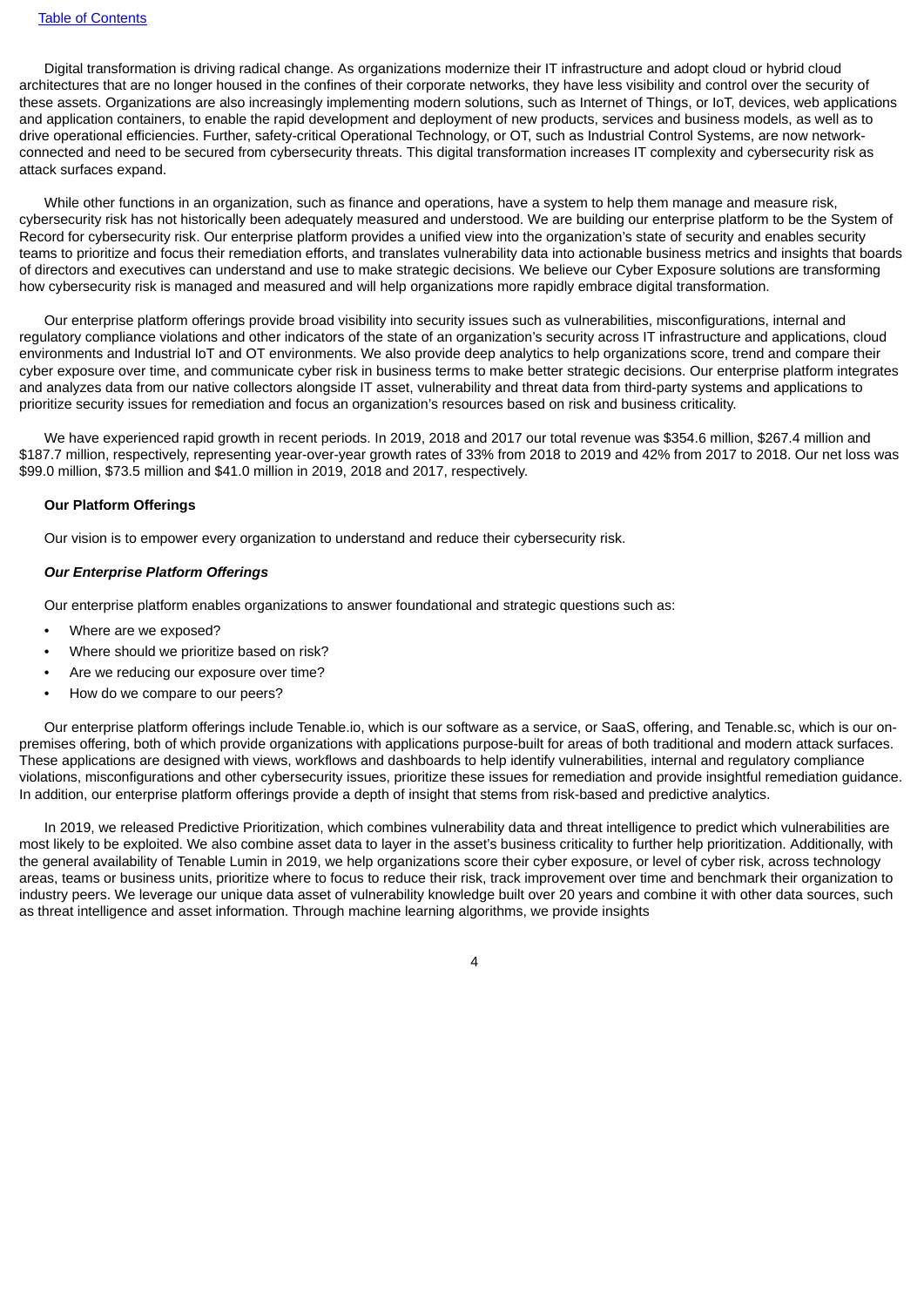Digital transformation is driving radical change. As organizations modernize their IT infrastructure and adopt cloud or hybrid cloud architectures that are no longer housed in the confines of their corporate networks, they have less visibility and control over the security of these assets. Organizations are also increasingly implementing modern solutions, such as Internet of Things, or IoT, devices, web applications and application containers, to enable the rapid development and deployment of new products, services and business models, as well as to drive operational efficiencies. Further, safety-critical Operational Technology, or OT, such as Industrial Control Systems, are now networkconnected and need to be secured from cybersecurity threats. This digital transformation increases IT complexity and cybersecurity risk as attack surfaces expand.

While other functions in an organization, such as finance and operations, have a system to help them manage and measure risk, cybersecurity risk has not historically been adequately measured and understood. We are building our enterprise platform to be the System of Record for cybersecurity risk. Our enterprise platform provides a unified view into the organization's state of security and enables security teams to prioritize and focus their remediation efforts, and translates vulnerability data into actionable business metrics and insights that boards of directors and executives can understand and use to make strategic decisions. We believe our Cyber Exposure solutions are transforming how cybersecurity risk is managed and measured and will help organizations more rapidly embrace digital transformation.

Our enterprise platform offerings provide broad visibility into security issues such as vulnerabilities, misconfigurations, internal and regulatory compliance violations and other indicators of the state of an organization's security across IT infrastructure and applications, cloud environments and Industrial IoT and OT environments. We also provide deep analytics to help organizations score, trend and compare their cyber exposure over time, and communicate cyber risk in business terms to make better strategic decisions. Our enterprise platform integrates and analyzes data from our native collectors alongside IT asset, vulnerability and threat data from third-party systems and applications to prioritize security issues for remediation and focus an organization's resources based on risk and business criticality.

We have experienced rapid growth in recent periods. In 2019, 2018 and 2017 our total revenue was \$354.6 million, \$267.4 million and \$187.7 million, respectively, representing year-over-year growth rates of 33% from 2018 to 2019 and 42% from 2017 to 2018. Our net loss was \$99.0 million, \$73.5 million and \$41.0 million in 2019, 2018 and 2017, respectively.

### **Our Platform Offerings**

Our vision is to empower every organization to understand and reduce their cybersecurity risk.

#### *Our Enterprise Platform Offerings*

Our enterprise platform enables organizations to answer foundational and strategic questions such as:

- Where are we exposed?
- Where should we prioritize based on risk?
- Are we reducing our exposure over time?
- How do we compare to our peers?

Our enterprise platform offerings include Tenable.io, which is our software as a service, or SaaS, offering, and Tenable.sc, which is our onpremises offering, both of which provide organizations with applications purpose-built for areas of both traditional and modern attack surfaces. These applications are designed with views, workflows and dashboards to help identify vulnerabilities, internal and regulatory compliance violations, misconfigurations and other cybersecurity issues, prioritize these issues for remediation and provide insightful remediation guidance. In addition, our enterprise platform offerings provide a depth of insight that stems from risk-based and predictive analytics.

In 2019, we released Predictive Prioritization, which combines vulnerability data and threat intelligence to predict which vulnerabilities are most likely to be exploited. We also combine asset data to layer in the asset's business criticality to further help prioritization. Additionally, with the general availability of Tenable Lumin in 2019, we help organizations score their cyber exposure, or level of cyber risk, across technology areas, teams or business units, prioritize where to focus to reduce their risk, track improvement over time and benchmark their organization to industry peers. We leverage our unique data asset of vulnerability knowledge built over 20 years and combine it with other data sources, such as threat intelligence and asset information. Through machine learning algorithms, we provide insights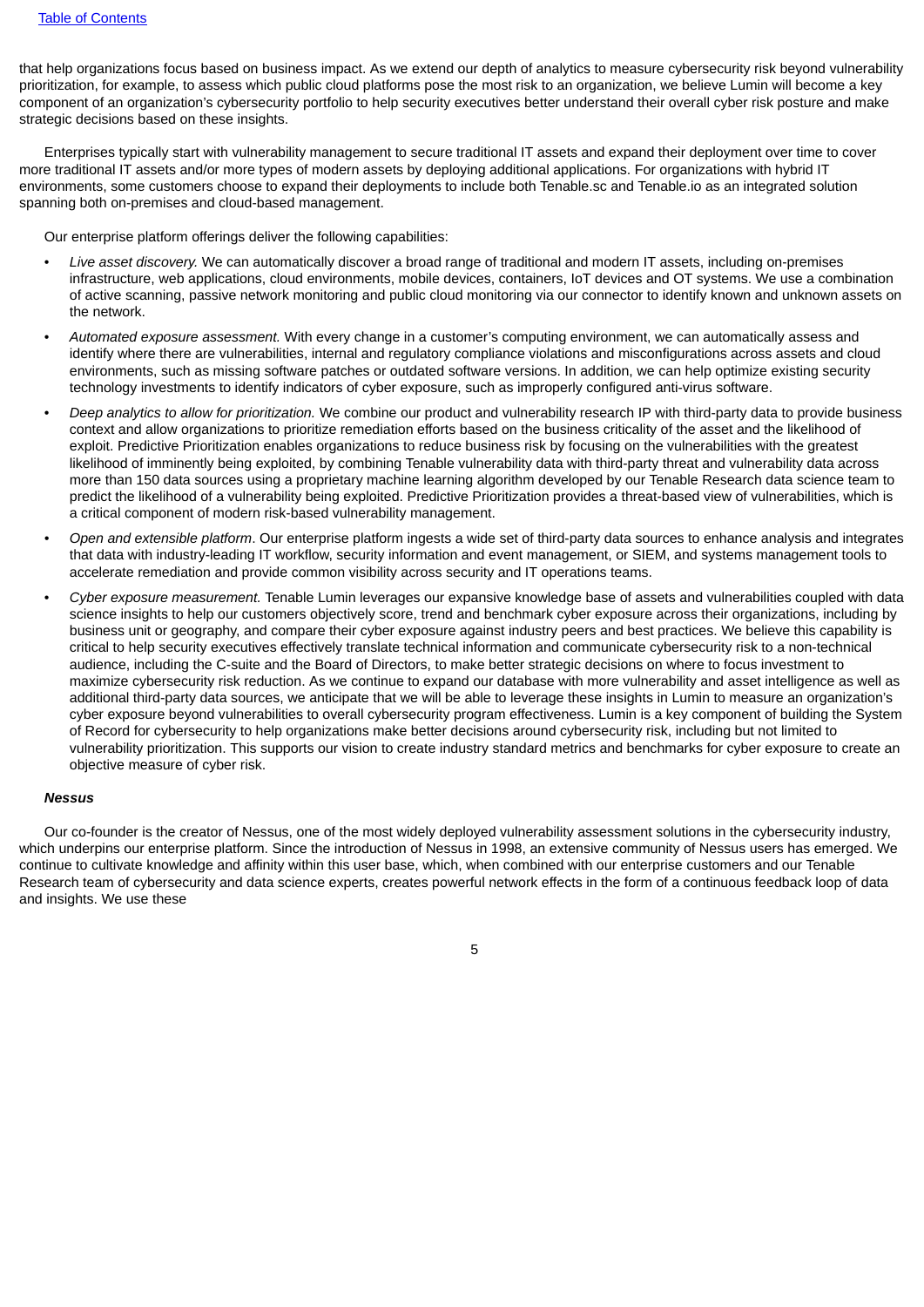that help organizations focus based on business impact. As we extend our depth of analytics to measure cybersecurity risk beyond vulnerability prioritization, for example, to assess which public cloud platforms pose the most risk to an organization, we believe Lumin will become a key component of an organization's cybersecurity portfolio to help security executives better understand their overall cyber risk posture and make strategic decisions based on these insights.

Enterprises typically start with vulnerability management to secure traditional IT assets and expand their deployment over time to cover more traditional IT assets and/or more types of modern assets by deploying additional applications. For organizations with hybrid IT environments, some customers choose to expand their deployments to include both Tenable.sc and Tenable.io as an integrated solution spanning both on-premises and cloud-based management.

Our enterprise platform offerings deliver the following capabilities:

- *Live asset discovery.* We can automatically discover a broad range of traditional and modern IT assets, including on-premises infrastructure, web applications, cloud environments, mobile devices, containers, IoT devices and OT systems. We use a combination of active scanning, passive network monitoring and public cloud monitoring via our connector to identify known and unknown assets on the network.
- *Automated exposure assessment.* With every change in a customer's computing environment, we can automatically assess and identify where there are vulnerabilities, internal and regulatory compliance violations and misconfigurations across assets and cloud environments, such as missing software patches or outdated software versions. In addition, we can help optimize existing security technology investments to identify indicators of cyber exposure, such as improperly configured anti-virus software.
- *Deep analytics to allow for prioritization.* We combine our product and vulnerability research IP with third-party data to provide business context and allow organizations to prioritize remediation efforts based on the business criticality of the asset and the likelihood of exploit. Predictive Prioritization enables organizations to reduce business risk by focusing on the vulnerabilities with the greatest likelihood of imminently being exploited, by combining Tenable vulnerability data with third-party threat and vulnerability data across more than 150 data sources using a proprietary machine learning algorithm developed by our Tenable Research data science team to predict the likelihood of a vulnerability being exploited. Predictive Prioritization provides a threat-based view of vulnerabilities, which is a critical component of modern risk-based vulnerability management.
- *• Open and extensible platform*. Our enterprise platform ingests a wide set of third-party data sources to enhance analysis and integrates that data with industry-leading IT workflow, security information and event management, or SIEM, and systems management tools to accelerate remediation and provide common visibility across security and IT operations teams.
- *Cyber exposure measurement.* Tenable Lumin leverages our expansive knowledge base of assets and vulnerabilities coupled with data science insights to help our customers objectively score, trend and benchmark cyber exposure across their organizations, including by business unit or geography, and compare their cyber exposure against industry peers and best practices. We believe this capability is critical to help security executives effectively translate technical information and communicate cybersecurity risk to a non-technical audience, including the C-suite and the Board of Directors, to make better strategic decisions on where to focus investment to maximize cybersecurity risk reduction. As we continue to expand our database with more vulnerability and asset intelligence as well as additional third-party data sources, we anticipate that we will be able to leverage these insights in Lumin to measure an organization's cyber exposure beyond vulnerabilities to overall cybersecurity program effectiveness. Lumin is a key component of building the System of Record for cybersecurity to help organizations make better decisions around cybersecurity risk, including but not limited to vulnerability prioritization. This supports our vision to create industry standard metrics and benchmarks for cyber exposure to create an objective measure of cyber risk.

#### *Nessus*

Our co-founder is the creator of Nessus, one of the most widely deployed vulnerability assessment solutions in the cybersecurity industry, which underpins our enterprise platform. Since the introduction of Nessus in 1998, an extensive community of Nessus users has emerged. We continue to cultivate knowledge and affinity within this user base, which, when combined with our enterprise customers and our Tenable Research team of cybersecurity and data science experts, creates powerful network effects in the form of a continuous feedback loop of data and insights. We use these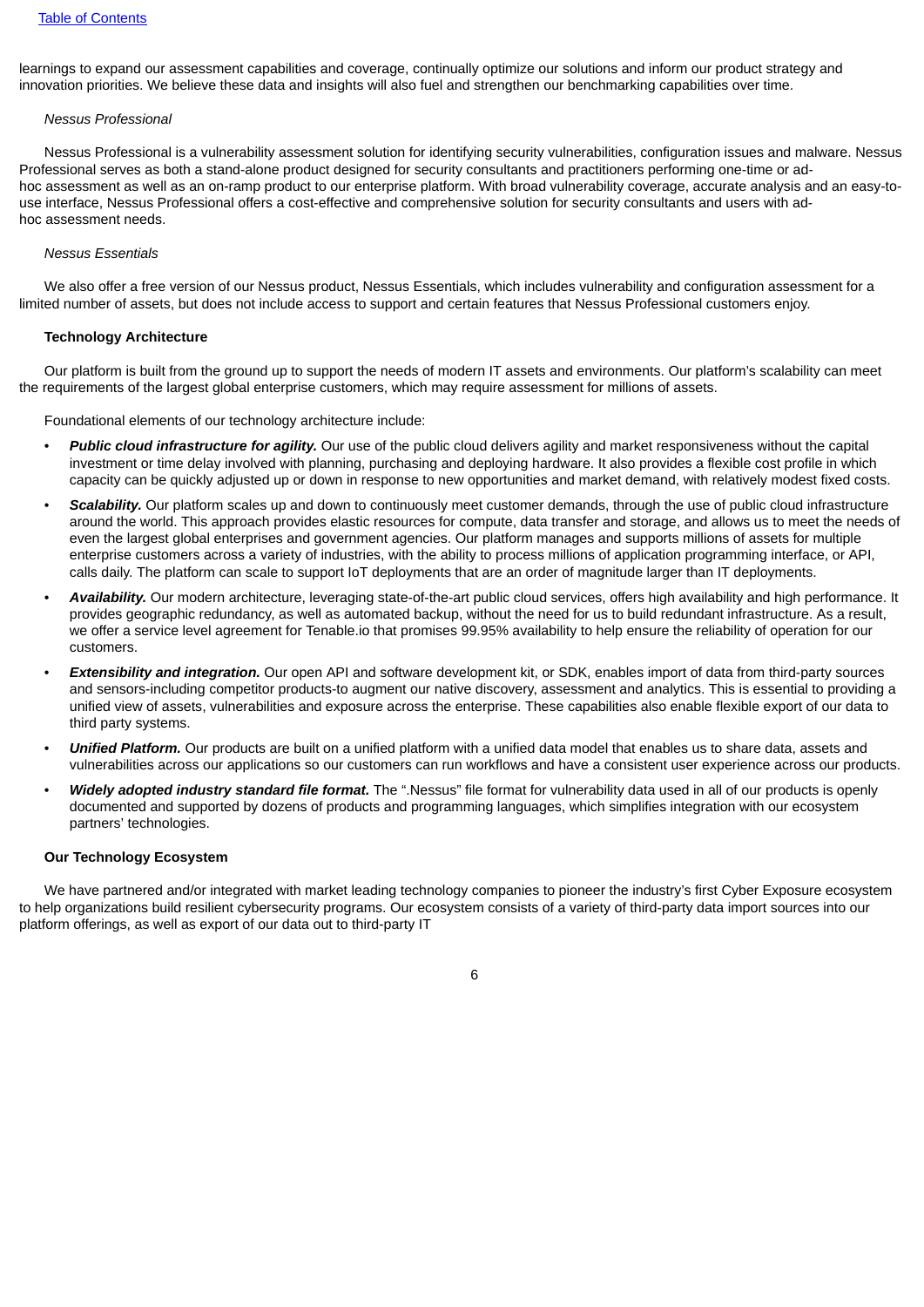learnings to expand our assessment capabilities and coverage, continually optimize our solutions and inform our product strategy and innovation priorities. We believe these data and insights will also fuel and strengthen our benchmarking capabilities over time.

#### *Nessus Professional*

Nessus Professional is a vulnerability assessment solution for identifying security vulnerabilities, configuration issues and malware. Nessus Professional serves as both a stand-alone product designed for security consultants and practitioners performing one-time or adhoc assessment as well as an on-ramp product to our enterprise platform. With broad vulnerability coverage, accurate analysis and an easy-touse interface, Nessus Professional offers a cost-effective and comprehensive solution for security consultants and users with adhoc assessment needs.

### *Nessus Essentials*

We also offer a free version of our Nessus product, Nessus Essentials, which includes vulnerability and configuration assessment for a limited number of assets, but does not include access to support and certain features that Nessus Professional customers enjoy.

### **Technology Architecture**

Our platform is built from the ground up to support the needs of modern IT assets and environments. Our platform's scalability can meet the requirements of the largest global enterprise customers, which may require assessment for millions of assets.

Foundational elements of our technology architecture include:

- *Public cloud infrastructure for agility.* Our use of the public cloud delivers agility and market responsiveness without the capital investment or time delay involved with planning, purchasing and deploying hardware. It also provides a flexible cost profile in which capacity can be quickly adjusted up or down in response to new opportunities and market demand, with relatively modest fixed costs.
- *Scalability.* Our platform scales up and down to continuously meet customer demands, through the use of public cloud infrastructure around the world. This approach provides elastic resources for compute, data transfer and storage, and allows us to meet the needs of even the largest global enterprises and government agencies. Our platform manages and supports millions of assets for multiple enterprise customers across a variety of industries, with the ability to process millions of application programming interface, or API, calls daily. The platform can scale to support IoT deployments that are an order of magnitude larger than IT deployments.
- *Availability.* Our modern architecture, leveraging state-of-the-art public cloud services, offers high availability and high performance. It provides geographic redundancy, as well as automated backup, without the need for us to build redundant infrastructure. As a result, we offer a service level agreement for Tenable.io that promises 99.95% availability to help ensure the reliability of operation for our customers.
- *Extensibility and integration.* Our open API and software development kit, or SDK, enables import of data from third-party sources and sensors-including competitor products-to augment our native discovery, assessment and analytics. This is essential to providing a unified view of assets, vulnerabilities and exposure across the enterprise. These capabilities also enable flexible export of our data to third party systems.
- *Unified Platform.* Our products are built on a unified platform with a unified data model that enables us to share data, assets and vulnerabilities across our applications so our customers can run workflows and have a consistent user experience across our products.
- *Widely adopted industry standard file format.* The ".Nessus" file format for vulnerability data used in all of our products is openly documented and supported by dozens of products and programming languages, which simplifies integration with our ecosystem partners' technologies.

#### **Our Technology Ecosystem**

We have partnered and/or integrated with market leading technology companies to pioneer the industry's first Cyber Exposure ecosystem to help organizations build resilient cybersecurity programs. Our ecosystem consists of a variety of third-party data import sources into our platform offerings, as well as export of our data out to third-party IT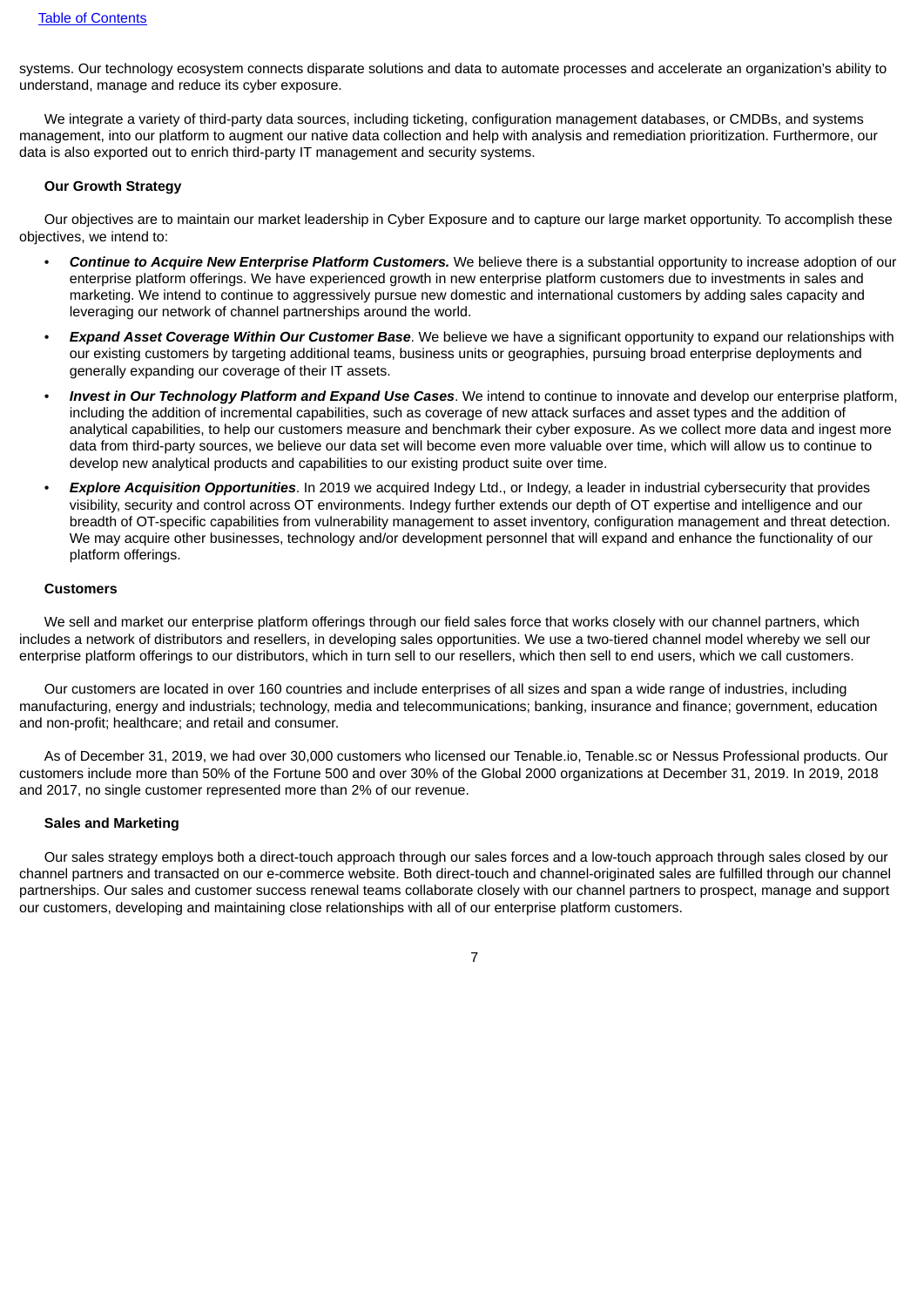systems. Our technology ecosystem connects disparate solutions and data to automate processes and accelerate an organization's ability to understand, manage and reduce its cyber exposure.

We integrate a variety of third-party data sources, including ticketing, configuration management databases, or CMDBs, and systems management, into our platform to augment our native data collection and help with analysis and remediation prioritization. Furthermore, our data is also exported out to enrich third-party IT management and security systems.

#### **Our Growth Strategy**

Our objectives are to maintain our market leadership in Cyber Exposure and to capture our large market opportunity. To accomplish these objectives, we intend to:

- *Continue to Acquire New Enterprise Platform Customers.* We believe there is a substantial opportunity to increase adoption of our enterprise platform offerings. We have experienced growth in new enterprise platform customers due to investments in sales and marketing. We intend to continue to aggressively pursue new domestic and international customers by adding sales capacity and leveraging our network of channel partnerships around the world.
- *Expand Asset Coverage Within Our Customer Base*. We believe we have a significant opportunity to expand our relationships with our existing customers by targeting additional teams, business units or geographies, pursuing broad enterprise deployments and generally expanding our coverage of their IT assets.
- *Invest in Our Technology Platform and Expand Use Cases*. We intend to continue to innovate and develop our enterprise platform, including the addition of incremental capabilities, such as coverage of new attack surfaces and asset types and the addition of analytical capabilities, to help our customers measure and benchmark their cyber exposure. As we collect more data and ingest more data from third-party sources, we believe our data set will become even more valuable over time, which will allow us to continue to develop new analytical products and capabilities to our existing product suite over time.
- *Explore Acquisition Opportunities*. In 2019 we acquired Indegy Ltd., or Indegy, a leader in industrial cybersecurity that provides visibility, security and control across OT environments. Indegy further extends our depth of OT expertise and intelligence and our breadth of OT-specific capabilities from vulnerability management to asset inventory, configuration management and threat detection. We may acquire other businesses, technology and/or development personnel that will expand and enhance the functionality of our platform offerings.

# **Customers**

We sell and market our enterprise platform offerings through our field sales force that works closely with our channel partners, which includes a network of distributors and resellers, in developing sales opportunities. We use a two-tiered channel model whereby we sell our enterprise platform offerings to our distributors, which in turn sell to our resellers, which then sell to end users, which we call customers.

Our customers are located in over 160 countries and include enterprises of all sizes and span a wide range of industries, including manufacturing, energy and industrials; technology, media and telecommunications; banking, insurance and finance; government, education and non-profit; healthcare; and retail and consumer.

As of December 31, 2019, we had over 30,000 customers who licensed our Tenable.io, Tenable.sc or Nessus Professional products. Our customers include more than 50% of the Fortune 500 and over 30% of the Global 2000 organizations at December 31, 2019. In 2019, 2018 and 2017, no single customer represented more than 2% of our revenue.

#### **Sales and Marketing**

Our sales strategy employs both a direct-touch approach through our sales forces and a low-touch approach through sales closed by our channel partners and transacted on our e-commerce website. Both direct-touch and channel-originated sales are fulfilled through our channel partnerships. Our sales and customer success renewal teams collaborate closely with our channel partners to prospect, manage and support our customers, developing and maintaining close relationships with all of our enterprise platform customers.

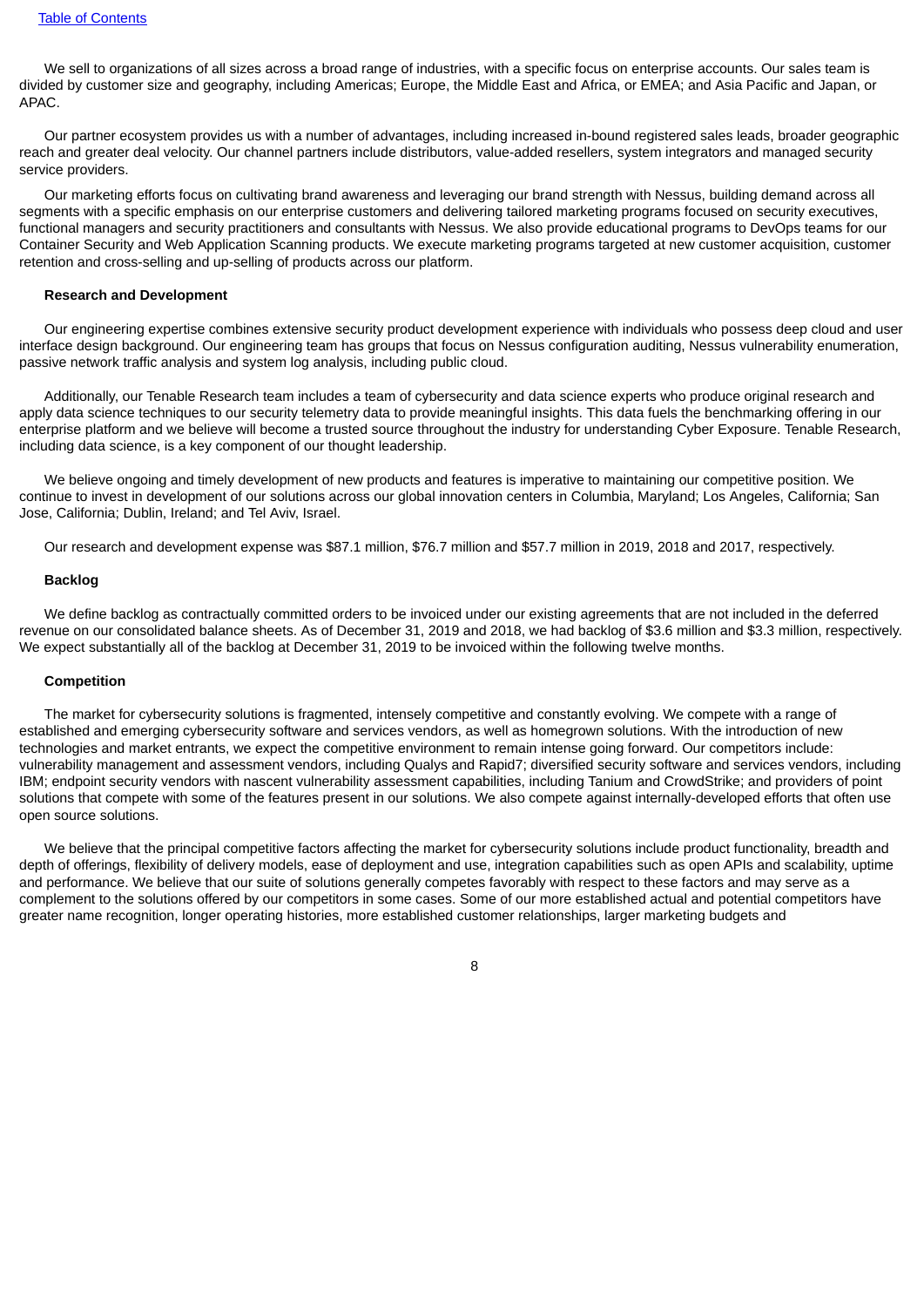We sell to organizations of all sizes across a broad range of industries, with a specific focus on enterprise accounts. Our sales team is divided by customer size and geography, including Americas; Europe, the Middle East and Africa, or EMEA; and Asia Pacific and Japan, or APAC.

Our partner ecosystem provides us with a number of advantages, including increased in-bound registered sales leads, broader geographic reach and greater deal velocity. Our channel partners include distributors, value-added resellers, system integrators and managed security service providers.

Our marketing efforts focus on cultivating brand awareness and leveraging our brand strength with Nessus, building demand across all segments with a specific emphasis on our enterprise customers and delivering tailored marketing programs focused on security executives, functional managers and security practitioners and consultants with Nessus. We also provide educational programs to DevOps teams for our Container Security and Web Application Scanning products. We execute marketing programs targeted at new customer acquisition, customer retention and cross-selling and up-selling of products across our platform.

#### **Research and Development**

Our engineering expertise combines extensive security product development experience with individuals who possess deep cloud and user interface design background. Our engineering team has groups that focus on Nessus configuration auditing, Nessus vulnerability enumeration, passive network traffic analysis and system log analysis, including public cloud.

Additionally, our Tenable Research team includes a team of cybersecurity and data science experts who produce original research and apply data science techniques to our security telemetry data to provide meaningful insights. This data fuels the benchmarking offering in our enterprise platform and we believe will become a trusted source throughout the industry for understanding Cyber Exposure. Tenable Research, including data science, is a key component of our thought leadership.

We believe ongoing and timely development of new products and features is imperative to maintaining our competitive position. We continue to invest in development of our solutions across our global innovation centers in Columbia, Maryland; Los Angeles, California; San Jose, California; Dublin, Ireland; and Tel Aviv, Israel.

Our research and development expense was \$87.1 million, \$76.7 million and \$57.7 million in 2019, 2018 and 2017, respectively.

#### **Backlog**

We define backlog as contractually committed orders to be invoiced under our existing agreements that are not included in the deferred revenue on our consolidated balance sheets. As of December 31, 2019 and 2018, we had backlog of \$3.6 million and \$3.3 million, respectively. We expect substantially all of the backlog at December 31, 2019 to be invoiced within the following twelve months.

#### **Competition**

The market for cybersecurity solutions is fragmented, intensely competitive and constantly evolving. We compete with a range of established and emerging cybersecurity software and services vendors, as well as homegrown solutions. With the introduction of new technologies and market entrants, we expect the competitive environment to remain intense going forward. Our competitors include: vulnerability management and assessment vendors, including Qualys and Rapid7; diversified security software and services vendors, including IBM; endpoint security vendors with nascent vulnerability assessment capabilities, including Tanium and CrowdStrike; and providers of point solutions that compete with some of the features present in our solutions. We also compete against internally-developed efforts that often use open source solutions.

We believe that the principal competitive factors affecting the market for cybersecurity solutions include product functionality, breadth and depth of offerings, flexibility of delivery models, ease of deployment and use, integration capabilities such as open APIs and scalability, uptime and performance. We believe that our suite of solutions generally competes favorably with respect to these factors and may serve as a complement to the solutions offered by our competitors in some cases. Some of our more established actual and potential competitors have greater name recognition, longer operating histories, more established customer relationships, larger marketing budgets and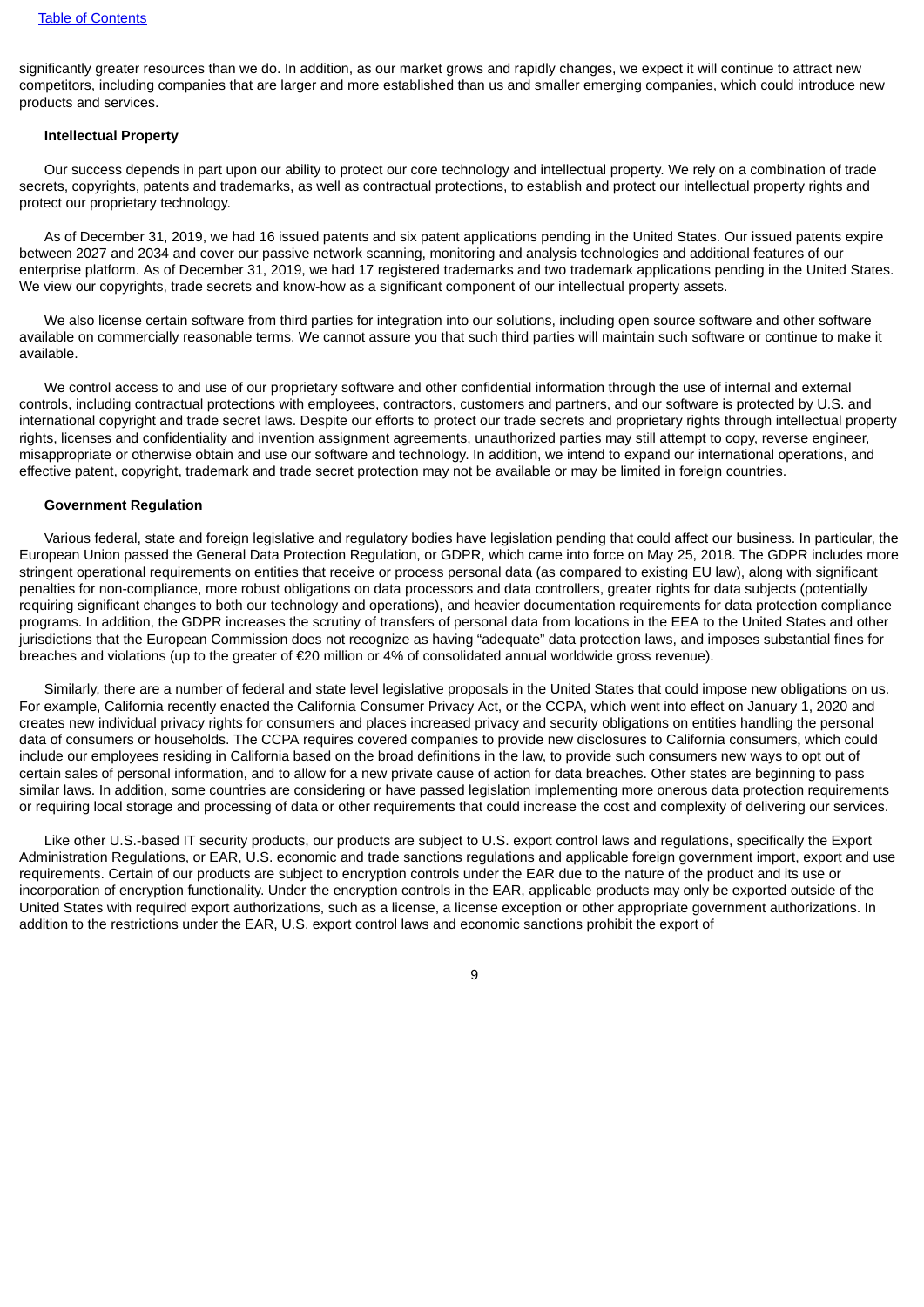significantly greater resources than we do. In addition, as our market grows and rapidly changes, we expect it will continue to attract new competitors, including companies that are larger and more established than us and smaller emerging companies, which could introduce new products and services.

### **Intellectual Property**

Our success depends in part upon our ability to protect our core technology and intellectual property. We rely on a combination of trade secrets, copyrights, patents and trademarks, as well as contractual protections, to establish and protect our intellectual property rights and protect our proprietary technology.

As of December 31, 2019, we had 16 issued patents and six patent applications pending in the United States. Our issued patents expire between 2027 and 2034 and cover our passive network scanning, monitoring and analysis technologies and additional features of our enterprise platform. As of December 31, 2019, we had 17 registered trademarks and two trademark applications pending in the United States. We view our copyrights, trade secrets and know-how as a significant component of our intellectual property assets.

We also license certain software from third parties for integration into our solutions, including open source software and other software available on commercially reasonable terms. We cannot assure you that such third parties will maintain such software or continue to make it available.

We control access to and use of our proprietary software and other confidential information through the use of internal and external controls, including contractual protections with employees, contractors, customers and partners, and our software is protected by U.S. and international copyright and trade secret laws. Despite our efforts to protect our trade secrets and proprietary rights through intellectual property rights, licenses and confidentiality and invention assignment agreements, unauthorized parties may still attempt to copy, reverse engineer, misappropriate or otherwise obtain and use our software and technology. In addition, we intend to expand our international operations, and effective patent, copyright, trademark and trade secret protection may not be available or may be limited in foreign countries.

#### **Government Regulation**

Various federal, state and foreign legislative and regulatory bodies have legislation pending that could affect our business. In particular, the European Union passed the General Data Protection Regulation, or GDPR, which came into force on May 25, 2018. The GDPR includes more stringent operational requirements on entities that receive or process personal data (as compared to existing EU law), along with significant penalties for non-compliance, more robust obligations on data processors and data controllers, greater rights for data subjects (potentially requiring significant changes to both our technology and operations), and heavier documentation requirements for data protection compliance programs. In addition, the GDPR increases the scrutiny of transfers of personal data from locations in the EEA to the United States and other jurisdictions that the European Commission does not recognize as having "adequate" data protection laws, and imposes substantial fines for breaches and violations (up to the greater of €20 million or 4% of consolidated annual worldwide gross revenue).

Similarly, there are a number of federal and state level legislative proposals in the United States that could impose new obligations on us. For example, California recently enacted the California Consumer Privacy Act, or the CCPA, which went into effect on January 1, 2020 and creates new individual privacy rights for consumers and places increased privacy and security obligations on entities handling the personal data of consumers or households. The CCPA requires covered companies to provide new disclosures to California consumers, which could include our employees residing in California based on the broad definitions in the law, to provide such consumers new ways to opt out of certain sales of personal information, and to allow for a new private cause of action for data breaches. Other states are beginning to pass similar laws. In addition, some countries are considering or have passed legislation implementing more onerous data protection requirements or requiring local storage and processing of data or other requirements that could increase the cost and complexity of delivering our services.

Like other U.S.-based IT security products, our products are subject to U.S. export control laws and regulations, specifically the Export Administration Regulations, or EAR, U.S. economic and trade sanctions regulations and applicable foreign government import, export and use requirements. Certain of our products are subject to encryption controls under the EAR due to the nature of the product and its use or incorporation of encryption functionality. Under the encryption controls in the EAR, applicable products may only be exported outside of the United States with required export authorizations, such as a license, a license exception or other appropriate government authorizations. In addition to the restrictions under the EAR, U.S. export control laws and economic sanctions prohibit the export of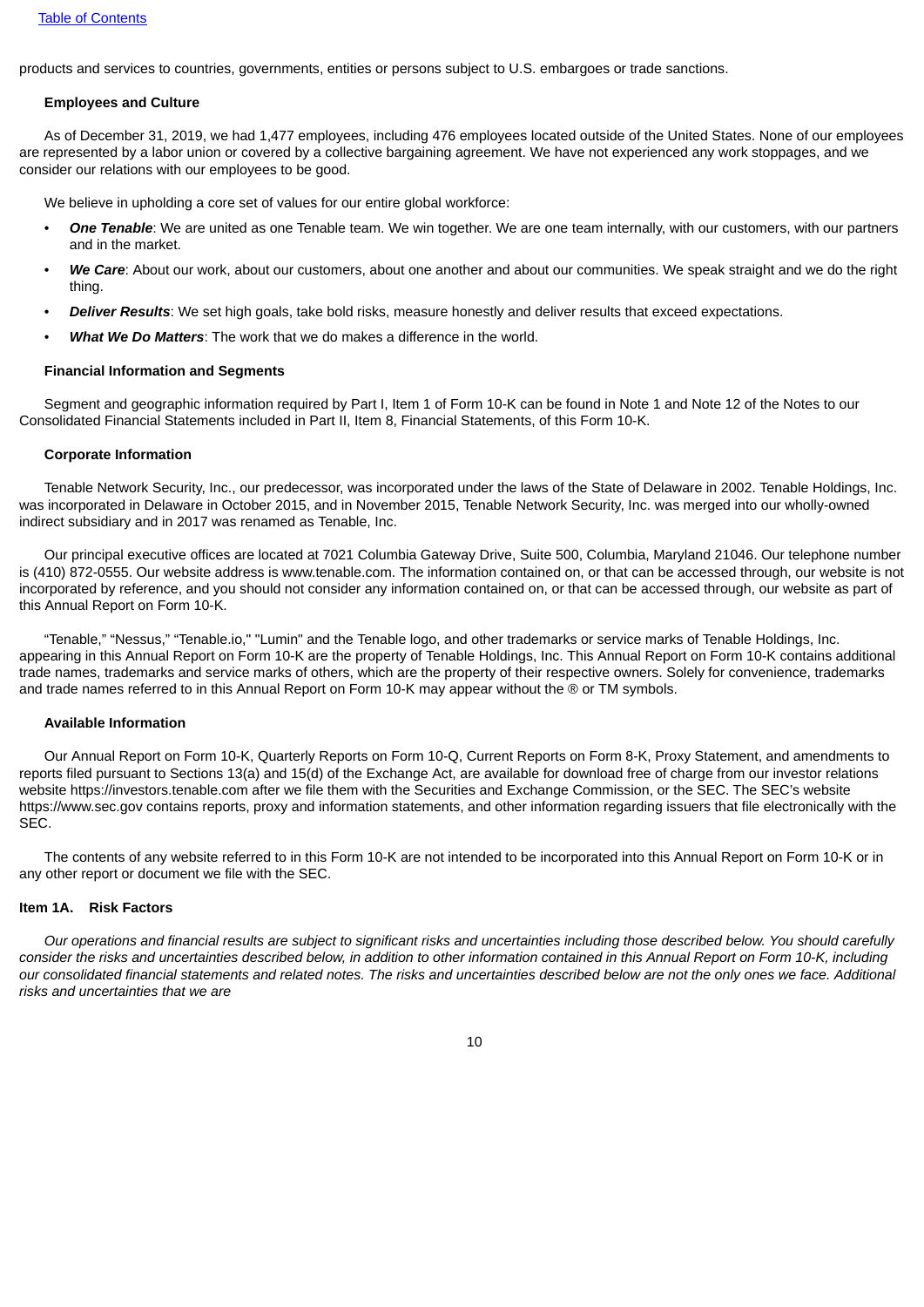products and services to countries, governments, entities or persons subject to U.S. embargoes or trade sanctions.

#### **Employees and Culture**

As of December 31, 2019, we had 1,477 employees, including 476 employees located outside of the United States. None of our employees are represented by a labor union or covered by a collective bargaining agreement. We have not experienced any work stoppages, and we consider our relations with our employees to be good.

We believe in upholding a core set of values for our entire global workforce:

- *One Tenable*: We are united as one Tenable team. We win together. We are one team internally, with our customers, with our partners and in the market.
- *We Care*: About our work, about our customers, about one another and about our communities. We speak straight and we do the right thing.
- *Deliver Results*: We set high goals, take bold risks, measure honestly and deliver results that exceed expectations.
- *What We Do Matters*: The work that we do makes a difference in the world.

#### **Financial Information and Segments**

Segment and geographic information required by Part I, Item 1 of Form 10-K can be found in Note 1 and Note 12 of the Notes to our Consolidated Financial Statements included in Part II, Item 8, Financial Statements, of this Form 10-K.

#### **Corporate Information**

Tenable Network Security, Inc., our predecessor, was incorporated under the laws of the State of Delaware in 2002. Tenable Holdings, Inc. was incorporated in Delaware in October 2015, and in November 2015, Tenable Network Security, Inc. was merged into our wholly-owned indirect subsidiary and in 2017 was renamed as Tenable, Inc.

Our principal executive offices are located at 7021 Columbia Gateway Drive, Suite 500, Columbia, Maryland 21046. Our telephone number is (410) 872-0555. Our website address is www.tenable.com. The information contained on, or that can be accessed through, our website is not incorporated by reference, and you should not consider any information contained on, or that can be accessed through, our website as part of this Annual Report on Form 10-K.

"Tenable," "Nessus," "Tenable.io," "Lumin" and the Tenable logo, and other trademarks or service marks of Tenable Holdings, Inc. appearing in this Annual Report on Form 10-K are the property of Tenable Holdings, Inc. This Annual Report on Form 10-K contains additional trade names, trademarks and service marks of others, which are the property of their respective owners. Solely for convenience, trademarks and trade names referred to in this Annual Report on Form 10-K may appear without the ® or TM symbols.

#### **Available Information**

Our Annual Report on Form 10-K, Quarterly Reports on Form 10-Q, Current Reports on Form 8-K, Proxy Statement, and amendments to reports filed pursuant to Sections 13(a) and 15(d) of the Exchange Act, are available for download free of charge from our investor relations website https://investors.tenable.com after we file them with the Securities and Exchange Commission, or the SEC. The SEC's website https://www.sec.gov contains reports, proxy and information statements, and other information regarding issuers that file electronically with the SEC.

The contents of any website referred to in this Form 10-K are not intended to be incorporated into this Annual Report on Form 10-K or in any other report or document we file with the SEC.

# <span id="page-9-0"></span>**Item 1A. Risk Factors**

Our operations and financial results are subject to significant risks and uncertainties including those described below. You should carefully consider the risks and uncertainties described below, in addition to other information contained in this Annual Report on Form 10-K, including our consolidated financial statements and related notes. The risks and uncertainties described below are not the only ones we face. Additional *risks and uncertainties that we are*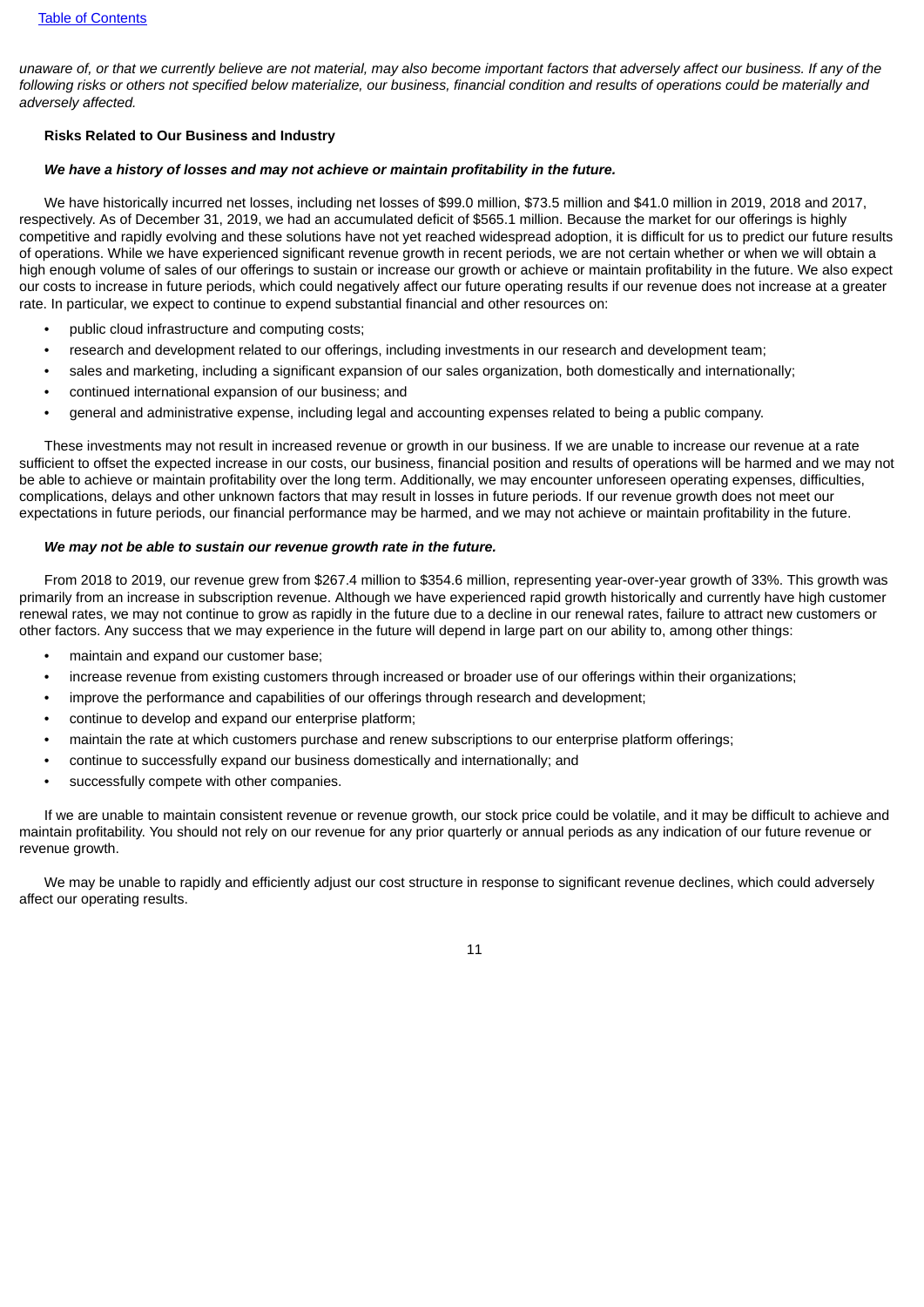unaware of, or that we currently believe are not material, may also become important factors that adversely affect our business. If any of the following risks or others not specified below materialize, our business, financial condition and results of operations could be materially and *adversely affected.*

# **Risks Related to Our Business and Industry**

#### *We have a history of losses and may not achieve or maintain profitability in the future.*

We have historically incurred net losses, including net losses of \$99.0 million, \$73.5 million and \$41.0 million in 2019, 2018 and 2017, respectively. As of December 31, 2019, we had an accumulated deficit of \$565.1 million. Because the market for our offerings is highly competitive and rapidly evolving and these solutions have not yet reached widespread adoption, it is difficult for us to predict our future results of operations. While we have experienced significant revenue growth in recent periods, we are not certain whether or when we will obtain a high enough volume of sales of our offerings to sustain or increase our growth or achieve or maintain profitability in the future. We also expect our costs to increase in future periods, which could negatively affect our future operating results if our revenue does not increase at a greater rate. In particular, we expect to continue to expend substantial financial and other resources on:

- public cloud infrastructure and computing costs;
- research and development related to our offerings, including investments in our research and development team;
- sales and marketing, including a significant expansion of our sales organization, both domestically and internationally;
- continued international expansion of our business; and
- general and administrative expense, including legal and accounting expenses related to being a public company.

These investments may not result in increased revenue or growth in our business. If we are unable to increase our revenue at a rate sufficient to offset the expected increase in our costs, our business, financial position and results of operations will be harmed and we may not be able to achieve or maintain profitability over the long term. Additionally, we may encounter unforeseen operating expenses, difficulties, complications, delays and other unknown factors that may result in losses in future periods. If our revenue growth does not meet our expectations in future periods, our financial performance may be harmed, and we may not achieve or maintain profitability in the future.

#### *We may not be able to sustain our revenue growth rate in the future.*

From 2018 to 2019, our revenue grew from \$267.4 million to \$354.6 million, representing year-over-year growth of 33%. This growth was primarily from an increase in subscription revenue. Although we have experienced rapid growth historically and currently have high customer renewal rates, we may not continue to grow as rapidly in the future due to a decline in our renewal rates, failure to attract new customers or other factors. Any success that we may experience in the future will depend in large part on our ability to, among other things:

- maintain and expand our customer base;
- increase revenue from existing customers through increased or broader use of our offerings within their organizations;
- improve the performance and capabilities of our offerings through research and development;
- continue to develop and expand our enterprise platform;
- maintain the rate at which customers purchase and renew subscriptions to our enterprise platform offerings;
- continue to successfully expand our business domestically and internationally; and
- successfully compete with other companies.

If we are unable to maintain consistent revenue or revenue growth, our stock price could be volatile, and it may be difficult to achieve and maintain profitability. You should not rely on our revenue for any prior quarterly or annual periods as any indication of our future revenue or revenue growth.

We may be unable to rapidly and efficiently adjust our cost structure in response to significant revenue declines, which could adversely affect our operating results.

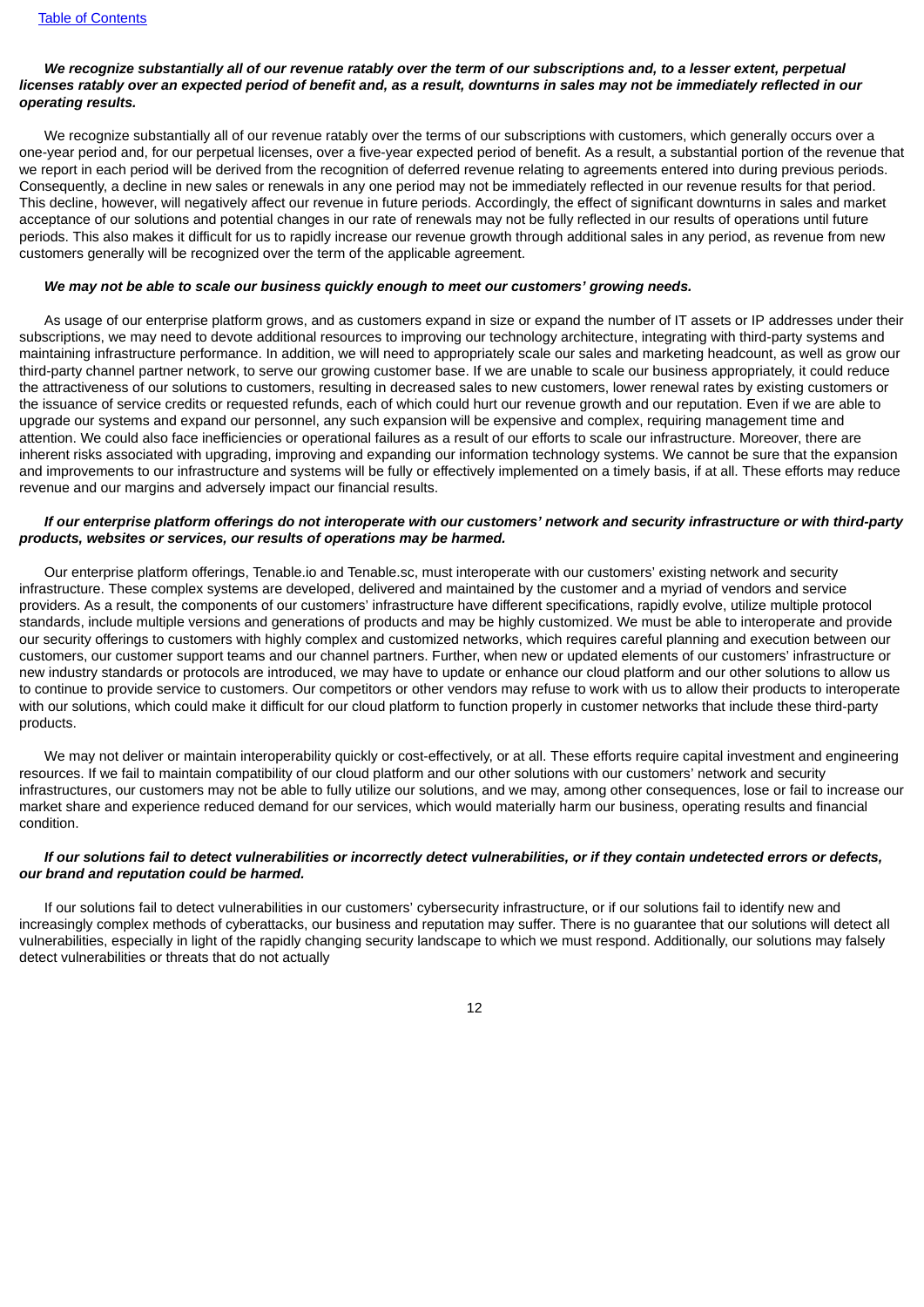# We recognize substantially all of our revenue ratably over the term of our subscriptions and, to a lesser extent, perpetual licenses ratably over an expected period of benefit and, as a result, downturns in sales may not be immediately reflected in our *operating results.*

We recognize substantially all of our revenue ratably over the terms of our subscriptions with customers, which generally occurs over a one-year period and, for our perpetual licenses, over a five-year expected period of benefit. As a result, a substantial portion of the revenue that we report in each period will be derived from the recognition of deferred revenue relating to agreements entered into during previous periods. Consequently, a decline in new sales or renewals in any one period may not be immediately reflected in our revenue results for that period. This decline, however, will negatively affect our revenue in future periods. Accordingly, the effect of significant downturns in sales and market acceptance of our solutions and potential changes in our rate of renewals may not be fully reflected in our results of operations until future periods. This also makes it difficult for us to rapidly increase our revenue growth through additional sales in any period, as revenue from new customers generally will be recognized over the term of the applicable agreement.

### *We may not be able to scale our business quickly enough to meet our customers' growing needs.*

As usage of our enterprise platform grows, and as customers expand in size or expand the number of IT assets or IP addresses under their subscriptions, we may need to devote additional resources to improving our technology architecture, integrating with third-party systems and maintaining infrastructure performance. In addition, we will need to appropriately scale our sales and marketing headcount, as well as grow our third-party channel partner network, to serve our growing customer base. If we are unable to scale our business appropriately, it could reduce the attractiveness of our solutions to customers, resulting in decreased sales to new customers, lower renewal rates by existing customers or the issuance of service credits or requested refunds, each of which could hurt our revenue growth and our reputation. Even if we are able to upgrade our systems and expand our personnel, any such expansion will be expensive and complex, requiring management time and attention. We could also face inefficiencies or operational failures as a result of our efforts to scale our infrastructure. Moreover, there are inherent risks associated with upgrading, improving and expanding our information technology systems. We cannot be sure that the expansion and improvements to our infrastructure and systems will be fully or effectively implemented on a timely basis, if at all. These efforts may reduce revenue and our margins and adversely impact our financial results.

# If our enterprise platform offerings do not interoperate with our customers' network and security infrastructure or with third-party *products, websites or services, our results of operations may be harmed.*

Our enterprise platform offerings, Tenable.io and Tenable.sc, must interoperate with our customers' existing network and security infrastructure. These complex systems are developed, delivered and maintained by the customer and a myriad of vendors and service providers. As a result, the components of our customers' infrastructure have different specifications, rapidly evolve, utilize multiple protocol standards, include multiple versions and generations of products and may be highly customized. We must be able to interoperate and provide our security offerings to customers with highly complex and customized networks, which requires careful planning and execution between our customers, our customer support teams and our channel partners. Further, when new or updated elements of our customers' infrastructure or new industry standards or protocols are introduced, we may have to update or enhance our cloud platform and our other solutions to allow us to continue to provide service to customers. Our competitors or other vendors may refuse to work with us to allow their products to interoperate with our solutions, which could make it difficult for our cloud platform to function properly in customer networks that include these third-party products.

We may not deliver or maintain interoperability quickly or cost-effectively, or at all. These efforts require capital investment and engineering resources. If we fail to maintain compatibility of our cloud platform and our other solutions with our customers' network and security infrastructures, our customers may not be able to fully utilize our solutions, and we may, among other consequences, lose or fail to increase our market share and experience reduced demand for our services, which would materially harm our business, operating results and financial condition.

# If our solutions fail to detect vulnerabilities or incorrectly detect vulnerabilities, or if they contain undetected errors or defects, *our brand and reputation could be harmed.*

If our solutions fail to detect vulnerabilities in our customers' cybersecurity infrastructure, or if our solutions fail to identify new and increasingly complex methods of cyberattacks, our business and reputation may suffer. There is no guarantee that our solutions will detect all vulnerabilities, especially in light of the rapidly changing security landscape to which we must respond. Additionally, our solutions may falsely detect vulnerabilities or threats that do not actually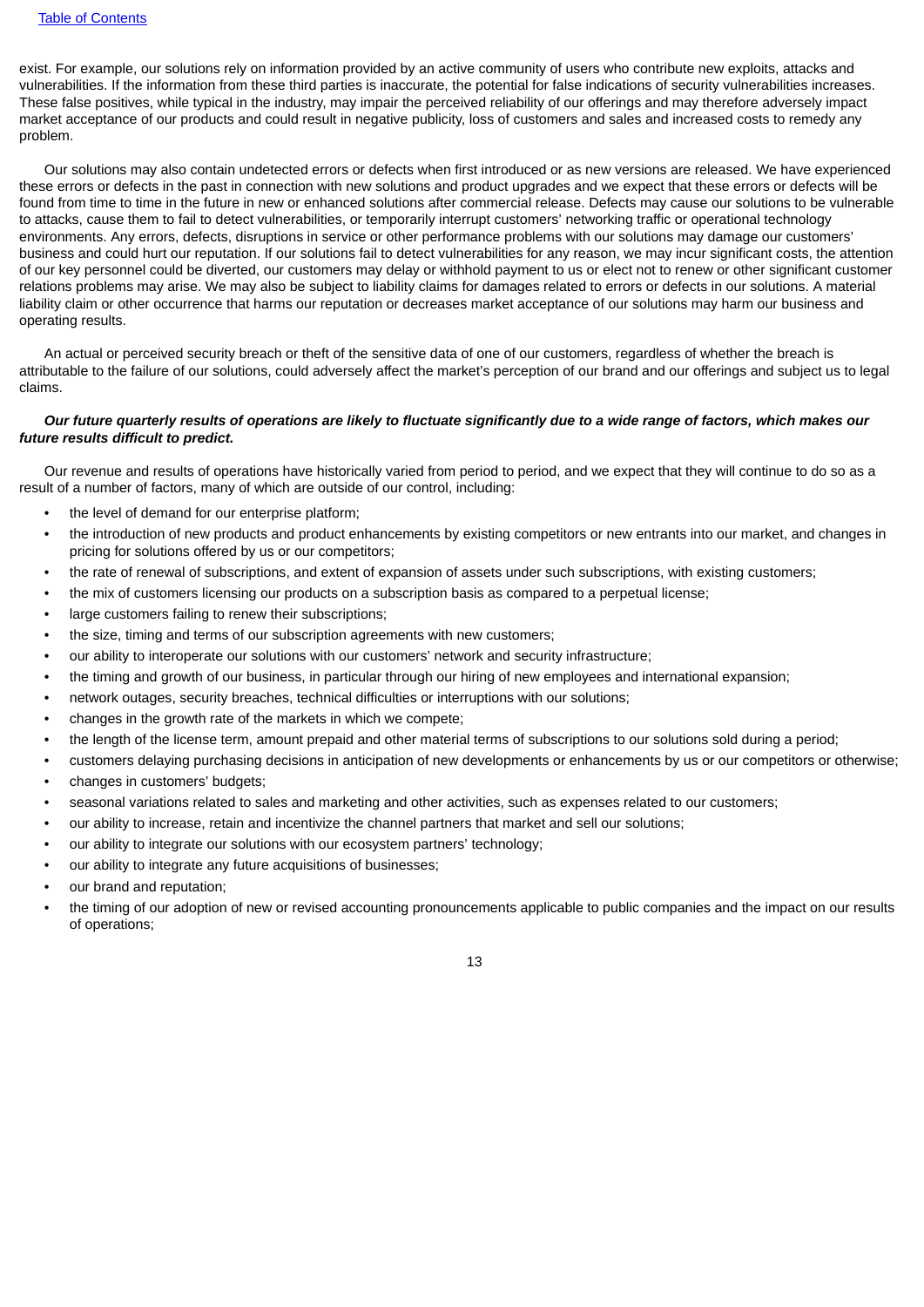exist. For example, our solutions rely on information provided by an active community of users who contribute new exploits, attacks and vulnerabilities. If the information from these third parties is inaccurate, the potential for false indications of security vulnerabilities increases. These false positives, while typical in the industry, may impair the perceived reliability of our offerings and may therefore adversely impact market acceptance of our products and could result in negative publicity, loss of customers and sales and increased costs to remedy any problem.

Our solutions may also contain undetected errors or defects when first introduced or as new versions are released. We have experienced these errors or defects in the past in connection with new solutions and product upgrades and we expect that these errors or defects will be found from time to time in the future in new or enhanced solutions after commercial release. Defects may cause our solutions to be vulnerable to attacks, cause them to fail to detect vulnerabilities, or temporarily interrupt customers' networking traffic or operational technology environments. Any errors, defects, disruptions in service or other performance problems with our solutions may damage our customers' business and could hurt our reputation. If our solutions fail to detect vulnerabilities for any reason, we may incur significant costs, the attention of our key personnel could be diverted, our customers may delay or withhold payment to us or elect not to renew or other significant customer relations problems may arise. We may also be subject to liability claims for damages related to errors or defects in our solutions. A material liability claim or other occurrence that harms our reputation or decreases market acceptance of our solutions may harm our business and operating results.

An actual or perceived security breach or theft of the sensitive data of one of our customers, regardless of whether the breach is attributable to the failure of our solutions, could adversely affect the market's perception of our brand and our offerings and subject us to legal claims.

# Our future quarterly results of operations are likely to fluctuate significantly due to a wide range of factors, which makes our *future results difficult to predict.*

Our revenue and results of operations have historically varied from period to period, and we expect that they will continue to do so as a result of a number of factors, many of which are outside of our control, including:

- the level of demand for our enterprise platform;
- the introduction of new products and product enhancements by existing competitors or new entrants into our market, and changes in pricing for solutions offered by us or our competitors;
- the rate of renewal of subscriptions, and extent of expansion of assets under such subscriptions, with existing customers;
- the mix of customers licensing our products on a subscription basis as compared to a perpetual license;
- large customers failing to renew their subscriptions;
- the size, timing and terms of our subscription agreements with new customers;
- our ability to interoperate our solutions with our customers' network and security infrastructure;
- the timing and growth of our business, in particular through our hiring of new employees and international expansion;
- network outages, security breaches, technical difficulties or interruptions with our solutions;
- changes in the growth rate of the markets in which we compete;
- the length of the license term, amount prepaid and other material terms of subscriptions to our solutions sold during a period;
- customers delaying purchasing decisions in anticipation of new developments or enhancements by us or our competitors or otherwise;
- changes in customers' budgets;
- seasonal variations related to sales and marketing and other activities, such as expenses related to our customers;
- our ability to increase, retain and incentivize the channel partners that market and sell our solutions;
- our ability to integrate our solutions with our ecosystem partners' technology;
- our ability to integrate any future acquisitions of businesses;
- our brand and reputation;
- the timing of our adoption of new or revised accounting pronouncements applicable to public companies and the impact on our results of operations;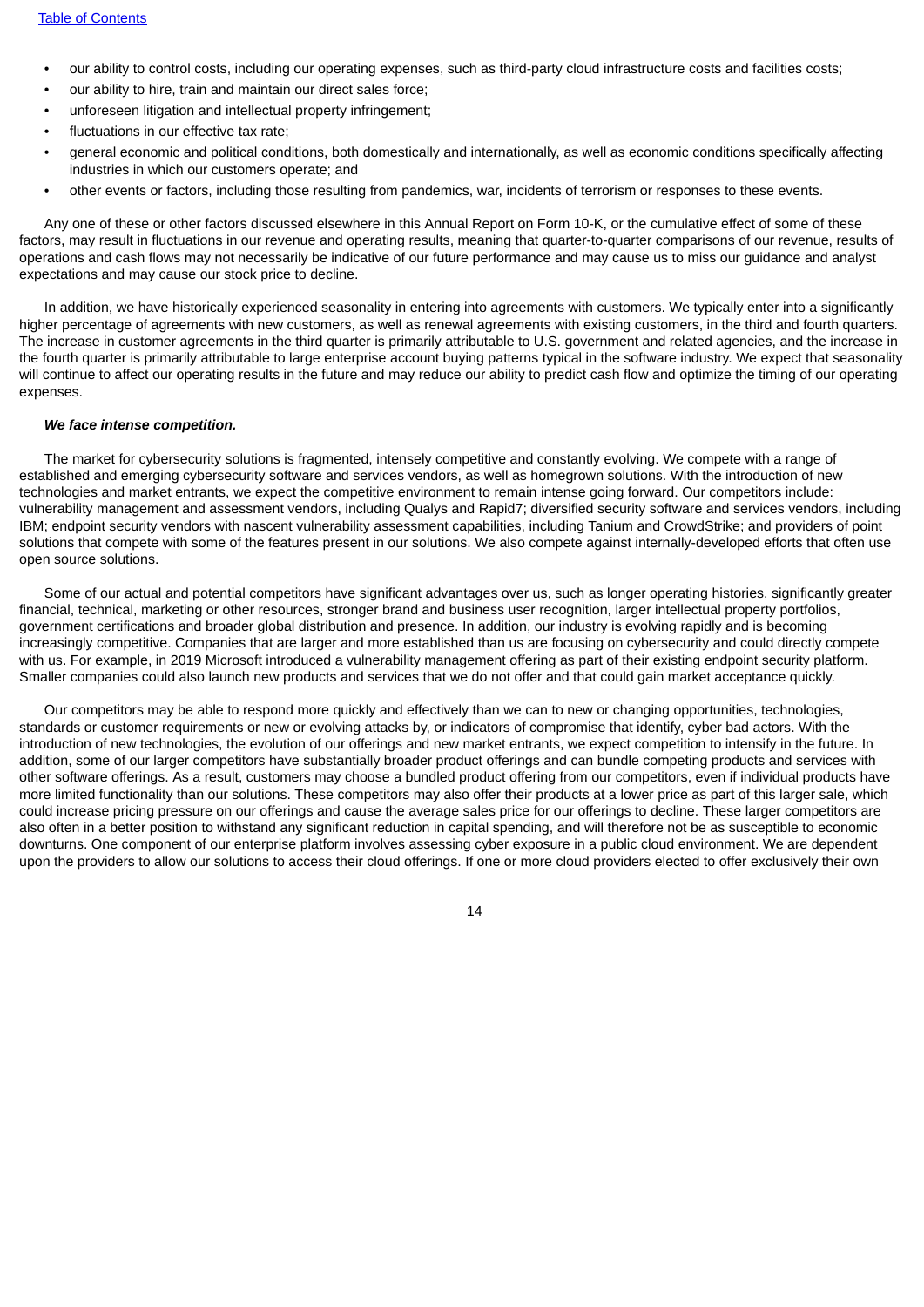- our ability to control costs, including our operating expenses, such as third-party cloud infrastructure costs and facilities costs;
- our ability to hire, train and maintain our direct sales force;
- unforeseen litigation and intellectual property infringement;
- fluctuations in our effective tax rate:
- general economic and political conditions, both domestically and internationally, as well as economic conditions specifically affecting industries in which our customers operate; and
- other events or factors, including those resulting from pandemics, war, incidents of terrorism or responses to these events.

Any one of these or other factors discussed elsewhere in this Annual Report on Form 10-K, or the cumulative effect of some of these factors, may result in fluctuations in our revenue and operating results, meaning that quarter-to-quarter comparisons of our revenue, results of operations and cash flows may not necessarily be indicative of our future performance and may cause us to miss our guidance and analyst expectations and may cause our stock price to decline.

In addition, we have historically experienced seasonality in entering into agreements with customers. We typically enter into a significantly higher percentage of agreements with new customers, as well as renewal agreements with existing customers, in the third and fourth quarters. The increase in customer agreements in the third quarter is primarily attributable to U.S. government and related agencies, and the increase in the fourth quarter is primarily attributable to large enterprise account buying patterns typical in the software industry. We expect that seasonality will continue to affect our operating results in the future and may reduce our ability to predict cash flow and optimize the timing of our operating expenses.

#### *We face intense competition.*

The market for cybersecurity solutions is fragmented, intensely competitive and constantly evolving. We compete with a range of established and emerging cybersecurity software and services vendors, as well as homegrown solutions. With the introduction of new technologies and market entrants, we expect the competitive environment to remain intense going forward. Our competitors include: vulnerability management and assessment vendors, including Qualys and Rapid7; diversified security software and services vendors, including IBM; endpoint security vendors with nascent vulnerability assessment capabilities, including Tanium and CrowdStrike; and providers of point solutions that compete with some of the features present in our solutions. We also compete against internally-developed efforts that often use open source solutions.

Some of our actual and potential competitors have significant advantages over us, such as longer operating histories, significantly greater financial, technical, marketing or other resources, stronger brand and business user recognition, larger intellectual property portfolios, government certifications and broader global distribution and presence. In addition, our industry is evolving rapidly and is becoming increasingly competitive. Companies that are larger and more established than us are focusing on cybersecurity and could directly compete with us. For example, in 2019 Microsoft introduced a vulnerability management offering as part of their existing endpoint security platform. Smaller companies could also launch new products and services that we do not offer and that could gain market acceptance quickly.

Our competitors may be able to respond more quickly and effectively than we can to new or changing opportunities, technologies, standards or customer requirements or new or evolving attacks by, or indicators of compromise that identify, cyber bad actors. With the introduction of new technologies, the evolution of our offerings and new market entrants, we expect competition to intensify in the future. In addition, some of our larger competitors have substantially broader product offerings and can bundle competing products and services with other software offerings. As a result, customers may choose a bundled product offering from our competitors, even if individual products have more limited functionality than our solutions. These competitors may also offer their products at a lower price as part of this larger sale, which could increase pricing pressure on our offerings and cause the average sales price for our offerings to decline. These larger competitors are also often in a better position to withstand any significant reduction in capital spending, and will therefore not be as susceptible to economic downturns. One component of our enterprise platform involves assessing cyber exposure in a public cloud environment. We are dependent upon the providers to allow our solutions to access their cloud offerings. If one or more cloud providers elected to offer exclusively their own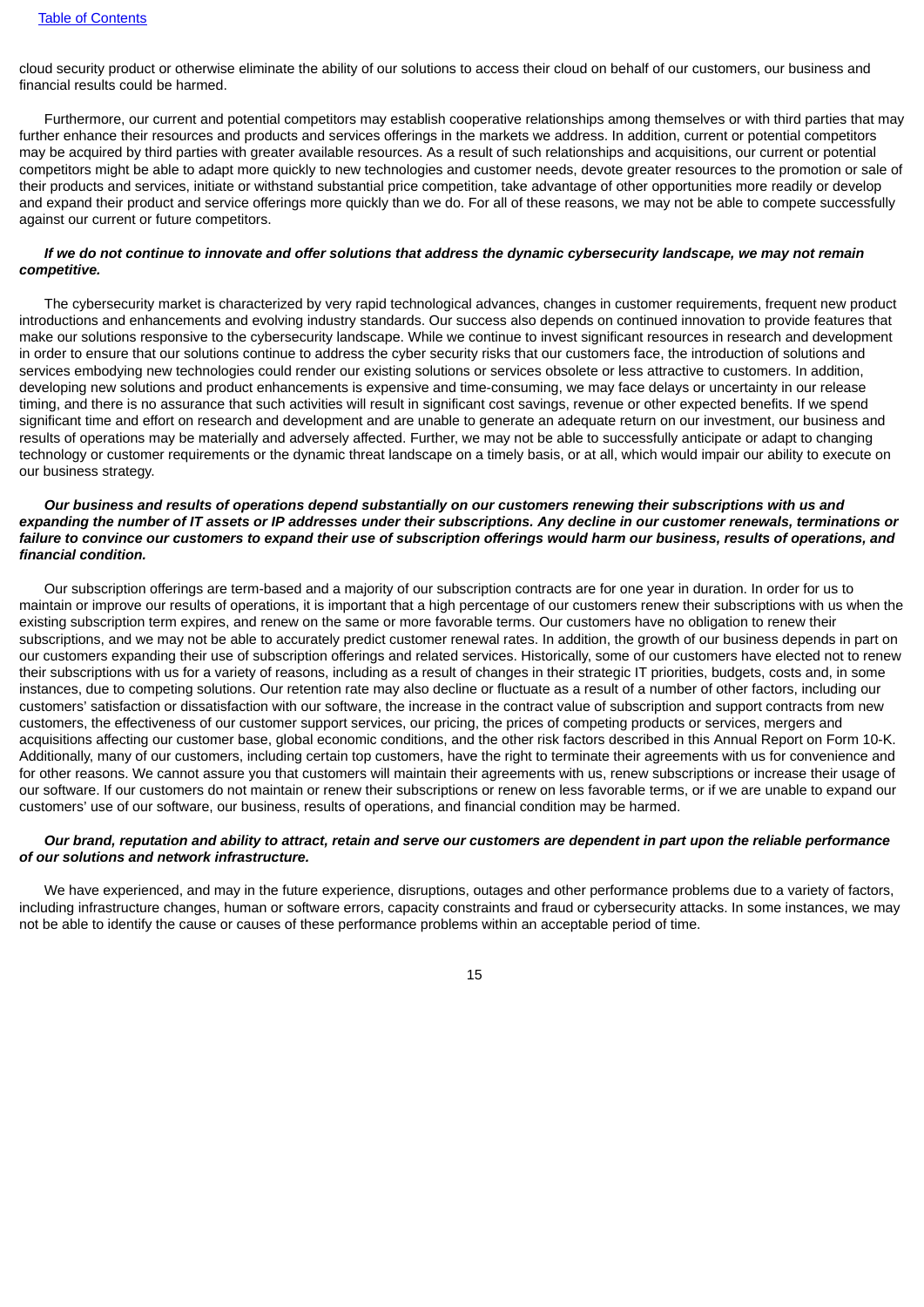cloud security product or otherwise eliminate the ability of our solutions to access their cloud on behalf of our customers, our business and financial results could be harmed.

Furthermore, our current and potential competitors may establish cooperative relationships among themselves or with third parties that may further enhance their resources and products and services offerings in the markets we address. In addition, current or potential competitors may be acquired by third parties with greater available resources. As a result of such relationships and acquisitions, our current or potential competitors might be able to adapt more quickly to new technologies and customer needs, devote greater resources to the promotion or sale of their products and services, initiate or withstand substantial price competition, take advantage of other opportunities more readily or develop and expand their product and service offerings more quickly than we do. For all of these reasons, we may not be able to compete successfully against our current or future competitors.

# If we do not continue to innovate and offer solutions that address the dynamic cybersecurity landscape, we may not remain *competitive.*

The cybersecurity market is characterized by very rapid technological advances, changes in customer requirements, frequent new product introductions and enhancements and evolving industry standards. Our success also depends on continued innovation to provide features that make our solutions responsive to the cybersecurity landscape. While we continue to invest significant resources in research and development in order to ensure that our solutions continue to address the cyber security risks that our customers face, the introduction of solutions and services embodying new technologies could render our existing solutions or services obsolete or less attractive to customers. In addition, developing new solutions and product enhancements is expensive and time-consuming, we may face delays or uncertainty in our release timing, and there is no assurance that such activities will result in significant cost savings, revenue or other expected benefits. If we spend significant time and effort on research and development and are unable to generate an adequate return on our investment, our business and results of operations may be materially and adversely affected. Further, we may not be able to successfully anticipate or adapt to changing technology or customer requirements or the dynamic threat landscape on a timely basis, or at all, which would impair our ability to execute on our business strategy.

# Our business and results of operations depend substantially on our customers renewing their subscriptions with us and expanding the number of IT assets or IP addresses under their subscriptions. Any decline in our customer renewals, terminations or failure to convince our customers to expand their use of subscription offerings would harm our business, results of operations, and *financial condition.*

Our subscription offerings are term-based and a majority of our subscription contracts are for one year in duration. In order for us to maintain or improve our results of operations, it is important that a high percentage of our customers renew their subscriptions with us when the existing subscription term expires, and renew on the same or more favorable terms. Our customers have no obligation to renew their subscriptions, and we may not be able to accurately predict customer renewal rates. In addition, the growth of our business depends in part on our customers expanding their use of subscription offerings and related services. Historically, some of our customers have elected not to renew their subscriptions with us for a variety of reasons, including as a result of changes in their strategic IT priorities, budgets, costs and, in some instances, due to competing solutions. Our retention rate may also decline or fluctuate as a result of a number of other factors, including our customers' satisfaction or dissatisfaction with our software, the increase in the contract value of subscription and support contracts from new customers, the effectiveness of our customer support services, our pricing, the prices of competing products or services, mergers and acquisitions affecting our customer base, global economic conditions, and the other risk factors described in this Annual Report on Form 10-K. Additionally, many of our customers, including certain top customers, have the right to terminate their agreements with us for convenience and for other reasons. We cannot assure you that customers will maintain their agreements with us, renew subscriptions or increase their usage of our software. If our customers do not maintain or renew their subscriptions or renew on less favorable terms, or if we are unable to expand our customers' use of our software, our business, results of operations, and financial condition may be harmed.

# Our brand, reputation and ability to attract, retain and serve our customers are dependent in part upon the reliable performance *of our solutions and network infrastructure.*

We have experienced, and may in the future experience, disruptions, outages and other performance problems due to a variety of factors, including infrastructure changes, human or software errors, capacity constraints and fraud or cybersecurity attacks. In some instances, we may not be able to identify the cause or causes of these performance problems within an acceptable period of time.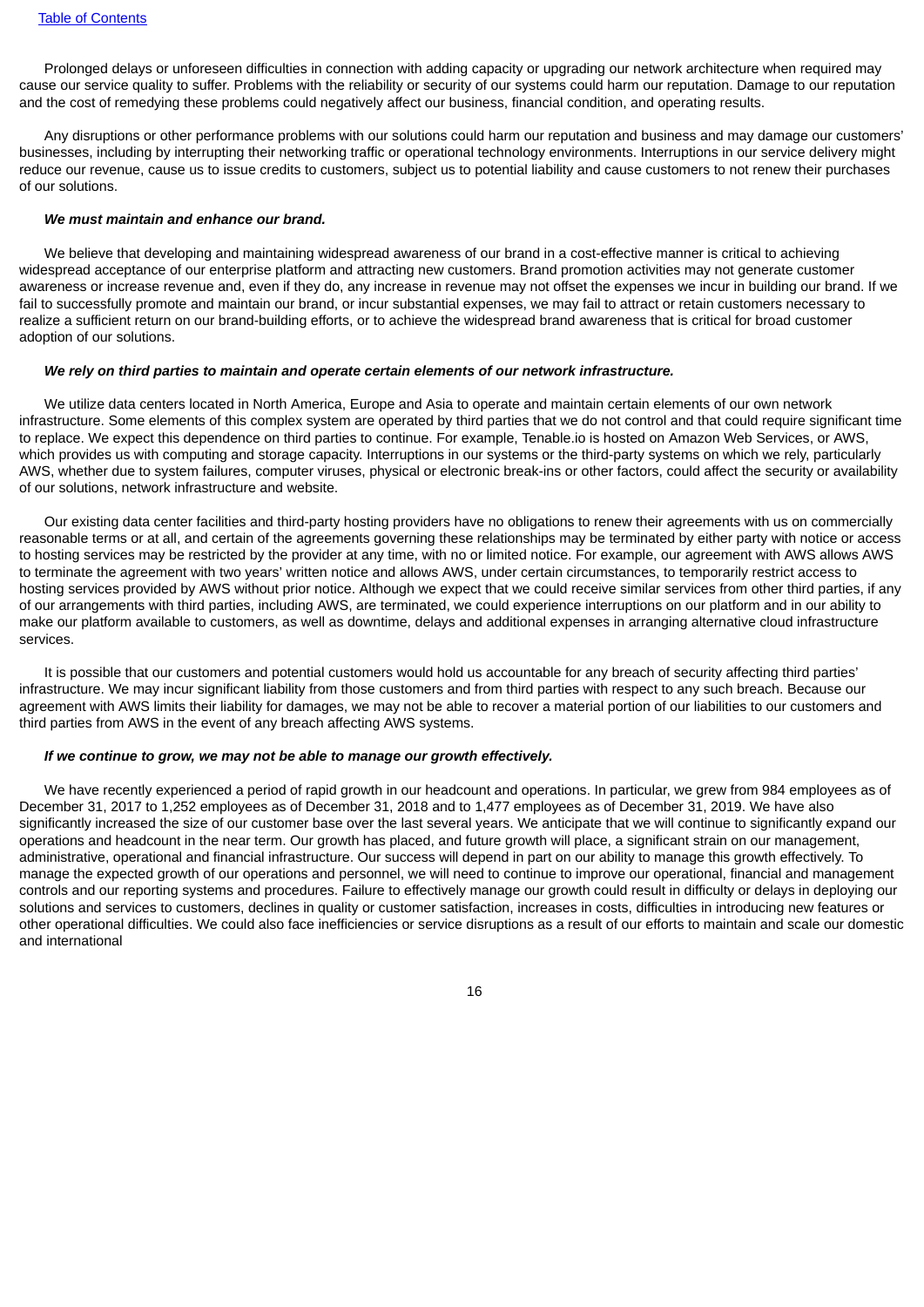Prolonged delays or unforeseen difficulties in connection with adding capacity or upgrading our network architecture when required may cause our service quality to suffer. Problems with the reliability or security of our systems could harm our reputation. Damage to our reputation and the cost of remedying these problems could negatively affect our business, financial condition, and operating results.

Any disruptions or other performance problems with our solutions could harm our reputation and business and may damage our customers' businesses, including by interrupting their networking traffic or operational technology environments. Interruptions in our service delivery might reduce our revenue, cause us to issue credits to customers, subject us to potential liability and cause customers to not renew their purchases of our solutions.

# *We must maintain and enhance our brand.*

We believe that developing and maintaining widespread awareness of our brand in a cost-effective manner is critical to achieving widespread acceptance of our enterprise platform and attracting new customers. Brand promotion activities may not generate customer awareness or increase revenue and, even if they do, any increase in revenue may not offset the expenses we incur in building our brand. If we fail to successfully promote and maintain our brand, or incur substantial expenses, we may fail to attract or retain customers necessary to realize a sufficient return on our brand-building efforts, or to achieve the widespread brand awareness that is critical for broad customer adoption of our solutions.

# *We rely on third parties to maintain and operate certain elements of our network infrastructure.*

We utilize data centers located in North America, Europe and Asia to operate and maintain certain elements of our own network infrastructure. Some elements of this complex system are operated by third parties that we do not control and that could require significant time to replace. We expect this dependence on third parties to continue. For example, Tenable.io is hosted on Amazon Web Services, or AWS, which provides us with computing and storage capacity. Interruptions in our systems or the third-party systems on which we rely, particularly AWS, whether due to system failures, computer viruses, physical or electronic break-ins or other factors, could affect the security or availability of our solutions, network infrastructure and website.

Our existing data center facilities and third-party hosting providers have no obligations to renew their agreements with us on commercially reasonable terms or at all, and certain of the agreements governing these relationships may be terminated by either party with notice or access to hosting services may be restricted by the provider at any time, with no or limited notice. For example, our agreement with AWS allows AWS to terminate the agreement with two years' written notice and allows AWS, under certain circumstances, to temporarily restrict access to hosting services provided by AWS without prior notice. Although we expect that we could receive similar services from other third parties, if any of our arrangements with third parties, including AWS, are terminated, we could experience interruptions on our platform and in our ability to make our platform available to customers, as well as downtime, delays and additional expenses in arranging alternative cloud infrastructure services.

It is possible that our customers and potential customers would hold us accountable for any breach of security affecting third parties' infrastructure. We may incur significant liability from those customers and from third parties with respect to any such breach. Because our agreement with AWS limits their liability for damages, we may not be able to recover a material portion of our liabilities to our customers and third parties from AWS in the event of any breach affecting AWS systems.

#### *If we continue to grow, we may not be able to manage our growth effectively.*

We have recently experienced a period of rapid growth in our headcount and operations. In particular, we grew from 984 employees as of December 31, 2017 to 1,252 employees as of December 31, 2018 and to 1,477 employees as of December 31, 2019. We have also significantly increased the size of our customer base over the last several years. We anticipate that we will continue to significantly expand our operations and headcount in the near term. Our growth has placed, and future growth will place, a significant strain on our management, administrative, operational and financial infrastructure. Our success will depend in part on our ability to manage this growth effectively. To manage the expected growth of our operations and personnel, we will need to continue to improve our operational, financial and management controls and our reporting systems and procedures. Failure to effectively manage our growth could result in difficulty or delays in deploying our solutions and services to customers, declines in quality or customer satisfaction, increases in costs, difficulties in introducing new features or other operational difficulties. We could also face inefficiencies or service disruptions as a result of our efforts to maintain and scale our domestic and international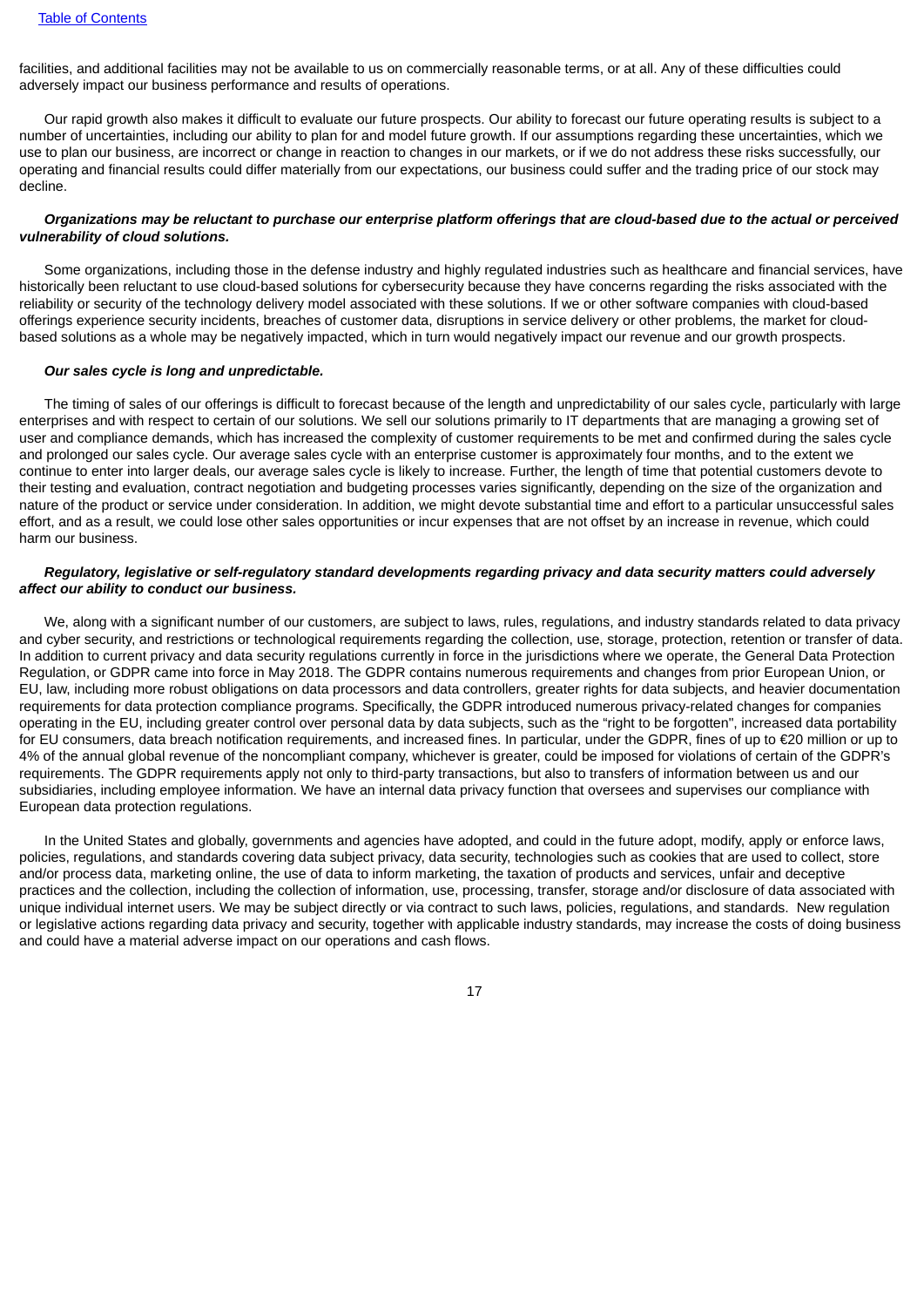facilities, and additional facilities may not be available to us on commercially reasonable terms, or at all. Any of these difficulties could adversely impact our business performance and results of operations.

Our rapid growth also makes it difficult to evaluate our future prospects. Our ability to forecast our future operating results is subject to a number of uncertainties, including our ability to plan for and model future growth. If our assumptions regarding these uncertainties, which we use to plan our business, are incorrect or change in reaction to changes in our markets, or if we do not address these risks successfully, our operating and financial results could differ materially from our expectations, our business could suffer and the trading price of our stock may decline.

# Organizations may be reluctant to purchase our enterprise platform offerings that are cloud-based due to the actual or perceived *vulnerability of cloud solutions.*

Some organizations, including those in the defense industry and highly regulated industries such as healthcare and financial services, have historically been reluctant to use cloud-based solutions for cybersecurity because they have concerns regarding the risks associated with the reliability or security of the technology delivery model associated with these solutions. If we or other software companies with cloud-based offerings experience security incidents, breaches of customer data, disruptions in service delivery or other problems, the market for cloudbased solutions as a whole may be negatively impacted, which in turn would negatively impact our revenue and our growth prospects.

#### *Our sales cycle is long and unpredictable.*

The timing of sales of our offerings is difficult to forecast because of the length and unpredictability of our sales cycle, particularly with large enterprises and with respect to certain of our solutions. We sell our solutions primarily to IT departments that are managing a growing set of user and compliance demands, which has increased the complexity of customer requirements to be met and confirmed during the sales cycle and prolonged our sales cycle. Our average sales cycle with an enterprise customer is approximately four months, and to the extent we continue to enter into larger deals, our average sales cycle is likely to increase. Further, the length of time that potential customers devote to their testing and evaluation, contract negotiation and budgeting processes varies significantly, depending on the size of the organization and nature of the product or service under consideration. In addition, we might devote substantial time and effort to a particular unsuccessful sales effort, and as a result, we could lose other sales opportunities or incur expenses that are not offset by an increase in revenue, which could harm our business.

# *Regulatory, legislative or self-regulatory standard developments regarding privacy and data security matters could adversely affect our ability to conduct our business.*

We, along with a significant number of our customers, are subject to laws, rules, regulations, and industry standards related to data privacy and cyber security, and restrictions or technological requirements regarding the collection, use, storage, protection, retention or transfer of data. In addition to current privacy and data security regulations currently in force in the jurisdictions where we operate, the General Data Protection Regulation, or GDPR came into force in May 2018. The GDPR contains numerous requirements and changes from prior European Union, or EU, law, including more robust obligations on data processors and data controllers, greater rights for data subjects, and heavier documentation requirements for data protection compliance programs. Specifically, the GDPR introduced numerous privacy-related changes for companies operating in the EU, including greater control over personal data by data subjects, such as the "right to be forgotten", increased data portability for EU consumers, data breach notification requirements, and increased fines. In particular, under the GDPR, fines of up to €20 million or up to 4% of the annual global revenue of the noncompliant company, whichever is greater, could be imposed for violations of certain of the GDPR's requirements. The GDPR requirements apply not only to third-party transactions, but also to transfers of information between us and our subsidiaries, including employee information. We have an internal data privacy function that oversees and supervises our compliance with European data protection regulations.

In the United States and globally, governments and agencies have adopted, and could in the future adopt, modify, apply or enforce laws, policies, regulations, and standards covering data subject privacy, data security, technologies such as cookies that are used to collect, store and/or process data, marketing online, the use of data to inform marketing, the taxation of products and services, unfair and deceptive practices and the collection, including the collection of information, use, processing, transfer, storage and/or disclosure of data associated with unique individual internet users. We may be subject directly or via contract to such laws, policies, regulations, and standards. New regulation or legislative actions regarding data privacy and security, together with applicable industry standards, may increase the costs of doing business and could have a material adverse impact on our operations and cash flows.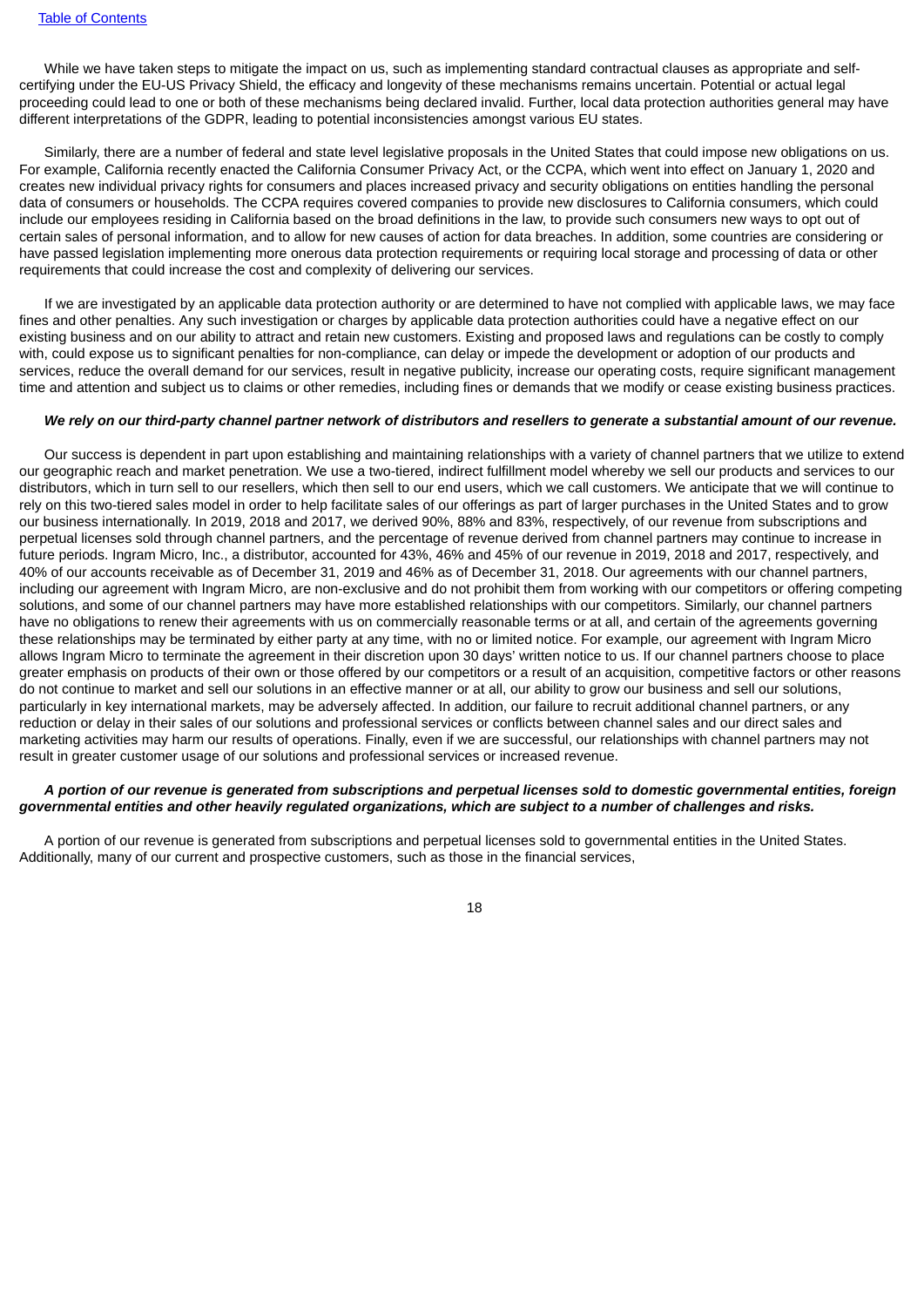While we have taken steps to mitigate the impact on us, such as implementing standard contractual clauses as appropriate and selfcertifying under the EU-US Privacy Shield, the efficacy and longevity of these mechanisms remains uncertain. Potential or actual legal proceeding could lead to one or both of these mechanisms being declared invalid. Further, local data protection authorities general may have different interpretations of the GDPR, leading to potential inconsistencies amongst various EU states.

Similarly, there are a number of federal and state level legislative proposals in the United States that could impose new obligations on us. For example, California recently enacted the California Consumer Privacy Act, or the CCPA, which went into effect on January 1, 2020 and creates new individual privacy rights for consumers and places increased privacy and security obligations on entities handling the personal data of consumers or households. The CCPA requires covered companies to provide new disclosures to California consumers, which could include our employees residing in California based on the broad definitions in the law, to provide such consumers new ways to opt out of certain sales of personal information, and to allow for new causes of action for data breaches. In addition, some countries are considering or have passed legislation implementing more onerous data protection requirements or requiring local storage and processing of data or other requirements that could increase the cost and complexity of delivering our services.

If we are investigated by an applicable data protection authority or are determined to have not complied with applicable laws, we may face fines and other penalties. Any such investigation or charges by applicable data protection authorities could have a negative effect on our existing business and on our ability to attract and retain new customers. Existing and proposed laws and regulations can be costly to comply with, could expose us to significant penalties for non-compliance, can delay or impede the development or adoption of our products and services, reduce the overall demand for our services, result in negative publicity, increase our operating costs, require significant management time and attention and subject us to claims or other remedies, including fines or demands that we modify or cease existing business practices.

### We rely on our third-party channel partner network of distributors and resellers to generate a substantial amount of our revenue.

Our success is dependent in part upon establishing and maintaining relationships with a variety of channel partners that we utilize to extend our geographic reach and market penetration. We use a two-tiered, indirect fulfillment model whereby we sell our products and services to our distributors, which in turn sell to our resellers, which then sell to our end users, which we call customers. We anticipate that we will continue to rely on this two-tiered sales model in order to help facilitate sales of our offerings as part of larger purchases in the United States and to grow our business internationally. In 2019, 2018 and 2017, we derived 90%, 88% and 83%, respectively, of our revenue from subscriptions and perpetual licenses sold through channel partners, and the percentage of revenue derived from channel partners may continue to increase in future periods. Ingram Micro, Inc., a distributor, accounted for 43%, 46% and 45% of our revenue in 2019, 2018 and 2017, respectively, and 40% of our accounts receivable as of December 31, 2019 and 46% as of December 31, 2018. Our agreements with our channel partners, including our agreement with Ingram Micro, are non-exclusive and do not prohibit them from working with our competitors or offering competing solutions, and some of our channel partners may have more established relationships with our competitors. Similarly, our channel partners have no obligations to renew their agreements with us on commercially reasonable terms or at all, and certain of the agreements governing these relationships may be terminated by either party at any time, with no or limited notice. For example, our agreement with Ingram Micro allows Ingram Micro to terminate the agreement in their discretion upon 30 days' written notice to us. If our channel partners choose to place greater emphasis on products of their own or those offered by our competitors or a result of an acquisition, competitive factors or other reasons do not continue to market and sell our solutions in an effective manner or at all, our ability to grow our business and sell our solutions, particularly in key international markets, may be adversely affected. In addition, our failure to recruit additional channel partners, or any reduction or delay in their sales of our solutions and professional services or conflicts between channel sales and our direct sales and marketing activities may harm our results of operations. Finally, even if we are successful, our relationships with channel partners may not result in greater customer usage of our solutions and professional services or increased revenue.

# A portion of our revenue is generated from subscriptions and perpetual licenses sold to domestic governmental entities, foreign governmental entities and other heavily regulated organizations, which are subject to a number of challenges and risks.

A portion of our revenue is generated from subscriptions and perpetual licenses sold to governmental entities in the United States. Additionally, many of our current and prospective customers, such as those in the financial services,

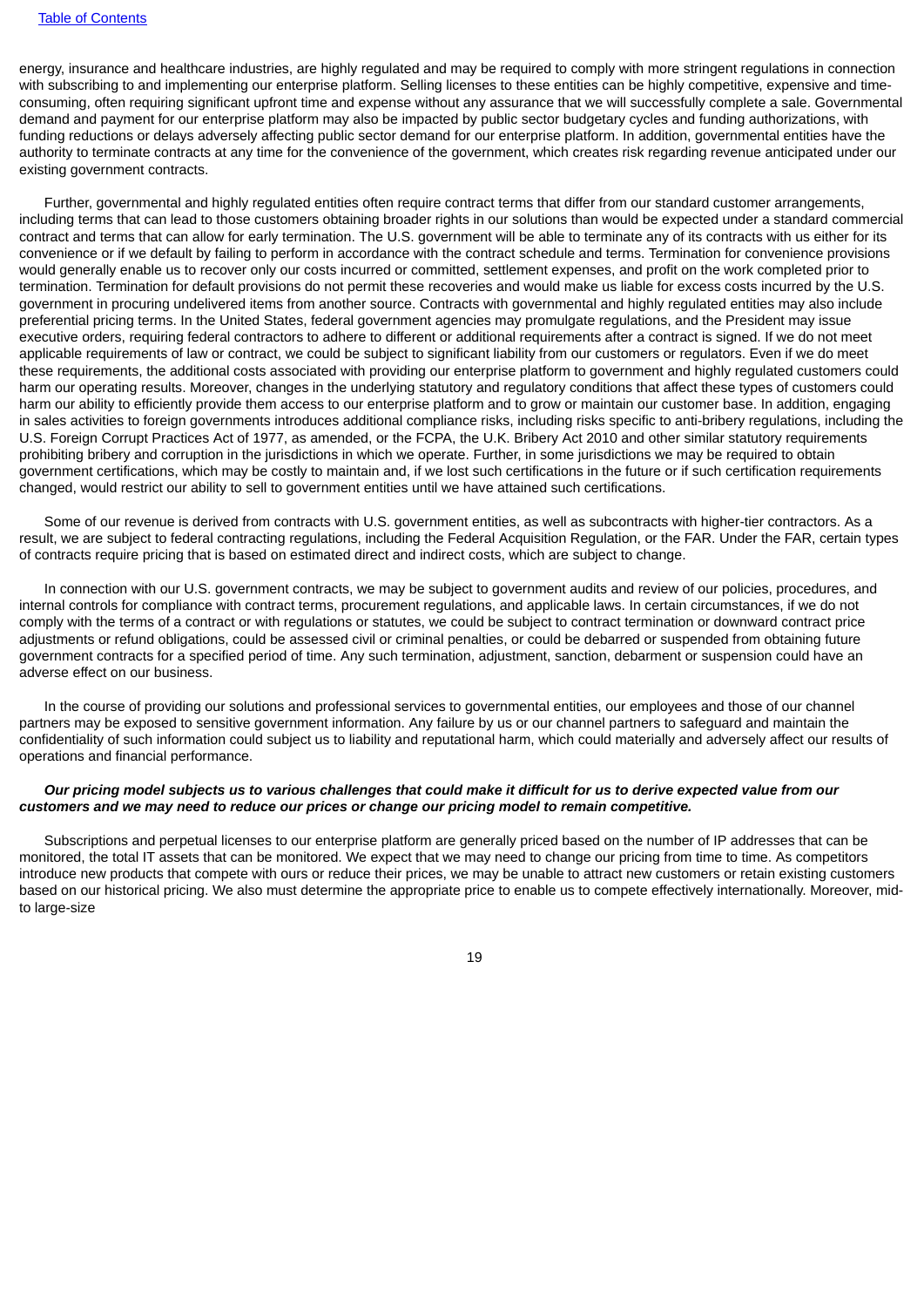energy, insurance and healthcare industries, are highly regulated and may be required to comply with more stringent regulations in connection with subscribing to and implementing our enterprise platform. Selling licenses to these entities can be highly competitive, expensive and timeconsuming, often requiring significant upfront time and expense without any assurance that we will successfully complete a sale. Governmental demand and payment for our enterprise platform may also be impacted by public sector budgetary cycles and funding authorizations, with funding reductions or delays adversely affecting public sector demand for our enterprise platform. In addition, governmental entities have the authority to terminate contracts at any time for the convenience of the government, which creates risk regarding revenue anticipated under our existing government contracts.

Further, governmental and highly regulated entities often require contract terms that differ from our standard customer arrangements, including terms that can lead to those customers obtaining broader rights in our solutions than would be expected under a standard commercial contract and terms that can allow for early termination. The U.S. government will be able to terminate any of its contracts with us either for its convenience or if we default by failing to perform in accordance with the contract schedule and terms. Termination for convenience provisions would generally enable us to recover only our costs incurred or committed, settlement expenses, and profit on the work completed prior to termination. Termination for default provisions do not permit these recoveries and would make us liable for excess costs incurred by the U.S. government in procuring undelivered items from another source. Contracts with governmental and highly regulated entities may also include preferential pricing terms. In the United States, federal government agencies may promulgate regulations, and the President may issue executive orders, requiring federal contractors to adhere to different or additional requirements after a contract is signed. If we do not meet applicable requirements of law or contract, we could be subject to significant liability from our customers or regulators. Even if we do meet these requirements, the additional costs associated with providing our enterprise platform to government and highly regulated customers could harm our operating results. Moreover, changes in the underlying statutory and regulatory conditions that affect these types of customers could harm our ability to efficiently provide them access to our enterprise platform and to grow or maintain our customer base. In addition, engaging in sales activities to foreign governments introduces additional compliance risks, including risks specific to anti-bribery regulations, including the U.S. Foreign Corrupt Practices Act of 1977, as amended, or the FCPA, the U.K. Bribery Act 2010 and other similar statutory requirements prohibiting bribery and corruption in the jurisdictions in which we operate. Further, in some jurisdictions we may be required to obtain government certifications, which may be costly to maintain and, if we lost such certifications in the future or if such certification requirements changed, would restrict our ability to sell to government entities until we have attained such certifications.

Some of our revenue is derived from contracts with U.S. government entities, as well as subcontracts with higher-tier contractors. As a result, we are subject to federal contracting regulations, including the Federal Acquisition Regulation, or the FAR. Under the FAR, certain types of contracts require pricing that is based on estimated direct and indirect costs, which are subject to change.

In connection with our U.S. government contracts, we may be subject to government audits and review of our policies, procedures, and internal controls for compliance with contract terms, procurement regulations, and applicable laws. In certain circumstances, if we do not comply with the terms of a contract or with regulations or statutes, we could be subject to contract termination or downward contract price adjustments or refund obligations, could be assessed civil or criminal penalties, or could be debarred or suspended from obtaining future government contracts for a specified period of time. Any such termination, adjustment, sanction, debarment or suspension could have an adverse effect on our business.

In the course of providing our solutions and professional services to governmental entities, our employees and those of our channel partners may be exposed to sensitive government information. Any failure by us or our channel partners to safeguard and maintain the confidentiality of such information could subject us to liability and reputational harm, which could materially and adversely affect our results of operations and financial performance.

# Our pricing model subjects us to various challenges that could make it difficult for us to derive expected value from our *customers and we may need to reduce our prices or change our pricing model to remain competitive.*

Subscriptions and perpetual licenses to our enterprise platform are generally priced based on the number of IP addresses that can be monitored, the total IT assets that can be monitored. We expect that we may need to change our pricing from time to time. As competitors introduce new products that compete with ours or reduce their prices, we may be unable to attract new customers or retain existing customers based on our historical pricing. We also must determine the appropriate price to enable us to compete effectively internationally. Moreover, midto large-size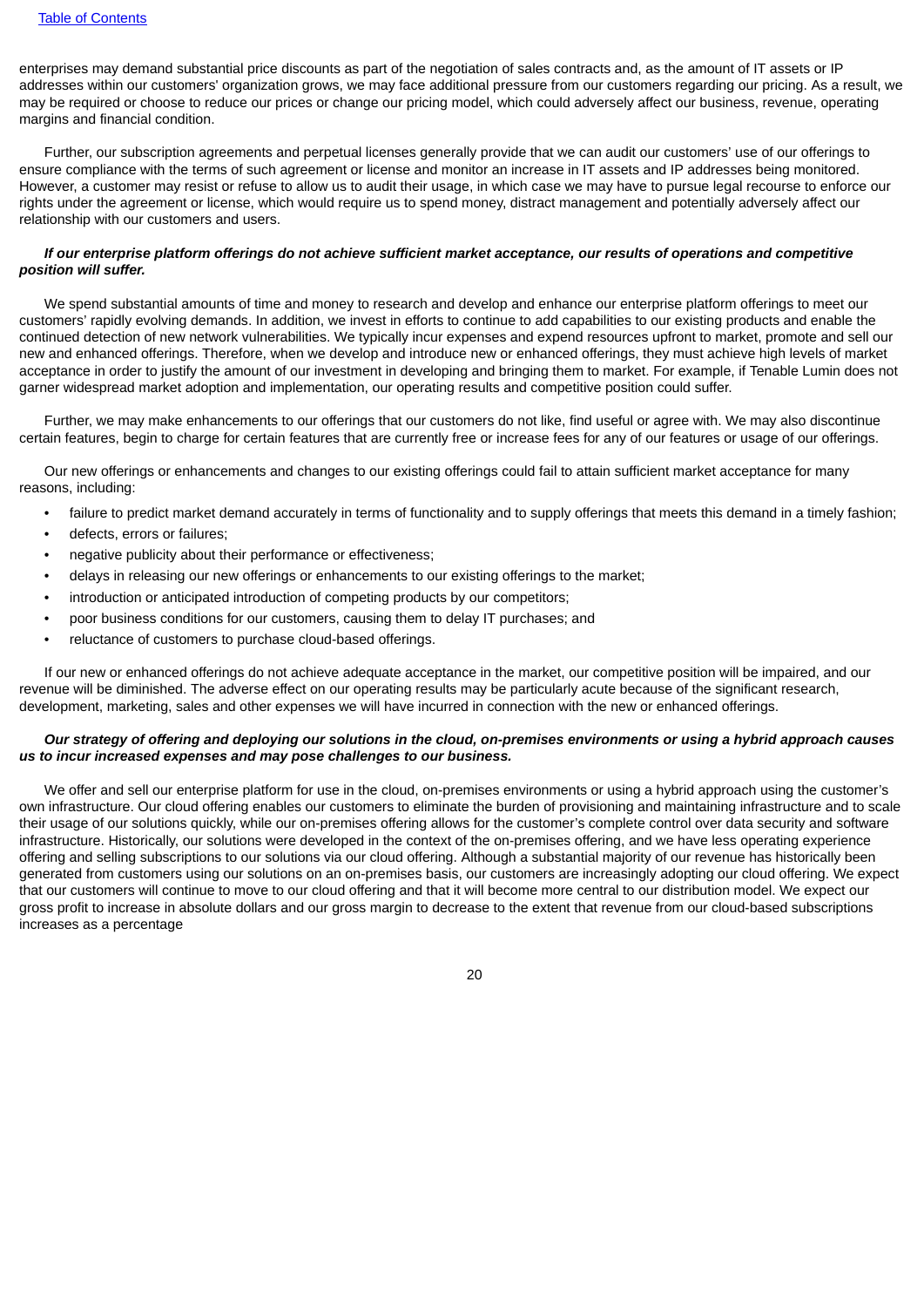enterprises may demand substantial price discounts as part of the negotiation of sales contracts and, as the amount of IT assets or IP addresses within our customers' organization grows, we may face additional pressure from our customers regarding our pricing. As a result, we may be required or choose to reduce our prices or change our pricing model, which could adversely affect our business, revenue, operating margins and financial condition.

Further, our subscription agreements and perpetual licenses generally provide that we can audit our customers' use of our offerings to ensure compliance with the terms of such agreement or license and monitor an increase in IT assets and IP addresses being monitored. However, a customer may resist or refuse to allow us to audit their usage, in which case we may have to pursue legal recourse to enforce our rights under the agreement or license, which would require us to spend money, distract management and potentially adversely affect our relationship with our customers and users.

# If our enterprise platform offerings do not achieve sufficient market acceptance, our results of operations and competitive *position will suffer.*

We spend substantial amounts of time and money to research and develop and enhance our enterprise platform offerings to meet our customers' rapidly evolving demands. In addition, we invest in efforts to continue to add capabilities to our existing products and enable the continued detection of new network vulnerabilities. We typically incur expenses and expend resources upfront to market, promote and sell our new and enhanced offerings. Therefore, when we develop and introduce new or enhanced offerings, they must achieve high levels of market acceptance in order to justify the amount of our investment in developing and bringing them to market. For example, if Tenable Lumin does not garner widespread market adoption and implementation, our operating results and competitive position could suffer.

Further, we may make enhancements to our offerings that our customers do not like, find useful or agree with. We may also discontinue certain features, begin to charge for certain features that are currently free or increase fees for any of our features or usage of our offerings.

Our new offerings or enhancements and changes to our existing offerings could fail to attain sufficient market acceptance for many reasons, including:

- failure to predict market demand accurately in terms of functionality and to supply offerings that meets this demand in a timely fashion;
- defects, errors or failures:
- negative publicity about their performance or effectiveness;
- delays in releasing our new offerings or enhancements to our existing offerings to the market;
- introduction or anticipated introduction of competing products by our competitors;
- poor business conditions for our customers, causing them to delay IT purchases; and
- reluctance of customers to purchase cloud-based offerings.

If our new or enhanced offerings do not achieve adequate acceptance in the market, our competitive position will be impaired, and our revenue will be diminished. The adverse effect on our operating results may be particularly acute because of the significant research, development, marketing, sales and other expenses we will have incurred in connection with the new or enhanced offerings.

### Our strategy of offering and deploying our solutions in the cloud, on-premises environments or using a hybrid approach causes *us to incur increased expenses and may pose challenges to our business.*

We offer and sell our enterprise platform for use in the cloud, on-premises environments or using a hybrid approach using the customer's own infrastructure. Our cloud offering enables our customers to eliminate the burden of provisioning and maintaining infrastructure and to scale their usage of our solutions quickly, while our on-premises offering allows for the customer's complete control over data security and software infrastructure. Historically, our solutions were developed in the context of the on-premises offering, and we have less operating experience offering and selling subscriptions to our solutions via our cloud offering. Although a substantial majority of our revenue has historically been generated from customers using our solutions on an on-premises basis, our customers are increasingly adopting our cloud offering. We expect that our customers will continue to move to our cloud offering and that it will become more central to our distribution model. We expect our gross profit to increase in absolute dollars and our gross margin to decrease to the extent that revenue from our cloud-based subscriptions increases as a percentage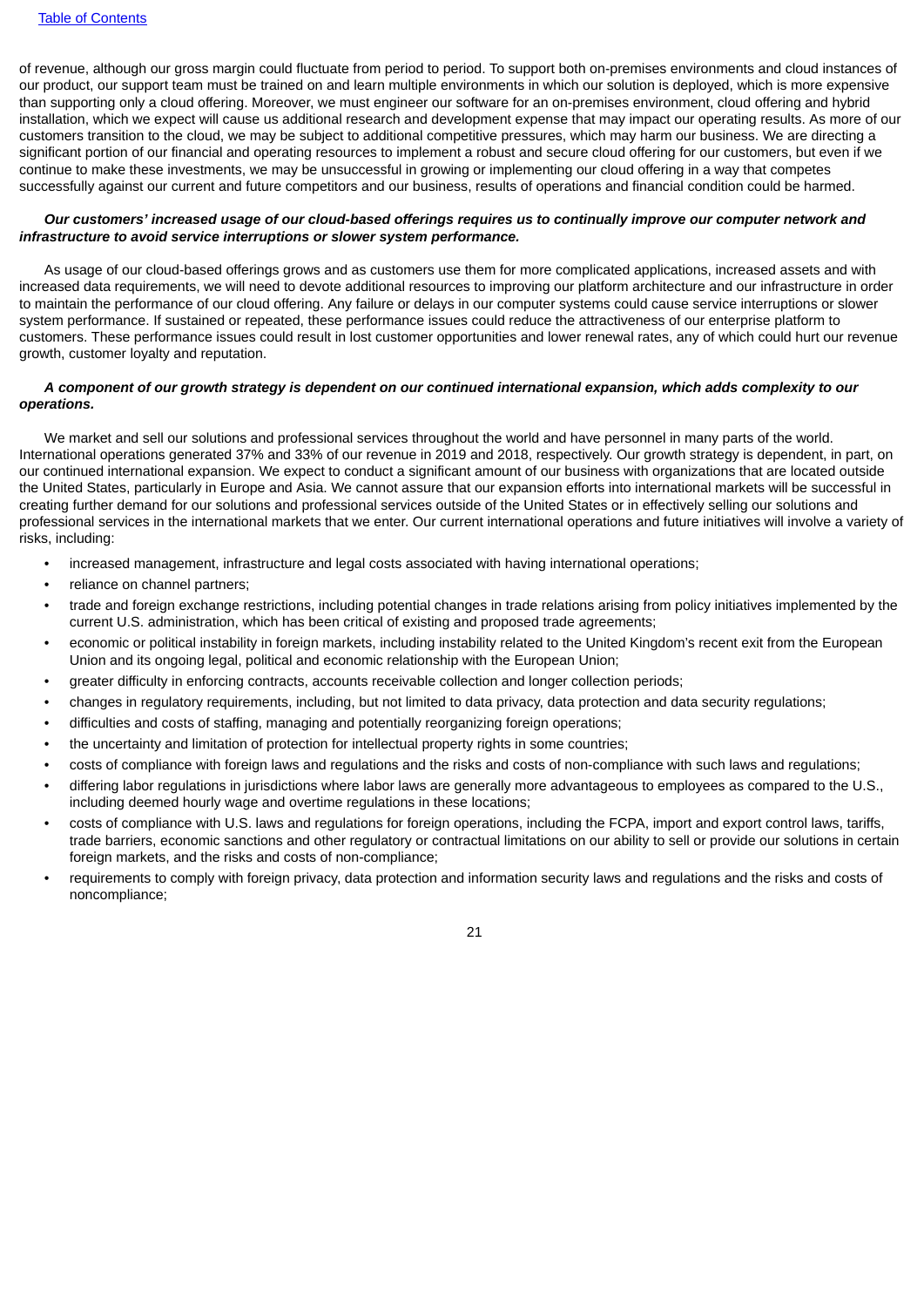of revenue, although our gross margin could fluctuate from period to period. To support both on-premises environments and cloud instances of our product, our support team must be trained on and learn multiple environments in which our solution is deployed, which is more expensive than supporting only a cloud offering. Moreover, we must engineer our software for an on-premises environment, cloud offering and hybrid installation, which we expect will cause us additional research and development expense that may impact our operating results. As more of our customers transition to the cloud, we may be subject to additional competitive pressures, which may harm our business. We are directing a significant portion of our financial and operating resources to implement a robust and secure cloud offering for our customers, but even if we continue to make these investments, we may be unsuccessful in growing or implementing our cloud offering in a way that competes successfully against our current and future competitors and our business, results of operations and financial condition could be harmed.

# Our customers' increased usage of our cloud-based offerings requires us to continually improve our computer network and *infrastructure to avoid service interruptions or slower system performance.*

As usage of our cloud-based offerings grows and as customers use them for more complicated applications, increased assets and with increased data requirements, we will need to devote additional resources to improving our platform architecture and our infrastructure in order to maintain the performance of our cloud offering. Any failure or delays in our computer systems could cause service interruptions or slower system performance. If sustained or repeated, these performance issues could reduce the attractiveness of our enterprise platform to customers. These performance issues could result in lost customer opportunities and lower renewal rates, any of which could hurt our revenue growth, customer loyalty and reputation.

# A component of our growth strategy is dependent on our continued international expansion, which adds complexity to our *operations.*

We market and sell our solutions and professional services throughout the world and have personnel in many parts of the world. International operations generated 37% and 33% of our revenue in 2019 and 2018, respectively. Our growth strategy is dependent, in part, on our continued international expansion. We expect to conduct a significant amount of our business with organizations that are located outside the United States, particularly in Europe and Asia. We cannot assure that our expansion efforts into international markets will be successful in creating further demand for our solutions and professional services outside of the United States or in effectively selling our solutions and professional services in the international markets that we enter. Our current international operations and future initiatives will involve a variety of risks, including:

- increased management, infrastructure and legal costs associated with having international operations;
- reliance on channel partners;
- trade and foreign exchange restrictions, including potential changes in trade relations arising from policy initiatives implemented by the current U.S. administration, which has been critical of existing and proposed trade agreements;
- economic or political instability in foreign markets, including instability related to the United Kingdom's recent exit from the European Union and its ongoing legal, political and economic relationship with the European Union;
- greater difficulty in enforcing contracts, accounts receivable collection and longer collection periods;
- changes in regulatory requirements, including, but not limited to data privacy, data protection and data security regulations;
- difficulties and costs of staffing, managing and potentially reorganizing foreign operations;
- the uncertainty and limitation of protection for intellectual property rights in some countries:
- costs of compliance with foreign laws and regulations and the risks and costs of non-compliance with such laws and regulations;
- differing labor regulations in jurisdictions where labor laws are generally more advantageous to employees as compared to the U.S., including deemed hourly wage and overtime regulations in these locations;
- costs of compliance with U.S. laws and regulations for foreign operations, including the FCPA, import and export control laws, tariffs, trade barriers, economic sanctions and other regulatory or contractual limitations on our ability to sell or provide our solutions in certain foreign markets, and the risks and costs of non-compliance;
- requirements to comply with foreign privacy, data protection and information security laws and regulations and the risks and costs of noncompliance;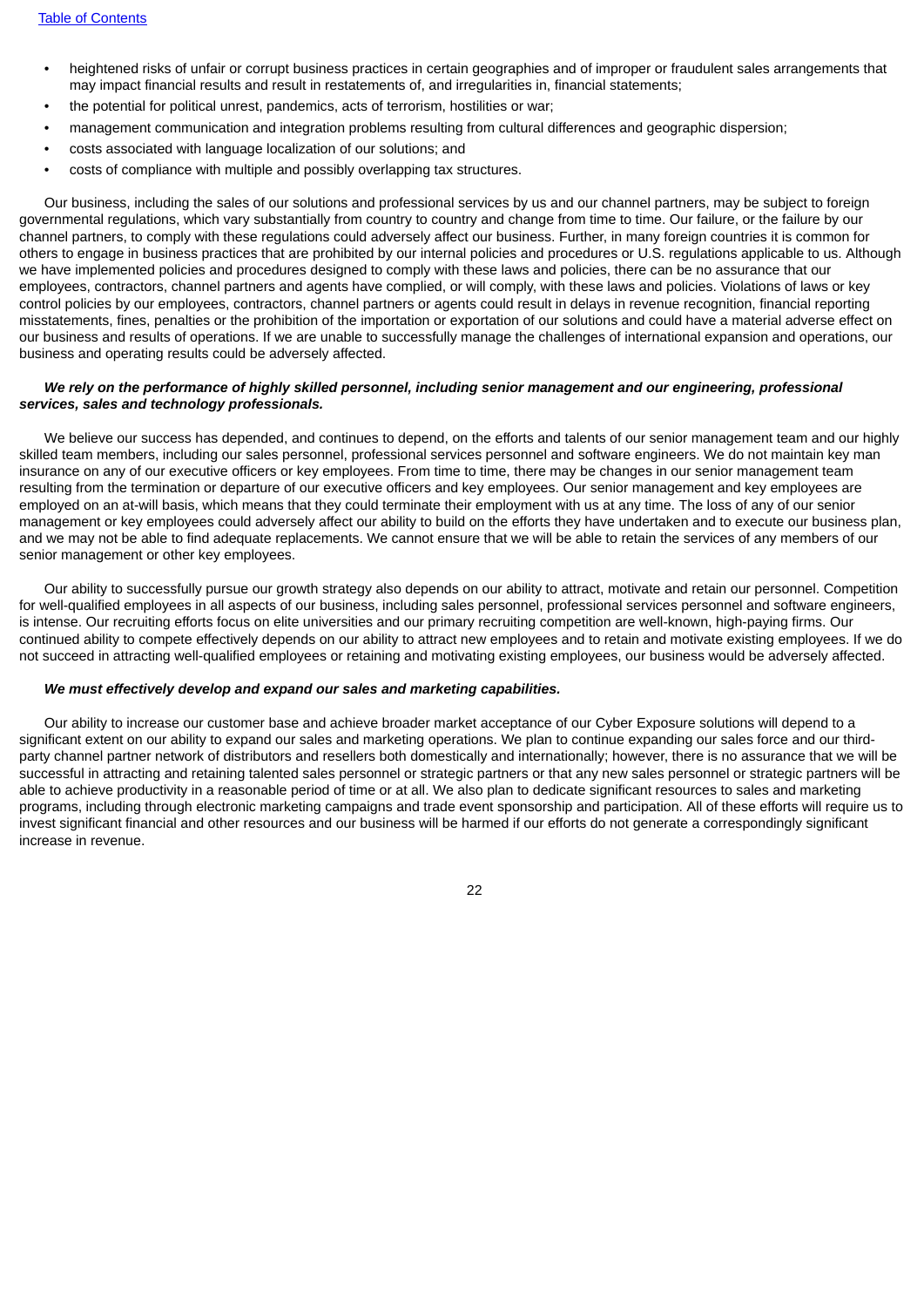- heightened risks of unfair or corrupt business practices in certain geographies and of improper or fraudulent sales arrangements that may impact financial results and result in restatements of, and irregularities in, financial statements;
- the potential for political unrest, pandemics, acts of terrorism, hostilities or war;
- management communication and integration problems resulting from cultural differences and geographic dispersion;
- costs associated with language localization of our solutions; and
- costs of compliance with multiple and possibly overlapping tax structures.

Our business, including the sales of our solutions and professional services by us and our channel partners, may be subject to foreign governmental regulations, which vary substantially from country to country and change from time to time. Our failure, or the failure by our channel partners, to comply with these regulations could adversely affect our business. Further, in many foreign countries it is common for others to engage in business practices that are prohibited by our internal policies and procedures or U.S. regulations applicable to us. Although we have implemented policies and procedures designed to comply with these laws and policies, there can be no assurance that our employees, contractors, channel partners and agents have complied, or will comply, with these laws and policies. Violations of laws or key control policies by our employees, contractors, channel partners or agents could result in delays in revenue recognition, financial reporting misstatements, fines, penalties or the prohibition of the importation or exportation of our solutions and could have a material adverse effect on our business and results of operations. If we are unable to successfully manage the challenges of international expansion and operations, our business and operating results could be adversely affected.

# We rely on the performance of highly skilled personnel, including senior management and our engineering, professional *services, sales and technology professionals.*

We believe our success has depended, and continues to depend, on the efforts and talents of our senior management team and our highly skilled team members, including our sales personnel, professional services personnel and software engineers. We do not maintain key man insurance on any of our executive officers or key employees. From time to time, there may be changes in our senior management team resulting from the termination or departure of our executive officers and key employees. Our senior management and key employees are employed on an at-will basis, which means that they could terminate their employment with us at any time. The loss of any of our senior management or key employees could adversely affect our ability to build on the efforts they have undertaken and to execute our business plan, and we may not be able to find adequate replacements. We cannot ensure that we will be able to retain the services of any members of our senior management or other key employees.

Our ability to successfully pursue our growth strategy also depends on our ability to attract, motivate and retain our personnel. Competition for well-qualified employees in all aspects of our business, including sales personnel, professional services personnel and software engineers, is intense. Our recruiting efforts focus on elite universities and our primary recruiting competition are well-known, high-paying firms. Our continued ability to compete effectively depends on our ability to attract new employees and to retain and motivate existing employees. If we do not succeed in attracting well-qualified employees or retaining and motivating existing employees, our business would be adversely affected.

# *We must effectively develop and expand our sales and marketing capabilities.*

Our ability to increase our customer base and achieve broader market acceptance of our Cyber Exposure solutions will depend to a significant extent on our ability to expand our sales and marketing operations. We plan to continue expanding our sales force and our thirdparty channel partner network of distributors and resellers both domestically and internationally; however, there is no assurance that we will be successful in attracting and retaining talented sales personnel or strategic partners or that any new sales personnel or strategic partners will be able to achieve productivity in a reasonable period of time or at all. We also plan to dedicate significant resources to sales and marketing programs, including through electronic marketing campaigns and trade event sponsorship and participation. All of these efforts will require us to invest significant financial and other resources and our business will be harmed if our efforts do not generate a correspondingly significant increase in revenue.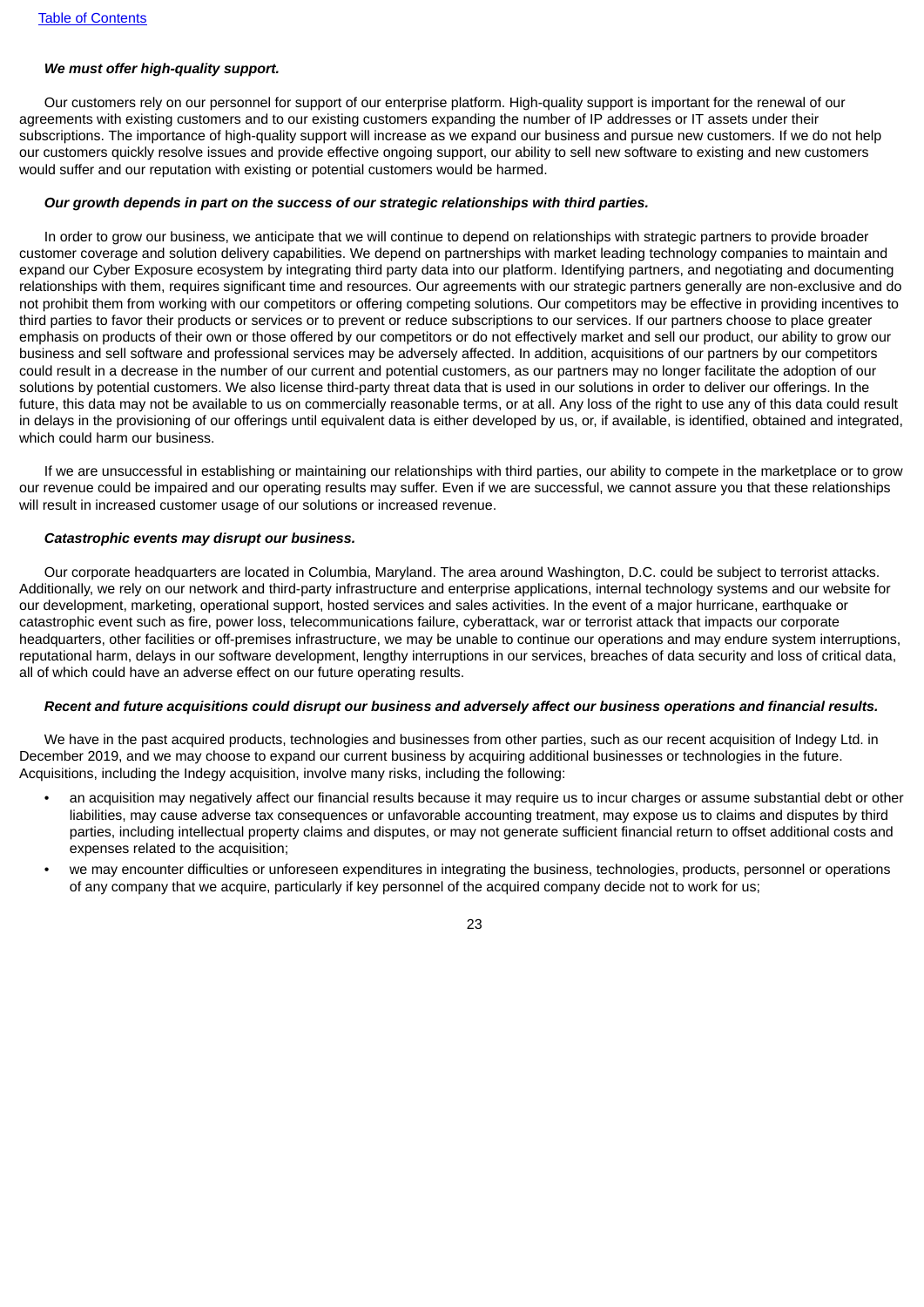### *We must offer high-quality support.*

Our customers rely on our personnel for support of our enterprise platform. High-quality support is important for the renewal of our agreements with existing customers and to our existing customers expanding the number of IP addresses or IT assets under their subscriptions. The importance of high-quality support will increase as we expand our business and pursue new customers. If we do not help our customers quickly resolve issues and provide effective ongoing support, our ability to sell new software to existing and new customers would suffer and our reputation with existing or potential customers would be harmed.

#### *Our growth depends in part on the success of our strategic relationships with third parties.*

In order to grow our business, we anticipate that we will continue to depend on relationships with strategic partners to provide broader customer coverage and solution delivery capabilities. We depend on partnerships with market leading technology companies to maintain and expand our Cyber Exposure ecosystem by integrating third party data into our platform. Identifying partners, and negotiating and documenting relationships with them, requires significant time and resources. Our agreements with our strategic partners generally are non-exclusive and do not prohibit them from working with our competitors or offering competing solutions. Our competitors may be effective in providing incentives to third parties to favor their products or services or to prevent or reduce subscriptions to our services. If our partners choose to place greater emphasis on products of their own or those offered by our competitors or do not effectively market and sell our product, our ability to grow our business and sell software and professional services may be adversely affected. In addition, acquisitions of our partners by our competitors could result in a decrease in the number of our current and potential customers, as our partners may no longer facilitate the adoption of our solutions by potential customers. We also license third-party threat data that is used in our solutions in order to deliver our offerings. In the future, this data may not be available to us on commercially reasonable terms, or at all. Any loss of the right to use any of this data could result in delays in the provisioning of our offerings until equivalent data is either developed by us, or, if available, is identified, obtained and integrated, which could harm our business.

If we are unsuccessful in establishing or maintaining our relationships with third parties, our ability to compete in the marketplace or to grow our revenue could be impaired and our operating results may suffer. Even if we are successful, we cannot assure you that these relationships will result in increased customer usage of our solutions or increased revenue.

#### *Catastrophic events may disrupt our business.*

Our corporate headquarters are located in Columbia, Maryland. The area around Washington, D.C. could be subject to terrorist attacks. Additionally, we rely on our network and third-party infrastructure and enterprise applications, internal technology systems and our website for our development, marketing, operational support, hosted services and sales activities. In the event of a major hurricane, earthquake or catastrophic event such as fire, power loss, telecommunications failure, cyberattack, war or terrorist attack that impacts our corporate headquarters, other facilities or off-premises infrastructure, we may be unable to continue our operations and may endure system interruptions, reputational harm, delays in our software development, lengthy interruptions in our services, breaches of data security and loss of critical data, all of which could have an adverse effect on our future operating results.

# Recent and future acquisitions could disrupt our business and adversely affect our business operations and financial results.

We have in the past acquired products, technologies and businesses from other parties, such as our recent acquisition of Indegy Ltd. in December 2019, and we may choose to expand our current business by acquiring additional businesses or technologies in the future. Acquisitions, including the Indegy acquisition, involve many risks, including the following:

- an acquisition may negatively affect our financial results because it may require us to incur charges or assume substantial debt or other liabilities, may cause adverse tax consequences or unfavorable accounting treatment, may expose us to claims and disputes by third parties, including intellectual property claims and disputes, or may not generate sufficient financial return to offset additional costs and expenses related to the acquisition;
- we may encounter difficulties or unforeseen expenditures in integrating the business, technologies, products, personnel or operations of any company that we acquire, particularly if key personnel of the acquired company decide not to work for us;

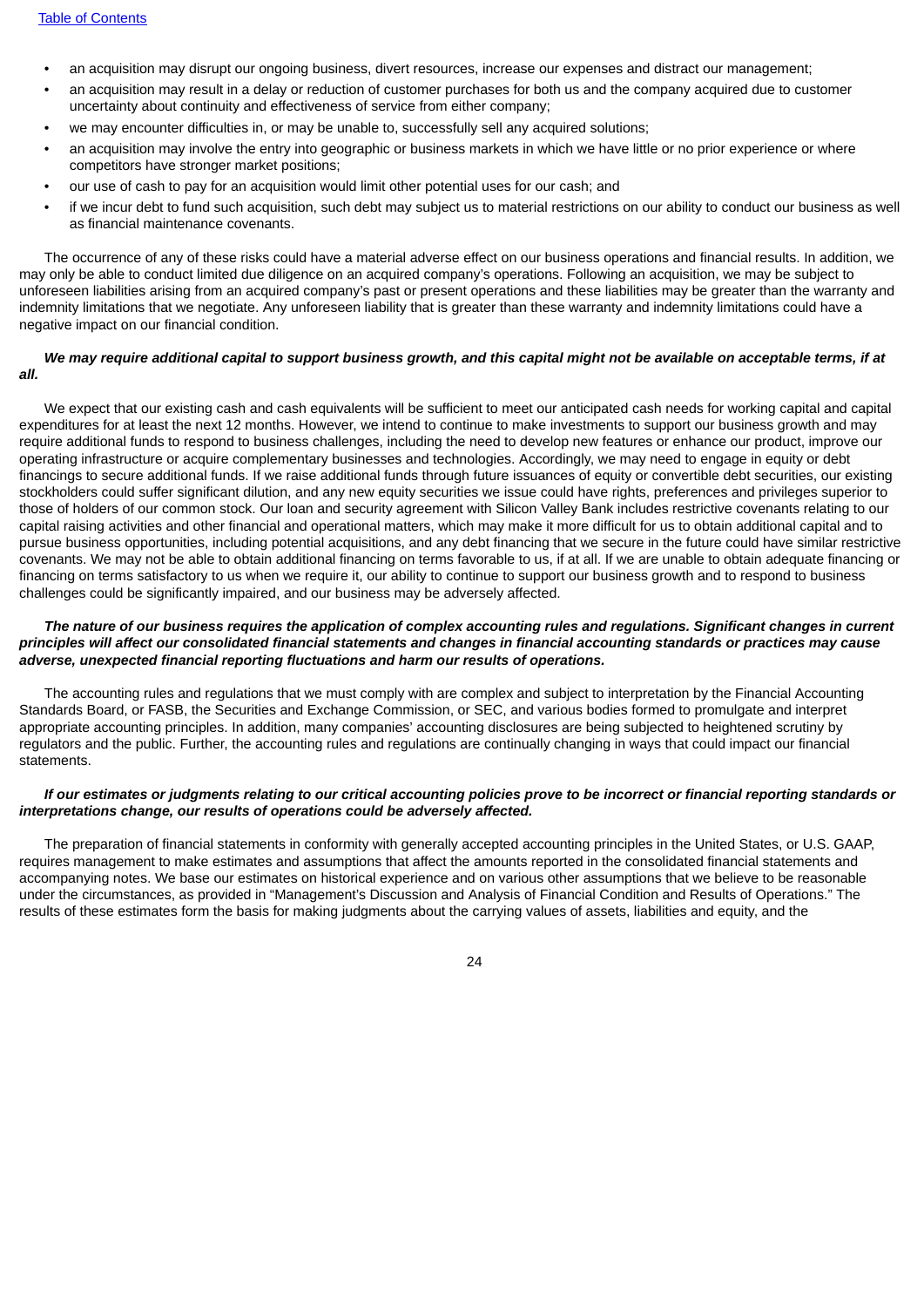- an acquisition may disrupt our ongoing business, divert resources, increase our expenses and distract our management;
- an acquisition may result in a delay or reduction of customer purchases for both us and the company acquired due to customer uncertainty about continuity and effectiveness of service from either company;
- we may encounter difficulties in, or may be unable to, successfully sell any acquired solutions;
- an acquisition may involve the entry into geographic or business markets in which we have little or no prior experience or where competitors have stronger market positions;
- our use of cash to pay for an acquisition would limit other potential uses for our cash; and
- if we incur debt to fund such acquisition, such debt may subject us to material restrictions on our ability to conduct our business as well as financial maintenance covenants.

The occurrence of any of these risks could have a material adverse effect on our business operations and financial results. In addition, we may only be able to conduct limited due diligence on an acquired company's operations. Following an acquisition, we may be subject to unforeseen liabilities arising from an acquired company's past or present operations and these liabilities may be greater than the warranty and indemnity limitations that we negotiate. Any unforeseen liability that is greater than these warranty and indemnity limitations could have a negative impact on our financial condition.

# We may require additional capital to support business growth, and this capital might not be available on acceptable terms, if at *all.*

We expect that our existing cash and cash equivalents will be sufficient to meet our anticipated cash needs for working capital and capital expenditures for at least the next 12 months. However, we intend to continue to make investments to support our business growth and may require additional funds to respond to business challenges, including the need to develop new features or enhance our product, improve our operating infrastructure or acquire complementary businesses and technologies. Accordingly, we may need to engage in equity or debt financings to secure additional funds. If we raise additional funds through future issuances of equity or convertible debt securities, our existing stockholders could suffer significant dilution, and any new equity securities we issue could have rights, preferences and privileges superior to those of holders of our common stock. Our loan and security agreement with Silicon Valley Bank includes restrictive covenants relating to our capital raising activities and other financial and operational matters, which may make it more difficult for us to obtain additional capital and to pursue business opportunities, including potential acquisitions, and any debt financing that we secure in the future could have similar restrictive covenants. We may not be able to obtain additional financing on terms favorable to us, if at all. If we are unable to obtain adequate financing or financing on terms satisfactory to us when we require it, our ability to continue to support our business growth and to respond to business challenges could be significantly impaired, and our business may be adversely affected.

### The nature of our business requires the application of complex accounting rules and regulations. Significant changes in current principles will affect our consolidated financial statements and changes in financial accounting standards or practices may cause *adverse, unexpected financial reporting fluctuations and harm our results of operations.*

The accounting rules and regulations that we must comply with are complex and subject to interpretation by the Financial Accounting Standards Board, or FASB, the Securities and Exchange Commission, or SEC, and various bodies formed to promulgate and interpret appropriate accounting principles. In addition, many companies' accounting disclosures are being subjected to heightened scrutiny by regulators and the public. Further, the accounting rules and regulations are continually changing in ways that could impact our financial statements.

# If our estimates or judgments relating to our critical accounting policies prove to be incorrect or financial reporting standards or *interpretations change, our results of operations could be adversely affected.*

The preparation of financial statements in conformity with generally accepted accounting principles in the United States, or U.S. GAAP, requires management to make estimates and assumptions that affect the amounts reported in the consolidated financial statements and accompanying notes. We base our estimates on historical experience and on various other assumptions that we believe to be reasonable under the circumstances, as provided in "Management's Discussion and Analysis of Financial Condition and Results of Operations." The results of these estimates form the basis for making judgments about the carrying values of assets, liabilities and equity, and the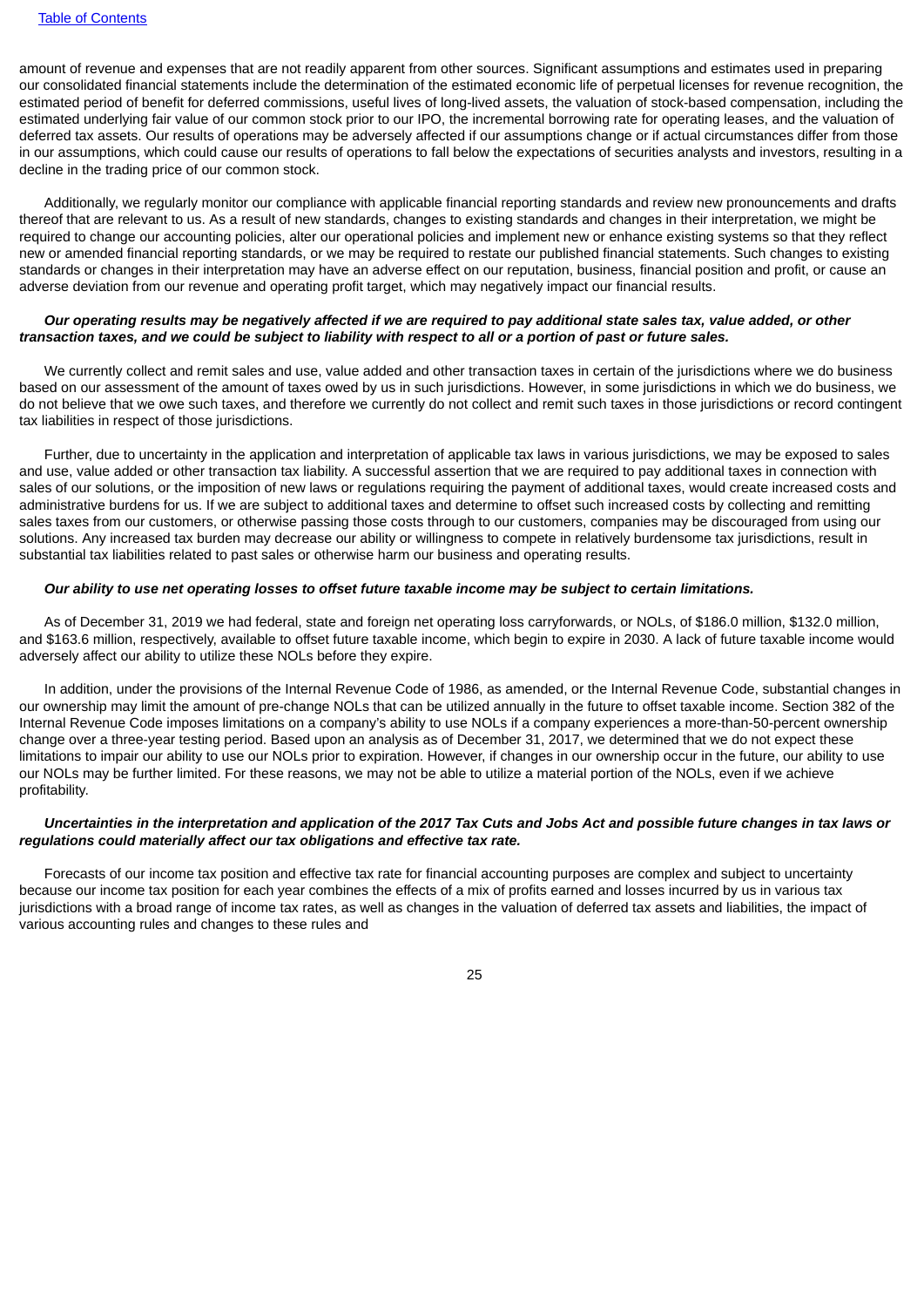amount of revenue and expenses that are not readily apparent from other sources. Significant assumptions and estimates used in preparing our consolidated financial statements include the determination of the estimated economic life of perpetual licenses for revenue recognition, the estimated period of benefit for deferred commissions, useful lives of long-lived assets, the valuation of stock-based compensation, including the estimated underlying fair value of our common stock prior to our IPO, the incremental borrowing rate for operating leases, and the valuation of deferred tax assets. Our results of operations may be adversely affected if our assumptions change or if actual circumstances differ from those in our assumptions, which could cause our results of operations to fall below the expectations of securities analysts and investors, resulting in a decline in the trading price of our common stock.

Additionally, we regularly monitor our compliance with applicable financial reporting standards and review new pronouncements and drafts thereof that are relevant to us. As a result of new standards, changes to existing standards and changes in their interpretation, we might be required to change our accounting policies, alter our operational policies and implement new or enhance existing systems so that they reflect new or amended financial reporting standards, or we may be required to restate our published financial statements. Such changes to existing standards or changes in their interpretation may have an adverse effect on our reputation, business, financial position and profit, or cause an adverse deviation from our revenue and operating profit target, which may negatively impact our financial results.

### Our operating results may be negatively affected if we are required to pay additional state sales tax, value added, or other transaction taxes, and we could be subject to liability with respect to all or a portion of past or future sales.

We currently collect and remit sales and use, value added and other transaction taxes in certain of the jurisdictions where we do business based on our assessment of the amount of taxes owed by us in such jurisdictions. However, in some jurisdictions in which we do business, we do not believe that we owe such taxes, and therefore we currently do not collect and remit such taxes in those jurisdictions or record contingent tax liabilities in respect of those jurisdictions.

Further, due to uncertainty in the application and interpretation of applicable tax laws in various jurisdictions, we may be exposed to sales and use, value added or other transaction tax liability. A successful assertion that we are required to pay additional taxes in connection with sales of our solutions, or the imposition of new laws or regulations requiring the payment of additional taxes, would create increased costs and administrative burdens for us. If we are subject to additional taxes and determine to offset such increased costs by collecting and remitting sales taxes from our customers, or otherwise passing those costs through to our customers, companies may be discouraged from using our solutions. Any increased tax burden may decrease our ability or willingness to compete in relatively burdensome tax jurisdictions, result in substantial tax liabilities related to past sales or otherwise harm our business and operating results.

# Our ability to use net operating losses to offset future taxable income may be subject to certain limitations.

As of December 31, 2019 we had federal, state and foreign net operating loss carryforwards, or NOLs, of \$186.0 million, \$132.0 million, and \$163.6 million, respectively, available to offset future taxable income, which begin to expire in 2030. A lack of future taxable income would adversely affect our ability to utilize these NOLs before they expire.

In addition, under the provisions of the Internal Revenue Code of 1986, as amended, or the Internal Revenue Code, substantial changes in our ownership may limit the amount of pre-change NOLs that can be utilized annually in the future to offset taxable income. Section 382 of the Internal Revenue Code imposes limitations on a company's ability to use NOLs if a company experiences a more-than-50-percent ownership change over a three-year testing period. Based upon an analysis as of December 31, 2017, we determined that we do not expect these limitations to impair our ability to use our NOLs prior to expiration. However, if changes in our ownership occur in the future, our ability to use our NOLs may be further limited. For these reasons, we may not be able to utilize a material portion of the NOLs, even if we achieve profitability.

# Uncertainties in the interpretation and application of the 2017 Tax Cuts and Jobs Act and possible future changes in tax laws or *regulations could materially affect our tax obligations and effective tax rate.*

Forecasts of our income tax position and effective tax rate for financial accounting purposes are complex and subject to uncertainty because our income tax position for each year combines the effects of a mix of profits earned and losses incurred by us in various tax jurisdictions with a broad range of income tax rates, as well as changes in the valuation of deferred tax assets and liabilities, the impact of various accounting rules and changes to these rules and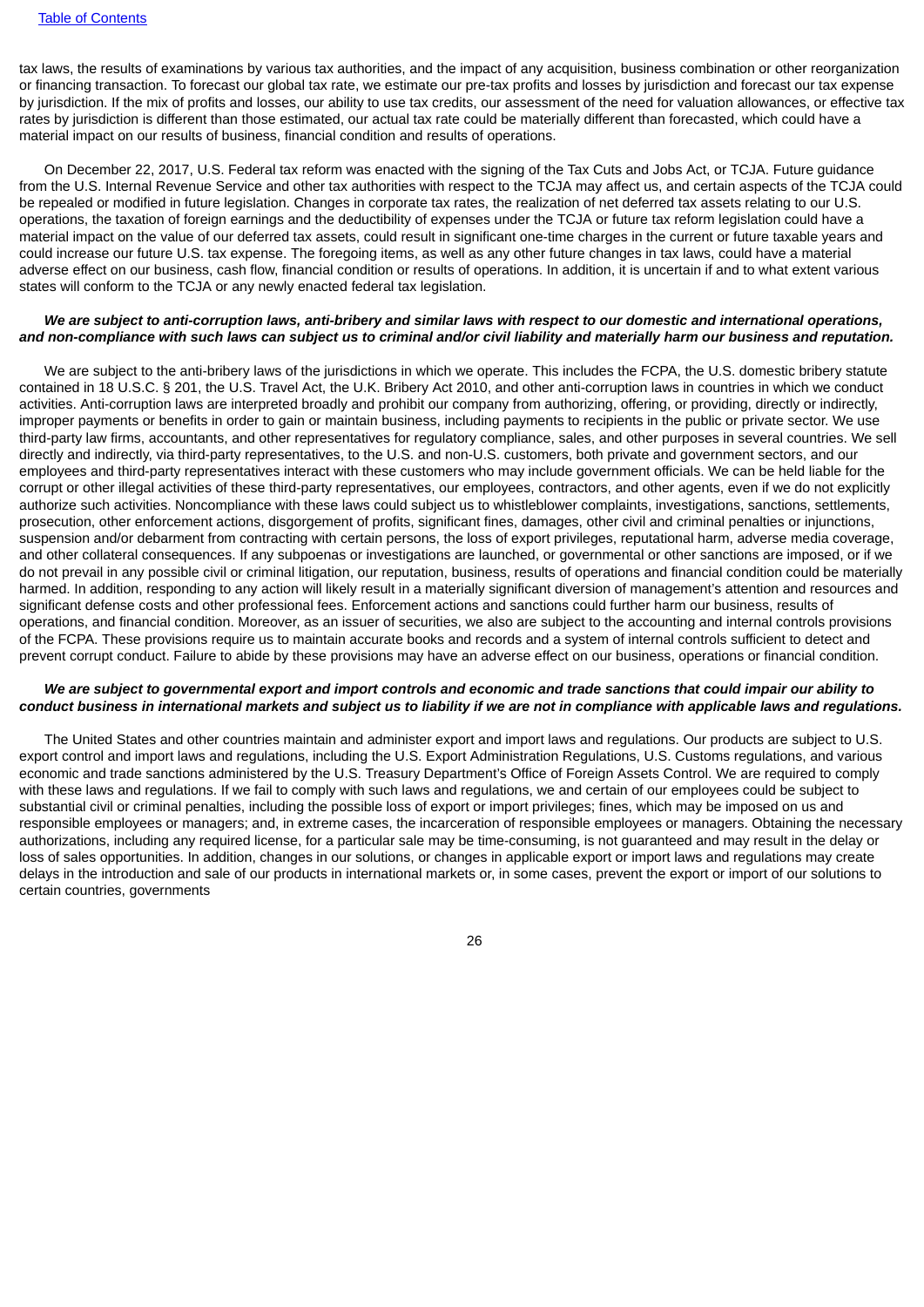tax laws, the results of examinations by various tax authorities, and the impact of any acquisition, business combination or other reorganization or financing transaction. To forecast our global tax rate, we estimate our pre-tax profits and losses by jurisdiction and forecast our tax expense by jurisdiction. If the mix of profits and losses, our ability to use tax credits, our assessment of the need for valuation allowances, or effective tax rates by jurisdiction is different than those estimated, our actual tax rate could be materially different than forecasted, which could have a material impact on our results of business, financial condition and results of operations.

On December 22, 2017, U.S. Federal tax reform was enacted with the signing of the Tax Cuts and Jobs Act, or TCJA. Future guidance from the U.S. Internal Revenue Service and other tax authorities with respect to the TCJA may affect us, and certain aspects of the TCJA could be repealed or modified in future legislation. Changes in corporate tax rates, the realization of net deferred tax assets relating to our U.S. operations, the taxation of foreign earnings and the deductibility of expenses under the TCJA or future tax reform legislation could have a material impact on the value of our deferred tax assets, could result in significant one-time charges in the current or future taxable years and could increase our future U.S. tax expense. The foregoing items, as well as any other future changes in tax laws, could have a material adverse effect on our business, cash flow, financial condition or results of operations. In addition, it is uncertain if and to what extent various states will conform to the TCJA or any newly enacted federal tax legislation.

### We are subject to anti-corruption laws, anti-bribery and similar laws with respect to our domestic and international operations, and non-compliance with such laws can subject us to criminal and/or civil liability and materially harm our business and reputation.

We are subject to the anti-bribery laws of the jurisdictions in which we operate. This includes the FCPA, the U.S. domestic bribery statute contained in 18 U.S.C. § 201, the U.S. Travel Act, the U.K. Bribery Act 2010, and other anti-corruption laws in countries in which we conduct activities. Anti-corruption laws are interpreted broadly and prohibit our company from authorizing, offering, or providing, directly or indirectly, improper payments or benefits in order to gain or maintain business, including payments to recipients in the public or private sector. We use third-party law firms, accountants, and other representatives for regulatory compliance, sales, and other purposes in several countries. We sell directly and indirectly, via third-party representatives, to the U.S. and non-U.S. customers, both private and government sectors, and our employees and third-party representatives interact with these customers who may include government officials. We can be held liable for the corrupt or other illegal activities of these third-party representatives, our employees, contractors, and other agents, even if we do not explicitly authorize such activities. Noncompliance with these laws could subject us to whistleblower complaints, investigations, sanctions, settlements, prosecution, other enforcement actions, disgorgement of profits, significant fines, damages, other civil and criminal penalties or injunctions, suspension and/or debarment from contracting with certain persons, the loss of export privileges, reputational harm, adverse media coverage, and other collateral consequences. If any subpoenas or investigations are launched, or governmental or other sanctions are imposed, or if we do not prevail in any possible civil or criminal litigation, our reputation, business, results of operations and financial condition could be materially harmed. In addition, responding to any action will likely result in a materially significant diversion of management's attention and resources and significant defense costs and other professional fees. Enforcement actions and sanctions could further harm our business, results of operations, and financial condition. Moreover, as an issuer of securities, we also are subject to the accounting and internal controls provisions of the FCPA. These provisions require us to maintain accurate books and records and a system of internal controls sufficient to detect and prevent corrupt conduct. Failure to abide by these provisions may have an adverse effect on our business, operations or financial condition.

# We are subject to governmental export and import controls and economic and trade sanctions that could impair our ability to conduct business in international markets and subject us to liability if we are not in compliance with applicable laws and requlations.

The United States and other countries maintain and administer export and import laws and regulations. Our products are subject to U.S. export control and import laws and regulations, including the U.S. Export Administration Regulations, U.S. Customs regulations, and various economic and trade sanctions administered by the U.S. Treasury Department's Office of Foreign Assets Control. We are required to comply with these laws and regulations. If we fail to comply with such laws and regulations, we and certain of our employees could be subject to substantial civil or criminal penalties, including the possible loss of export or import privileges; fines, which may be imposed on us and responsible employees or managers; and, in extreme cases, the incarceration of responsible employees or managers. Obtaining the necessary authorizations, including any required license, for a particular sale may be time-consuming, is not guaranteed and may result in the delay or loss of sales opportunities. In addition, changes in our solutions, or changes in applicable export or import laws and regulations may create delays in the introduction and sale of our products in international markets or, in some cases, prevent the export or import of our solutions to certain countries, governments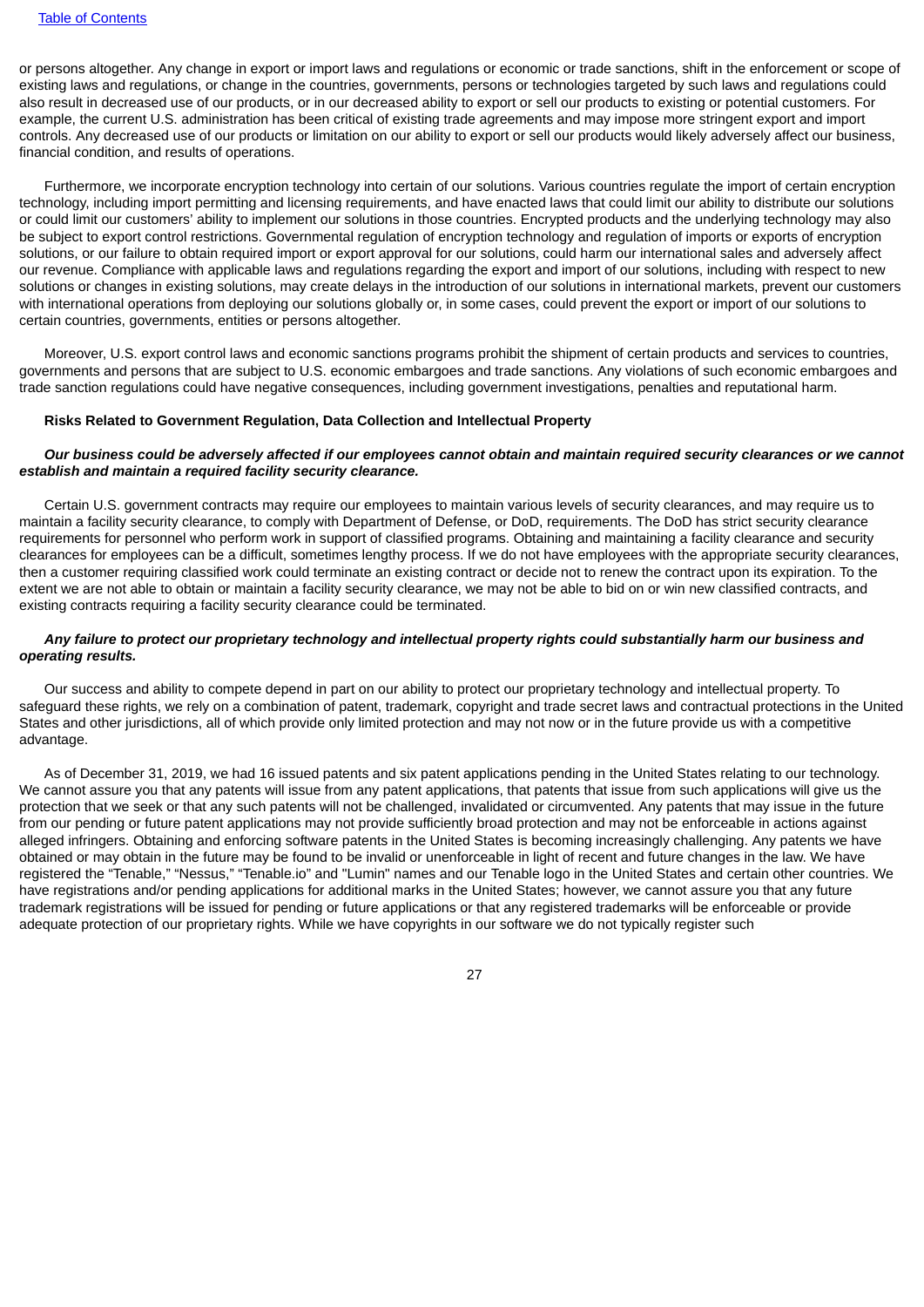or persons altogether. Any change in export or import laws and regulations or economic or trade sanctions, shift in the enforcement or scope of existing laws and regulations, or change in the countries, governments, persons or technologies targeted by such laws and regulations could also result in decreased use of our products, or in our decreased ability to export or sell our products to existing or potential customers. For example, the current U.S. administration has been critical of existing trade agreements and may impose more stringent export and import controls. Any decreased use of our products or limitation on our ability to export or sell our products would likely adversely affect our business, financial condition, and results of operations.

Furthermore, we incorporate encryption technology into certain of our solutions. Various countries regulate the import of certain encryption technology, including import permitting and licensing requirements, and have enacted laws that could limit our ability to distribute our solutions or could limit our customers' ability to implement our solutions in those countries. Encrypted products and the underlying technology may also be subject to export control restrictions. Governmental regulation of encryption technology and regulation of imports or exports of encryption solutions, or our failure to obtain required import or export approval for our solutions, could harm our international sales and adversely affect our revenue. Compliance with applicable laws and regulations regarding the export and import of our solutions, including with respect to new solutions or changes in existing solutions, may create delays in the introduction of our solutions in international markets, prevent our customers with international operations from deploying our solutions globally or, in some cases, could prevent the export or import of our solutions to certain countries, governments, entities or persons altogether.

Moreover, U.S. export control laws and economic sanctions programs prohibit the shipment of certain products and services to countries. governments and persons that are subject to U.S. economic embargoes and trade sanctions. Any violations of such economic embargoes and trade sanction regulations could have negative consequences, including government investigations, penalties and reputational harm.

#### **Risks Related to Government Regulation, Data Collection and Intellectual Property**

# Our business could be adversely affected if our employees cannot obtain and maintain required security clearances or we cannot *establish and maintain a required facility security clearance.*

Certain U.S. government contracts may require our employees to maintain various levels of security clearances, and may require us to maintain a facility security clearance, to comply with Department of Defense, or DoD, requirements. The DoD has strict security clearance requirements for personnel who perform work in support of classified programs. Obtaining and maintaining a facility clearance and security clearances for employees can be a difficult, sometimes lengthy process. If we do not have employees with the appropriate security clearances, then a customer requiring classified work could terminate an existing contract or decide not to renew the contract upon its expiration. To the extent we are not able to obtain or maintain a facility security clearance, we may not be able to bid on or win new classified contracts, and existing contracts requiring a facility security clearance could be terminated.

# Any failure to protect our proprietary technology and intellectual property rights could substantially harm our business and *operating results.*

Our success and ability to compete depend in part on our ability to protect our proprietary technology and intellectual property. To safeguard these rights, we rely on a combination of patent, trademark, copyright and trade secret laws and contractual protections in the United States and other jurisdictions, all of which provide only limited protection and may not now or in the future provide us with a competitive advantage.

As of December 31, 2019, we had 16 issued patents and six patent applications pending in the United States relating to our technology. We cannot assure you that any patents will issue from any patent applications, that patents that issue from such applications will give us the protection that we seek or that any such patents will not be challenged, invalidated or circumvented. Any patents that may issue in the future from our pending or future patent applications may not provide sufficiently broad protection and may not be enforceable in actions against alleged infringers. Obtaining and enforcing software patents in the United States is becoming increasingly challenging. Any patents we have obtained or may obtain in the future may be found to be invalid or unenforceable in light of recent and future changes in the law. We have registered the "Tenable," "Nessus," "Tenable.io" and "Lumin" names and our Tenable logo in the United States and certain other countries. We have registrations and/or pending applications for additional marks in the United States; however, we cannot assure you that any future trademark registrations will be issued for pending or future applications or that any registered trademarks will be enforceable or provide adequate protection of our proprietary rights. While we have copyrights in our software we do not typically register such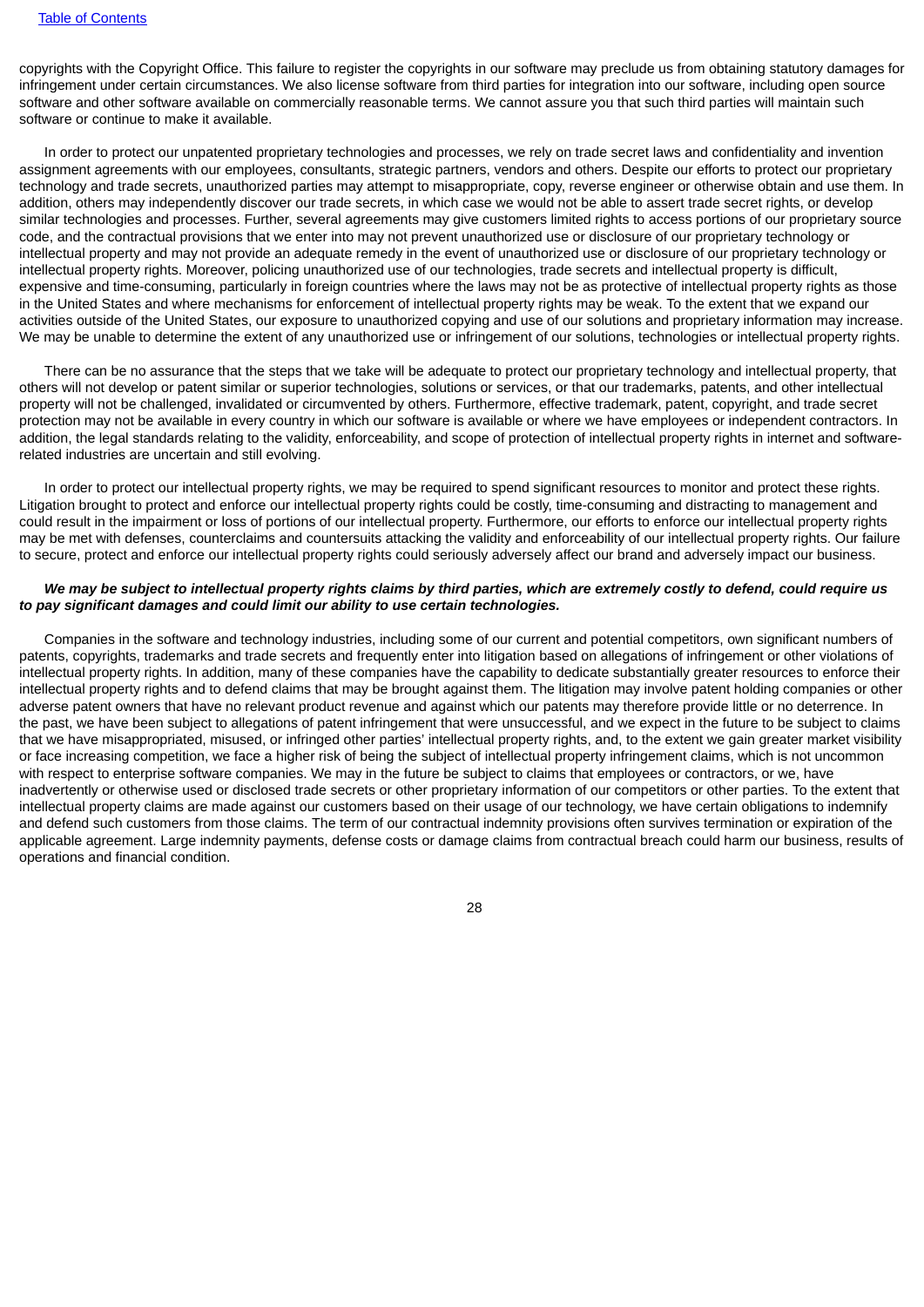copyrights with the Copyright Office. This failure to register the copyrights in our software may preclude us from obtaining statutory damages for infringement under certain circumstances. We also license software from third parties for integration into our software, including open source software and other software available on commercially reasonable terms. We cannot assure you that such third parties will maintain such software or continue to make it available.

In order to protect our unpatented proprietary technologies and processes, we rely on trade secret laws and confidentiality and invention assignment agreements with our employees, consultants, strategic partners, vendors and others. Despite our efforts to protect our proprietary technology and trade secrets, unauthorized parties may attempt to misappropriate, copy, reverse engineer or otherwise obtain and use them. In addition, others may independently discover our trade secrets, in which case we would not be able to assert trade secret rights, or develop similar technologies and processes. Further, several agreements may give customers limited rights to access portions of our proprietary source code, and the contractual provisions that we enter into may not prevent unauthorized use or disclosure of our proprietary technology or intellectual property and may not provide an adequate remedy in the event of unauthorized use or disclosure of our proprietary technology or intellectual property rights. Moreover, policing unauthorized use of our technologies, trade secrets and intellectual property is difficult, expensive and time-consuming, particularly in foreign countries where the laws may not be as protective of intellectual property rights as those in the United States and where mechanisms for enforcement of intellectual property rights may be weak. To the extent that we expand our activities outside of the United States, our exposure to unauthorized copying and use of our solutions and proprietary information may increase. We may be unable to determine the extent of any unauthorized use or infringement of our solutions, technologies or intellectual property rights.

There can be no assurance that the steps that we take will be adequate to protect our proprietary technology and intellectual property, that others will not develop or patent similar or superior technologies, solutions or services, or that our trademarks, patents, and other intellectual property will not be challenged, invalidated or circumvented by others. Furthermore, effective trademark, patent, copyright, and trade secret protection may not be available in every country in which our software is available or where we have employees or independent contractors. In addition, the legal standards relating to the validity, enforceability, and scope of protection of intellectual property rights in internet and softwarerelated industries are uncertain and still evolving.

In order to protect our intellectual property rights, we may be required to spend significant resources to monitor and protect these rights. Litigation brought to protect and enforce our intellectual property rights could be costly, time-consuming and distracting to management and could result in the impairment or loss of portions of our intellectual property. Furthermore, our efforts to enforce our intellectual property rights may be met with defenses, counterclaims and countersuits attacking the validity and enforceability of our intellectual property rights. Our failure to secure, protect and enforce our intellectual property rights could seriously adversely affect our brand and adversely impact our business.

# We may be subject to intellectual property rights claims by third parties, which are extremely costly to defend, could require us *to pay significant damages and could limit our ability to use certain technologies.*

Companies in the software and technology industries, including some of our current and potential competitors, own significant numbers of patents, copyrights, trademarks and trade secrets and frequently enter into litigation based on allegations of infringement or other violations of intellectual property rights. In addition, many of these companies have the capability to dedicate substantially greater resources to enforce their intellectual property rights and to defend claims that may be brought against them. The litigation may involve patent holding companies or other adverse patent owners that have no relevant product revenue and against which our patents may therefore provide little or no deterrence. In the past, we have been subject to allegations of patent infringement that were unsuccessful, and we expect in the future to be subject to claims that we have misappropriated, misused, or infringed other parties' intellectual property rights, and, to the extent we gain greater market visibility or face increasing competition, we face a higher risk of being the subject of intellectual property infringement claims, which is not uncommon with respect to enterprise software companies. We may in the future be subject to claims that employees or contractors, or we, have inadvertently or otherwise used or disclosed trade secrets or other proprietary information of our competitors or other parties. To the extent that intellectual property claims are made against our customers based on their usage of our technology, we have certain obligations to indemnify and defend such customers from those claims. The term of our contractual indemnity provisions often survives termination or expiration of the applicable agreement. Large indemnity payments, defense costs or damage claims from contractual breach could harm our business, results of operations and financial condition.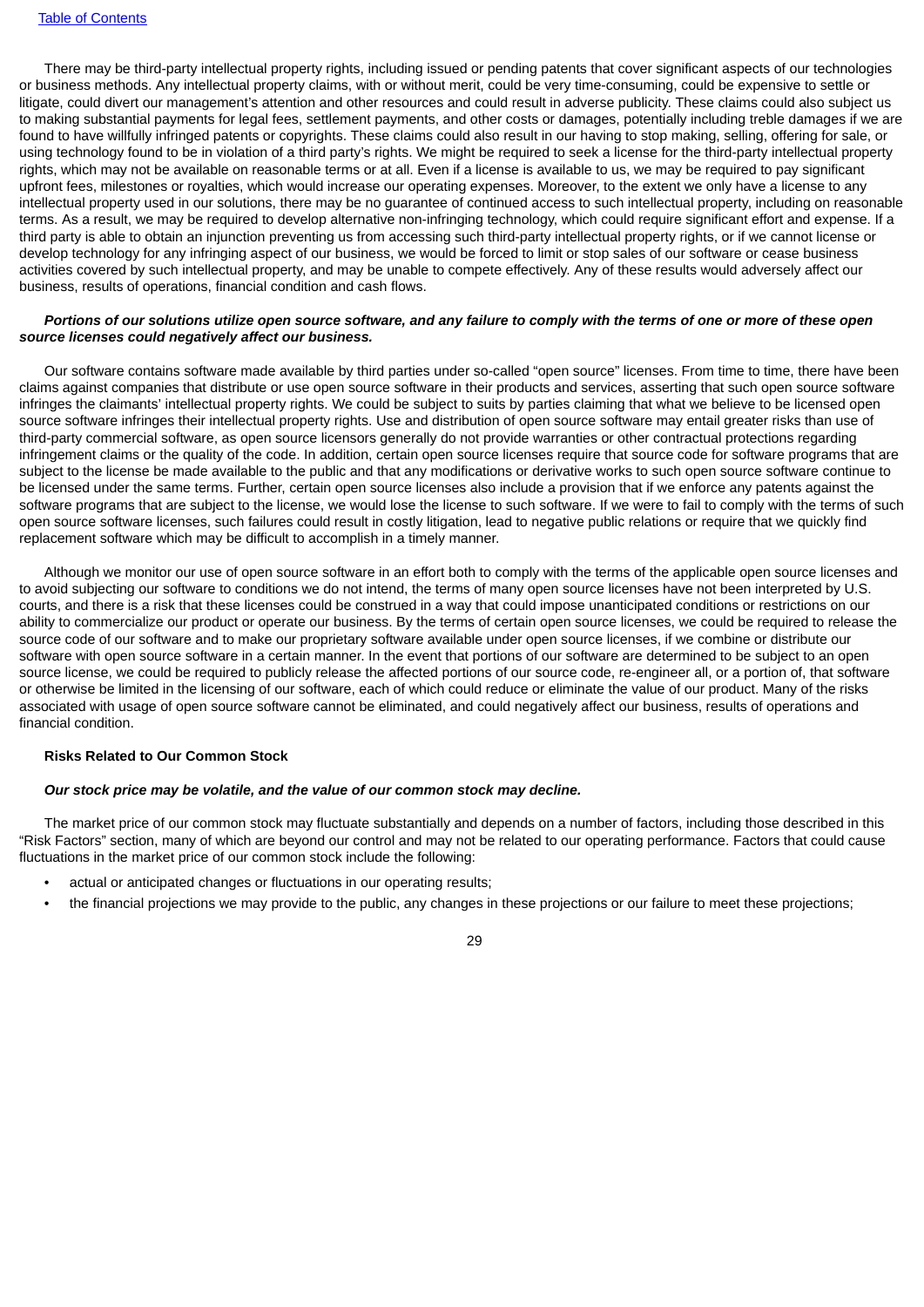There may be third-party intellectual property rights, including issued or pending patents that cover significant aspects of our technologies or business methods. Any intellectual property claims, with or without merit, could be very time-consuming, could be expensive to settle or litigate, could divert our management's attention and other resources and could result in adverse publicity. These claims could also subject us to making substantial payments for legal fees, settlement payments, and other costs or damages, potentially including treble damages if we are found to have willfully infringed patents or copyrights. These claims could also result in our having to stop making, selling, offering for sale, or using technology found to be in violation of a third party's rights. We might be required to seek a license for the third-party intellectual property rights, which may not be available on reasonable terms or at all. Even if a license is available to us, we may be required to pay significant upfront fees, milestones or royalties, which would increase our operating expenses. Moreover, to the extent we only have a license to any intellectual property used in our solutions, there may be no guarantee of continued access to such intellectual property, including on reasonable terms. As a result, we may be required to develop alternative non-infringing technology, which could require significant effort and expense. If a third party is able to obtain an injunction preventing us from accessing such third-party intellectual property rights, or if we cannot license or develop technology for any infringing aspect of our business, we would be forced to limit or stop sales of our software or cease business activities covered by such intellectual property, and may be unable to compete effectively. Any of these results would adversely affect our business, results of operations, financial condition and cash flows.

### Portions of our solutions utilize open source software, and any failure to comply with the terms of one or more of these open *source licenses could negatively affect our business.*

Our software contains software made available by third parties under so-called "open source" licenses. From time to time, there have been claims against companies that distribute or use open source software in their products and services, asserting that such open source software infringes the claimants' intellectual property rights. We could be subject to suits by parties claiming that what we believe to be licensed open source software infringes their intellectual property rights. Use and distribution of open source software may entail greater risks than use of third-party commercial software, as open source licensors generally do not provide warranties or other contractual protections regarding infringement claims or the quality of the code. In addition, certain open source licenses require that source code for software programs that are subject to the license be made available to the public and that any modifications or derivative works to such open source software continue to be licensed under the same terms. Further, certain open source licenses also include a provision that if we enforce any patents against the software programs that are subject to the license, we would lose the license to such software. If we were to fail to comply with the terms of such open source software licenses, such failures could result in costly litigation, lead to negative public relations or require that we quickly find replacement software which may be difficult to accomplish in a timely manner.

Although we monitor our use of open source software in an effort both to comply with the terms of the applicable open source licenses and to avoid subjecting our software to conditions we do not intend, the terms of many open source licenses have not been interpreted by U.S. courts, and there is a risk that these licenses could be construed in a way that could impose unanticipated conditions or restrictions on our ability to commercialize our product or operate our business. By the terms of certain open source licenses, we could be required to release the source code of our software and to make our proprietary software available under open source licenses, if we combine or distribute our software with open source software in a certain manner. In the event that portions of our software are determined to be subject to an open source license, we could be required to publicly release the affected portions of our source code, re-engineer all, or a portion of, that software or otherwise be limited in the licensing of our software, each of which could reduce or eliminate the value of our product. Many of the risks associated with usage of open source software cannot be eliminated, and could negatively affect our business, results of operations and financial condition.

# **Risks Related to Our Common Stock**

# *Our stock price may be volatile, and the value of our common stock may decline.*

The market price of our common stock may fluctuate substantially and depends on a number of factors, including those described in this "Risk Factors" section, many of which are beyond our control and may not be related to our operating performance. Factors that could cause fluctuations in the market price of our common stock include the following:

- actual or anticipated changes or fluctuations in our operating results;
- the financial projections we may provide to the public, any changes in these projections or our failure to meet these projections;

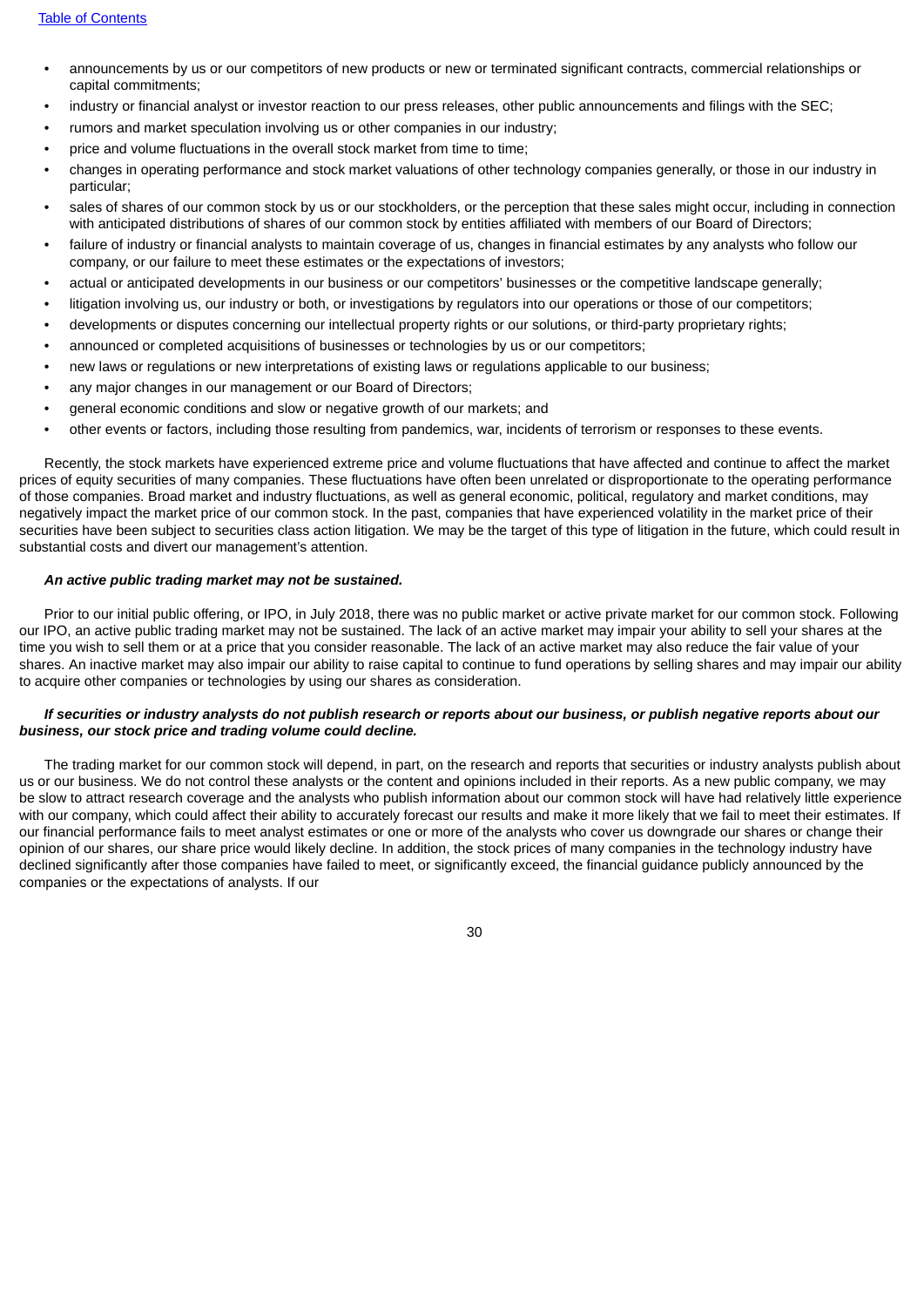- announcements by us or our competitors of new products or new or terminated significant contracts, commercial relationships or capital commitments;
- industry or financial analyst or investor reaction to our press releases, other public announcements and filings with the SEC;
- rumors and market speculation involving us or other companies in our industry;
- price and volume fluctuations in the overall stock market from time to time;
- changes in operating performance and stock market valuations of other technology companies generally, or those in our industry in particular;
- sales of shares of our common stock by us or our stockholders, or the perception that these sales might occur, including in connection with anticipated distributions of shares of our common stock by entities affiliated with members of our Board of Directors;
- failure of industry or financial analysts to maintain coverage of us, changes in financial estimates by any analysts who follow our company, or our failure to meet these estimates or the expectations of investors;
- actual or anticipated developments in our business or our competitors' businesses or the competitive landscape generally;
- litigation involving us, our industry or both, or investigations by regulators into our operations or those of our competitors;
- developments or disputes concerning our intellectual property rights or our solutions, or third-party proprietary rights;
- announced or completed acquisitions of businesses or technologies by us or our competitors;
- new laws or regulations or new interpretations of existing laws or regulations applicable to our business;
- any major changes in our management or our Board of Directors;
- general economic conditions and slow or negative growth of our markets; and
- other events or factors, including those resulting from pandemics, war, incidents of terrorism or responses to these events.

Recently, the stock markets have experienced extreme price and volume fluctuations that have affected and continue to affect the market prices of equity securities of many companies. These fluctuations have often been unrelated or disproportionate to the operating performance of those companies. Broad market and industry fluctuations, as well as general economic, political, regulatory and market conditions, may negatively impact the market price of our common stock. In the past, companies that have experienced volatility in the market price of their securities have been subject to securities class action litigation. We may be the target of this type of litigation in the future, which could result in substantial costs and divert our management's attention.

### *An active public trading market may not be sustained.*

Prior to our initial public offering, or IPO, in July 2018, there was no public market or active private market for our common stock. Following our IPO, an active public trading market may not be sustained. The lack of an active market may impair your ability to sell your shares at the time you wish to sell them or at a price that you consider reasonable. The lack of an active market may also reduce the fair value of your shares. An inactive market may also impair our ability to raise capital to continue to fund operations by selling shares and may impair our ability to acquire other companies or technologies by using our shares as consideration.

# If securities or industry analysts do not publish research or reports about our business, or publish negative reports about our *business, our stock price and trading volume could decline.*

The trading market for our common stock will depend, in part, on the research and reports that securities or industry analysts publish about us or our business. We do not control these analysts or the content and opinions included in their reports. As a new public company, we may be slow to attract research coverage and the analysts who publish information about our common stock will have had relatively little experience with our company, which could affect their ability to accurately forecast our results and make it more likely that we fail to meet their estimates. If our financial performance fails to meet analyst estimates or one or more of the analysts who cover us downgrade our shares or change their opinion of our shares, our share price would likely decline. In addition, the stock prices of many companies in the technology industry have declined significantly after those companies have failed to meet, or significantly exceed, the financial guidance publicly announced by the companies or the expectations of analysts. If our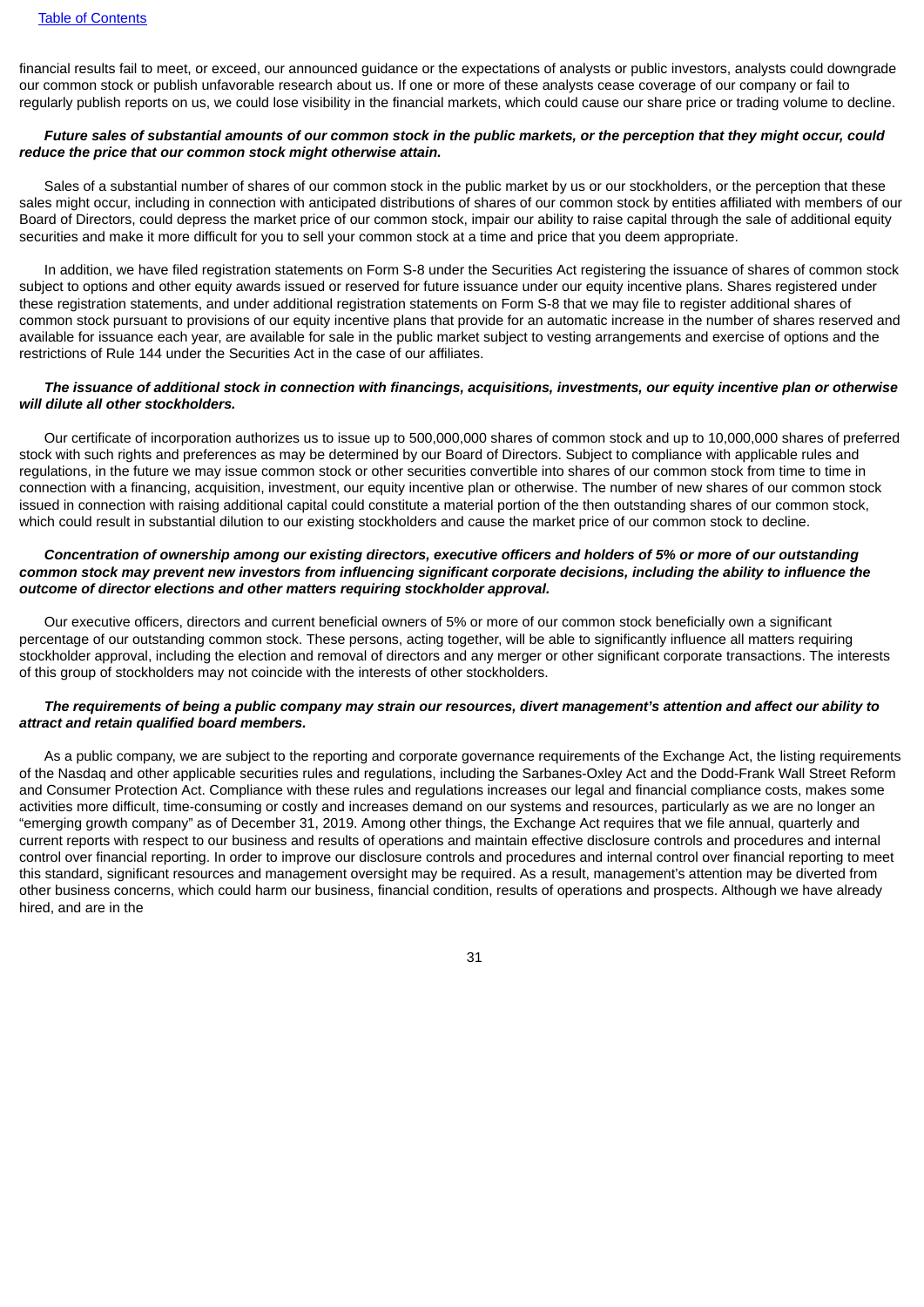financial results fail to meet, or exceed, our announced guidance or the expectations of analysts or public investors, analysts could downgrade our common stock or publish unfavorable research about us. If one or more of these analysts cease coverage of our company or fail to regularly publish reports on us, we could lose visibility in the financial markets, which could cause our share price or trading volume to decline.

### Future sales of substantial amounts of our common stock in the public markets, or the perception that they might occur, could *reduce the price that our common stock might otherwise attain.*

Sales of a substantial number of shares of our common stock in the public market by us or our stockholders, or the perception that these sales might occur, including in connection with anticipated distributions of shares of our common stock by entities affiliated with members of our Board of Directors, could depress the market price of our common stock, impair our ability to raise capital through the sale of additional equity securities and make it more difficult for you to sell your common stock at a time and price that you deem appropriate.

In addition, we have filed registration statements on Form S-8 under the Securities Act registering the issuance of shares of common stock subject to options and other equity awards issued or reserved for future issuance under our equity incentive plans. Shares registered under these registration statements, and under additional registration statements on Form S-8 that we may file to register additional shares of common stock pursuant to provisions of our equity incentive plans that provide for an automatic increase in the number of shares reserved and available for issuance each year, are available for sale in the public market subject to vesting arrangements and exercise of options and the restrictions of Rule 144 under the Securities Act in the case of our affiliates.

# The issuance of additional stock in connection with financings, acquisitions, investments, our equity incentive plan or otherwise *will dilute all other stockholders.*

Our certificate of incorporation authorizes us to issue up to 500,000,000 shares of common stock and up to 10,000,000 shares of preferred stock with such rights and preferences as may be determined by our Board of Directors. Subject to compliance with applicable rules and regulations, in the future we may issue common stock or other securities convertible into shares of our common stock from time to time in connection with a financing, acquisition, investment, our equity incentive plan or otherwise. The number of new shares of our common stock issued in connection with raising additional capital could constitute a material portion of the then outstanding shares of our common stock, which could result in substantial dilution to our existing stockholders and cause the market price of our common stock to decline.

# Concentration of ownership among our existing directors, executive officers and holders of 5% or more of our outstanding common stock may prevent new investors from influencing significant corporate decisions, including the ability to influence the *outcome of director elections and other matters requiring stockholder approval.*

Our executive officers, directors and current beneficial owners of 5% or more of our common stock beneficially own a significant percentage of our outstanding common stock. These persons, acting together, will be able to significantly influence all matters requiring stockholder approval, including the election and removal of directors and any merger or other significant corporate transactions. The interests of this group of stockholders may not coincide with the interests of other stockholders.

# The requirements of being a public company may strain our resources, divert management's attention and affect our ability to *attract and retain qualified board members.*

As a public company, we are subject to the reporting and corporate governance requirements of the Exchange Act, the listing requirements of the Nasdaq and other applicable securities rules and regulations, including the Sarbanes-Oxley Act and the Dodd-Frank Wall Street Reform and Consumer Protection Act. Compliance with these rules and regulations increases our legal and financial compliance costs, makes some activities more difficult, time-consuming or costly and increases demand on our systems and resources, particularly as we are no longer an "emerging growth company" as of December 31, 2019. Among other things, the Exchange Act requires that we file annual, quarterly and current reports with respect to our business and results of operations and maintain effective disclosure controls and procedures and internal control over financial reporting. In order to improve our disclosure controls and procedures and internal control over financial reporting to meet this standard, significant resources and management oversight may be required. As a result, management's attention may be diverted from other business concerns, which could harm our business, financial condition, results of operations and prospects. Although we have already hired, and are in the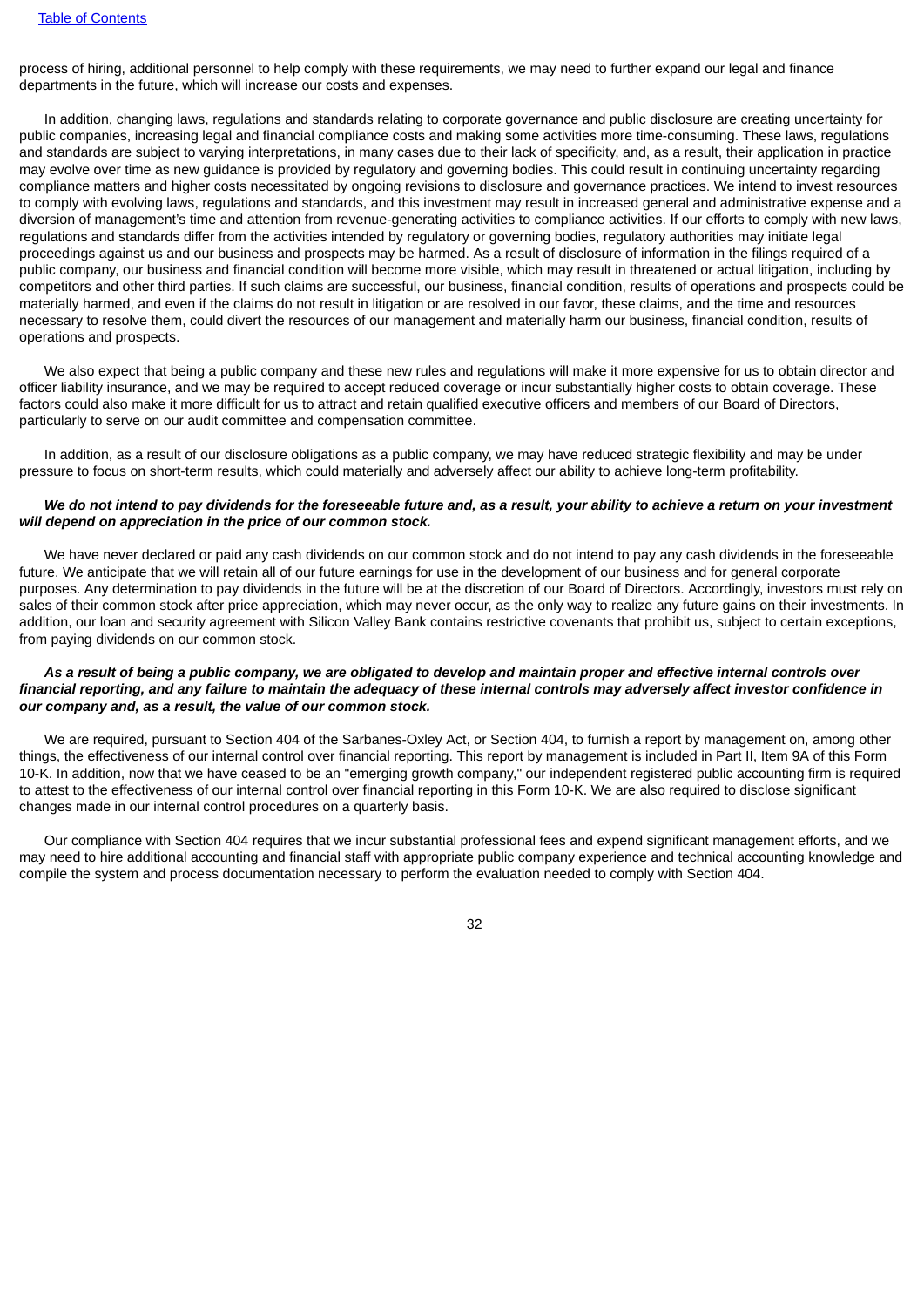process of hiring, additional personnel to help comply with these requirements, we may need to further expand our legal and finance departments in the future, which will increase our costs and expenses.

In addition, changing laws, regulations and standards relating to corporate governance and public disclosure are creating uncertainty for public companies, increasing legal and financial compliance costs and making some activities more time-consuming. These laws, regulations and standards are subject to varying interpretations, in many cases due to their lack of specificity, and, as a result, their application in practice may evolve over time as new guidance is provided by regulatory and governing bodies. This could result in continuing uncertainty regarding compliance matters and higher costs necessitated by ongoing revisions to disclosure and governance practices. We intend to invest resources to comply with evolving laws, regulations and standards, and this investment may result in increased general and administrative expense and a diversion of management's time and attention from revenue-generating activities to compliance activities. If our efforts to comply with new laws, regulations and standards differ from the activities intended by regulatory or governing bodies, regulatory authorities may initiate legal proceedings against us and our business and prospects may be harmed. As a result of disclosure of information in the filings required of a public company, our business and financial condition will become more visible, which may result in threatened or actual litigation, including by competitors and other third parties. If such claims are successful, our business, financial condition, results of operations and prospects could be materially harmed, and even if the claims do not result in litigation or are resolved in our favor, these claims, and the time and resources necessary to resolve them, could divert the resources of our management and materially harm our business, financial condition, results of operations and prospects.

We also expect that being a public company and these new rules and regulations will make it more expensive for us to obtain director and officer liability insurance, and we may be required to accept reduced coverage or incur substantially higher costs to obtain coverage. These factors could also make it more difficult for us to attract and retain qualified executive officers and members of our Board of Directors, particularly to serve on our audit committee and compensation committee.

In addition, as a result of our disclosure obligations as a public company, we may have reduced strategic flexibility and may be under pressure to focus on short-term results, which could materially and adversely affect our ability to achieve long-term profitability.

### We do not intend to pay dividends for the foreseeable future and, as a result, your ability to achieve a return on your investment *will depend on appreciation in the price of our common stock.*

We have never declared or paid any cash dividends on our common stock and do not intend to pay any cash dividends in the foreseeable future. We anticipate that we will retain all of our future earnings for use in the development of our business and for general corporate purposes. Any determination to pay dividends in the future will be at the discretion of our Board of Directors. Accordingly, investors must rely on sales of their common stock after price appreciation, which may never occur, as the only way to realize any future gains on their investments. In addition, our loan and security agreement with Silicon Valley Bank contains restrictive covenants that prohibit us, subject to certain exceptions, from paying dividends on our common stock.

# As a result of being a public company, we are obligated to develop and maintain proper and effective internal controls over financial reporting, and any failure to maintain the adequacy of these internal controls may adversely affect investor confidence in *our company and, as a result, the value of our common stock.*

We are required, pursuant to Section 404 of the Sarbanes-Oxley Act, or Section 404, to furnish a report by management on, among other things, the effectiveness of our internal control over financial reporting. This report by management is included in Part II, Item 9A of this Form 10-K. In addition, now that we have ceased to be an "emerging growth company," our independent registered public accounting firm is required to attest to the effectiveness of our internal control over financial reporting in this Form 10-K. We are also required to disclose significant changes made in our internal control procedures on a quarterly basis.

Our compliance with Section 404 requires that we incur substantial professional fees and expend significant management efforts, and we may need to hire additional accounting and financial staff with appropriate public company experience and technical accounting knowledge and compile the system and process documentation necessary to perform the evaluation needed to comply with Section 404.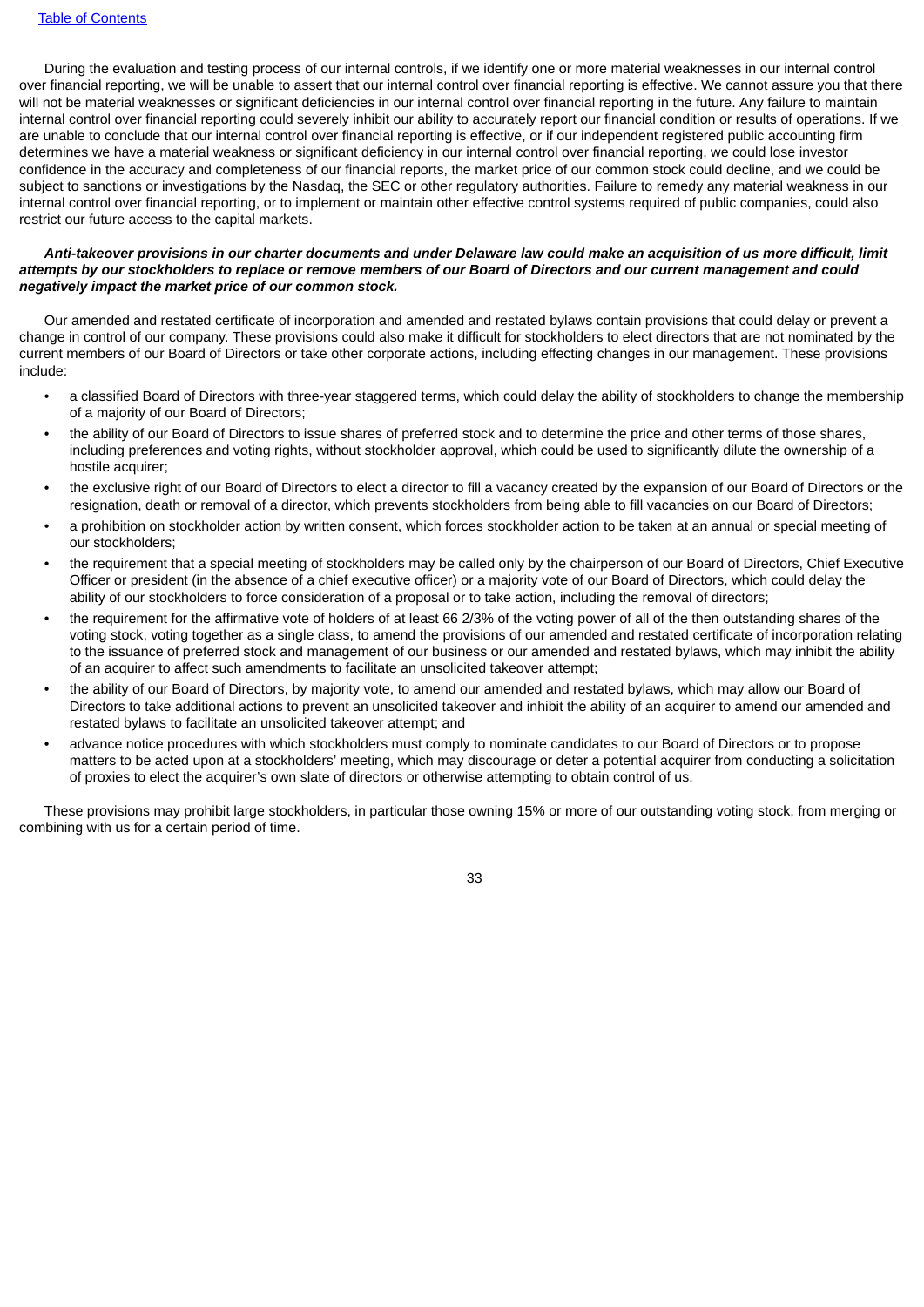During the evaluation and testing process of our internal controls, if we identify one or more material weaknesses in our internal control over financial reporting, we will be unable to assert that our internal control over financial reporting is effective. We cannot assure you that there will not be material weaknesses or significant deficiencies in our internal control over financial reporting in the future. Any failure to maintain internal control over financial reporting could severely inhibit our ability to accurately report our financial condition or results of operations. If we are unable to conclude that our internal control over financial reporting is effective, or if our independent registered public accounting firm determines we have a material weakness or significant deficiency in our internal control over financial reporting, we could lose investor confidence in the accuracy and completeness of our financial reports, the market price of our common stock could decline, and we could be subject to sanctions or investigations by the Nasdaq, the SEC or other regulatory authorities. Failure to remedy any material weakness in our internal control over financial reporting, or to implement or maintain other effective control systems required of public companies, could also restrict our future access to the capital markets.

# Anti-takeover provisions in our charter documents and under Delaware law could make an acquisition of us more difficult. limit attempts by our stockholders to replace or remove members of our Board of Directors and our current management and could *negatively impact the market price of our common stock.*

Our amended and restated certificate of incorporation and amended and restated bylaws contain provisions that could delay or prevent a change in control of our company. These provisions could also make it difficult for stockholders to elect directors that are not nominated by the current members of our Board of Directors or take other corporate actions, including effecting changes in our management. These provisions include:

- a classified Board of Directors with three-year staggered terms, which could delay the ability of stockholders to change the membership of a majority of our Board of Directors;
- the ability of our Board of Directors to issue shares of preferred stock and to determine the price and other terms of those shares, including preferences and voting rights, without stockholder approval, which could be used to significantly dilute the ownership of a hostile acquirer:
- the exclusive right of our Board of Directors to elect a director to fill a vacancy created by the expansion of our Board of Directors or the resignation, death or removal of a director, which prevents stockholders from being able to fill vacancies on our Board of Directors;
- a prohibition on stockholder action by written consent, which forces stockholder action to be taken at an annual or special meeting of our stockholders;
- the requirement that a special meeting of stockholders may be called only by the chairperson of our Board of Directors, Chief Executive Officer or president (in the absence of a chief executive officer) or a majority vote of our Board of Directors, which could delay the ability of our stockholders to force consideration of a proposal or to take action, including the removal of directors;
- the requirement for the affirmative vote of holders of at least 66 2/3% of the voting power of all of the then outstanding shares of the voting stock, voting together as a single class, to amend the provisions of our amended and restated certificate of incorporation relating to the issuance of preferred stock and management of our business or our amended and restated bylaws, which may inhibit the ability of an acquirer to affect such amendments to facilitate an unsolicited takeover attempt;
- the ability of our Board of Directors, by majority vote, to amend our amended and restated bylaws, which may allow our Board of Directors to take additional actions to prevent an unsolicited takeover and inhibit the ability of an acquirer to amend our amended and restated bylaws to facilitate an unsolicited takeover attempt; and
- advance notice procedures with which stockholders must comply to nominate candidates to our Board of Directors or to propose matters to be acted upon at a stockholders' meeting, which may discourage or deter a potential acquirer from conducting a solicitation of proxies to elect the acquirer's own slate of directors or otherwise attempting to obtain control of us.

These provisions may prohibit large stockholders, in particular those owning 15% or more of our outstanding voting stock, from merging or combining with us for a certain period of time.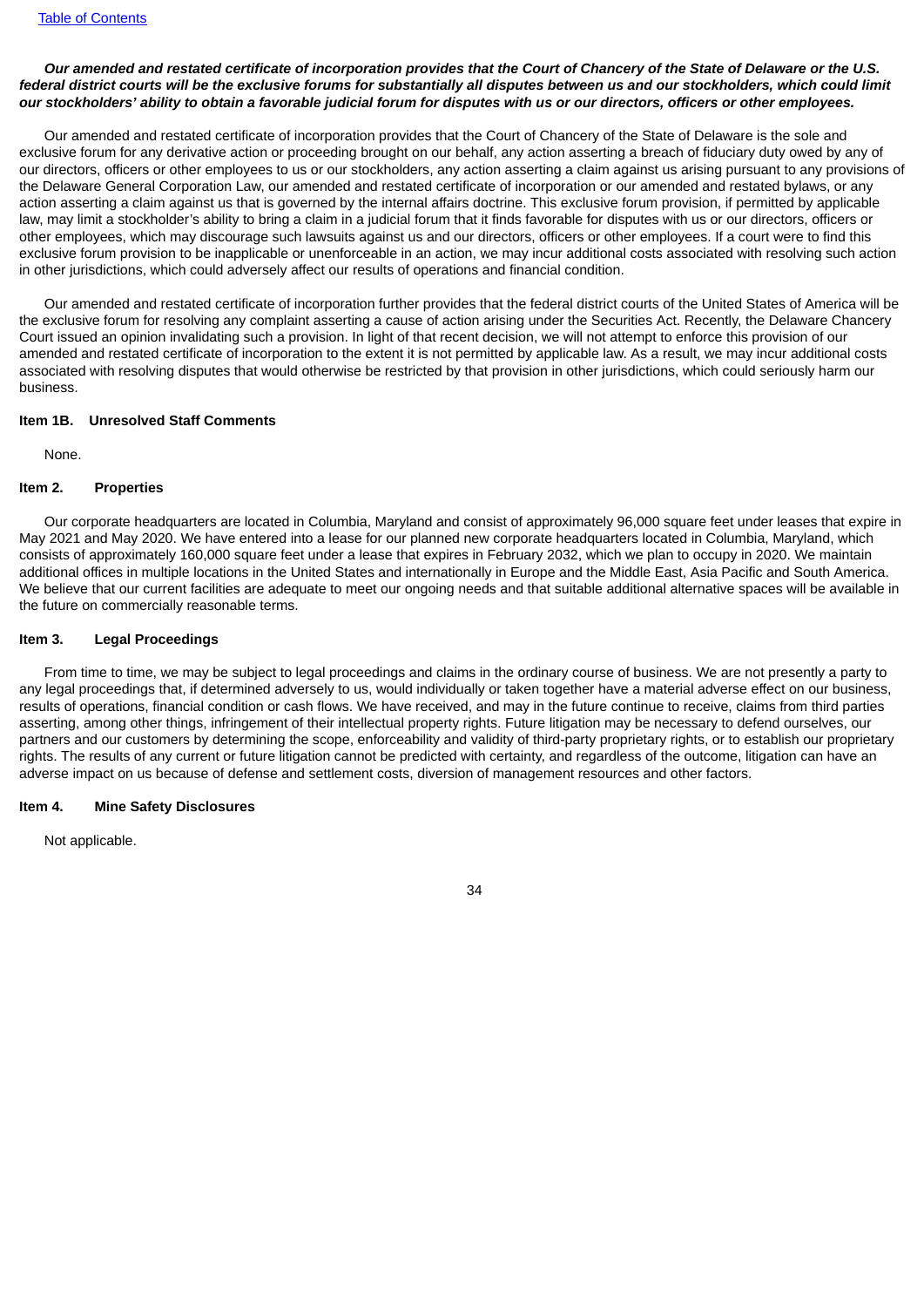# Our amended and restated certificate of incorporation provides that the Court of Chancery of the State of Delaware or the U.S. federal district courts will be the exclusive forums for substantially all disputes between us and our stockholders, which could limit our stockholders' ability to obtain a favorable judicial forum for disputes with us or our directors, officers or other employees.

Our amended and restated certificate of incorporation provides that the Court of Chancery of the State of Delaware is the sole and exclusive forum for any derivative action or proceeding brought on our behalf, any action asserting a breach of fiduciary duty owed by any of our directors, officers or other employees to us or our stockholders, any action asserting a claim against us arising pursuant to any provisions of the Delaware General Corporation Law, our amended and restated certificate of incorporation or our amended and restated bylaws, or any action asserting a claim against us that is governed by the internal affairs doctrine. This exclusive forum provision, if permitted by applicable law, may limit a stockholder's ability to bring a claim in a judicial forum that it finds favorable for disputes with us or our directors, officers or other employees, which may discourage such lawsuits against us and our directors, officers or other employees. If a court were to find this exclusive forum provision to be inapplicable or unenforceable in an action, we may incur additional costs associated with resolving such action in other jurisdictions, which could adversely affect our results of operations and financial condition.

Our amended and restated certificate of incorporation further provides that the federal district courts of the United States of America will be the exclusive forum for resolving any complaint asserting a cause of action arising under the Securities Act. Recently, the Delaware Chancery Court issued an opinion invalidating such a provision. In light of that recent decision, we will not attempt to enforce this provision of our amended and restated certificate of incorporation to the extent it is not permitted by applicable law. As a result, we may incur additional costs associated with resolving disputes that would otherwise be restricted by that provision in other jurisdictions, which could seriously harm our business.

# <span id="page-33-0"></span>**Item 1B. Unresolved Staff Comments**

None.

# <span id="page-33-1"></span>**Item 2. Properties**

Our corporate headquarters are located in Columbia, Maryland and consist of approximately 96,000 square feet under leases that expire in May 2021 and May 2020. We have entered into a lease for our planned new corporate headquarters located in Columbia, Maryland, which consists of approximately 160,000 square feet under a lease that expires in February 2032, which we plan to occupy in 2020. We maintain additional offices in multiple locations in the United States and internationally in Europe and the Middle East, Asia Pacific and South America. We believe that our current facilities are adequate to meet our ongoing needs and that suitable additional alternative spaces will be available in the future on commercially reasonable terms.

### <span id="page-33-2"></span>**Item 3. Legal Proceedings**

From time to time, we may be subject to legal proceedings and claims in the ordinary course of business. We are not presently a party to any legal proceedings that, if determined adversely to us, would individually or taken together have a material adverse effect on our business, results of operations, financial condition or cash flows. We have received, and may in the future continue to receive, claims from third parties asserting, among other things, infringement of their intellectual property rights. Future litigation may be necessary to defend ourselves, our partners and our customers by determining the scope, enforceability and validity of third-party proprietary rights, or to establish our proprietary rights. The results of any current or future litigation cannot be predicted with certainty, and regardless of the outcome, litigation can have an adverse impact on us because of defense and settlement costs, diversion of management resources and other factors.

# <span id="page-33-3"></span>**Item 4. Mine Safety Disclosures**

Not applicable.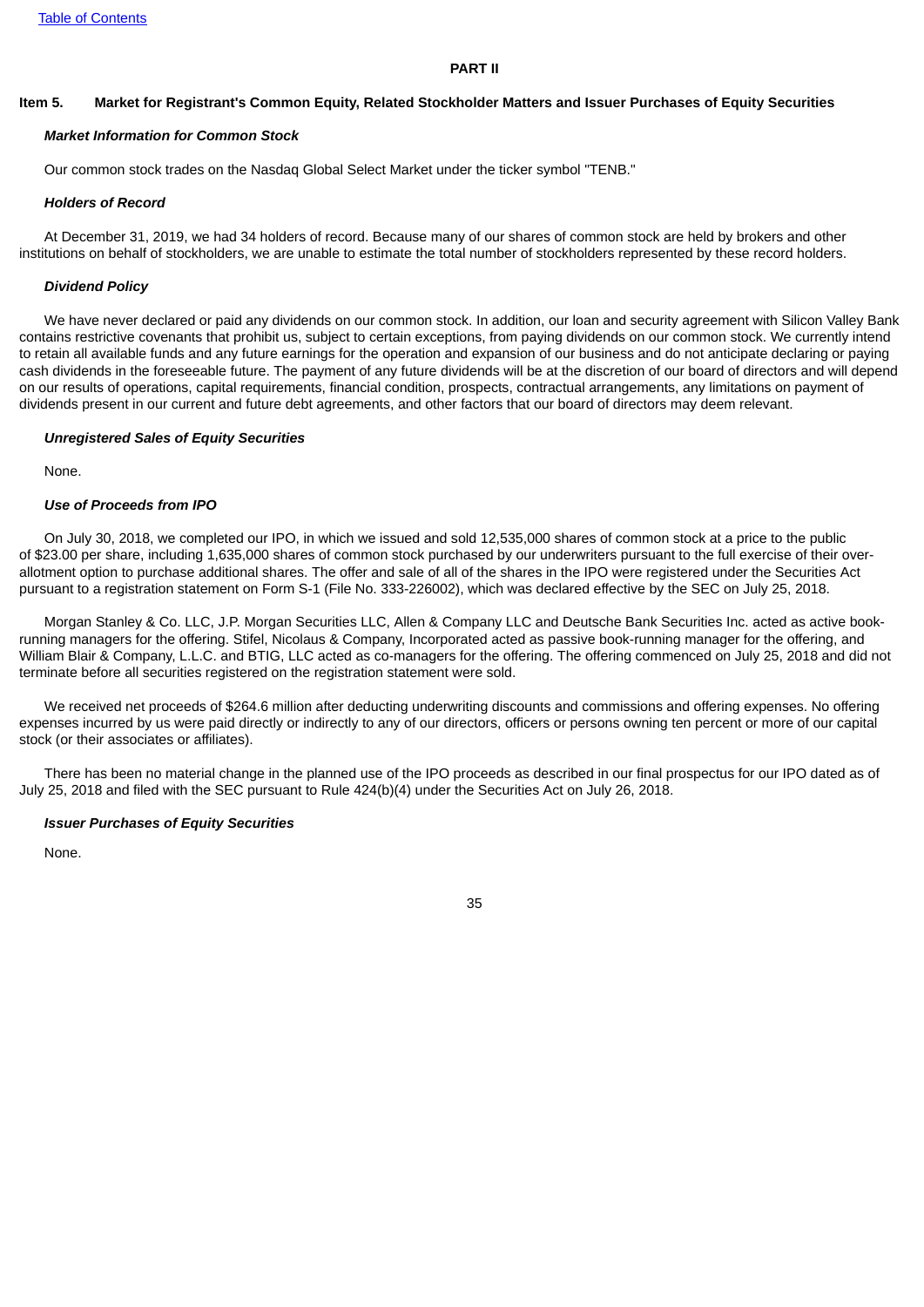### **PART II**

### <span id="page-34-0"></span>Item 5. Market for Registrant's Common Equity, Related Stockholder Matters and Issuer Purchases of Equity Securities

#### *Market Information for Common Stock*

Our common stock trades on the Nasdaq Global Select Market under the ticker symbol "TENB."

#### *Holders of Record*

At December 31, 2019, we had 34 holders of record. Because many of our shares of common stock are held by brokers and other institutions on behalf of stockholders, we are unable to estimate the total number of stockholders represented by these record holders.

#### *Dividend Policy*

We have never declared or paid any dividends on our common stock. In addition, our loan and security agreement with Silicon Valley Bank contains restrictive covenants that prohibit us, subject to certain exceptions, from paying dividends on our common stock. We currently intend to retain all available funds and any future earnings for the operation and expansion of our business and do not anticipate declaring or paying cash dividends in the foreseeable future. The payment of any future dividends will be at the discretion of our board of directors and will depend on our results of operations, capital requirements, financial condition, prospects, contractual arrangements, any limitations on payment of dividends present in our current and future debt agreements, and other factors that our board of directors may deem relevant.

### *Unregistered Sales of Equity Securities*

None.

#### *Use of Proceeds from IPO*

On July 30, 2018, we completed our IPO, in which we issued and sold 12,535,000 shares of common stock at a price to the public of \$23.00 per share, including 1,635,000 shares of common stock purchased by our underwriters pursuant to the full exercise of their overallotment option to purchase additional shares. The offer and sale of all of the shares in the IPO were registered under the Securities Act pursuant to a registration statement on Form S-1 (File No. 333-226002), which was declared effective by the SEC on July 25, 2018.

Morgan Stanley & Co. LLC, J.P. Morgan Securities LLC, Allen & Company LLC and Deutsche Bank Securities Inc. acted as active bookrunning managers for the offering. Stifel, Nicolaus & Company, Incorporated acted as passive book-running manager for the offering, and William Blair & Company, L.L.C. and BTIG, LLC acted as co-managers for the offering. The offering commenced on July 25, 2018 and did not terminate before all securities registered on the registration statement were sold.

We received net proceeds of \$264.6 million after deducting underwriting discounts and commissions and offering expenses. No offering expenses incurred by us were paid directly or indirectly to any of our directors, officers or persons owning ten percent or more of our capital stock (or their associates or affiliates).

There has been no material change in the planned use of the IPO proceeds as described in our final prospectus for our IPO dated as of July 25, 2018 and filed with the SEC pursuant to Rule 424(b)(4) under the Securities Act on July 26, 2018.

#### *Issuer Purchases of Equity Securities*

None.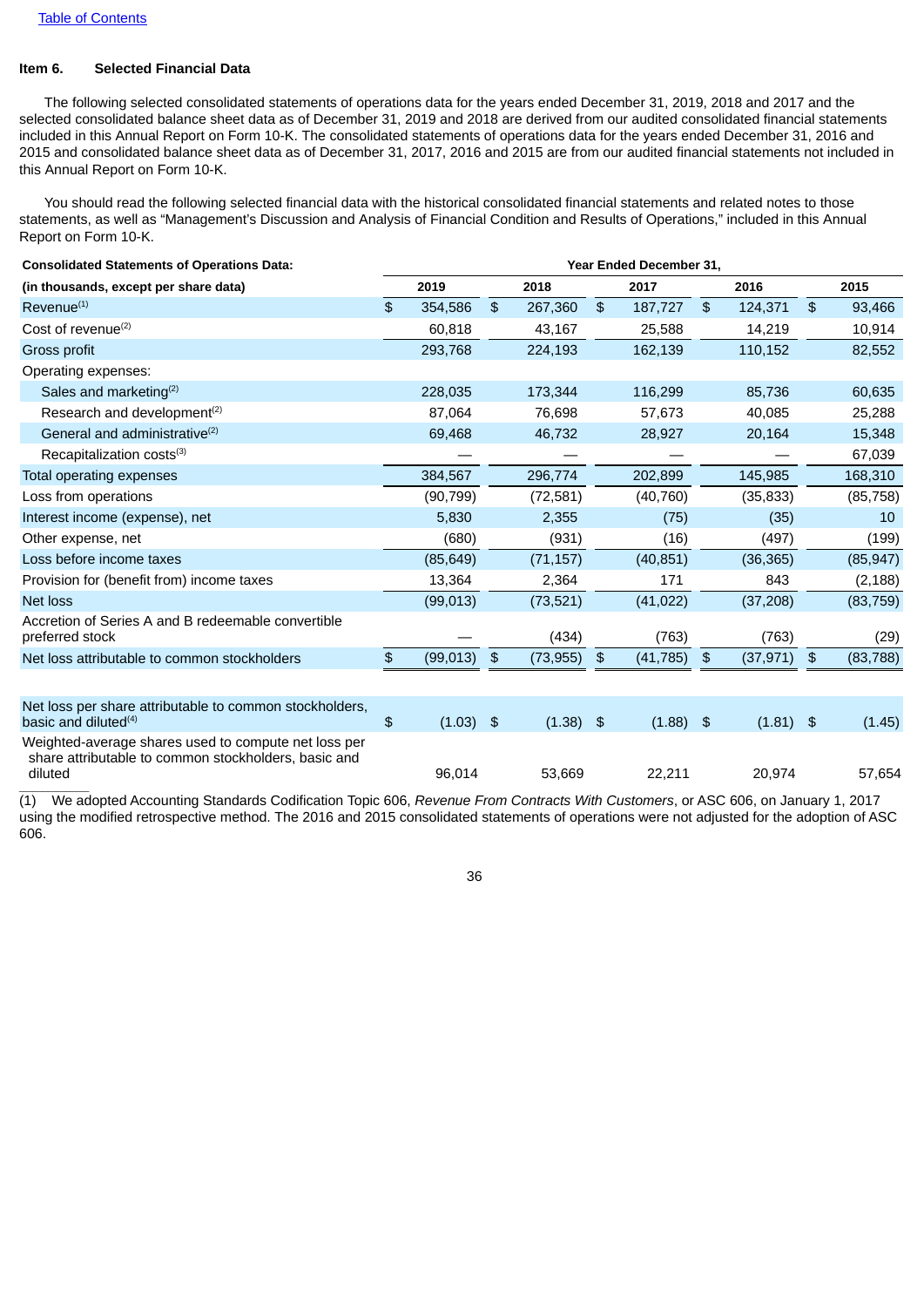# <span id="page-35-0"></span>**Item 6. Selected Financial Data**

The following selected consolidated statements of operations data for the years ended December 31, 2019, 2018 and 2017 and the selected consolidated balance sheet data as of December 31, 2019 and 2018 are derived from our audited consolidated financial statements included in this Annual Report on Form 10-K. The consolidated statements of operations data for the years ended December 31, 2016 and 2015 and consolidated balance sheet data as of December 31, 2017, 2016 and 2015 are from our audited financial statements not included in this Annual Report on Form 10-K.

You should read the following selected financial data with the historical consolidated financial statements and related notes to those statements, as well as "Management's Discussion and Analysis of Financial Condition and Results of Operations," included in this Annual Report on Form 10-K.

| <b>Consolidated Statements of Operations Data:</b>                                                                      | <b>Year Ended December 31.</b> |             |                      |             |                |             |               |             |               |           |
|-------------------------------------------------------------------------------------------------------------------------|--------------------------------|-------------|----------------------|-------------|----------------|-------------|---------------|-------------|---------------|-----------|
| (in thousands, except per share data)                                                                                   |                                | 2019        |                      | 2018        |                | 2017        |               | 2016        |               | 2015      |
| Revenue <sup>(1)</sup>                                                                                                  | \$                             | 354,586     | $\mathfrak{L}$       | 267,360     | $\mathfrak{P}$ | 187,727     | $\frac{2}{3}$ | 124,371     | $\frac{1}{2}$ | 93,466    |
| Cost of revenue <sup>(2)</sup>                                                                                          |                                | 60,818      |                      | 43,167      |                | 25,588      |               | 14,219      |               | 10,914    |
| Gross profit                                                                                                            |                                | 293,768     |                      | 224,193     |                | 162,139     |               | 110,152     |               | 82,552    |
| Operating expenses:                                                                                                     |                                |             |                      |             |                |             |               |             |               |           |
| Sales and marketing $(2)$                                                                                               |                                | 228,035     |                      | 173,344     |                | 116,299     |               | 85,736      |               | 60,635    |
| Research and development <sup>(2)</sup>                                                                                 |                                | 87,064      |                      | 76,698      |                | 57,673      |               | 40,085      |               | 25,288    |
| General and administrative <sup>(2)</sup>                                                                               |                                | 69,468      |                      | 46,732      |                | 28,927      |               | 20,164      |               | 15,348    |
| Recapitalization costs <sup>(3)</sup>                                                                                   |                                |             |                      |             |                |             |               |             |               | 67,039    |
| Total operating expenses                                                                                                |                                | 384,567     |                      | 296,774     |                | 202,899     |               | 145,985     |               | 168,310   |
| Loss from operations                                                                                                    |                                | (90, 799)   |                      | (72, 581)   |                | (40, 760)   |               | (35, 833)   |               | (85, 758) |
| Interest income (expense), net                                                                                          |                                | 5,830       |                      | 2,355       |                | (75)        |               | (35)        |               | 10        |
| Other expense, net                                                                                                      |                                | (680)       |                      | (931)       |                | (16)        |               | (497)       |               | (199)     |
| Loss before income taxes                                                                                                |                                | (85, 649)   |                      | (71, 157)   |                | (40, 851)   |               | (36, 365)   |               | (85, 947) |
| Provision for (benefit from) income taxes                                                                               |                                | 13,364      |                      | 2,364       |                | 171         |               | 843         |               | (2, 188)  |
| Net loss                                                                                                                |                                | (99, 013)   |                      | (73, 521)   |                | (41, 022)   |               | (37, 208)   |               | (83, 759) |
| Accretion of Series A and B redeemable convertible<br>preferred stock                                                   |                                |             |                      | (434)       |                | (763)       |               | (763)       |               | (29)      |
| Net loss attributable to common stockholders                                                                            | \$                             | (99, 013)   | $\pmb{\mathfrak{s}}$ | (73, 955)   | \$             | (41, 785)   | $\pmb{\$}$    | (37, 971)   | $\frac{1}{2}$ | (83, 788) |
|                                                                                                                         |                                |             |                      |             |                |             |               |             |               |           |
| Net loss per share attributable to common stockholders,<br>basic and diluted <sup>(4)</sup>                             | \$                             | $(1.03)$ \$ |                      | $(1.38)$ \$ |                | $(1.88)$ \$ |               | $(1.81)$ \$ |               | (1.45)    |
| Weighted-average shares used to compute net loss per<br>share attributable to common stockholders, basic and<br>diluted |                                | 96,014      |                      | 53,669      |                | 22,211      |               | 20,974      |               | 57,654    |

\_\_\_\_\_\_\_\_\_\_\_\_\_\_\_ (1) We adopted Accounting Standards Codification Topic 606, *Revenue From Contracts With Customers*, or ASC 606, on January 1, 2017 using the modified retrospective method. The 2016 and 2015 consolidated statements of operations were not adjusted for the adoption of ASC 606.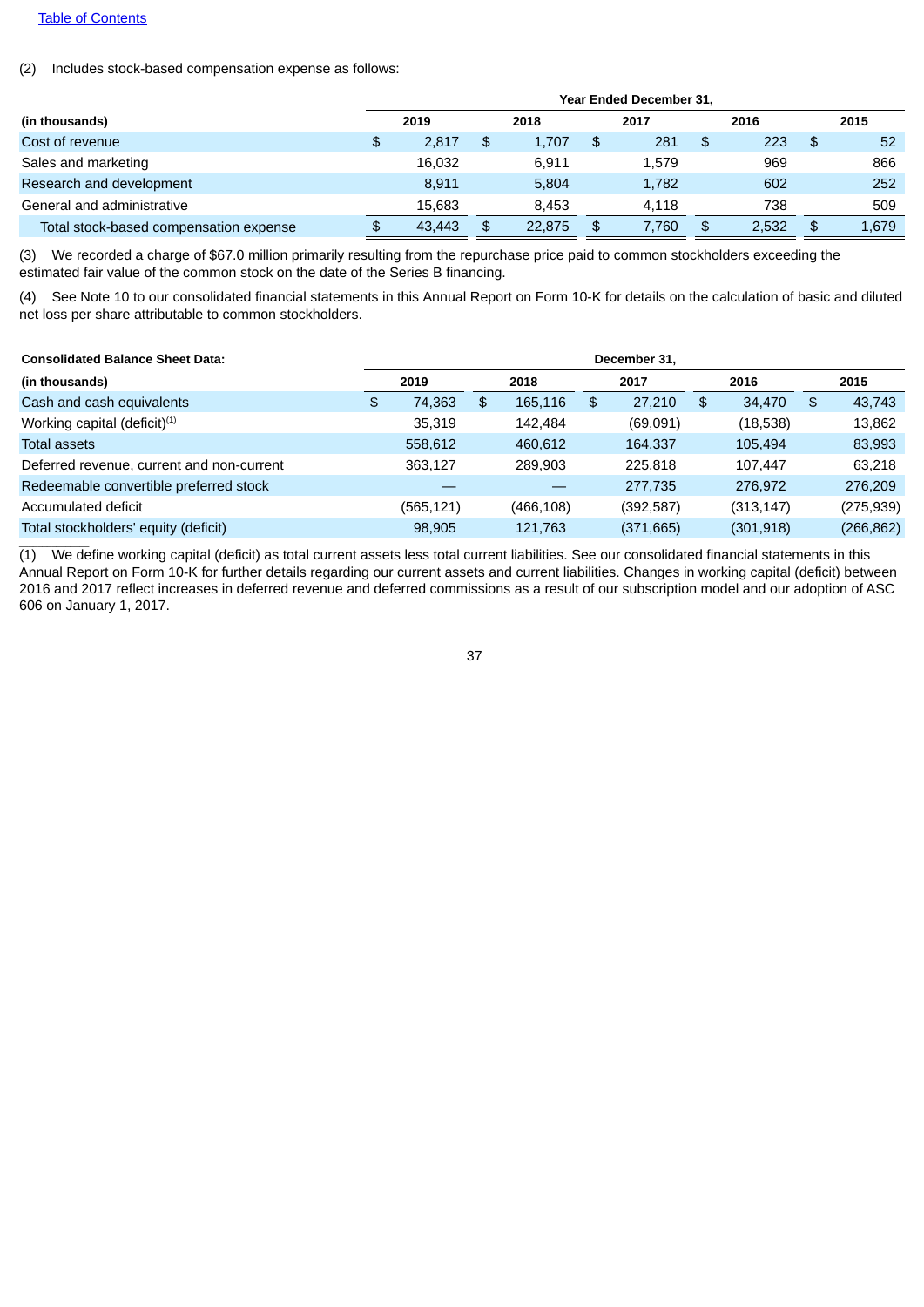# Table of [Contents](#page-1-0)

# (2) Includes stock-based compensation expense as follows:

|                                        | <b>Year Ended December 31.</b> |        |    |        |     |       |                |       |    |       |
|----------------------------------------|--------------------------------|--------|----|--------|-----|-------|----------------|-------|----|-------|
| (in thousands)                         |                                | 2019   |    | 2018   |     | 2017  |                | 2016  |    | 2015  |
| Cost of revenue                        | \$                             | 2.817  | \$ | 1.707  | \$  | 281   | \$             | 223   | \$ | 52    |
| Sales and marketing                    |                                | 16.032 |    | 6.911  |     | 1.579 |                | 969   |    | 866   |
| Research and development               |                                | 8.911  |    | 5.804  |     | 1,782 |                | 602   |    | 252   |
| General and administrative             |                                | 15.683 |    | 8.453  |     | 4.118 |                | 738   |    | 509   |
| Total stock-based compensation expense |                                | 43.443 | \$ | 22,875 | \$. | 7.760 | $\mathfrak{p}$ | 2.532 | \$ | 1.679 |

(3) We recorded a charge of \$67.0 million primarily resulting from the repurchase price paid to common stockholders exceeding the estimated fair value of the common stock on the date of the Series B financing.

(4) See Note 10 to our consolidated financial statements in this Annual Report on Form 10-K for details on the calculation of basic and diluted net loss per share attributable to common stockholders.

| <b>Consolidated Balance Sheet Data:</b>   | December 31, |            |    |           |    |            |    |            |              |
|-------------------------------------------|--------------|------------|----|-----------|----|------------|----|------------|--------------|
| (in thousands)                            |              | 2019       |    | 2018      |    | 2017       |    | 2016       | 2015         |
| Cash and cash equivalents                 | \$           | 74,363     | \$ | 165,116   | \$ | 27,210     | \$ | 34,470     | \$<br>43,743 |
| Working capital (deficit) $(1)$           |              | 35.319     |    | 142.484   |    | (69,091)   |    | (18,538)   | 13,862       |
| Total assets                              |              | 558.612    |    | 460,612   |    | 164.337    |    | 105,494    | 83,993       |
| Deferred revenue, current and non-current |              | 363.127    |    | 289,903   |    | 225,818    |    | 107.447    | 63.218       |
| Redeemable convertible preferred stock    |              |            |    |           |    | 277,735    |    | 276,972    | 276,209      |
| Accumulated deficit                       |              | (565, 121) |    | (466,108) |    | (392, 587) |    | (313, 147) | (275, 939)   |
| Total stockholders' equity (deficit)      |              | 98,905     |    | 121,763   |    | (371, 665) |    | (301, 918) | (266, 862)   |

\_\_\_\_\_\_\_\_\_\_\_\_\_\_\_ (1) We define working capital (deficit) as total current assets less total current liabilities. See our consolidated financial statements in this Annual Report on Form 10-K for further details regarding our current assets and current liabilities. Changes in working capital (deficit) between 2016 and 2017 reflect increases in deferred revenue and deferred commissions as a result of our subscription model and our adoption of ASC 606 on January 1, 2017.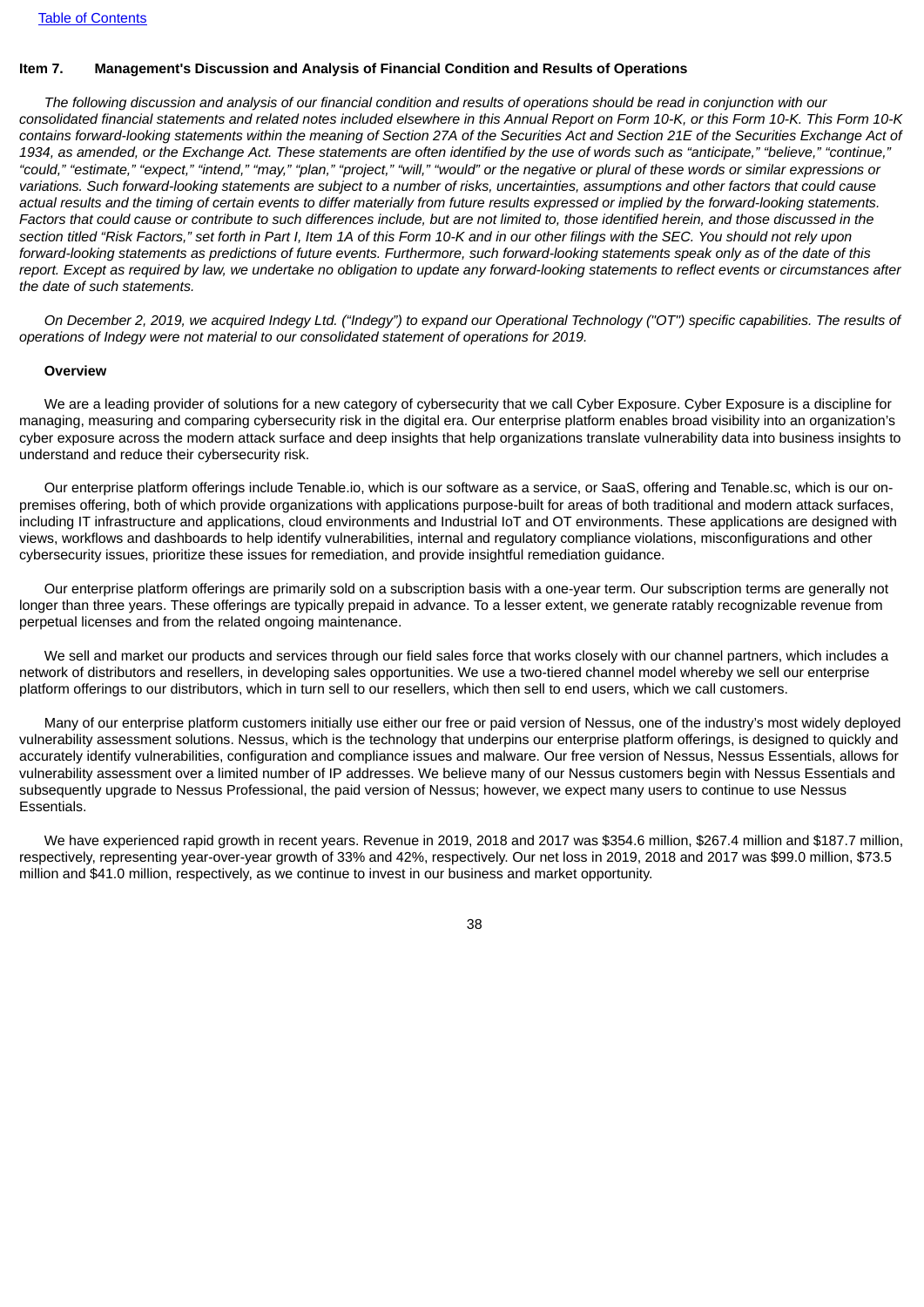#### **Item 7. Management's Discussion and Analysis of Financial Condition and Results of Operations**

The following discussion and analysis of our financial condition and results of operations should be read in conjunction with our consolidated financial statements and related notes included elsewhere in this Annual Report on Form 10-K, or this Form 10-K. This Form 10-K contains forward-looking statements within the meaning of Section 27A of the Securities Act and Section 21E of the Securities Exchange Act of 1934, as amended, or the Exchange Act. These statements are often identified by the use of words such as "anticipate," "believe," "continue," "could," "estimate," "expect," "intend," "may," "plan," "project," "will," "would" or the negative or plural of these words or similar expressions or variations. Such forward-looking statements are subject to a number of risks, uncertainties, assumptions and other factors that could cause actual results and the timing of certain events to differ materially from future results expressed or implied by the forward-looking statements. Factors that could cause or contribute to such differences include, but are not limited to, those identified herein, and those discussed in the section titled "Risk Factors." set forth in Part I. Item 1A of this Form 10-K and in our other filings with the SEC. You should not rely upon forward-looking statements as predictions of future events. Furthermore, such forward-looking statements speak only as of the date of this report. Except as required by law, we undertake no obligation to update any forward-looking statements to reflect events or circumstances after *the date of such statements.*

On December 2, 2019, we acquired Indegy Ltd. ("Indegy") to expand our Operational Technology ("OT") specific capabilities. The results of *operations of Indegy were not material to our consolidated statement of operations for 2019.*

#### **Overview**

We are a leading provider of solutions for a new category of cybersecurity that we call Cyber Exposure. Cyber Exposure is a discipline for managing, measuring and comparing cybersecurity risk in the digital era. Our enterprise platform enables broad visibility into an organization's cyber exposure across the modern attack surface and deep insights that help organizations translate vulnerability data into business insights to understand and reduce their cybersecurity risk.

Our enterprise platform offerings include Tenable.io, which is our software as a service, or SaaS, offering and Tenable.sc, which is our onpremises offering, both of which provide organizations with applications purpose-built for areas of both traditional and modern attack surfaces, including IT infrastructure and applications, cloud environments and Industrial IoT and OT environments. These applications are designed with views, workflows and dashboards to help identify vulnerabilities, internal and regulatory compliance violations, misconfigurations and other cybersecurity issues, prioritize these issues for remediation, and provide insightful remediation guidance.

Our enterprise platform offerings are primarily sold on a subscription basis with a one-year term. Our subscription terms are generally not longer than three years. These offerings are typically prepaid in advance. To a lesser extent, we generate ratably recognizable revenue from perpetual licenses and from the related ongoing maintenance.

We sell and market our products and services through our field sales force that works closely with our channel partners, which includes a network of distributors and resellers, in developing sales opportunities. We use a two-tiered channel model whereby we sell our enterprise platform offerings to our distributors, which in turn sell to our resellers, which then sell to end users, which we call customers.

Many of our enterprise platform customers initially use either our free or paid version of Nessus, one of the industry's most widely deployed vulnerability assessment solutions. Nessus, which is the technology that underpins our enterprise platform offerings, is designed to quickly and accurately identify vulnerabilities, configuration and compliance issues and malware. Our free version of Nessus, Nessus Essentials, allows for vulnerability assessment over a limited number of IP addresses. We believe many of our Nessus customers begin with Nessus Essentials and subsequently upgrade to Nessus Professional, the paid version of Nessus; however, we expect many users to continue to use Nessus Essentials.

We have experienced rapid growth in recent years. Revenue in 2019, 2018 and 2017 was \$354.6 million, \$267.4 million and \$187.7 million, respectively, representing year-over-year growth of 33% and 42%, respectively. Our net loss in 2019, 2018 and 2017 was \$99.0 million, \$73.5 million and \$41.0 million, respectively, as we continue to invest in our business and market opportunity.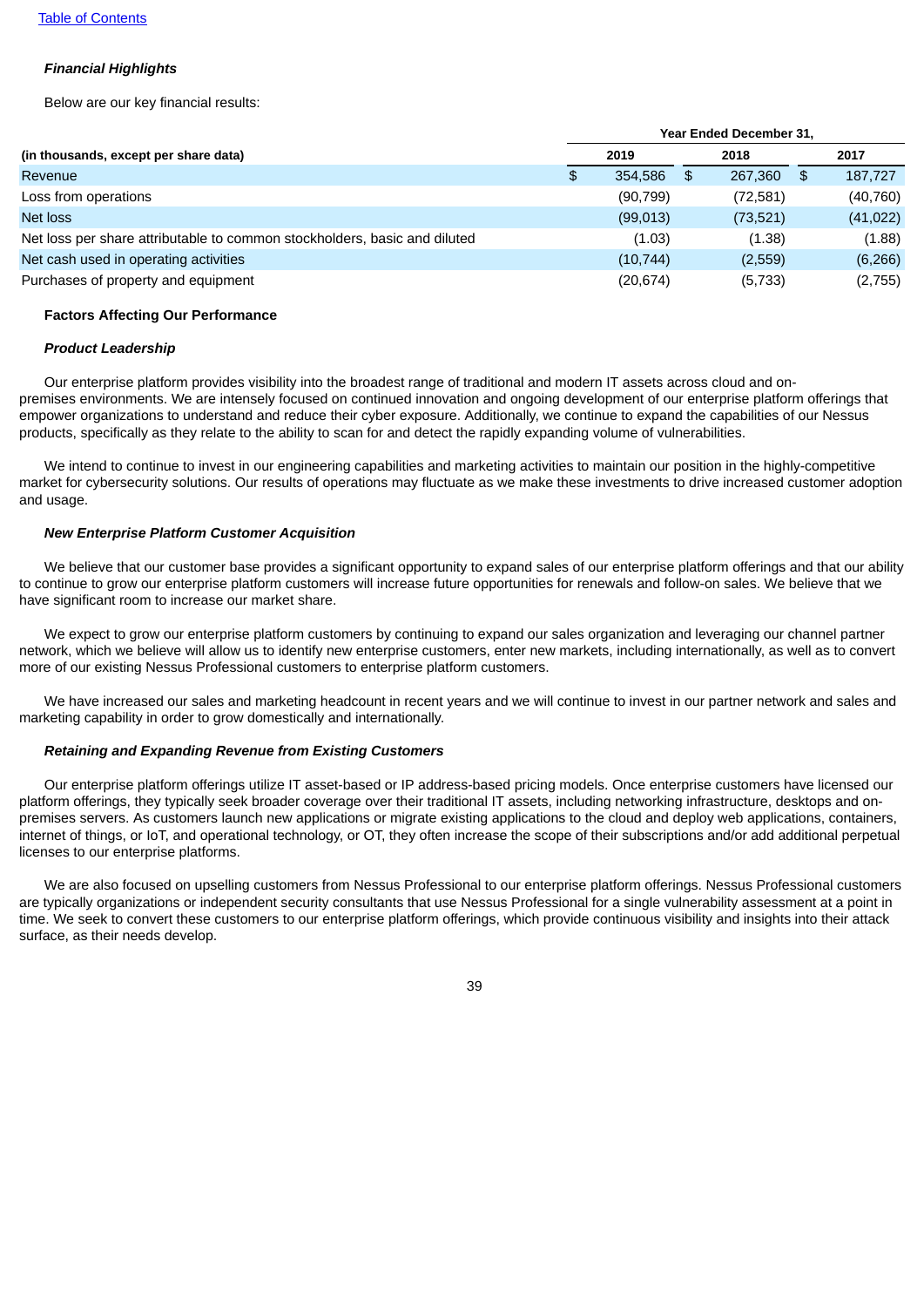# *Financial Highlights*

Below are our key financial results:

|                                                                           | <b>Year Ended December 31.</b> |           |      |          |    |           |  |  |  |
|---------------------------------------------------------------------------|--------------------------------|-----------|------|----------|----|-----------|--|--|--|
| (in thousands, except per share data)                                     |                                | 2019      |      | 2018     |    | 2017      |  |  |  |
| Revenue                                                                   | \$.                            | 354.586   | - SS | 267,360  | \$ | 187,727   |  |  |  |
| Loss from operations                                                      |                                | (90, 799) |      | (72,581) |    | (40, 760) |  |  |  |
| Net loss                                                                  |                                | (99,013)  |      | (73,521) |    | (41, 022) |  |  |  |
| Net loss per share attributable to common stockholders, basic and diluted |                                | (1.03)    |      | (1.38)   |    | (1.88)    |  |  |  |
| Net cash used in operating activities                                     |                                | (10, 744) |      | (2,559)  |    | (6, 266)  |  |  |  |
| Purchases of property and equipment                                       |                                | (20, 674) |      | (5,733)  |    | (2,755)   |  |  |  |

## **Factors Affecting Our Performance**

### *Product Leadership*

Our enterprise platform provides visibility into the broadest range of traditional and modern IT assets across cloud and onpremises environments. We are intensely focused on continued innovation and ongoing development of our enterprise platform offerings that empower organizations to understand and reduce their cyber exposure. Additionally, we continue to expand the capabilities of our Nessus products, specifically as they relate to the ability to scan for and detect the rapidly expanding volume of vulnerabilities.

We intend to continue to invest in our engineering capabilities and marketing activities to maintain our position in the highly-competitive market for cybersecurity solutions. Our results of operations may fluctuate as we make these investments to drive increased customer adoption and usage.

## *New Enterprise Platform Customer Acquisition*

We believe that our customer base provides a significant opportunity to expand sales of our enterprise platform offerings and that our ability to continue to grow our enterprise platform customers will increase future opportunities for renewals and follow-on sales. We believe that we have significant room to increase our market share.

We expect to grow our enterprise platform customers by continuing to expand our sales organization and leveraging our channel partner network, which we believe will allow us to identify new enterprise customers, enter new markets, including internationally, as well as to convert more of our existing Nessus Professional customers to enterprise platform customers.

We have increased our sales and marketing headcount in recent years and we will continue to invest in our partner network and sales and marketing capability in order to grow domestically and internationally.

#### *Retaining and Expanding Revenue from Existing Customers*

Our enterprise platform offerings utilize IT asset-based or IP address-based pricing models. Once enterprise customers have licensed our platform offerings, they typically seek broader coverage over their traditional IT assets, including networking infrastructure, desktops and onpremises servers. As customers launch new applications or migrate existing applications to the cloud and deploy web applications, containers, internet of things, or IoT, and operational technology, or OT, they often increase the scope of their subscriptions and/or add additional perpetual licenses to our enterprise platforms.

We are also focused on upselling customers from Nessus Professional to our enterprise platform offerings. Nessus Professional customers are typically organizations or independent security consultants that use Nessus Professional for a single vulnerability assessment at a point in time. We seek to convert these customers to our enterprise platform offerings, which provide continuous visibility and insights into their attack surface, as their needs develop.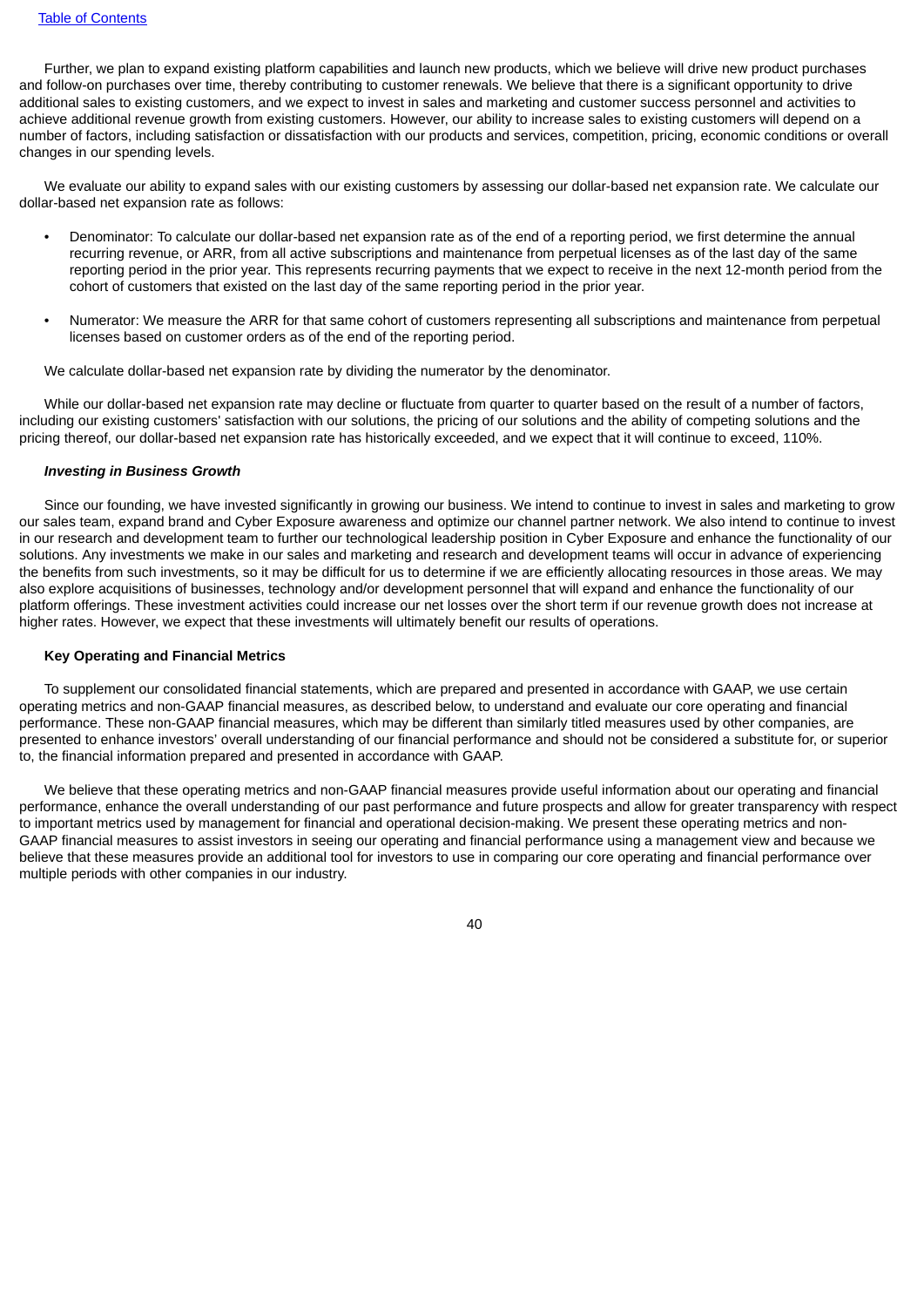Further, we plan to expand existing platform capabilities and launch new products, which we believe will drive new product purchases and follow-on purchases over time, thereby contributing to customer renewals. We believe that there is a significant opportunity to drive additional sales to existing customers, and we expect to invest in sales and marketing and customer success personnel and activities to achieve additional revenue growth from existing customers. However, our ability to increase sales to existing customers will depend on a number of factors, including satisfaction or dissatisfaction with our products and services, competition, pricing, economic conditions or overall changes in our spending levels.

We evaluate our ability to expand sales with our existing customers by assessing our dollar-based net expansion rate. We calculate our dollar-based net expansion rate as follows:

- Denominator: To calculate our dollar-based net expansion rate as of the end of a reporting period, we first determine the annual recurring revenue, or ARR, from all active subscriptions and maintenance from perpetual licenses as of the last day of the same reporting period in the prior year. This represents recurring payments that we expect to receive in the next 12-month period from the cohort of customers that existed on the last day of the same reporting period in the prior year.
- Numerator: We measure the ARR for that same cohort of customers representing all subscriptions and maintenance from perpetual licenses based on customer orders as of the end of the reporting period.

We calculate dollar-based net expansion rate by dividing the numerator by the denominator.

While our dollar-based net expansion rate may decline or fluctuate from quarter to quarter based on the result of a number of factors, including our existing customers' satisfaction with our solutions, the pricing of our solutions and the ability of competing solutions and the pricing thereof, our dollar-based net expansion rate has historically exceeded, and we expect that it will continue to exceed, 110%.

#### *Investing in Business Growth*

Since our founding, we have invested significantly in growing our business. We intend to continue to invest in sales and marketing to grow our sales team, expand brand and Cyber Exposure awareness and optimize our channel partner network. We also intend to continue to invest in our research and development team to further our technological leadership position in Cyber Exposure and enhance the functionality of our solutions. Any investments we make in our sales and marketing and research and development teams will occur in advance of experiencing the benefits from such investments, so it may be difficult for us to determine if we are efficiently allocating resources in those areas. We may also explore acquisitions of businesses, technology and/or development personnel that will expand and enhance the functionality of our platform offerings. These investment activities could increase our net losses over the short term if our revenue growth does not increase at higher rates. However, we expect that these investments will ultimately benefit our results of operations.

# **Key Operating and Financial Metrics**

To supplement our consolidated financial statements, which are prepared and presented in accordance with GAAP, we use certain operating metrics and non-GAAP financial measures, as described below, to understand and evaluate our core operating and financial performance. These non-GAAP financial measures, which may be different than similarly titled measures used by other companies, are presented to enhance investors' overall understanding of our financial performance and should not be considered a substitute for, or superior to, the financial information prepared and presented in accordance with GAAP.

We believe that these operating metrics and non-GAAP financial measures provide useful information about our operating and financial performance, enhance the overall understanding of our past performance and future prospects and allow for greater transparency with respect to important metrics used by management for financial and operational decision-making. We present these operating metrics and non-GAAP financial measures to assist investors in seeing our operating and financial performance using a management view and because we believe that these measures provide an additional tool for investors to use in comparing our core operating and financial performance over multiple periods with other companies in our industry.

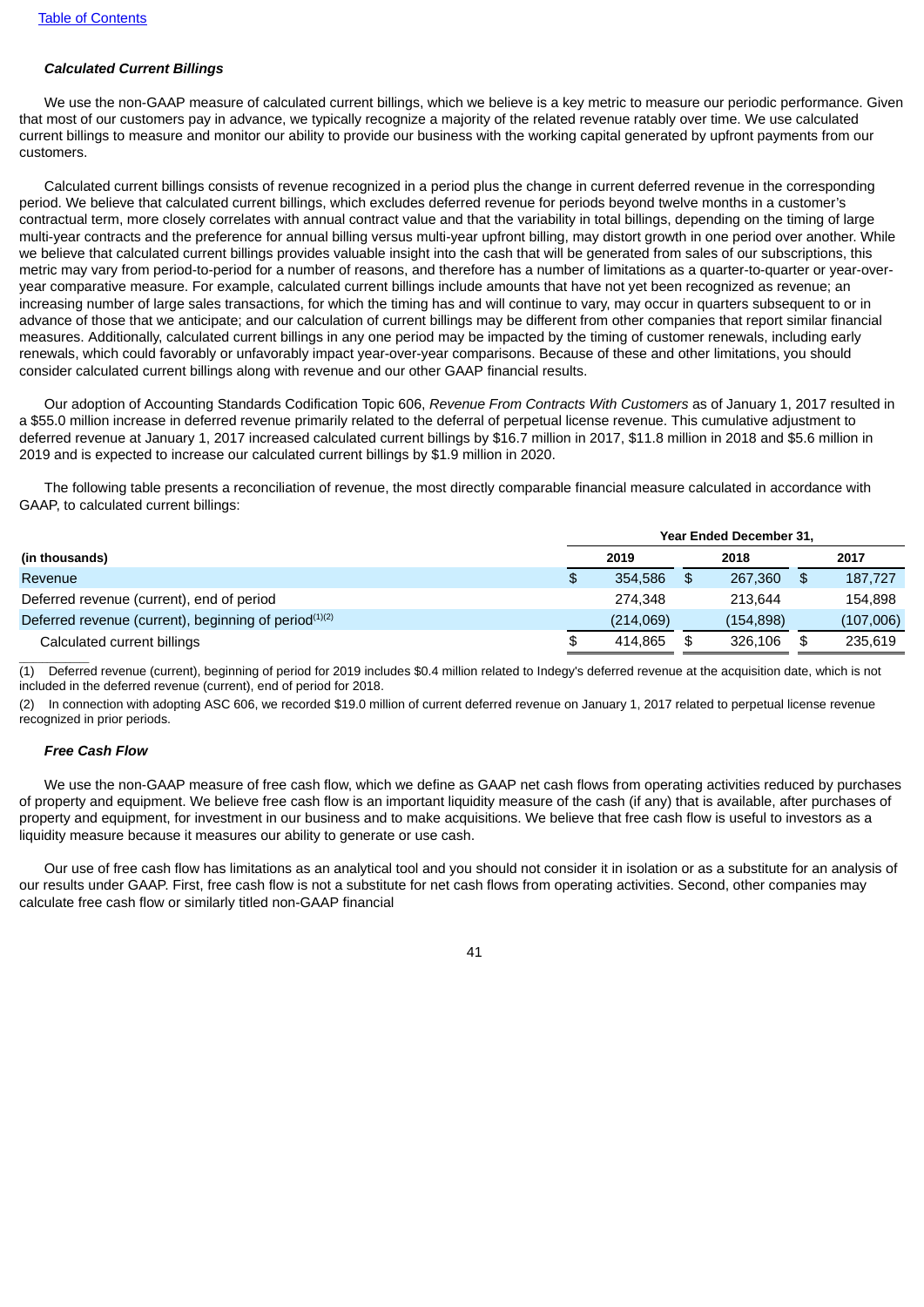## *Calculated Current Billings*

We use the non-GAAP measure of calculated current billings, which we believe is a key metric to measure our periodic performance. Given that most of our customers pay in advance, we typically recognize a majority of the related revenue ratably over time. We use calculated current billings to measure and monitor our ability to provide our business with the working capital generated by upfront payments from our customers.

Calculated current billings consists of revenue recognized in a period plus the change in current deferred revenue in the corresponding period. We believe that calculated current billings, which excludes deferred revenue for periods beyond twelve months in a customer's contractual term, more closely correlates with annual contract value and that the variability in total billings, depending on the timing of large multi-year contracts and the preference for annual billing versus multi-year upfront billing, may distort growth in one period over another. While we believe that calculated current billings provides valuable insight into the cash that will be generated from sales of our subscriptions, this metric may vary from period-to-period for a number of reasons, and therefore has a number of limitations as a quarter-to-quarter or year-overyear comparative measure. For example, calculated current billings include amounts that have not yet been recognized as revenue; an increasing number of large sales transactions, for which the timing has and will continue to vary, may occur in quarters subsequent to or in advance of those that we anticipate; and our calculation of current billings may be different from other companies that report similar financial measures. Additionally, calculated current billings in any one period may be impacted by the timing of customer renewals, including early renewals, which could favorably or unfavorably impact year-over-year comparisons. Because of these and other limitations, you should consider calculated current billings along with revenue and our other GAAP financial results.

Our adoption of Accounting Standards Codification Topic 606, *Revenue From Contracts With Customers* as of January 1, 2017 resulted in a \$55.0 million increase in deferred revenue primarily related to the deferral of perpetual license revenue. This cumulative adjustment to deferred revenue at January 1, 2017 increased calculated current billings by \$16.7 million in 2017, \$11.8 million in 2018 and \$5.6 million in 2019 and is expected to increase our calculated current billings by \$1.9 million in 2020.

The following table presents a reconciliation of revenue, the most directly comparable financial measure calculated in accordance with GAAP, to calculated current billings:

|                                                                   | Year Ended December 31, |           |  |            |    |           |  |  |  |
|-------------------------------------------------------------------|-------------------------|-----------|--|------------|----|-----------|--|--|--|
| (in thousands)                                                    |                         | 2019      |  | 2018       |    | 2017      |  |  |  |
| Revenue                                                           |                         | 354.586   |  | 267.360    | \$ | 187,727   |  |  |  |
| Deferred revenue (current), end of period                         |                         | 274.348   |  | 213.644    |    | 154.898   |  |  |  |
| Deferred revenue (current), beginning of period <sup>(1)(2)</sup> |                         | (214,069) |  | (154, 898) |    | (107,006) |  |  |  |
| Calculated current billings                                       |                         | 414.865   |  | 326,106    | \$ | 235,619   |  |  |  |

\_\_\_\_\_\_\_\_\_\_\_\_\_\_\_ (1) Deferred revenue (current), beginning of period for 2019 includes \$0.4 million related to Indegy's deferred revenue at the acquisition date, which is not included in the deferred revenue (current), end of period for 2018.

(2) In connection with adopting ASC 606, we recorded \$19.0 million of current deferred revenue on January 1, 2017 related to perpetual license revenue recognized in prior periods.

#### *Free Cash Flow*

We use the non-GAAP measure of free cash flow, which we define as GAAP net cash flows from operating activities reduced by purchases of property and equipment. We believe free cash flow is an important liquidity measure of the cash (if any) that is available, after purchases of property and equipment, for investment in our business and to make acquisitions. We believe that free cash flow is useful to investors as a liquidity measure because it measures our ability to generate or use cash.

Our use of free cash flow has limitations as an analytical tool and you should not consider it in isolation or as a substitute for an analysis of our results under GAAP. First, free cash flow is not a substitute for net cash flows from operating activities. Second, other companies may calculate free cash flow or similarly titled non-GAAP financial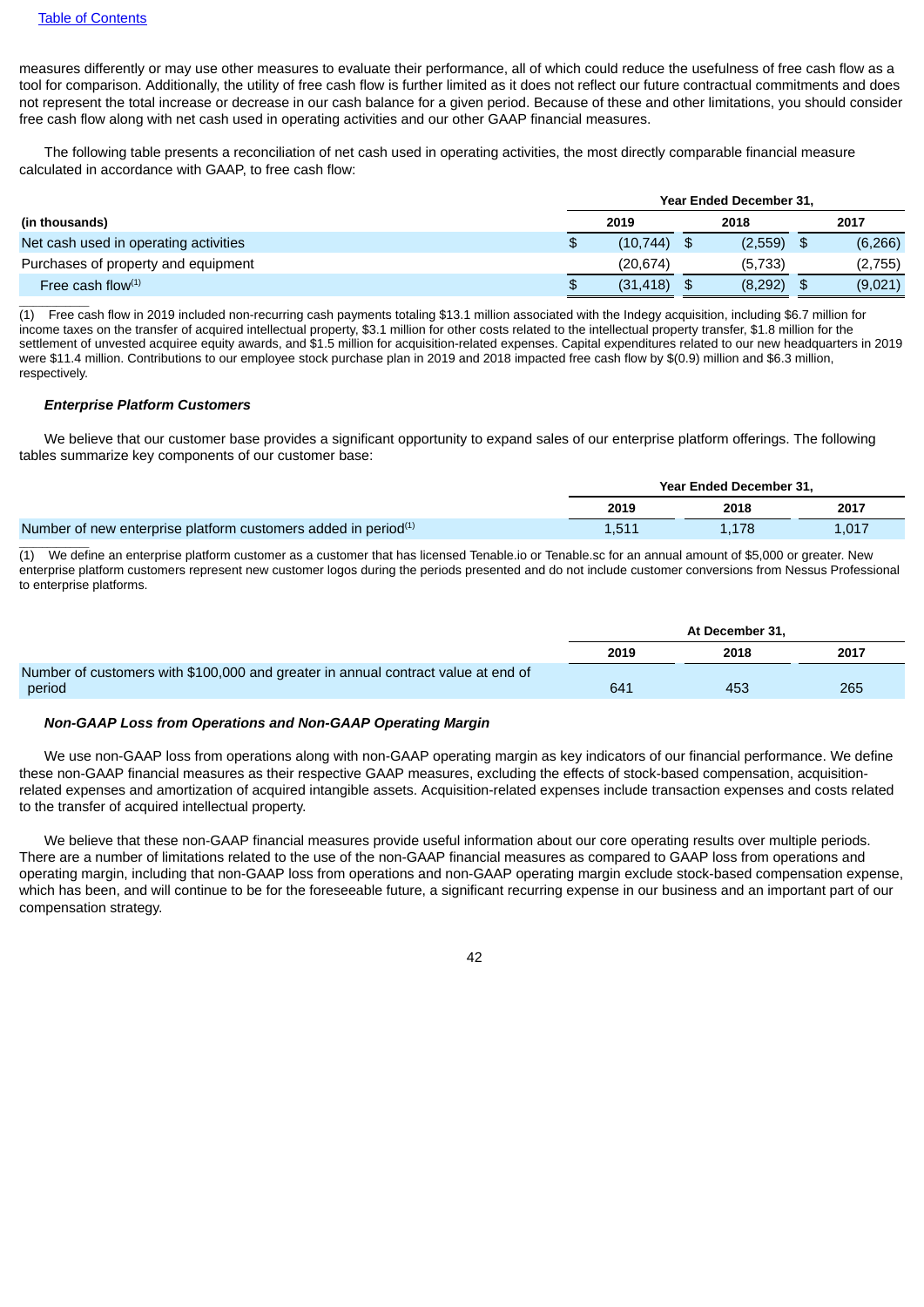measures differently or may use other measures to evaluate their performance, all of which could reduce the usefulness of free cash flow as a tool for comparison. Additionally, the utility of free cash flow is further limited as it does not reflect our future contractual commitments and does not represent the total increase or decrease in our cash balance for a given period. Because of these and other limitations, you should consider free cash flow along with net cash used in operating activities and our other GAAP financial measures.

The following table presents a reconciliation of net cash used in operating activities, the most directly comparable financial measure calculated in accordance with GAAP, to free cash flow:

|                                       | Year Ended December 31, |  |          |  |          |  |  |  |
|---------------------------------------|-------------------------|--|----------|--|----------|--|--|--|
| (in thousands)                        | 2019                    |  | 2018     |  | 2017     |  |  |  |
| Net cash used in operating activities | (10, 744)               |  | (2,559)  |  | (6, 266) |  |  |  |
| Purchases of property and equipment   | (20, 674)               |  | (5,733)  |  | (2,755)  |  |  |  |
| Free cash flow $(1)$                  | (31, 418)               |  | (8, 292) |  | (9,021)  |  |  |  |

\_\_\_\_\_\_\_\_\_\_\_\_\_\_\_ (1) Free cash flow in 2019 included non-recurring cash payments totaling \$13.1 million associated with the Indegy acquisition, including \$6.7 million for income taxes on the transfer of acquired intellectual property, \$3.1 million for other costs related to the intellectual property transfer, \$1.8 million for the settlement of unvested acquiree equity awards, and \$1.5 million for acquisition-related expenses. Capital expenditures related to our new headquarters in 2019 were \$11.4 million. Contributions to our employee stock purchase plan in 2019 and 2018 impacted free cash flow by \$(0.9) million and \$6.3 million, respectively.

### *Enterprise Platform Customers*

We believe that our customer base provides a significant opportunity to expand sales of our enterprise platform offerings. The following tables summarize key components of our customer base:

|                                                                   |       | Year Ended December 31, |       |  |  |  |  |
|-------------------------------------------------------------------|-------|-------------------------|-------|--|--|--|--|
|                                                                   | 2019  | 2018                    | 2017  |  |  |  |  |
| Number of new enterprise platform customers added in period $(1)$ | 1.511 | 1.178                   | 1.017 |  |  |  |  |

\_\_\_\_\_\_\_\_\_\_\_\_\_\_\_ (1) We define an enterprise platform customer as a customer that has licensed Tenable.io or Tenable.sc for an annual amount of \$5,000 or greater. New enterprise platform customers represent new customer logos during the periods presented and do not include customer conversions from Nessus Professional to enterprise platforms.

|                                                                                   | At December 31. |      |      |  |  |  |  |
|-----------------------------------------------------------------------------------|-----------------|------|------|--|--|--|--|
|                                                                                   | 2019            | 2018 | 2017 |  |  |  |  |
| Number of customers with \$100,000 and greater in annual contract value at end of |                 |      |      |  |  |  |  |
| period                                                                            | 641             | 453  | 265  |  |  |  |  |

# *Non-GAAP Loss from Operations and Non-GAAP Operating Margin*

We use non-GAAP loss from operations along with non-GAAP operating margin as key indicators of our financial performance. We define these non-GAAP financial measures as their respective GAAP measures, excluding the effects of stock-based compensation, acquisitionrelated expenses and amortization of acquired intangible assets. Acquisition-related expenses include transaction expenses and costs related to the transfer of acquired intellectual property.

We believe that these non-GAAP financial measures provide useful information about our core operating results over multiple periods. There are a number of limitations related to the use of the non-GAAP financial measures as compared to GAAP loss from operations and operating margin, including that non-GAAP loss from operations and non-GAAP operating margin exclude stock-based compensation expense, which has been, and will continue to be for the foreseeable future, a significant recurring expense in our business and an important part of our compensation strategy.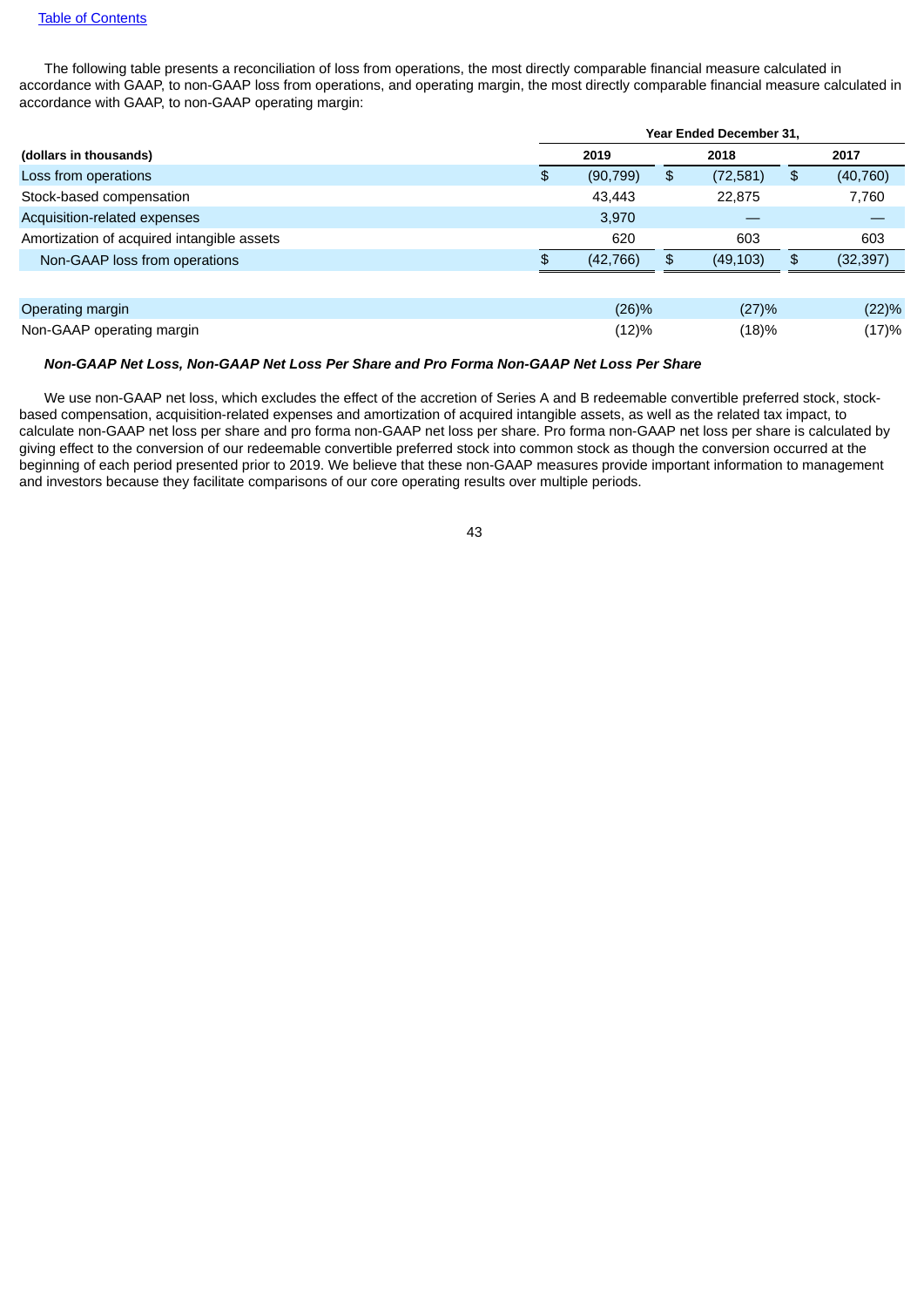The following table presents a reconciliation of loss from operations, the most directly comparable financial measure calculated in accordance with GAAP, to non-GAAP loss from operations, and operating margin, the most directly comparable financial measure calculated in accordance with GAAP, to non-GAAP operating margin:

| (dollars in thousands)                     |    | 2019      | 2018            |     | 2017      |
|--------------------------------------------|----|-----------|-----------------|-----|-----------|
| Loss from operations                       | \$ | (90, 799) | \$<br>(72, 581) | \$  | (40, 760) |
| Stock-based compensation                   |    | 43.443    | 22,875          |     | 7,760     |
| Acquisition-related expenses               |    | 3,970     |                 |     |           |
| Amortization of acquired intangible assets |    | 620       | 603             |     | 603       |
| Non-GAAP loss from operations              | \$ | (42,766)  | \$<br>(49, 103) | \$. | (32, 397) |
|                                            |    |           |                 |     |           |
| Operating margin                           |    | (26)%     | (27)%           |     | (22)%     |
| Non-GAAP operating margin                  |    | (12)%     | (18)%           |     | (17)%     |

# *Non-GAAP Net Loss, Non-GAAP Net Loss Per Share and Pro Forma Non-GAAP Net Loss Per Share*

We use non-GAAP net loss, which excludes the effect of the accretion of Series A and B redeemable convertible preferred stock, stockbased compensation, acquisition-related expenses and amortization of acquired intangible assets, as well as the related tax impact, to calculate non-GAAP net loss per share and pro forma non-GAAP net loss per share. Pro forma non-GAAP net loss per share is calculated by giving effect to the conversion of our redeemable convertible preferred stock into common stock as though the conversion occurred at the beginning of each period presented prior to 2019. We believe that these non-GAAP measures provide important information to management and investors because they facilitate comparisons of our core operating results over multiple periods.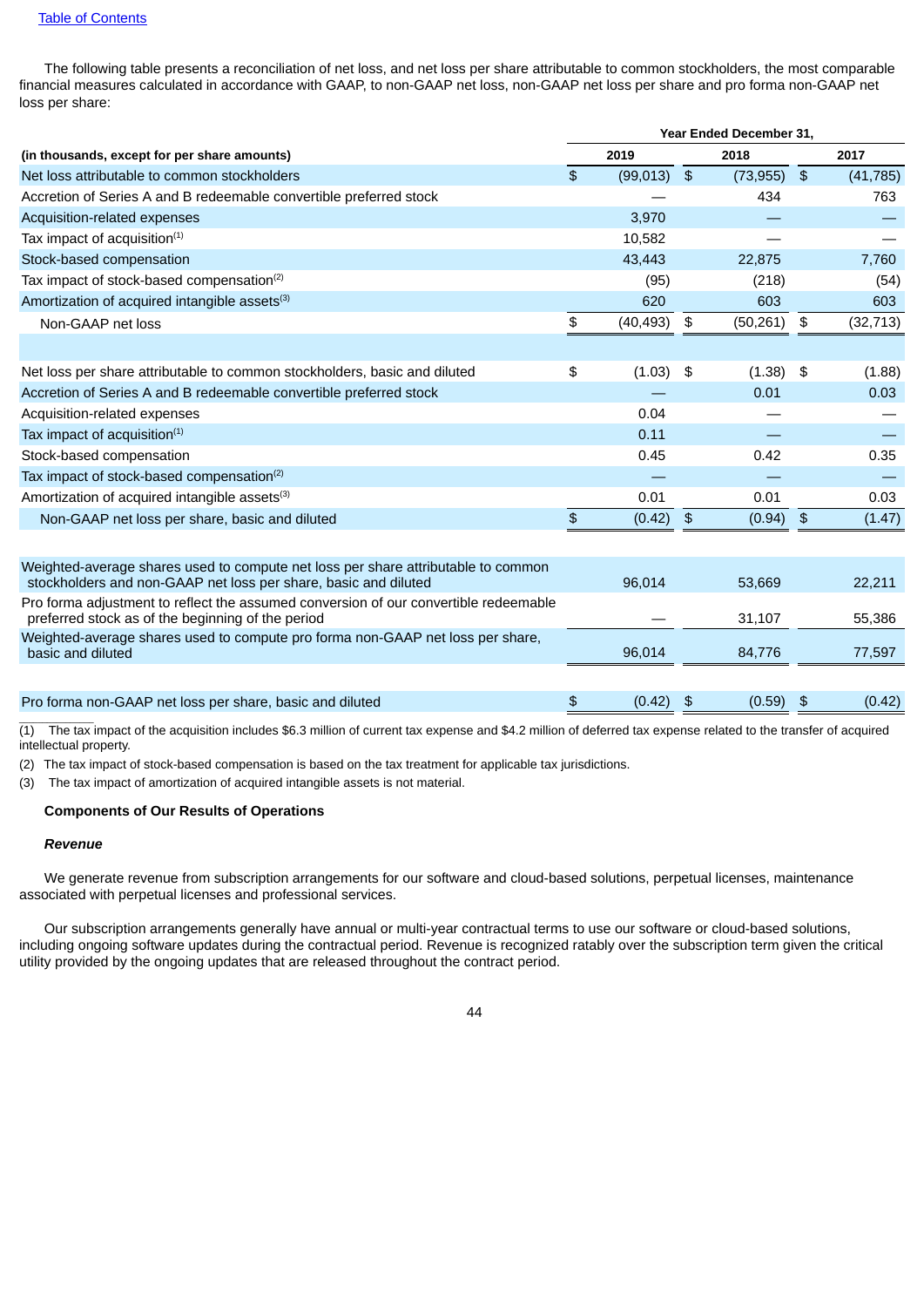## Table of [Contents](#page-1-0)

The following table presents a reconciliation of net loss, and net loss per share attributable to common stockholders, the most comparable financial measures calculated in accordance with GAAP, to non-GAAP net loss, non-GAAP net loss per share and pro forma non-GAAP net loss per share:

|                                                                                                                                                      | Year Ended December 31, |           |               |           |               |           |  |  |
|------------------------------------------------------------------------------------------------------------------------------------------------------|-------------------------|-----------|---------------|-----------|---------------|-----------|--|--|
| (in thousands, except for per share amounts)                                                                                                         |                         | 2019      |               | 2018      |               | 2017      |  |  |
| Net loss attributable to common stockholders                                                                                                         | \$                      | (99, 013) | $\frac{2}{3}$ | (73, 955) | $\frac{1}{2}$ | (41, 785) |  |  |
| Accretion of Series A and B redeemable convertible preferred stock                                                                                   |                         |           |               | 434       |               | 763       |  |  |
| Acquisition-related expenses                                                                                                                         |                         | 3,970     |               |           |               |           |  |  |
| Tax impact of acquisition <sup>(1)</sup>                                                                                                             |                         | 10,582    |               |           |               |           |  |  |
| Stock-based compensation                                                                                                                             |                         | 43,443    |               | 22,875    |               | 7,760     |  |  |
| Tax impact of stock-based compensation <sup>(2)</sup>                                                                                                |                         | (95)      |               | (218)     |               | (54)      |  |  |
| Amortization of acquired intangible assets <sup>(3)</sup>                                                                                            |                         | 620       |               | 603       |               | 603       |  |  |
| Non-GAAP net loss                                                                                                                                    | \$                      | (40, 493) | \$            | (50, 261) | \$            | (32, 713) |  |  |
|                                                                                                                                                      |                         |           |               |           |               |           |  |  |
| Net loss per share attributable to common stockholders, basic and diluted                                                                            | \$                      | (1.03)    | \$            | (1.38)    | \$            | (1.88)    |  |  |
| Accretion of Series A and B redeemable convertible preferred stock                                                                                   |                         |           |               | 0.01      |               | 0.03      |  |  |
| Acquisition-related expenses                                                                                                                         |                         | 0.04      |               |           |               |           |  |  |
| Tax impact of acquisition $(1)$                                                                                                                      |                         | 0.11      |               |           |               |           |  |  |
| Stock-based compensation                                                                                                                             |                         | 0.45      |               | 0.42      |               | 0.35      |  |  |
| Tax impact of stock-based compensation <sup>(2)</sup>                                                                                                |                         |           |               |           |               |           |  |  |
| Amortization of acquired intangible assets <sup>(3)</sup>                                                                                            |                         | 0.01      |               | 0.01      |               | 0.03      |  |  |
| Non-GAAP net loss per share, basic and diluted                                                                                                       | \$                      | (0.42)    | \$            | (0.94)    | \$            | (1.47)    |  |  |
|                                                                                                                                                      |                         |           |               |           |               |           |  |  |
| Weighted-average shares used to compute net loss per share attributable to common<br>stockholders and non-GAAP net loss per share, basic and diluted |                         | 96,014    |               | 53,669    |               | 22,211    |  |  |
| Pro forma adjustment to reflect the assumed conversion of our convertible redeemable<br>preferred stock as of the beginning of the period            |                         |           |               | 31,107    |               | 55,386    |  |  |
| Weighted-average shares used to compute pro forma non-GAAP net loss per share,<br>basic and diluted                                                  |                         | 96,014    |               | 84,776    |               | 77,597    |  |  |
|                                                                                                                                                      |                         |           |               |           |               |           |  |  |
| Pro forma non-GAAP net loss per share, basic and diluted                                                                                             | \$                      | (0.42)    | \$            | (0.59)    | \$            | (0.42)    |  |  |

 $(1)$  The tax impact of the acquisition includes \$6.3 million of current tax expense and \$4.2 million of deferred tax expense related to the transfer of acquired intellectual property.

(2) The tax impact of stock-based compensation is based on the tax treatment for applicable tax jurisdictions.

(3) The tax impact of amortization of acquired intangible assets is not material.

# **Components of Our Results of Operations**

#### *Revenue*

We generate revenue from subscription arrangements for our software and cloud-based solutions, perpetual licenses, maintenance associated with perpetual licenses and professional services.

Our subscription arrangements generally have annual or multi-year contractual terms to use our software or cloud-based solutions, including ongoing software updates during the contractual period. Revenue is recognized ratably over the subscription term given the critical utility provided by the ongoing updates that are released throughout the contract period.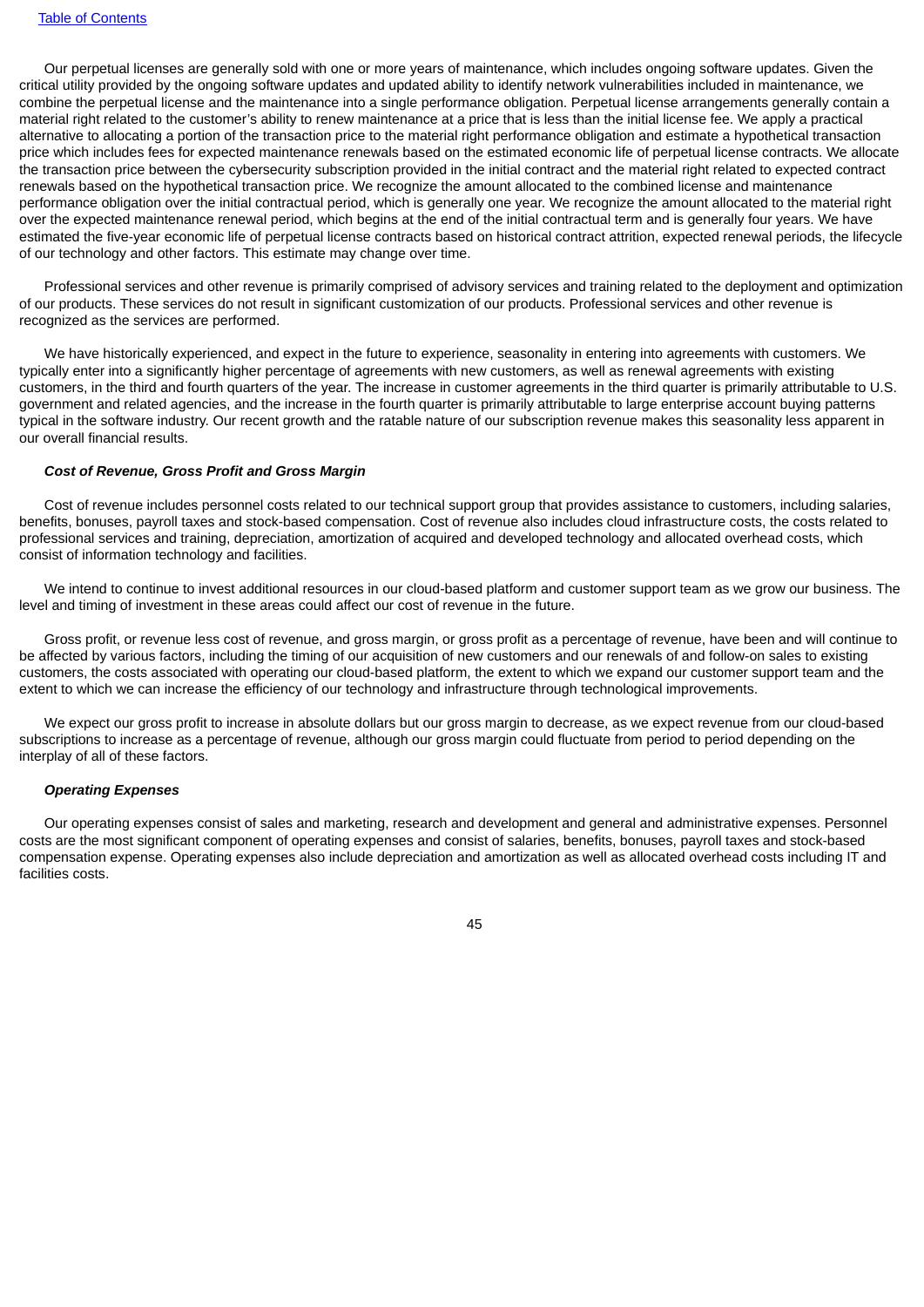Our perpetual licenses are generally sold with one or more years of maintenance, which includes ongoing software updates. Given the critical utility provided by the ongoing software updates and updated ability to identify network vulnerabilities included in maintenance, we combine the perpetual license and the maintenance into a single performance obligation. Perpetual license arrangements generally contain a material right related to the customer's ability to renew maintenance at a price that is less than the initial license fee. We apply a practical alternative to allocating a portion of the transaction price to the material right performance obligation and estimate a hypothetical transaction price which includes fees for expected maintenance renewals based on the estimated economic life of perpetual license contracts. We allocate the transaction price between the cybersecurity subscription provided in the initial contract and the material right related to expected contract renewals based on the hypothetical transaction price. We recognize the amount allocated to the combined license and maintenance performance obligation over the initial contractual period, which is generally one year. We recognize the amount allocated to the material right over the expected maintenance renewal period, which begins at the end of the initial contractual term and is generally four years. We have estimated the five-year economic life of perpetual license contracts based on historical contract attrition, expected renewal periods, the lifecycle of our technology and other factors. This estimate may change over time.

Professional services and other revenue is primarily comprised of advisory services and training related to the deployment and optimization of our products. These services do not result in significant customization of our products. Professional services and other revenue is recognized as the services are performed.

We have historically experienced, and expect in the future to experience, seasonality in entering into agreements with customers. We typically enter into a significantly higher percentage of agreements with new customers, as well as renewal agreements with existing customers, in the third and fourth quarters of the year. The increase in customer agreements in the third quarter is primarily attributable to U.S. government and related agencies, and the increase in the fourth quarter is primarily attributable to large enterprise account buying patterns typical in the software industry. Our recent growth and the ratable nature of our subscription revenue makes this seasonality less apparent in our overall financial results.

# *Cost of Revenue, Gross Profit and Gross Margin*

Cost of revenue includes personnel costs related to our technical support group that provides assistance to customers, including salaries, benefits, bonuses, payroll taxes and stock-based compensation. Cost of revenue also includes cloud infrastructure costs, the costs related to professional services and training, depreciation, amortization of acquired and developed technology and allocated overhead costs, which consist of information technology and facilities.

We intend to continue to invest additional resources in our cloud-based platform and customer support team as we grow our business. The level and timing of investment in these areas could affect our cost of revenue in the future.

Gross profit, or revenue less cost of revenue, and gross margin, or gross profit as a percentage of revenue, have been and will continue to be affected by various factors, including the timing of our acquisition of new customers and our renewals of and follow-on sales to existing customers, the costs associated with operating our cloud-based platform, the extent to which we expand our customer support team and the extent to which we can increase the efficiency of our technology and infrastructure through technological improvements.

We expect our gross profit to increase in absolute dollars but our gross margin to decrease, as we expect revenue from our cloud-based subscriptions to increase as a percentage of revenue, although our gross margin could fluctuate from period to period depending on the interplay of all of these factors.

## *Operating Expenses*

Our operating expenses consist of sales and marketing, research and development and general and administrative expenses. Personnel costs are the most significant component of operating expenses and consist of salaries, benefits, bonuses, payroll taxes and stock-based compensation expense. Operating expenses also include depreciation and amortization as well as allocated overhead costs including IT and facilities costs.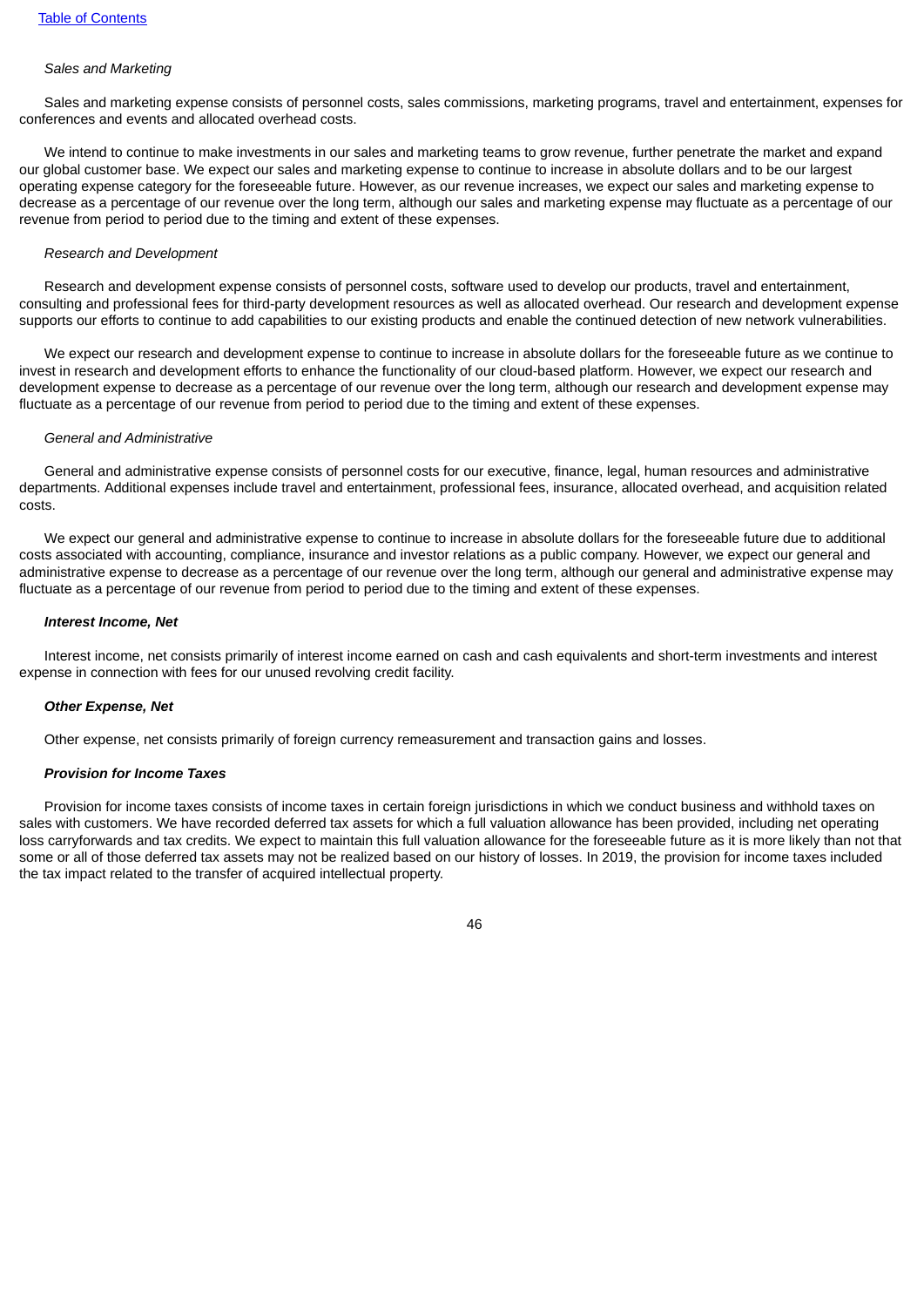#### *Sales and Marketing*

Sales and marketing expense consists of personnel costs, sales commissions, marketing programs, travel and entertainment, expenses for conferences and events and allocated overhead costs.

We intend to continue to make investments in our sales and marketing teams to grow revenue, further penetrate the market and expand our global customer base. We expect our sales and marketing expense to continue to increase in absolute dollars and to be our largest operating expense category for the foreseeable future. However, as our revenue increases, we expect our sales and marketing expense to decrease as a percentage of our revenue over the long term, although our sales and marketing expense may fluctuate as a percentage of our revenue from period to period due to the timing and extent of these expenses.

#### *Research and Development*

Research and development expense consists of personnel costs, software used to develop our products, travel and entertainment, consulting and professional fees for third-party development resources as well as allocated overhead. Our research and development expense supports our efforts to continue to add capabilities to our existing products and enable the continued detection of new network vulnerabilities.

We expect our research and development expense to continue to increase in absolute dollars for the foreseeable future as we continue to invest in research and development efforts to enhance the functionality of our cloud-based platform. However, we expect our research and development expense to decrease as a percentage of our revenue over the long term, although our research and development expense may fluctuate as a percentage of our revenue from period to period due to the timing and extent of these expenses.

### *General and Administrative*

General and administrative expense consists of personnel costs for our executive, finance, legal, human resources and administrative departments. Additional expenses include travel and entertainment, professional fees, insurance, allocated overhead, and acquisition related costs.

We expect our general and administrative expense to continue to increase in absolute dollars for the foreseeable future due to additional costs associated with accounting, compliance, insurance and investor relations as a public company. However, we expect our general and administrative expense to decrease as a percentage of our revenue over the long term, although our general and administrative expense may fluctuate as a percentage of our revenue from period to period due to the timing and extent of these expenses.

#### *Interest Income, Net*

Interest income, net consists primarily of interest income earned on cash and cash equivalents and short-term investments and interest expense in connection with fees for our unused revolving credit facility.

# *Other Expense, Net*

Other expense, net consists primarily of foreign currency remeasurement and transaction gains and losses.

### *Provision for Income Taxes*

Provision for income taxes consists of income taxes in certain foreign jurisdictions in which we conduct business and withhold taxes on sales with customers. We have recorded deferred tax assets for which a full valuation allowance has been provided, including net operating loss carryforwards and tax credits. We expect to maintain this full valuation allowance for the foreseeable future as it is more likely than not that some or all of those deferred tax assets may not be realized based on our history of losses. In 2019, the provision for income taxes included the tax impact related to the transfer of acquired intellectual property.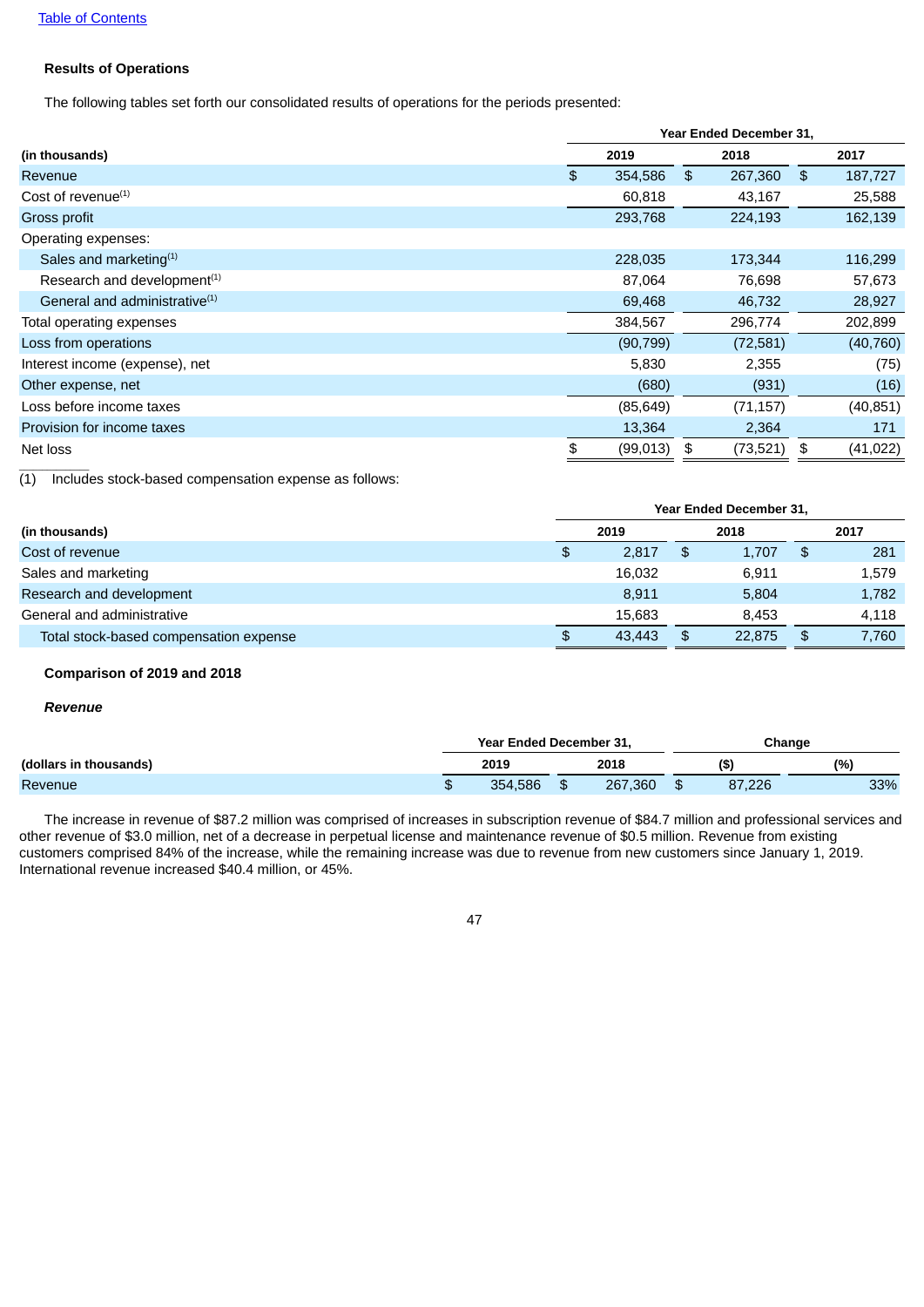# **Results of Operations**

The following tables set forth our consolidated results of operations for the periods presented:

|                                           | <b>Year Ended December 31,</b> |    |           |      |           |  |  |  |
|-------------------------------------------|--------------------------------|----|-----------|------|-----------|--|--|--|
| (in thousands)                            | 2019                           |    | 2018      | 2017 |           |  |  |  |
| Revenue                                   | \$<br>354,586                  | \$ | 267,360   | \$   | 187,727   |  |  |  |
| Cost of revenue $(1)$                     | 60,818                         |    | 43,167    |      | 25,588    |  |  |  |
| <b>Gross profit</b>                       | 293,768                        |    | 224,193   |      | 162,139   |  |  |  |
| Operating expenses:                       |                                |    |           |      |           |  |  |  |
| Sales and marketing $(1)$                 | 228,035                        |    | 173,344   |      | 116,299   |  |  |  |
| Research and development <sup>(1)</sup>   | 87,064                         |    | 76,698    |      | 57,673    |  |  |  |
| General and administrative <sup>(1)</sup> | 69,468                         |    | 46,732    |      | 28,927    |  |  |  |
| Total operating expenses                  | 384,567                        |    | 296,774   |      | 202,899   |  |  |  |
| Loss from operations                      | (90, 799)                      |    | (72, 581) |      | (40, 760) |  |  |  |
| Interest income (expense), net            | 5,830                          |    | 2,355     |      | (75)      |  |  |  |
| Other expense, net                        | (680)                          |    | (931)     |      | (16)      |  |  |  |
| Loss before income taxes                  | (85, 649)                      |    | (71, 157) |      | (40, 851) |  |  |  |
| Provision for income taxes                | 13,364                         |    | 2,364     |      | 171       |  |  |  |
| Net loss                                  | \$<br>(99, 013)                | \$ | (73,521)  | \$   | (41, 022) |  |  |  |

 $(1)$  Includes stock-based compensation expense as follows:

|                                        | <b>Year Ended December 31.</b> |        |    |        |      |       |  |  |  |
|----------------------------------------|--------------------------------|--------|----|--------|------|-------|--|--|--|
| (in thousands)                         |                                | 2019   |    | 2018   | 2017 |       |  |  |  |
| Cost of revenue                        | \$                             | 2.817  | \$ | 1.707  | \$   | 281   |  |  |  |
| Sales and marketing                    |                                | 16,032 |    | 6.911  |      | 1,579 |  |  |  |
| Research and development               |                                | 8.911  |    | 5.804  |      | 1,782 |  |  |  |
| General and administrative             |                                | 15.683 |    | 8.453  |      | 4,118 |  |  |  |
| Total stock-based compensation expense | \$                             | 43.443 | \$ | 22,875 | \$   | 7,760 |  |  |  |

## **Comparison of 2019 and 2018**

*Revenue*

|                        | Year Ended December 31, |         |    |         |    | Change |     |  |  |
|------------------------|-------------------------|---------|----|---------|----|--------|-----|--|--|
| (dollars in thousands) |                         | 2019    |    | 2018    |    |        | (%) |  |  |
| Revenue                | \$                      | 354.586 | \$ | 267,360 | \$ | 87.226 | 33% |  |  |

The increase in revenue of \$87.2 million was comprised of increases in subscription revenue of \$84.7 million and professional services and other revenue of \$3.0 million, net of a decrease in perpetual license and maintenance revenue of \$0.5 million. Revenue from existing customers comprised 84% of the increase, while the remaining increase was due to revenue from new customers since January 1, 2019. International revenue increased \$40.4 million, or 45%.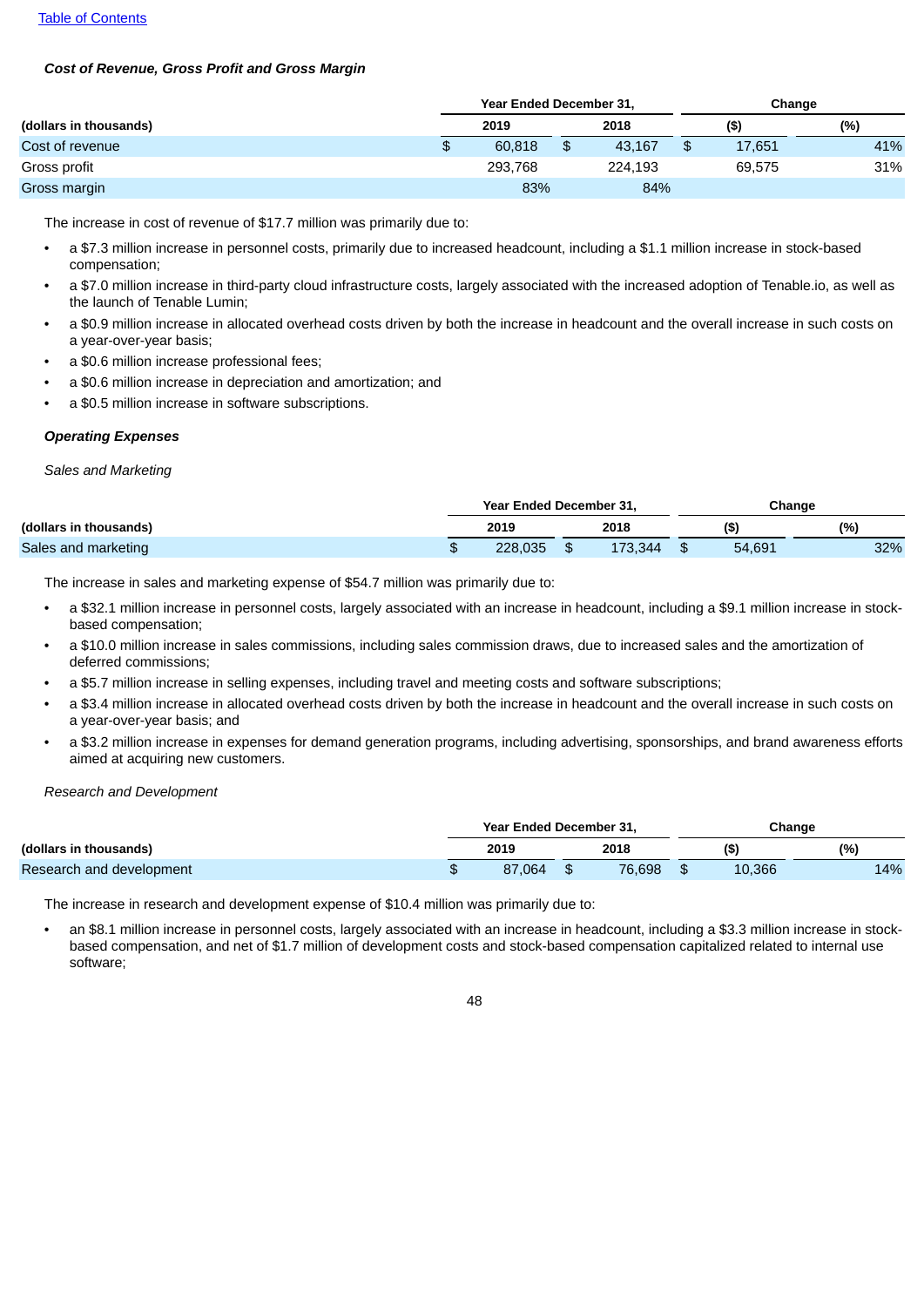# *Cost of Revenue, Gross Profit and Gross Margin*

|                        | Year Ended December 31, | Change       |              |     |
|------------------------|-------------------------|--------------|--------------|-----|
| (dollars in thousands) | 2019                    | 2018         | (\$)         | (%) |
| Cost of revenue        | 60.818                  | \$<br>43.167 | \$<br>17.651 | 41% |
| Gross profit           | 293,768                 | 224.193      | 69.575       | 31% |
| Gross margin           | 83%                     | 84%          |              |     |

The increase in cost of revenue of \$17.7 million was primarily due to:

- a \$7.3 million increase in personnel costs, primarily due to increased headcount, including a \$1.1 million increase in stock-based compensation;
- a \$7.0 million increase in third-party cloud infrastructure costs, largely associated with the increased adoption of Tenable.io, as well as the launch of Tenable Lumin;
- a \$0.9 million increase in allocated overhead costs driven by both the increase in headcount and the overall increase in such costs on a year-over-year basis;
- a \$0.6 million increase professional fees;
- a \$0.6 million increase in depreciation and amortization; and
- a \$0.5 million increase in software subscriptions.

# *Operating Expenses*

*Sales and Marketing*

|                        | <b>Year Ended December 31,</b> |              |  |            |  | Change |     |  |
|------------------------|--------------------------------|--------------|--|------------|--|--------|-----|--|
| (dollars in thousands) |                                | 2019         |  | 2018       |  | (\$    | (%) |  |
| Sales and marketing    |                                | $228.035$ \$ |  | 173.344 \$ |  | 54.691 | 32% |  |

The increase in sales and marketing expense of \$54.7 million was primarily due to:

- a \$32.1 million increase in personnel costs, largely associated with an increase in headcount, including a \$9.1 million increase in stockbased compensation;
- a \$10.0 million increase in sales commissions, including sales commission draws, due to increased sales and the amortization of deferred commissions;
- a \$5.7 million increase in selling expenses, including travel and meeting costs and software subscriptions;
- a \$3.4 million increase in allocated overhead costs driven by both the increase in headcount and the overall increase in such costs on a year-over-year basis; and
- a \$3.2 million increase in expenses for demand generation programs, including advertising, sponsorships, and brand awareness efforts aimed at acquiring new customers.

*Research and Development*

|                          | <b>Year Ended December 31.</b> |  |        |  | Change |     |  |
|--------------------------|--------------------------------|--|--------|--|--------|-----|--|
| (dollars in thousands)   | 2019                           |  | 2018   |  | (5)    | (%) |  |
| Research and development | 87.064                         |  | 76.698 |  | 10,366 | 14% |  |

The increase in research and development expense of \$10.4 million was primarily due to:

an \$8.1 million increase in personnel costs, largely associated with an increase in headcount, including a \$3.3 million increase in stockbased compensation, and net of \$1.7 million of development costs and stock-based compensation capitalized related to internal use software;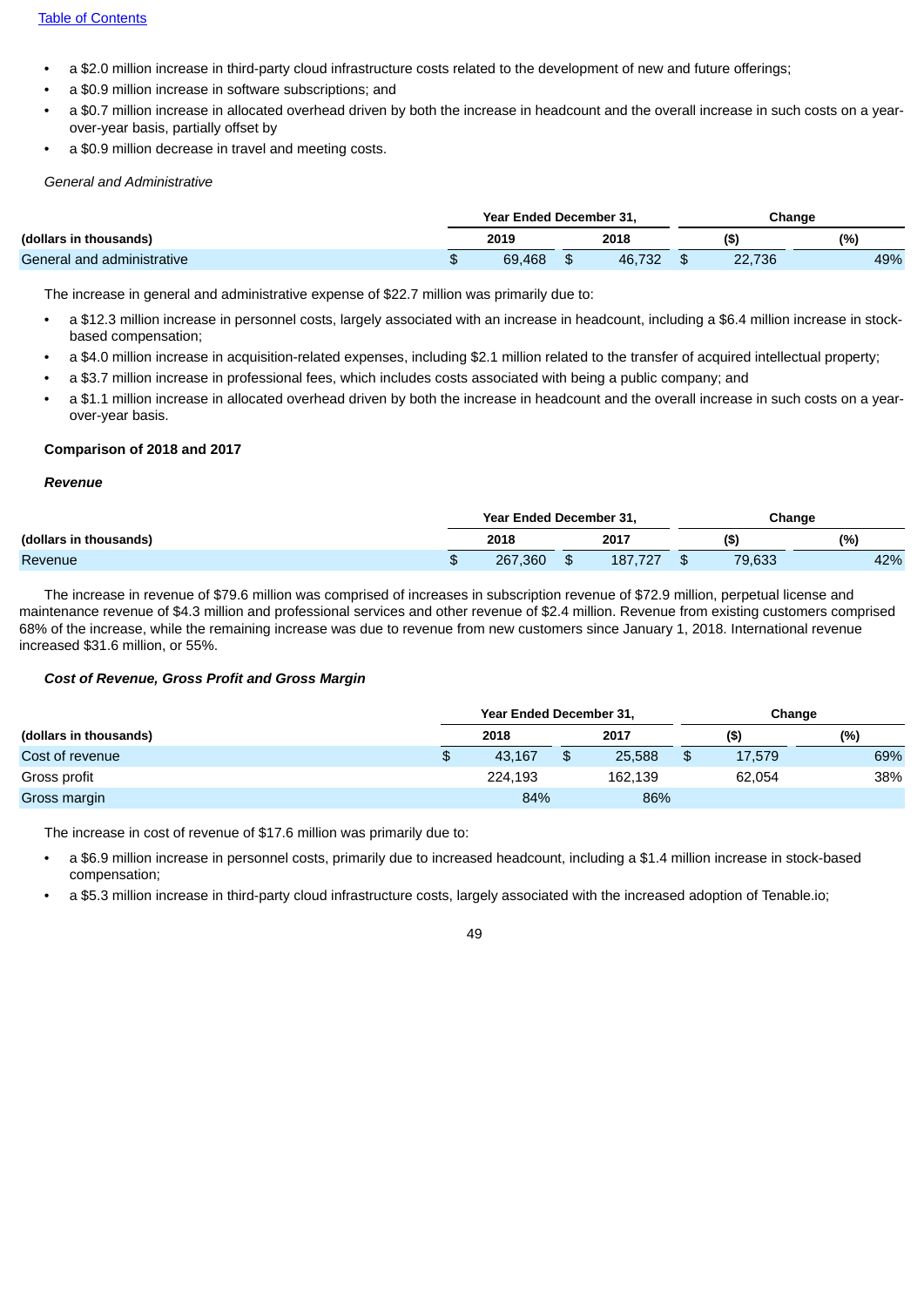- a \$2.0 million increase in third-party cloud infrastructure costs related to the development of new and future offerings;
- a \$0.9 million increase in software subscriptions; and
- a \$0.7 million increase in allocated overhead driven by both the increase in headcount and the overall increase in such costs on a yearover-year basis, partially offset by
- a \$0.9 million decrease in travel and meeting costs.

#### *General and Administrative*

|                            |      | <b>Year Ended December 31.</b> |      |        |  | Change |     |  |
|----------------------------|------|--------------------------------|------|--------|--|--------|-----|--|
| (dollars in thousands)     | 2019 |                                | 2018 |        |  |        | (%) |  |
| General and administrative |      | 69.468                         |      | 46.732 |  | 22.736 | 49% |  |

The increase in general and administrative expense of \$22.7 million was primarily due to:

- a \$12.3 million increase in personnel costs, largely associated with an increase in headcount, including a \$6.4 million increase in stockbased compensation;
- a \$4.0 million increase in acquisition-related expenses, including \$2.1 million related to the transfer of acquired intellectual property;
- a \$3.7 million increase in professional fees, which includes costs associated with being a public company; and
- a \$1.1 million increase in allocated overhead driven by both the increase in headcount and the overall increase in such costs on a yearover-year basis.

## **Comparison of 2018 and 2017**

## *Revenue*

|                        |      | <b>Year Ended December 31.</b> |              |         | Change |     |  |  |
|------------------------|------|--------------------------------|--------------|---------|--------|-----|--|--|
| (dollars in thousands) | 2018 |                                | 2017         |         | (\$`   | (%) |  |  |
| Revenue                | \$   | 267,360                        | $\mathbf{f}$ | 187,727 | 79,633 | 42% |  |  |

The increase in revenue of \$79.6 million was comprised of increases in subscription revenue of \$72.9 million, perpetual license and maintenance revenue of \$4.3 million and professional services and other revenue of \$2.4 million. Revenue from existing customers comprised 68% of the increase, while the remaining increase was due to revenue from new customers since January 1, 2018. International revenue increased \$31.6 million, or 55%.

#### *Cost of Revenue, Gross Profit and Gross Margin*

|                        | Year Ended December 31, | Change       |              |     |
|------------------------|-------------------------|--------------|--------------|-----|
| (dollars in thousands) | 2018                    | 2017         | (\$)         | (%) |
| Cost of revenue        | \$<br>43.167            | \$<br>25.588 | \$<br>17,579 | 69% |
| Gross profit           | 224.193                 | 162.139      | 62.054       | 38% |
| Gross margin           | 84%                     | 86%          |              |     |

The increase in cost of revenue of \$17.6 million was primarily due to:

- a \$6.9 million increase in personnel costs, primarily due to increased headcount, including a \$1.4 million increase in stock-based compensation;
- a \$5.3 million increase in third-party cloud infrastructure costs, largely associated with the increased adoption of Tenable.io;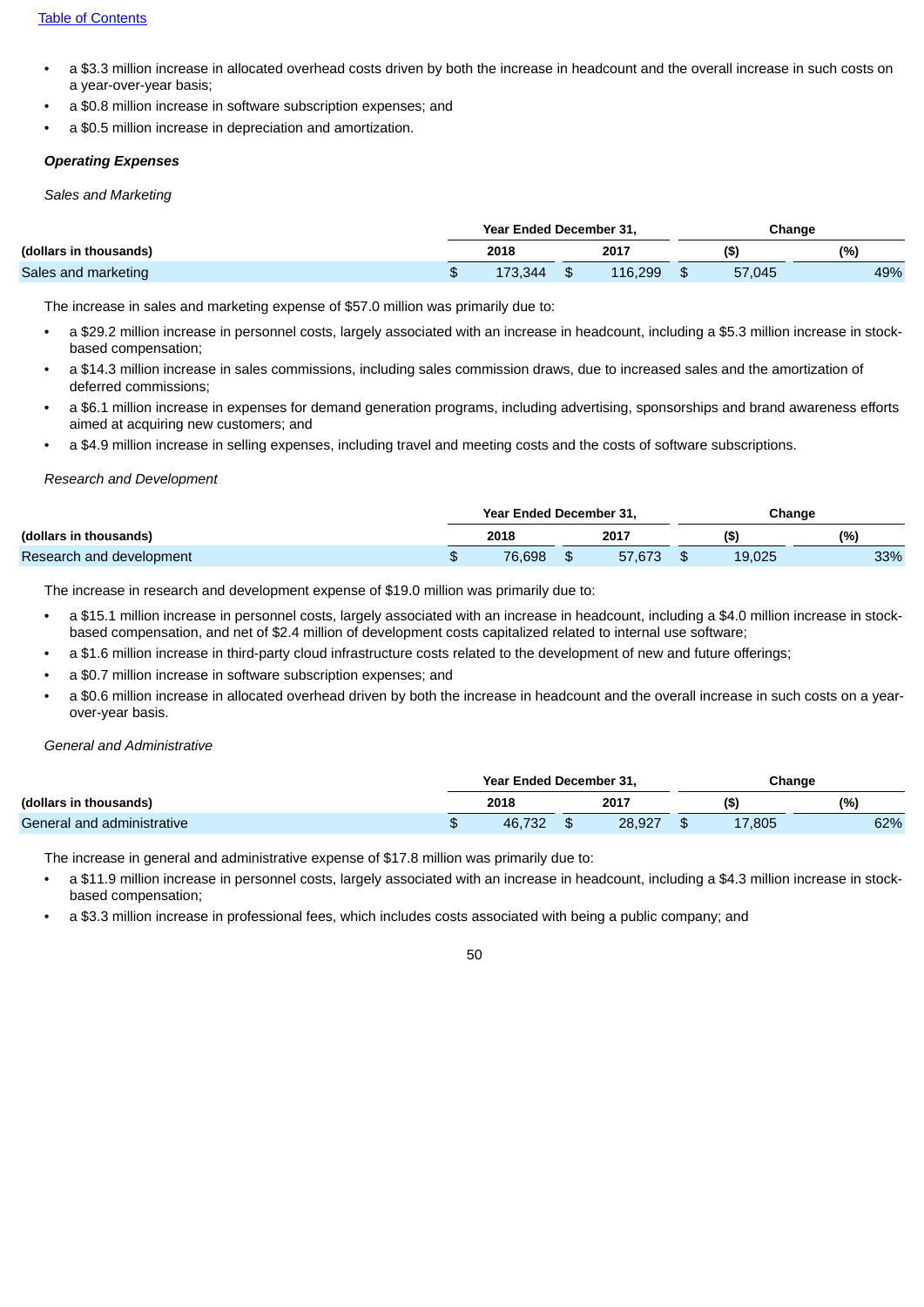- a \$3.3 million increase in allocated overhead costs driven by both the increase in headcount and the overall increase in such costs on a year-over-year basis;
- a \$0.8 million increase in software subscription expenses; and
- a \$0.5 million increase in depreciation and amortization.

# *Operating Expenses*

### *Sales and Marketing*

|                        | Year Ended December 31, |  |         | Change |        |     |  |
|------------------------|-------------------------|--|---------|--------|--------|-----|--|
| (dollars in thousands) | 2018                    |  | 201     |        | (\$)   | (%) |  |
| Sales and marketing    | 173.344                 |  | 116,299 |        | 57.045 | 49% |  |

The increase in sales and marketing expense of \$57.0 million was primarily due to:

- a \$29.2 million increase in personnel costs, largely associated with an increase in headcount, including a \$5.3 million increase in stockbased compensation;
- a \$14.3 million increase in sales commissions, including sales commission draws, due to increased sales and the amortization of deferred commissions;
- a \$6.1 million increase in expenses for demand generation programs, including advertising, sponsorships and brand awareness efforts aimed at acquiring new customers; and
- a \$4.9 million increase in selling expenses, including travel and meeting costs and the costs of software subscriptions.

# *Research and Development*

|                          | Year Ended December 31. |        |  |        |  | Change |     |  |  |
|--------------------------|-------------------------|--------|--|--------|--|--------|-----|--|--|
| (dollars in thousands)   |                         | 2018   |  | 2017   |  | (\$    | (%) |  |  |
| Research and development |                         | 76.698 |  | 57.673 |  | 19.025 | 33% |  |  |

The increase in research and development expense of \$19.0 million was primarily due to:

- a \$15.1 million increase in personnel costs, largely associated with an increase in headcount, including a \$4.0 million increase in stockbased compensation, and net of \$2.4 million of development costs capitalized related to internal use software;
- a \$1.6 million increase in third-party cloud infrastructure costs related to the development of new and future offerings;
- a \$0.7 million increase in software subscription expenses; and
- a \$0.6 million increase in allocated overhead driven by both the increase in headcount and the overall increase in such costs on a yearover-year basis.

*General and Administrative*

|                            | Year Ended December 31, |        |      |        |      | Change |     |  |
|----------------------------|-------------------------|--------|------|--------|------|--------|-----|--|
| (dollars in thousands)     | 2018                    |        | 2017 |        | (\$` |        | (%) |  |
| General and administrative |                         | 46.732 |      | 28.927 |      | 17,805 | 62% |  |

The increase in general and administrative expense of \$17.8 million was primarily due to:

- a \$11.9 million increase in personnel costs, largely associated with an increase in headcount, including a \$4.3 million increase in stockbased compensation;
- a \$3.3 million increase in professional fees, which includes costs associated with being a public company; and

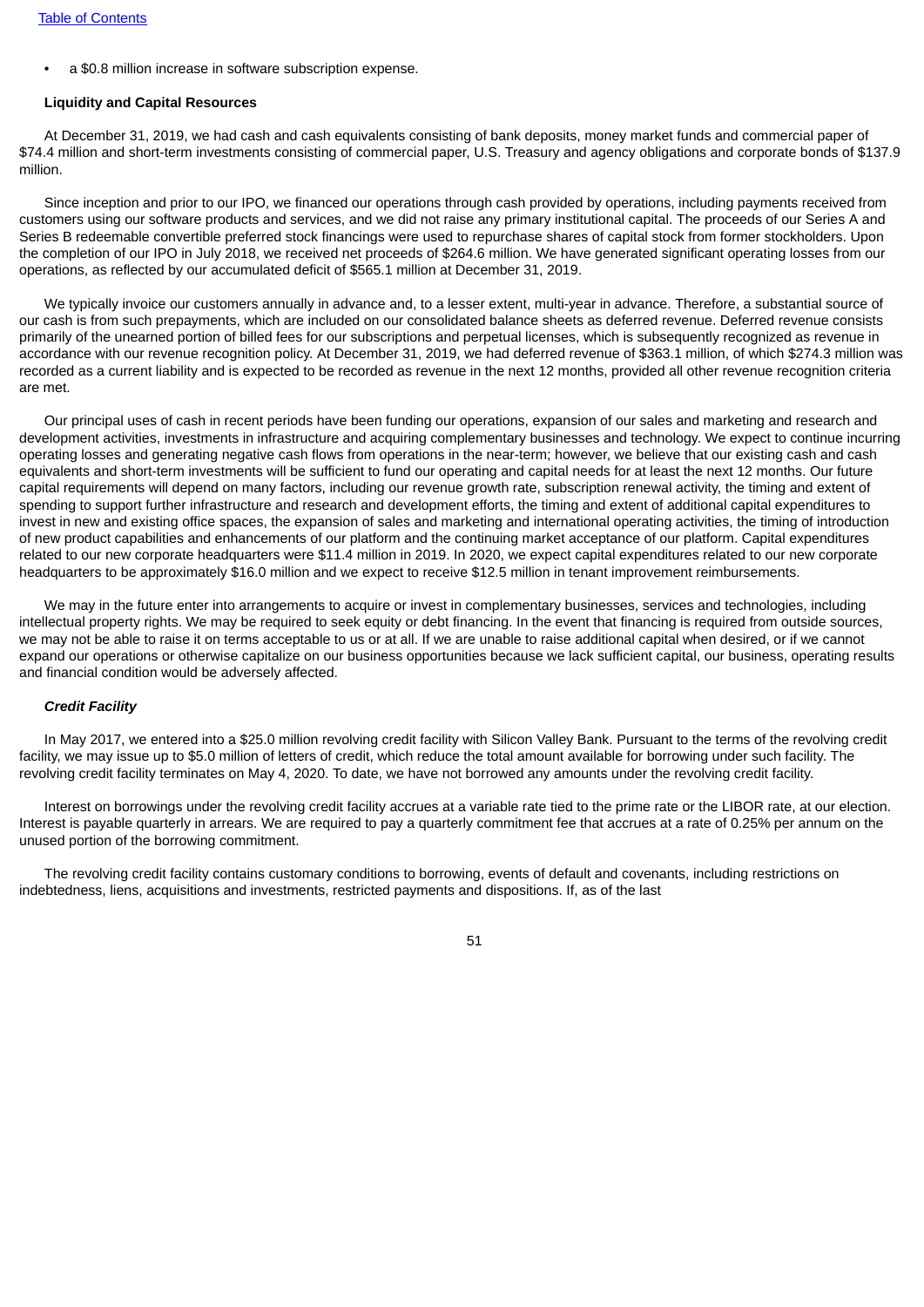• a \$0.8 million increase in software subscription expense.

## **Liquidity and Capital Resources**

At December 31, 2019, we had cash and cash equivalents consisting of bank deposits, money market funds and commercial paper of \$74.4 million and short-term investments consisting of commercial paper, U.S. Treasury and agency obligations and corporate bonds of \$137.9 million.

Since inception and prior to our IPO, we financed our operations through cash provided by operations, including payments received from customers using our software products and services, and we did not raise any primary institutional capital. The proceeds of our Series A and Series B redeemable convertible preferred stock financings were used to repurchase shares of capital stock from former stockholders. Upon the completion of our IPO in July 2018, we received net proceeds of \$264.6 million. We have generated significant operating losses from our operations, as reflected by our accumulated deficit of \$565.1 million at December 31, 2019.

We typically invoice our customers annually in advance and, to a lesser extent, multi-year in advance. Therefore, a substantial source of our cash is from such prepayments, which are included on our consolidated balance sheets as deferred revenue. Deferred revenue consists primarily of the unearned portion of billed fees for our subscriptions and perpetual licenses, which is subsequently recognized as revenue in accordance with our revenue recognition policy. At December 31, 2019, we had deferred revenue of \$363.1 million, of which \$274.3 million was recorded as a current liability and is expected to be recorded as revenue in the next 12 months, provided all other revenue recognition criteria are met.

Our principal uses of cash in recent periods have been funding our operations, expansion of our sales and marketing and research and development activities, investments in infrastructure and acquiring complementary businesses and technology. We expect to continue incurring operating losses and generating negative cash flows from operations in the near-term; however, we believe that our existing cash and cash equivalents and short-term investments will be sufficient to fund our operating and capital needs for at least the next 12 months. Our future capital requirements will depend on many factors, including our revenue growth rate, subscription renewal activity, the timing and extent of spending to support further infrastructure and research and development efforts, the timing and extent of additional capital expenditures to invest in new and existing office spaces, the expansion of sales and marketing and international operating activities, the timing of introduction of new product capabilities and enhancements of our platform and the continuing market acceptance of our platform. Capital expenditures related to our new corporate headquarters were \$11.4 million in 2019. In 2020, we expect capital expenditures related to our new corporate headquarters to be approximately \$16.0 million and we expect to receive \$12.5 million in tenant improvement reimbursements.

We may in the future enter into arrangements to acquire or invest in complementary businesses, services and technologies, including intellectual property rights. We may be required to seek equity or debt financing. In the event that financing is required from outside sources, we may not be able to raise it on terms acceptable to us or at all. If we are unable to raise additional capital when desired, or if we cannot expand our operations or otherwise capitalize on our business opportunities because we lack sufficient capital, our business, operating results and financial condition would be adversely affected.

# *Credit Facility*

In May 2017, we entered into a \$25.0 million revolving credit facility with Silicon Valley Bank. Pursuant to the terms of the revolving credit facility, we may issue up to \$5.0 million of letters of credit, which reduce the total amount available for borrowing under such facility. The revolving credit facility terminates on May 4, 2020. To date, we have not borrowed any amounts under the revolving credit facility.

Interest on borrowings under the revolving credit facility accrues at a variable rate tied to the prime rate or the LIBOR rate, at our election. Interest is payable quarterly in arrears. We are required to pay a quarterly commitment fee that accrues at a rate of 0.25% per annum on the unused portion of the borrowing commitment.

The revolving credit facility contains customary conditions to borrowing, events of default and covenants, including restrictions on indebtedness, liens, acquisitions and investments, restricted payments and dispositions. If, as of the last

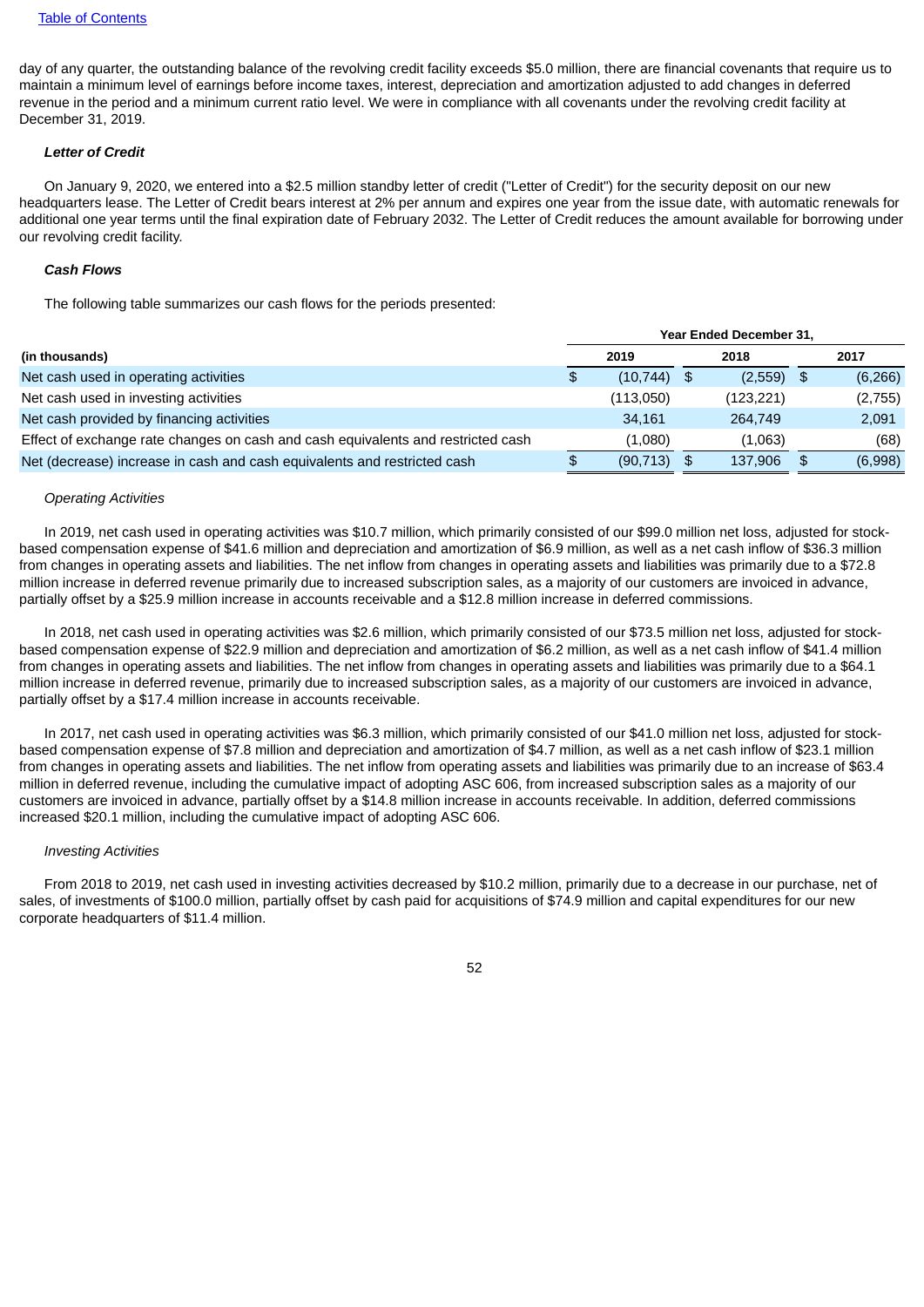day of any quarter, the outstanding balance of the revolving credit facility exceeds \$5.0 million, there are financial covenants that require us to maintain a minimum level of earnings before income taxes, interest, depreciation and amortization adjusted to add changes in deferred revenue in the period and a minimum current ratio level. We were in compliance with all covenants under the revolving credit facility at December 31, 2019.

## *Letter of Credit*

On January 9, 2020, we entered into a \$2.5 million standby letter of credit ("Letter of Credit") for the security deposit on our new headquarters lease. The Letter of Credit bears interest at 2% per annum and expires one year from the issue date, with automatic renewals for additional one year terms until the final expiration date of February 2032. The Letter of Credit reduces the amount available for borrowing under our revolving credit facility.

#### *Cash Flows*

The following table summarizes our cash flows for the periods presented:

|                                                                                  | <b>Year Ended December 31.</b> |                |  |              |    |          |  |  |  |
|----------------------------------------------------------------------------------|--------------------------------|----------------|--|--------------|----|----------|--|--|--|
| (in thousands)                                                                   |                                | 2019           |  | 2018         |    | 2017     |  |  |  |
| Net cash used in operating activities                                            |                                | $(10, 744)$ \$ |  | $(2,559)$ \$ |    | (6, 266) |  |  |  |
| Net cash used in investing activities                                            |                                | (113,050)      |  | (123, 221)   |    | (2,755)  |  |  |  |
| Net cash provided by financing activities                                        |                                | 34.161         |  | 264,749      |    | 2,091    |  |  |  |
| Effect of exchange rate changes on cash and cash equivalents and restricted cash |                                | (1,080)        |  | (1,063)      |    | (68)     |  |  |  |
| Net (decrease) increase in cash and cash equivalents and restricted cash         |                                | $(90, 713)$ \$ |  | 137.906      | -S | (6.998)  |  |  |  |

#### *Operating Activities*

In 2019, net cash used in operating activities was \$10.7 million, which primarily consisted of our \$99.0 million net loss, adjusted for stockbased compensation expense of \$41.6 million and depreciation and amortization of \$6.9 million, as well as a net cash inflow of \$36.3 million from changes in operating assets and liabilities. The net inflow from changes in operating assets and liabilities was primarily due to a \$72.8 million increase in deferred revenue primarily due to increased subscription sales, as a majority of our customers are invoiced in advance, partially offset by a \$25.9 million increase in accounts receivable and a \$12.8 million increase in deferred commissions.

In 2018, net cash used in operating activities was \$2.6 million, which primarily consisted of our \$73.5 million net loss, adjusted for stockbased compensation expense of \$22.9 million and depreciation and amortization of \$6.2 million, as well as a net cash inflow of \$41.4 million from changes in operating assets and liabilities. The net inflow from changes in operating assets and liabilities was primarily due to a \$64.1 million increase in deferred revenue, primarily due to increased subscription sales, as a majority of our customers are invoiced in advance, partially offset by a \$17.4 million increase in accounts receivable.

In 2017, net cash used in operating activities was \$6.3 million, which primarily consisted of our \$41.0 million net loss, adjusted for stockbased compensation expense of \$7.8 million and depreciation and amortization of \$4.7 million, as well as a net cash inflow of \$23.1 million from changes in operating assets and liabilities. The net inflow from operating assets and liabilities was primarily due to an increase of \$63.4 million in deferred revenue, including the cumulative impact of adopting ASC 606, from increased subscription sales as a majority of our customers are invoiced in advance, partially offset by a \$14.8 million increase in accounts receivable. In addition, deferred commissions increased \$20.1 million, including the cumulative impact of adopting ASC 606.

#### *Investing Activities*

From 2018 to 2019, net cash used in investing activities decreased by \$10.2 million, primarily due to a decrease in our purchase, net of sales, of investments of \$100.0 million, partially offset by cash paid for acquisitions of \$74.9 million and capital expenditures for our new corporate headquarters of \$11.4 million.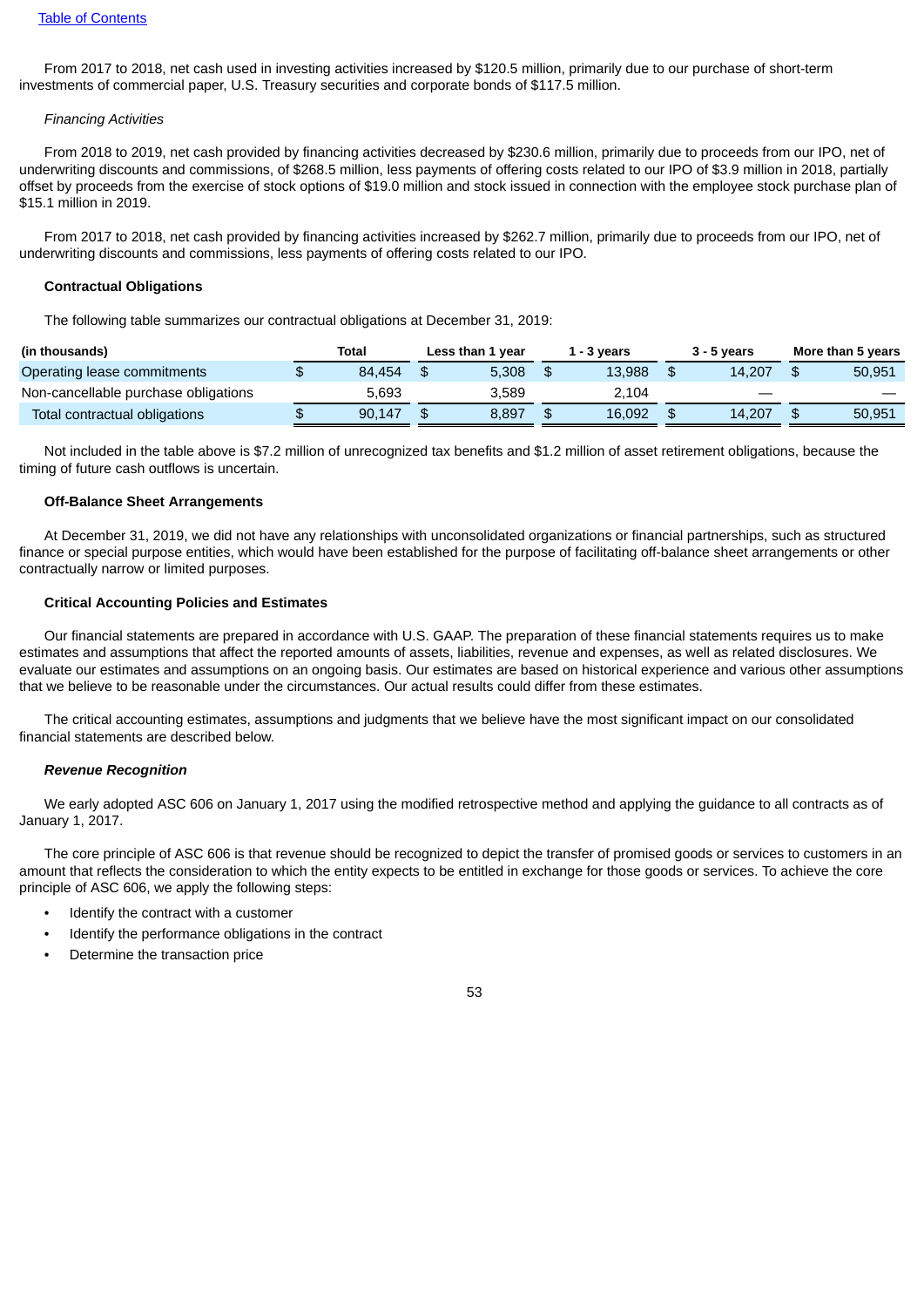From 2017 to 2018, net cash used in investing activities increased by \$120.5 million, primarily due to our purchase of short-term investments of commercial paper, U.S. Treasury securities and corporate bonds of \$117.5 million.

#### *Financing Activities*

From 2018 to 2019, net cash provided by financing activities decreased by \$230.6 million, primarily due to proceeds from our IPO, net of underwriting discounts and commissions, of \$268.5 million, less payments of offering costs related to our IPO of \$3.9 million in 2018, partially offset by proceeds from the exercise of stock options of \$19.0 million and stock issued in connection with the employee stock purchase plan of \$15.1 million in 2019.

From 2017 to 2018, net cash provided by financing activities increased by \$262.7 million, primarily due to proceeds from our IPO, net of underwriting discounts and commissions, less payments of offering costs related to our IPO.

### **Contractual Obligations**

The following table summarizes our contractual obligations at December 31, 2019:

| (in thousands)                       | Total  | Less than 1 year | 1 - 3 vears |        |  |        |     |        |  |  |  |  |  |  |  |  | <b>3 - 5 vears</b> |  | More than 5 years |  |
|--------------------------------------|--------|------------------|-------------|--------|--|--------|-----|--------|--|--|--|--|--|--|--|--|--------------------|--|-------------------|--|
| Operating lease commitments          | 84.454 | 5.308            |             | 13.988 |  | 14.207 | \$. | 50.951 |  |  |  |  |  |  |  |  |                    |  |                   |  |
| Non-cancellable purchase obligations | 5.693  | 3.589            |             | 2.104  |  |        |     |        |  |  |  |  |  |  |  |  |                    |  |                   |  |
| Total contractual obligations        | 90.147 | 8.897            |             | 16.092 |  | 14.207 | \$. | 50.951 |  |  |  |  |  |  |  |  |                    |  |                   |  |

Not included in the table above is \$7.2 million of unrecognized tax benefits and \$1.2 million of asset retirement obligations, because the timing of future cash outflows is uncertain.

#### **Off-Balance Sheet Arrangements**

At December 31, 2019, we did not have any relationships with unconsolidated organizations or financial partnerships, such as structured finance or special purpose entities, which would have been established for the purpose of facilitating off-balance sheet arrangements or other contractually narrow or limited purposes.

# **Critical Accounting Policies and Estimates**

Our financial statements are prepared in accordance with U.S. GAAP. The preparation of these financial statements requires us to make estimates and assumptions that affect the reported amounts of assets, liabilities, revenue and expenses, as well as related disclosures. We evaluate our estimates and assumptions on an ongoing basis. Our estimates are based on historical experience and various other assumptions that we believe to be reasonable under the circumstances. Our actual results could differ from these estimates.

The critical accounting estimates, assumptions and judgments that we believe have the most significant impact on our consolidated financial statements are described below.

#### *Revenue Recognition*

We early adopted ASC 606 on January 1, 2017 using the modified retrospective method and applying the guidance to all contracts as of January 1, 2017.

The core principle of ASC 606 is that revenue should be recognized to depict the transfer of promised goods or services to customers in an amount that reflects the consideration to which the entity expects to be entitled in exchange for those goods or services. To achieve the core principle of ASC 606, we apply the following steps:

- Identify the contract with a customer
- Identify the performance obligations in the contract
- Determine the transaction price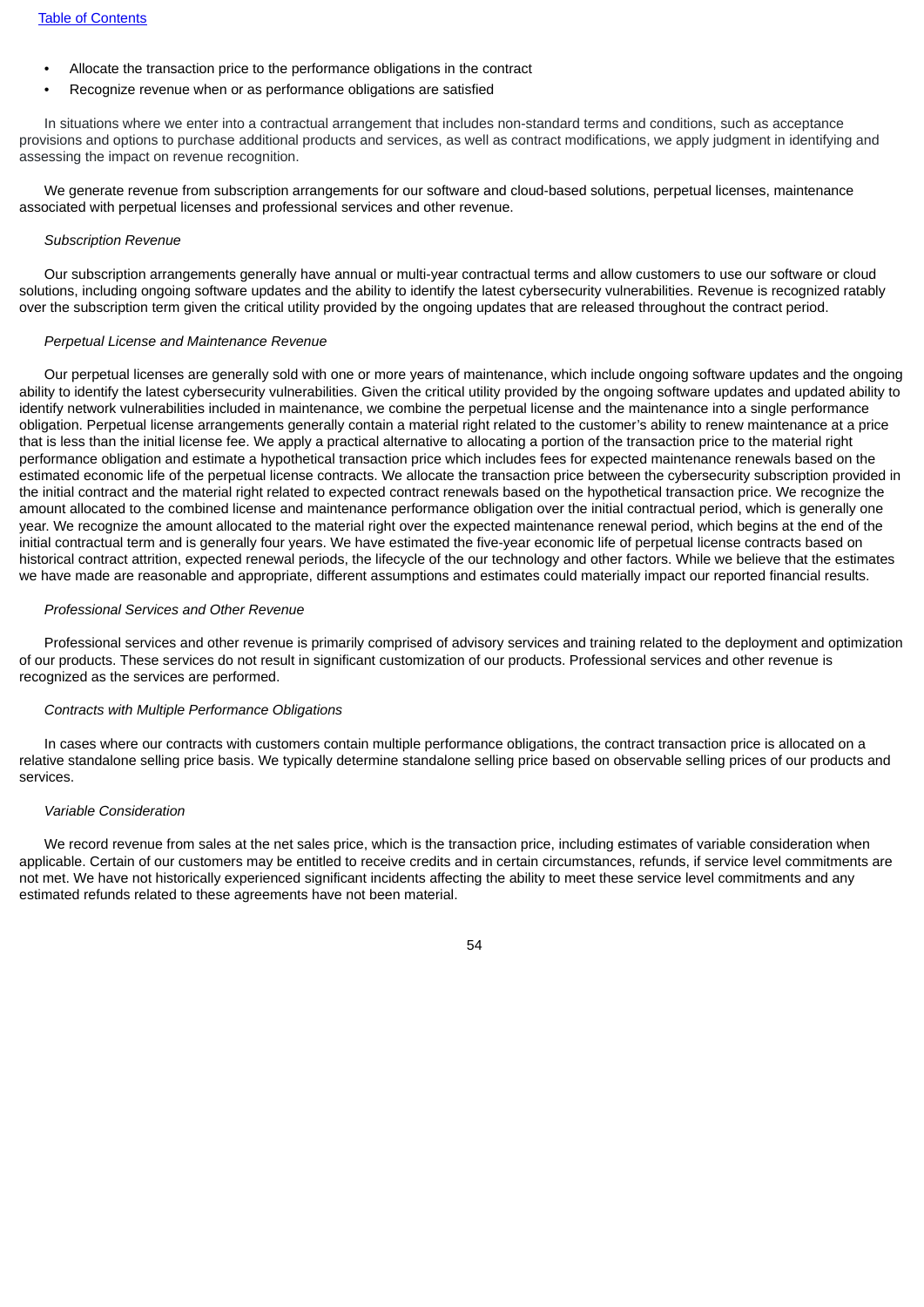- Allocate the transaction price to the performance obligations in the contract
- Recognize revenue when or as performance obligations are satisfied

In situations where we enter into a contractual arrangement that includes non-standard terms and conditions, such as acceptance provisions and options to purchase additional products and services, as well as contract modifications, we apply judgment in identifying and assessing the impact on revenue recognition.

We generate revenue from subscription arrangements for our software and cloud-based solutions, perpetual licenses, maintenance associated with perpetual licenses and professional services and other revenue.

### *Subscription Revenue*

Our subscription arrangements generally have annual or multi-year contractual terms and allow customers to use our software or cloud solutions, including ongoing software updates and the ability to identify the latest cybersecurity vulnerabilities. Revenue is recognized ratably over the subscription term given the critical utility provided by the ongoing updates that are released throughout the contract period.

#### *Perpetual License and Maintenance Revenue*

Our perpetual licenses are generally sold with one or more years of maintenance, which include ongoing software updates and the ongoing ability to identify the latest cybersecurity vulnerabilities. Given the critical utility provided by the ongoing software updates and updated ability to identify network vulnerabilities included in maintenance, we combine the perpetual license and the maintenance into a single performance obligation. Perpetual license arrangements generally contain a material right related to the customer's ability to renew maintenance at a price that is less than the initial license fee. We apply a practical alternative to allocating a portion of the transaction price to the material right performance obligation and estimate a hypothetical transaction price which includes fees for expected maintenance renewals based on the estimated economic life of the perpetual license contracts. We allocate the transaction price between the cybersecurity subscription provided in the initial contract and the material right related to expected contract renewals based on the hypothetical transaction price. We recognize the amount allocated to the combined license and maintenance performance obligation over the initial contractual period, which is generally one year. We recognize the amount allocated to the material right over the expected maintenance renewal period, which begins at the end of the initial contractual term and is generally four years. We have estimated the five-year economic life of perpetual license contracts based on historical contract attrition, expected renewal periods, the lifecycle of the our technology and other factors. While we believe that the estimates we have made are reasonable and appropriate, different assumptions and estimates could materially impact our reported financial results.

## *Professional Services and Other Revenue*

Professional services and other revenue is primarily comprised of advisory services and training related to the deployment and optimization of our products. These services do not result in significant customization of our products. Professional services and other revenue is recognized as the services are performed.

# *Contracts with Multiple Performance Obligations*

In cases where our contracts with customers contain multiple performance obligations, the contract transaction price is allocated on a relative standalone selling price basis. We typically determine standalone selling price based on observable selling prices of our products and services.

## *Variable Consideration*

We record revenue from sales at the net sales price, which is the transaction price, including estimates of variable consideration when applicable. Certain of our customers may be entitled to receive credits and in certain circumstances, refunds, if service level commitments are not met. We have not historically experienced significant incidents affecting the ability to meet these service level commitments and any estimated refunds related to these agreements have not been material.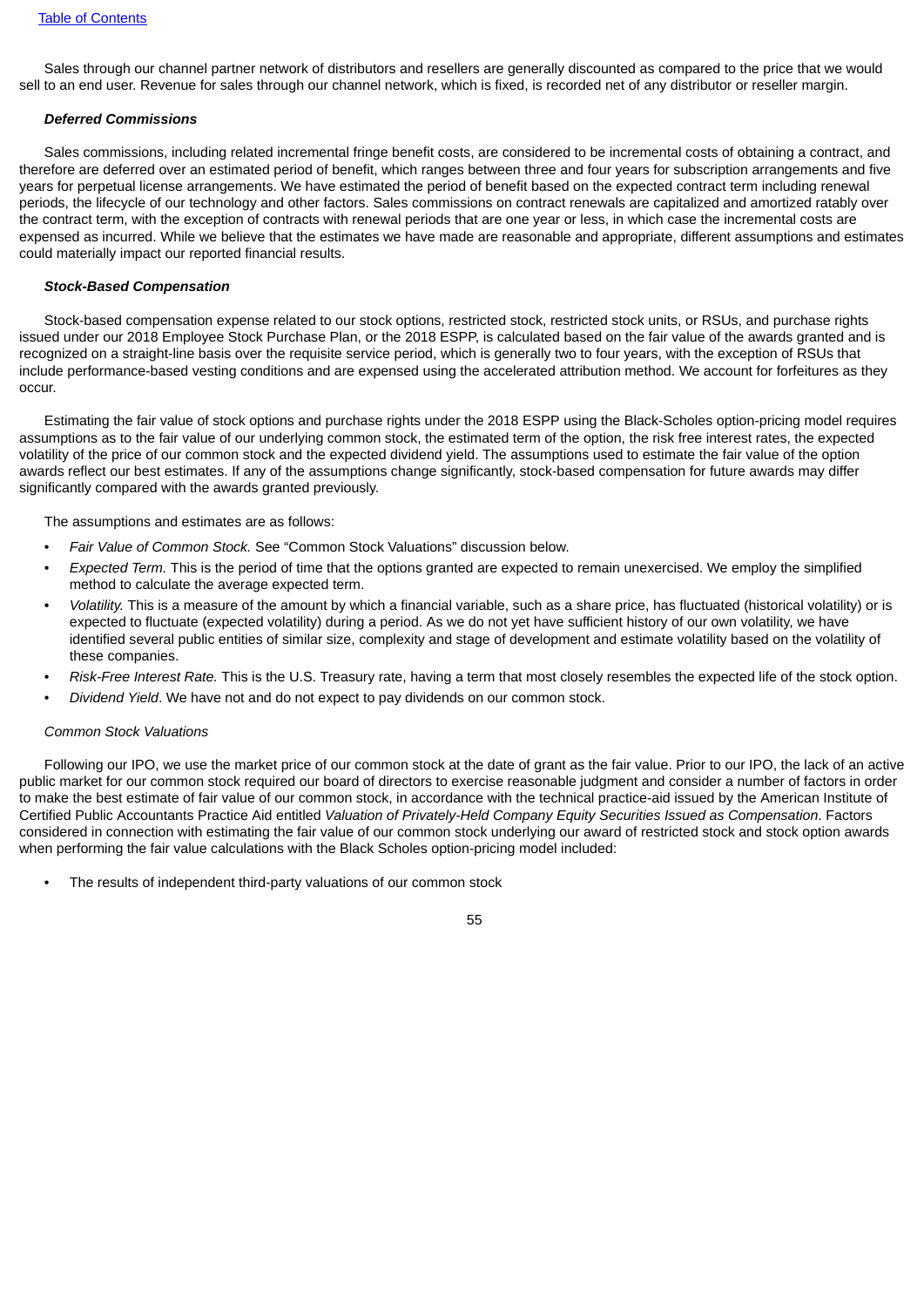Sales through our channel partner network of distributors and resellers are generally discounted as compared to the price that we would sell to an end user. Revenue for sales through our channel network, which is fixed, is recorded net of any distributor or reseller margin.

## *Deferred Commissions*

Sales commissions, including related incremental fringe benefit costs, are considered to be incremental costs of obtaining a contract, and therefore are deferred over an estimated period of benefit, which ranges between three and four years for subscription arrangements and five years for perpetual license arrangements. We have estimated the period of benefit based on the expected contract term including renewal periods, the lifecycle of our technology and other factors. Sales commissions on contract renewals are capitalized and amortized ratably over the contract term, with the exception of contracts with renewal periods that are one year or less, in which case the incremental costs are expensed as incurred. While we believe that the estimates we have made are reasonable and appropriate, different assumptions and estimates could materially impact our reported financial results.

### *Stock-Based Compensation*

Stock-based compensation expense related to our stock options, restricted stock, restricted stock units, or RSUs, and purchase rights issued under our 2018 Employee Stock Purchase Plan, or the 2018 ESPP, is calculated based on the fair value of the awards granted and is recognized on a straight-line basis over the requisite service period, which is generally two to four years, with the exception of RSUs that include performance-based vesting conditions and are expensed using the accelerated attribution method. We account for forfeitures as they occur.

Estimating the fair value of stock options and purchase rights under the 2018 ESPP using the Black-Scholes option-pricing model requires assumptions as to the fair value of our underlying common stock, the estimated term of the option, the risk free interest rates, the expected volatility of the price of our common stock and the expected dividend yield. The assumptions used to estimate the fair value of the option awards reflect our best estimates. If any of the assumptions change significantly, stock-based compensation for future awards may differ significantly compared with the awards granted previously.

The assumptions and estimates are as follows:

- *Fair Value of Common Stock.* See "Common Stock Valuations" discussion below.
- *Expected Term.* This is the period of time that the options granted are expected to remain unexercised. We employ the simplified method to calculate the average expected term.
- *Volatility.* This is a measure of the amount by which a financial variable, such as a share price, has fluctuated (historical volatility) or is expected to fluctuate (expected volatility) during a period. As we do not yet have sufficient history of our own volatility, we have identified several public entities of similar size, complexity and stage of development and estimate volatility based on the volatility of these companies.
- *Risk-Free Interest Rate.* This is the U.S. Treasury rate, having a term that most closely resembles the expected life of the stock option.
- *Dividend Yield*. We have not and do not expect to pay dividends on our common stock.

#### *Common Stock Valuations*

Following our IPO, we use the market price of our common stock at the date of grant as the fair value. Prior to our IPO, the lack of an active public market for our common stock required our board of directors to exercise reasonable judgment and consider a number of factors in order to make the best estimate of fair value of our common stock, in accordance with the technical practice-aid issued by the American Institute of Certified Public Accountants Practice Aid entitled *Valuation of Privately-Held Company Equity Securities Issued as Compensation*. Factors considered in connection with estimating the fair value of our common stock underlying our award of restricted stock and stock option awards when performing the fair value calculations with the Black Scholes option-pricing model included:

• The results of independent third-party valuations of our common stock

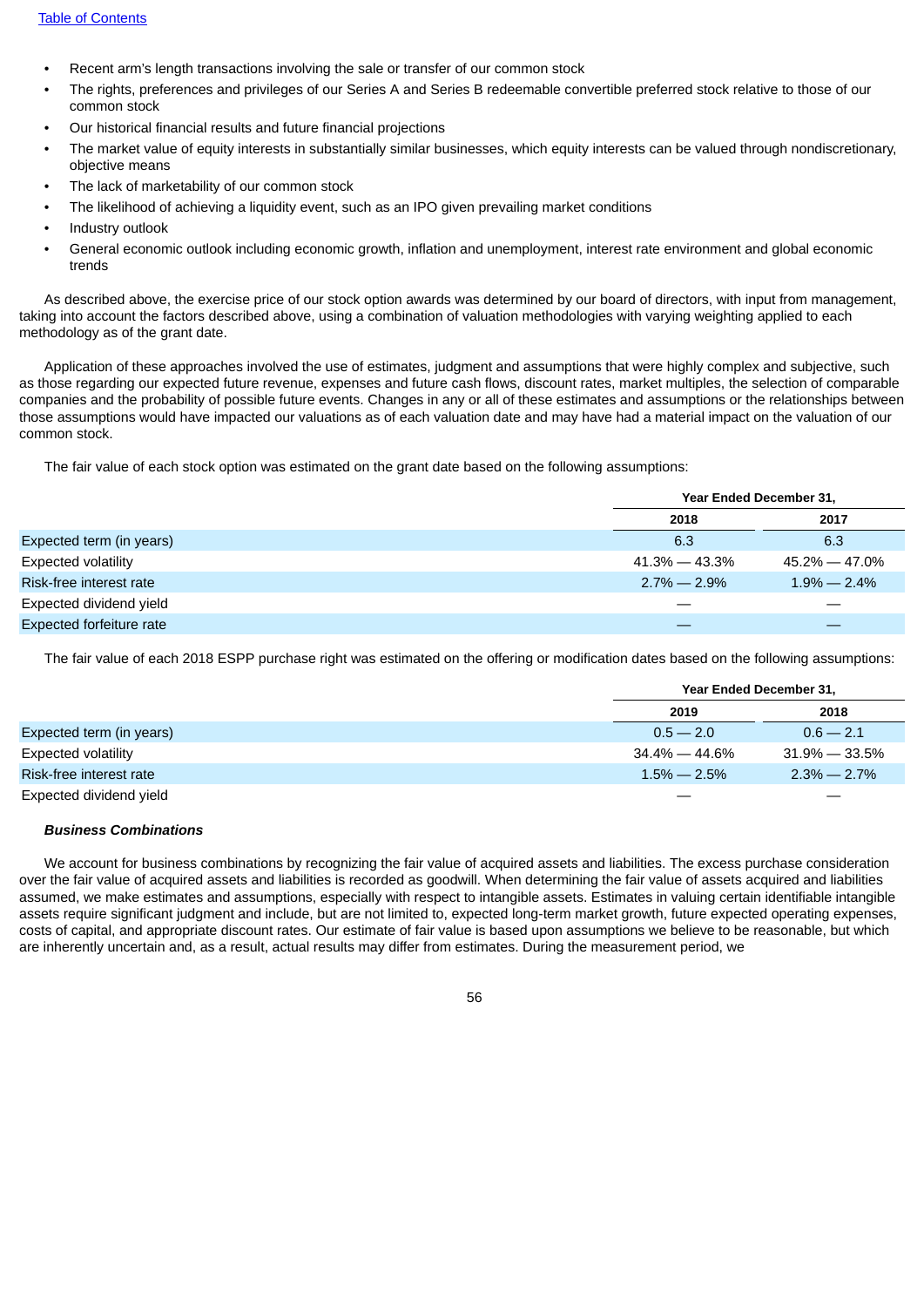- Recent arm's length transactions involving the sale or transfer of our common stock
- The rights, preferences and privileges of our Series A and Series B redeemable convertible preferred stock relative to those of our common stock
- Our historical financial results and future financial projections
- The market value of equity interests in substantially similar businesses, which equity interests can be valued through nondiscretionary. objective means
- The lack of marketability of our common stock
- The likelihood of achieving a liquidity event, such as an IPO given prevailing market conditions
- Industry outlook
- General economic outlook including economic growth, inflation and unemployment, interest rate environment and global economic trends

As described above, the exercise price of our stock option awards was determined by our board of directors, with input from management, taking into account the factors described above, using a combination of valuation methodologies with varying weighting applied to each methodology as of the grant date.

Application of these approaches involved the use of estimates, judgment and assumptions that were highly complex and subjective, such as those regarding our expected future revenue, expenses and future cash flows, discount rates, market multiples, the selection of comparable companies and the probability of possible future events. Changes in any or all of these estimates and assumptions or the relationships between those assumptions would have impacted our valuations as of each valuation date and may have had a material impact on the valuation of our common stock.

The fair value of each stock option was estimated on the grant date based on the following assumptions:

|                                 | Year Ended December 31, |                   |
|---------------------------------|-------------------------|-------------------|
|                                 | 2018                    | 2017              |
| Expected term (in years)        | 6.3                     | 6.3               |
| <b>Expected volatility</b>      | $41.3\% - 43.3\%$       | $45.2\% - 47.0\%$ |
| Risk-free interest rate         | $2.7\% - 2.9\%$         | $1.9\% - 2.4\%$   |
| Expected dividend yield         |                         |                   |
| <b>Expected forfeiture rate</b> |                         |                   |

The fair value of each 2018 ESPP purchase right was estimated on the offering or modification dates based on the following assumptions:

|                            | Year Ended December 31, |                   |
|----------------------------|-------------------------|-------------------|
|                            | 2019                    | 2018              |
| Expected term (in years)   | $0.5 - 2.0$             | $0.6 - 2.1$       |
| <b>Expected volatility</b> | 34.4% — 44.6%           | $31.9\% - 33.5\%$ |
| Risk-free interest rate    | $1.5\% - 2.5\%$         | $2.3\% - 2.7\%$   |
| Expected dividend yield    |                         |                   |

#### *Business Combinations*

We account for business combinations by recognizing the fair value of acquired assets and liabilities. The excess purchase consideration over the fair value of acquired assets and liabilities is recorded as goodwill. When determining the fair value of assets acquired and liabilities assumed, we make estimates and assumptions, especially with respect to intangible assets. Estimates in valuing certain identifiable intangible assets require significant judgment and include, but are not limited to, expected long-term market growth, future expected operating expenses, costs of capital, and appropriate discount rates. Our estimate of fair value is based upon assumptions we believe to be reasonable, but which are inherently uncertain and, as a result, actual results may differ from estimates. During the measurement period, we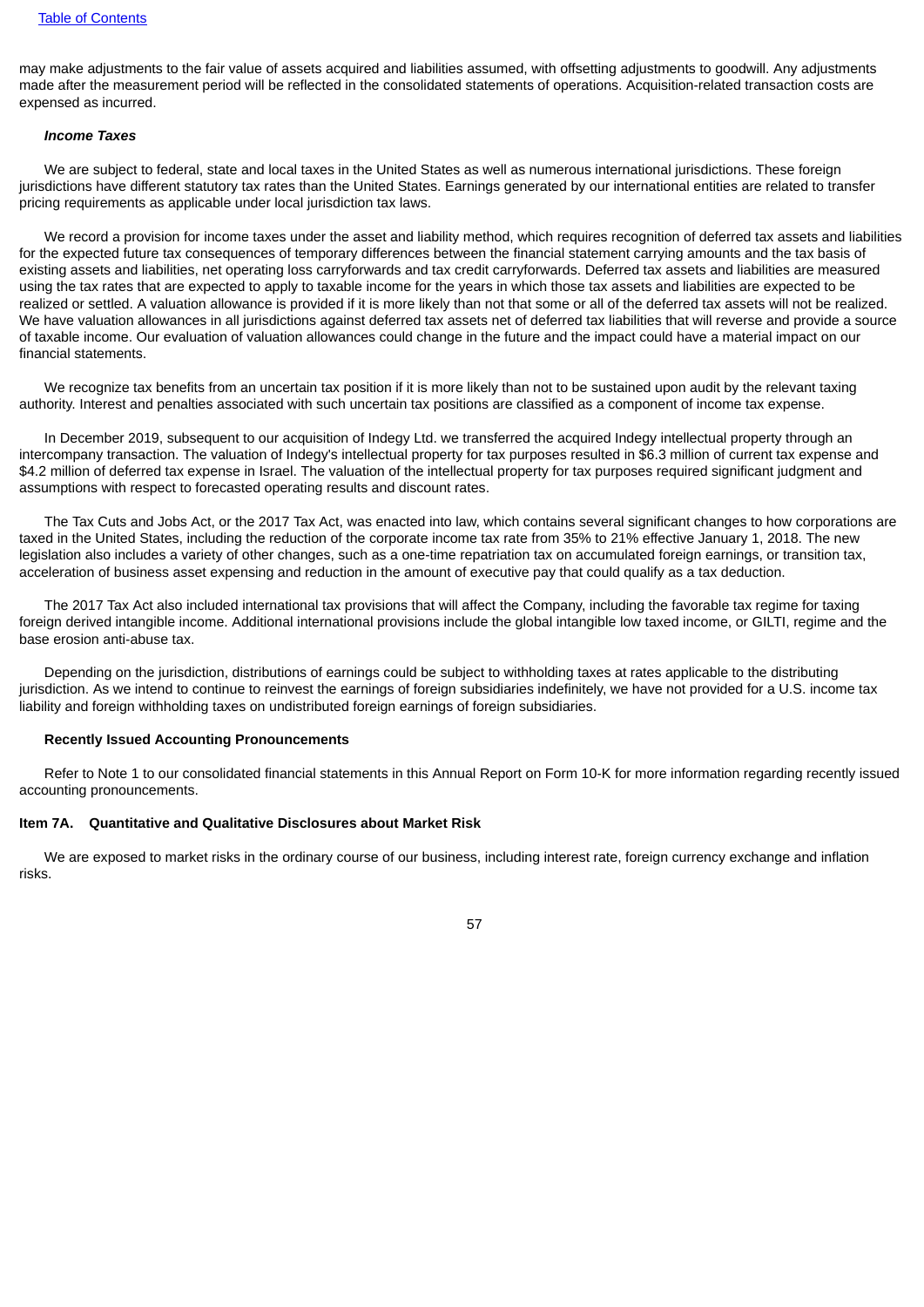may make adjustments to the fair value of assets acquired and liabilities assumed, with offsetting adjustments to goodwill. Any adjustments made after the measurement period will be reflected in the consolidated statements of operations. Acquisition-related transaction costs are expensed as incurred.

## *Income Taxes*

We are subject to federal, state and local taxes in the United States as well as numerous international jurisdictions. These foreign jurisdictions have different statutory tax rates than the United States. Earnings generated by our international entities are related to transfer pricing requirements as applicable under local jurisdiction tax laws.

We record a provision for income taxes under the asset and liability method, which requires recognition of deferred tax assets and liabilities for the expected future tax consequences of temporary differences between the financial statement carrying amounts and the tax basis of existing assets and liabilities, net operating loss carryforwards and tax credit carryforwards. Deferred tax assets and liabilities are measured using the tax rates that are expected to apply to taxable income for the years in which those tax assets and liabilities are expected to be realized or settled. A valuation allowance is provided if it is more likely than not that some or all of the deferred tax assets will not be realized. We have valuation allowances in all jurisdictions against deferred tax assets net of deferred tax liabilities that will reverse and provide a source of taxable income. Our evaluation of valuation allowances could change in the future and the impact could have a material impact on our financial statements.

We recognize tax benefits from an uncertain tax position if it is more likely than not to be sustained upon audit by the relevant taxing authority. Interest and penalties associated with such uncertain tax positions are classified as a component of income tax expense.

In December 2019, subsequent to our acquisition of Indegy Ltd. we transferred the acquired Indegy intellectual property through an intercompany transaction. The valuation of Indegy's intellectual property for tax purposes resulted in \$6.3 million of current tax expense and \$4.2 million of deferred tax expense in Israel. The valuation of the intellectual property for tax purposes required significant judgment and assumptions with respect to forecasted operating results and discount rates.

The Tax Cuts and Jobs Act, or the 2017 Tax Act, was enacted into law, which contains several significant changes to how corporations are taxed in the United States, including the reduction of the corporate income tax rate from 35% to 21% effective January 1, 2018. The new legislation also includes a variety of other changes, such as a one-time repatriation tax on accumulated foreign earnings, or transition tax, acceleration of business asset expensing and reduction in the amount of executive pay that could qualify as a tax deduction.

The 2017 Tax Act also included international tax provisions that will affect the Company, including the favorable tax regime for taxing foreign derived intangible income. Additional international provisions include the global intangible low taxed income, or GILTI, regime and the base erosion anti-abuse tax.

Depending on the jurisdiction, distributions of earnings could be subject to withholding taxes at rates applicable to the distributing jurisdiction. As we intend to continue to reinvest the earnings of foreign subsidiaries indefinitely, we have not provided for a U.S. income tax liability and foreign withholding taxes on undistributed foreign earnings of foreign subsidiaries.

#### **Recently Issued Accounting Pronouncements**

Refer to Note 1 to our consolidated financial statements in this Annual Report on Form 10-K for more information regarding recently issued accounting pronouncements.

# **Item 7A. Quantitative and Qualitative Disclosures about Market Risk**

We are exposed to market risks in the ordinary course of our business, including interest rate, foreign currency exchange and inflation risks.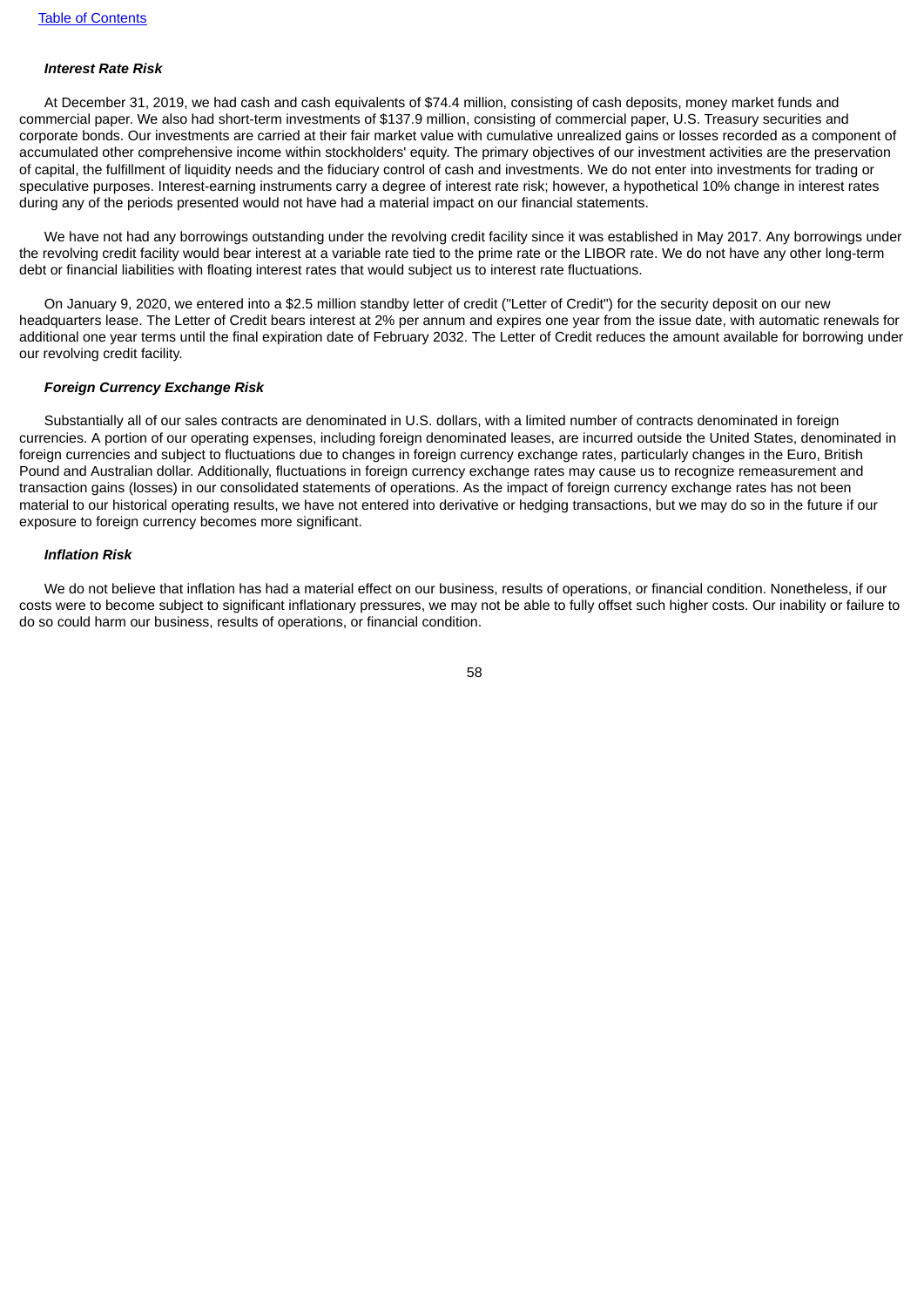#### *Interest Rate Risk*

At December 31, 2019, we had cash and cash equivalents of \$74.4 million, consisting of cash deposits, money market funds and commercial paper. We also had short-term investments of \$137.9 million, consisting of commercial paper, U.S. Treasury securities and corporate bonds. Our investments are carried at their fair market value with cumulative unrealized gains or losses recorded as a component of accumulated other comprehensive income within stockholders' equity. The primary objectives of our investment activities are the preservation of capital, the fulfillment of liquidity needs and the fiduciary control of cash and investments. We do not enter into investments for trading or speculative purposes. Interest-earning instruments carry a degree of interest rate risk; however, a hypothetical 10% change in interest rates during any of the periods presented would not have had a material impact on our financial statements.

We have not had any borrowings outstanding under the revolving credit facility since it was established in May 2017. Any borrowings under the revolving credit facility would bear interest at a variable rate tied to the prime rate or the LIBOR rate. We do not have any other long-term debt or financial liabilities with floating interest rates that would subject us to interest rate fluctuations.

On January 9, 2020, we entered into a \$2.5 million standby letter of credit ("Letter of Credit") for the security deposit on our new headquarters lease. The Letter of Credit bears interest at 2% per annum and expires one year from the issue date, with automatic renewals for additional one year terms until the final expiration date of February 2032. The Letter of Credit reduces the amount available for borrowing under our revolving credit facility.

#### *Foreign Currency Exchange Risk*

Substantially all of our sales contracts are denominated in U.S. dollars, with a limited number of contracts denominated in foreign currencies. A portion of our operating expenses, including foreign denominated leases, are incurred outside the United States, denominated in foreign currencies and subject to fluctuations due to changes in foreign currency exchange rates, particularly changes in the Euro, British Pound and Australian dollar. Additionally, fluctuations in foreign currency exchange rates may cause us to recognize remeasurement and transaction gains (losses) in our consolidated statements of operations. As the impact of foreign currency exchange rates has not been material to our historical operating results, we have not entered into derivative or hedging transactions, but we may do so in the future if our exposure to foreign currency becomes more significant.

## *Inflation Risk*

We do not believe that inflation has had a material effect on our business, results of operations, or financial condition. Nonetheless, if our costs were to become subject to significant inflationary pressures, we may not be able to fully offset such higher costs. Our inability or failure to do so could harm our business, results of operations, or financial condition.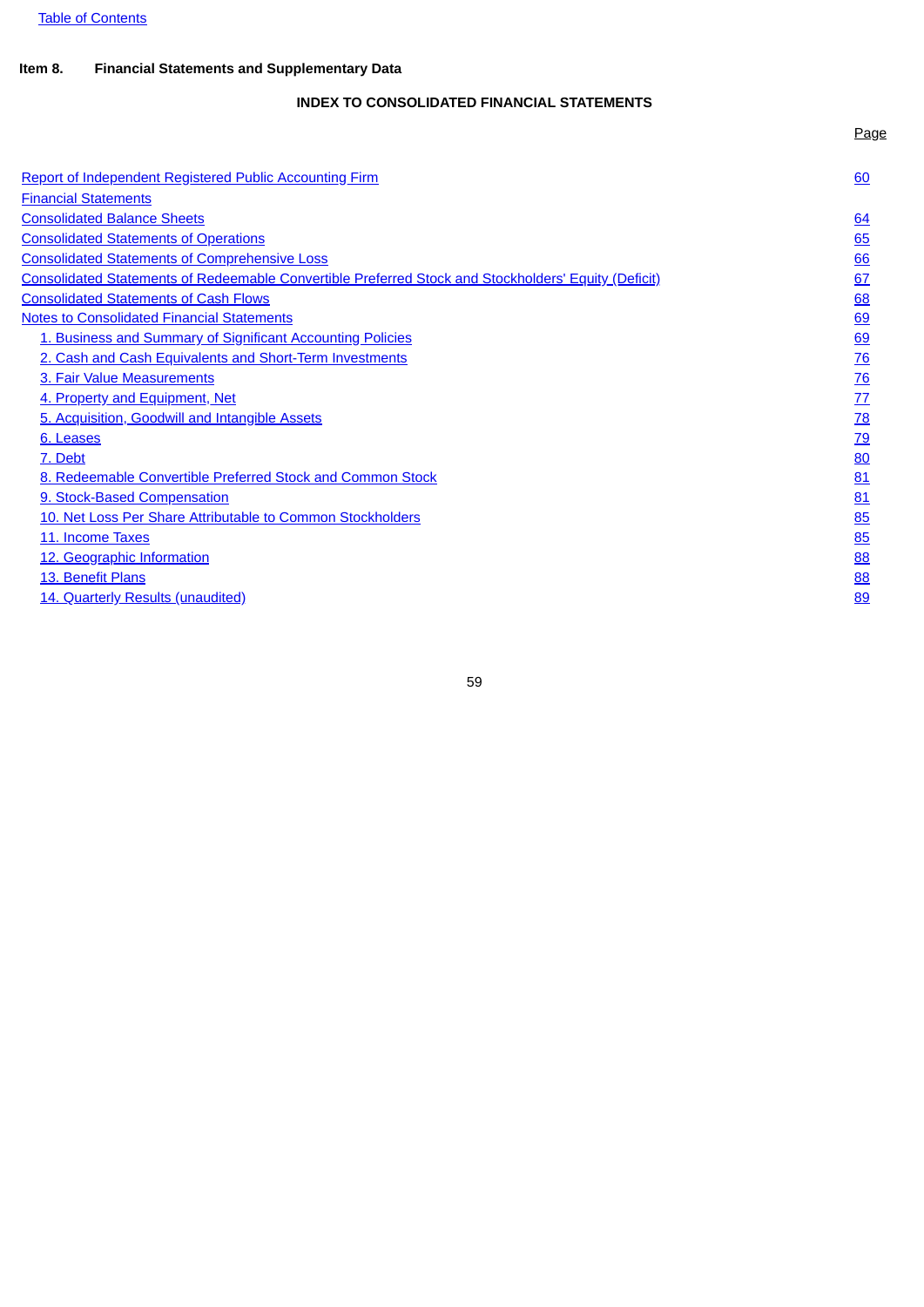# **Item 8. Financial Statements and Supplementary Data**

# **INDEX TO CONSOLIDATED FINANCIAL STATEMENTS**

Page

| 64<br>65<br>66<br>67<br>68<br>69<br>69<br>1. Business and Summary of Significant Accounting Policies<br>$\overline{76}$<br>2. Cash and Cash Equivalents and Short-Term Investments<br>$\overline{76}$<br>3. Fair Value Measurements<br>77<br>4. Property and Equipment, Net<br><u>78</u><br>5. Acquisition, Goodwill and Intangible Assets<br>$\overline{79}$<br>6. Leases<br>80<br>7. Debt<br>81<br>8. Redeemable Convertible Preferred Stock and Common Stock<br>81<br>9. Stock-Based Compensation<br>10. Net Loss Per Share Attributable to Common Stockholders<br>85<br>85<br>11. Income Taxes<br>88<br>12. Geographic Information<br>88<br>13. Benefit Plans<br>89<br>14. Quarterly Results (unaudited) |                                                                                                      |    |
|--------------------------------------------------------------------------------------------------------------------------------------------------------------------------------------------------------------------------------------------------------------------------------------------------------------------------------------------------------------------------------------------------------------------------------------------------------------------------------------------------------------------------------------------------------------------------------------------------------------------------------------------------------------------------------------------------------------|------------------------------------------------------------------------------------------------------|----|
|                                                                                                                                                                                                                                                                                                                                                                                                                                                                                                                                                                                                                                                                                                              | Report of Independent Registered Public Accounting Firm                                              | 60 |
|                                                                                                                                                                                                                                                                                                                                                                                                                                                                                                                                                                                                                                                                                                              | <b>Financial Statements</b>                                                                          |    |
|                                                                                                                                                                                                                                                                                                                                                                                                                                                                                                                                                                                                                                                                                                              | <b>Consolidated Balance Sheets</b>                                                                   |    |
|                                                                                                                                                                                                                                                                                                                                                                                                                                                                                                                                                                                                                                                                                                              | <b>Consolidated Statements of Operations</b>                                                         |    |
|                                                                                                                                                                                                                                                                                                                                                                                                                                                                                                                                                                                                                                                                                                              | <b>Consolidated Statements of Comprehensive Loss</b>                                                 |    |
|                                                                                                                                                                                                                                                                                                                                                                                                                                                                                                                                                                                                                                                                                                              | Consolidated Statements of Redeemable Convertible Preferred Stock and Stockholders' Equity (Deficit) |    |
|                                                                                                                                                                                                                                                                                                                                                                                                                                                                                                                                                                                                                                                                                                              | <b>Consolidated Statements of Cash Flows</b>                                                         |    |
|                                                                                                                                                                                                                                                                                                                                                                                                                                                                                                                                                                                                                                                                                                              | <b>Notes to Consolidated Financial Statements</b>                                                    |    |
|                                                                                                                                                                                                                                                                                                                                                                                                                                                                                                                                                                                                                                                                                                              |                                                                                                      |    |
|                                                                                                                                                                                                                                                                                                                                                                                                                                                                                                                                                                                                                                                                                                              |                                                                                                      |    |
|                                                                                                                                                                                                                                                                                                                                                                                                                                                                                                                                                                                                                                                                                                              |                                                                                                      |    |
|                                                                                                                                                                                                                                                                                                                                                                                                                                                                                                                                                                                                                                                                                                              |                                                                                                      |    |
|                                                                                                                                                                                                                                                                                                                                                                                                                                                                                                                                                                                                                                                                                                              |                                                                                                      |    |
|                                                                                                                                                                                                                                                                                                                                                                                                                                                                                                                                                                                                                                                                                                              |                                                                                                      |    |
|                                                                                                                                                                                                                                                                                                                                                                                                                                                                                                                                                                                                                                                                                                              |                                                                                                      |    |
|                                                                                                                                                                                                                                                                                                                                                                                                                                                                                                                                                                                                                                                                                                              |                                                                                                      |    |
|                                                                                                                                                                                                                                                                                                                                                                                                                                                                                                                                                                                                                                                                                                              |                                                                                                      |    |
|                                                                                                                                                                                                                                                                                                                                                                                                                                                                                                                                                                                                                                                                                                              |                                                                                                      |    |
|                                                                                                                                                                                                                                                                                                                                                                                                                                                                                                                                                                                                                                                                                                              |                                                                                                      |    |
|                                                                                                                                                                                                                                                                                                                                                                                                                                                                                                                                                                                                                                                                                                              |                                                                                                      |    |
|                                                                                                                                                                                                                                                                                                                                                                                                                                                                                                                                                                                                                                                                                                              |                                                                                                      |    |
|                                                                                                                                                                                                                                                                                                                                                                                                                                                                                                                                                                                                                                                                                                              |                                                                                                      |    |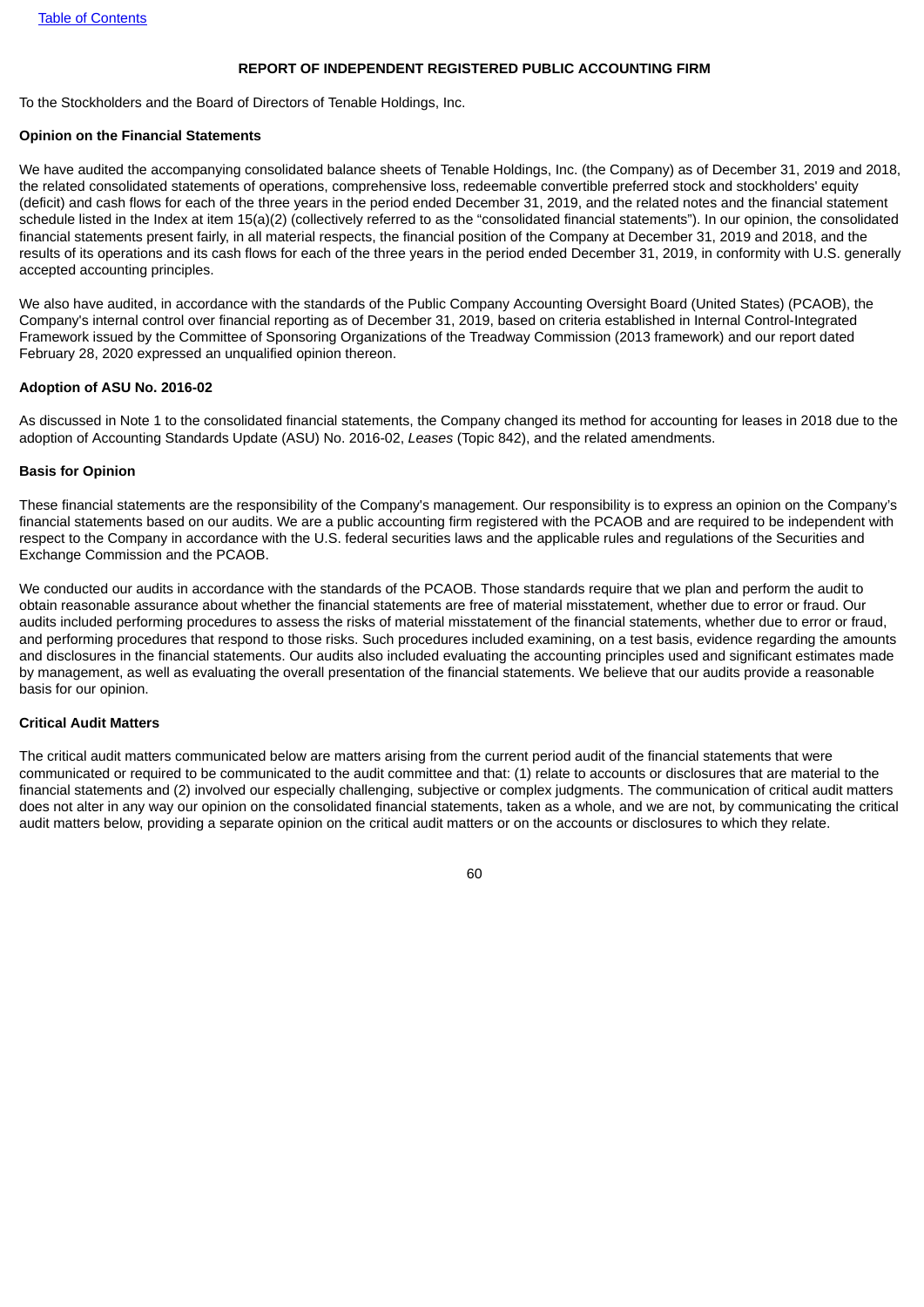## **REPORT OF INDEPENDENT REGISTERED PUBLIC ACCOUNTING FIRM**

<span id="page-59-0"></span>To the Stockholders and the Board of Directors of Tenable Holdings, Inc.

## **Opinion on the Financial Statements**

We have audited the accompanying consolidated balance sheets of Tenable Holdings, Inc. (the Company) as of December 31, 2019 and 2018, the related consolidated statements of operations, comprehensive loss, redeemable convertible preferred stock and stockholders' equity (deficit) and cash flows for each of the three years in the period ended December 31, 2019, and the related notes and the financial statement schedule listed in the Index at item 15(a)(2) (collectively referred to as the "consolidated financial statements"). In our opinion, the consolidated financial statements present fairly, in all material respects, the financial position of the Company at December 31, 2019 and 2018, and the results of its operations and its cash flows for each of the three years in the period ended December 31, 2019, in conformity with U.S. generally accepted accounting principles.

We also have audited, in accordance with the standards of the Public Company Accounting Oversight Board (United States) (PCAOB), the Company's internal control over financial reporting as of December 31, 2019, based on criteria established in Internal Control-Integrated Framework issued by the Committee of Sponsoring Organizations of the Treadway Commission (2013 framework) and our report dated February 28, 2020 expressed an unqualified opinion thereon.

### **Adoption of ASU No. 2016-02**

As discussed in Note 1 to the consolidated financial statements, the Company changed its method for accounting for leases in 2018 due to the adoption of Accounting Standards Update (ASU) No. 2016-02, *Leases* (Topic 842), and the related amendments.

# **Basis for Opinion**

These financial statements are the responsibility of the Company's management. Our responsibility is to express an opinion on the Company's financial statements based on our audits. We are a public accounting firm registered with the PCAOB and are required to be independent with respect to the Company in accordance with the U.S. federal securities laws and the applicable rules and regulations of the Securities and Exchange Commission and the PCAOB.

We conducted our audits in accordance with the standards of the PCAOB. Those standards require that we plan and perform the audit to obtain reasonable assurance about whether the financial statements are free of material misstatement, whether due to error or fraud. Our audits included performing procedures to assess the risks of material misstatement of the financial statements, whether due to error or fraud, and performing procedures that respond to those risks. Such procedures included examining, on a test basis, evidence regarding the amounts and disclosures in the financial statements. Our audits also included evaluating the accounting principles used and significant estimates made by management, as well as evaluating the overall presentation of the financial statements. We believe that our audits provide a reasonable basis for our opinion.

#### **Critical Audit Matters**

The critical audit matters communicated below are matters arising from the current period audit of the financial statements that were communicated or required to be communicated to the audit committee and that: (1) relate to accounts or disclosures that are material to the financial statements and (2) involved our especially challenging, subjective or complex judgments. The communication of critical audit matters does not alter in any way our opinion on the consolidated financial statements, taken as a whole, and we are not, by communicating the critical audit matters below, providing a separate opinion on the critical audit matters or on the accounts or disclosures to which they relate.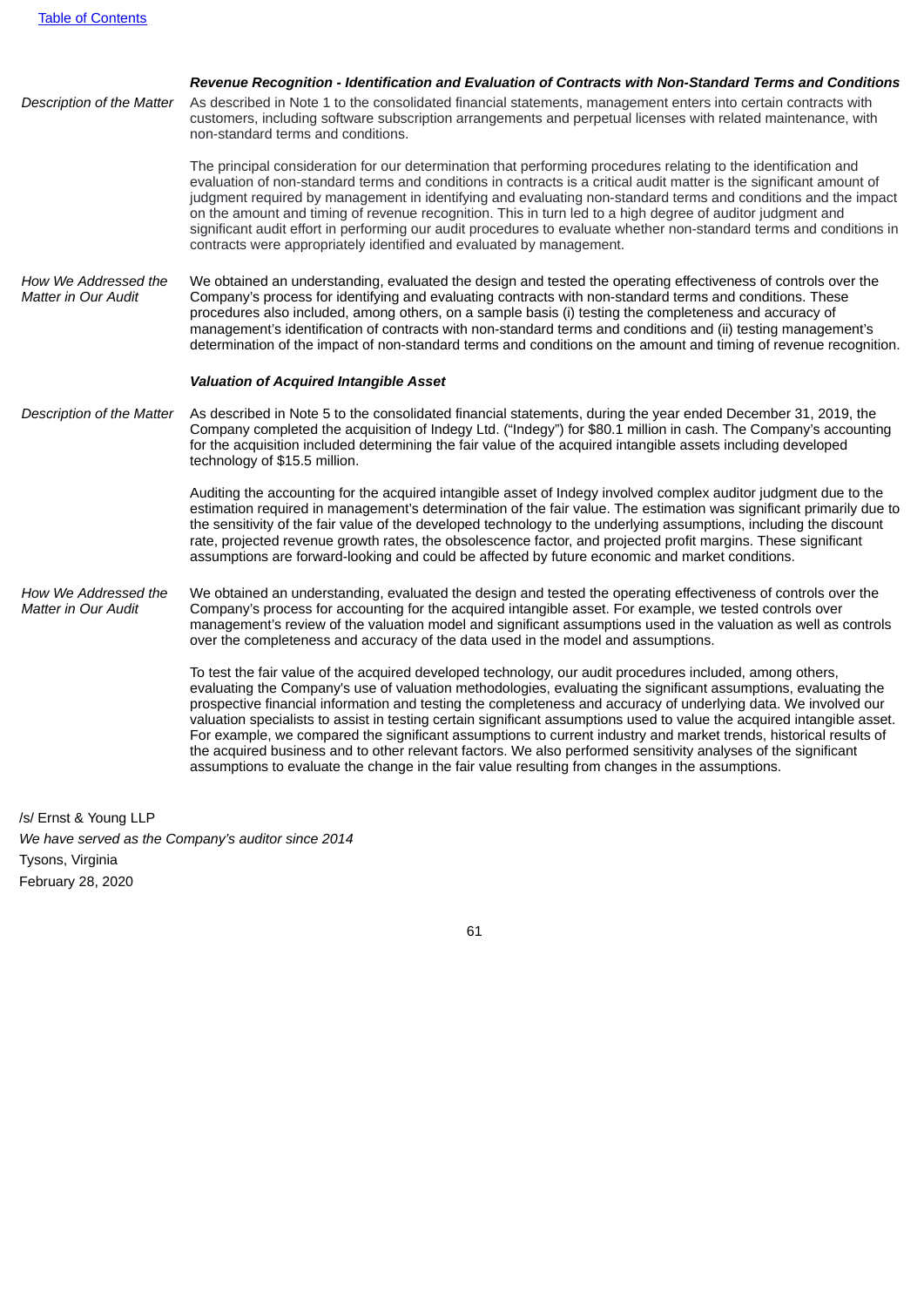|                                                    | Revenue Recognition - Identification and Evaluation of Contracts with Non-Standard Terms and Conditions                                                                                                                                                                                                                                                                                                                                                                                                                                                                                                                                                                                                                                                                                                              |
|----------------------------------------------------|----------------------------------------------------------------------------------------------------------------------------------------------------------------------------------------------------------------------------------------------------------------------------------------------------------------------------------------------------------------------------------------------------------------------------------------------------------------------------------------------------------------------------------------------------------------------------------------------------------------------------------------------------------------------------------------------------------------------------------------------------------------------------------------------------------------------|
| Description of the Matter                          | As described in Note 1 to the consolidated financial statements, management enters into certain contracts with<br>customers, including software subscription arrangements and perpetual licenses with related maintenance, with<br>non-standard terms and conditions.                                                                                                                                                                                                                                                                                                                                                                                                                                                                                                                                                |
|                                                    | The principal consideration for our determination that performing procedures relating to the identification and<br>evaluation of non-standard terms and conditions in contracts is a critical audit matter is the significant amount of<br>judgment required by management in identifying and evaluating non-standard terms and conditions and the impact<br>on the amount and timing of revenue recognition. This in turn led to a high degree of auditor judgment and<br>significant audit effort in performing our audit procedures to evaluate whether non-standard terms and conditions in<br>contracts were appropriately identified and evaluated by management.                                                                                                                                              |
| How We Addressed the<br><b>Matter in Our Audit</b> | We obtained an understanding, evaluated the design and tested the operating effectiveness of controls over the<br>Company's process for identifying and evaluating contracts with non-standard terms and conditions. These<br>procedures also included, among others, on a sample basis (i) testing the completeness and accuracy of<br>management's identification of contracts with non-standard terms and conditions and (ii) testing management's<br>determination of the impact of non-standard terms and conditions on the amount and timing of revenue recognition.                                                                                                                                                                                                                                           |
|                                                    | <b>Valuation of Acquired Intangible Asset</b>                                                                                                                                                                                                                                                                                                                                                                                                                                                                                                                                                                                                                                                                                                                                                                        |
| Description of the Matter                          | As described in Note 5 to the consolidated financial statements, during the year ended December 31, 2019, the<br>Company completed the acquisition of Indegy Ltd. ("Indegy") for \$80.1 million in cash. The Company's accounting<br>for the acquisition included determining the fair value of the acquired intangible assets including developed<br>technology of \$15.5 million.                                                                                                                                                                                                                                                                                                                                                                                                                                  |
|                                                    | Auditing the accounting for the acquired intangible asset of Indegy involved complex auditor judgment due to the<br>estimation required in management's determination of the fair value. The estimation was significant primarily due to<br>the sensitivity of the fair value of the developed technology to the underlying assumptions, including the discount<br>rate, projected revenue growth rates, the obsolescence factor, and projected profit margins. These significant<br>assumptions are forward-looking and could be affected by future economic and market conditions.                                                                                                                                                                                                                                 |
| How We Addressed the<br><b>Matter in Our Audit</b> | We obtained an understanding, evaluated the design and tested the operating effectiveness of controls over the<br>Company's process for accounting for the acquired intangible asset. For example, we tested controls over<br>management's review of the valuation model and significant assumptions used in the valuation as well as controls<br>over the completeness and accuracy of the data used in the model and assumptions.                                                                                                                                                                                                                                                                                                                                                                                  |
|                                                    | To test the fair value of the acquired developed technology, our audit procedures included, among others,<br>evaluating the Company's use of valuation methodologies, evaluating the significant assumptions, evaluating the<br>prospective financial information and testing the completeness and accuracy of underlying data. We involved our<br>valuation specialists to assist in testing certain significant assumptions used to value the acquired intangible asset.<br>For example, we compared the significant assumptions to current industry and market trends, historical results of<br>the acquired business and to other relevant factors. We also performed sensitivity analyses of the significant<br>assumptions to evaluate the change in the fair value resulting from changes in the assumptions. |

/s/ Ernst & Young LLP *We have served as the Company's auditor since 2014* Tysons, Virginia February 28, 2020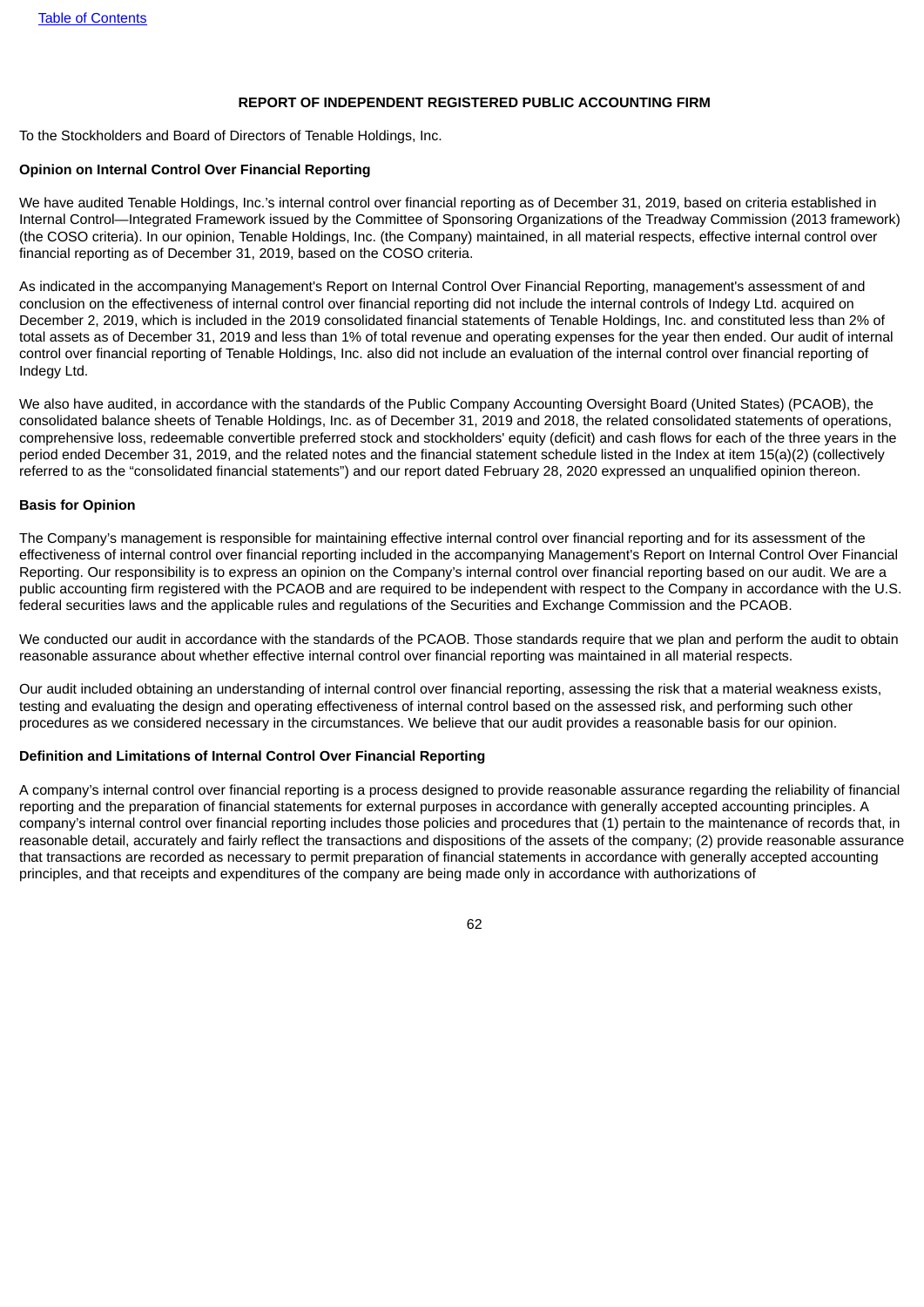# **REPORT OF INDEPENDENT REGISTERED PUBLIC ACCOUNTING FIRM**

To the Stockholders and Board of Directors of Tenable Holdings, Inc.

# **Opinion on Internal Control Over Financial Reporting**

We have audited Tenable Holdings, Inc.'s internal control over financial reporting as of December 31, 2019, based on criteria established in Internal Control—Integrated Framework issued by the Committee of Sponsoring Organizations of the Treadway Commission (2013 framework) (the COSO criteria). In our opinion, Tenable Holdings, Inc. (the Company) maintained, in all material respects, effective internal control over financial reporting as of December 31, 2019, based on the COSO criteria.

As indicated in the accompanying Management's Report on Internal Control Over Financial Reporting, management's assessment of and conclusion on the effectiveness of internal control over financial reporting did not include the internal controls of Indegy Ltd. acquired on December 2, 2019, which is included in the 2019 consolidated financial statements of Tenable Holdings, Inc. and constituted less than 2% of total assets as of December 31, 2019 and less than 1% of total revenue and operating expenses for the year then ended. Our audit of internal control over financial reporting of Tenable Holdings, Inc. also did not include an evaluation of the internal control over financial reporting of Indegy Ltd.

We also have audited, in accordance with the standards of the Public Company Accounting Oversight Board (United States) (PCAOB), the consolidated balance sheets of Tenable Holdings, Inc. as of December 31, 2019 and 2018, the related consolidated statements of operations, comprehensive loss, redeemable convertible preferred stock and stockholders' equity (deficit) and cash flows for each of the three years in the period ended December 31, 2019, and the related notes and the financial statement schedule listed in the Index at item 15(a)(2) (collectively referred to as the "consolidated financial statements") and our report dated February 28, 2020 expressed an unqualified opinion thereon.

### **Basis for Opinion**

The Company's management is responsible for maintaining effective internal control over financial reporting and for its assessment of the effectiveness of internal control over financial reporting included in the accompanying Management's Report on Internal Control Over Financial Reporting. Our responsibility is to express an opinion on the Company's internal control over financial reporting based on our audit. We are a public accounting firm registered with the PCAOB and are required to be independent with respect to the Company in accordance with the U.S. federal securities laws and the applicable rules and regulations of the Securities and Exchange Commission and the PCAOB.

We conducted our audit in accordance with the standards of the PCAOB. Those standards require that we plan and perform the audit to obtain reasonable assurance about whether effective internal control over financial reporting was maintained in all material respects.

Our audit included obtaining an understanding of internal control over financial reporting, assessing the risk that a material weakness exists, testing and evaluating the design and operating effectiveness of internal control based on the assessed risk, and performing such other procedures as we considered necessary in the circumstances. We believe that our audit provides a reasonable basis for our opinion.

# **Definition and Limitations of Internal Control Over Financial Reporting**

A company's internal control over financial reporting is a process designed to provide reasonable assurance regarding the reliability of financial reporting and the preparation of financial statements for external purposes in accordance with generally accepted accounting principles. A company's internal control over financial reporting includes those policies and procedures that (1) pertain to the maintenance of records that, in reasonable detail, accurately and fairly reflect the transactions and dispositions of the assets of the company; (2) provide reasonable assurance that transactions are recorded as necessary to permit preparation of financial statements in accordance with generally accepted accounting principles, and that receipts and expenditures of the company are being made only in accordance with authorizations of

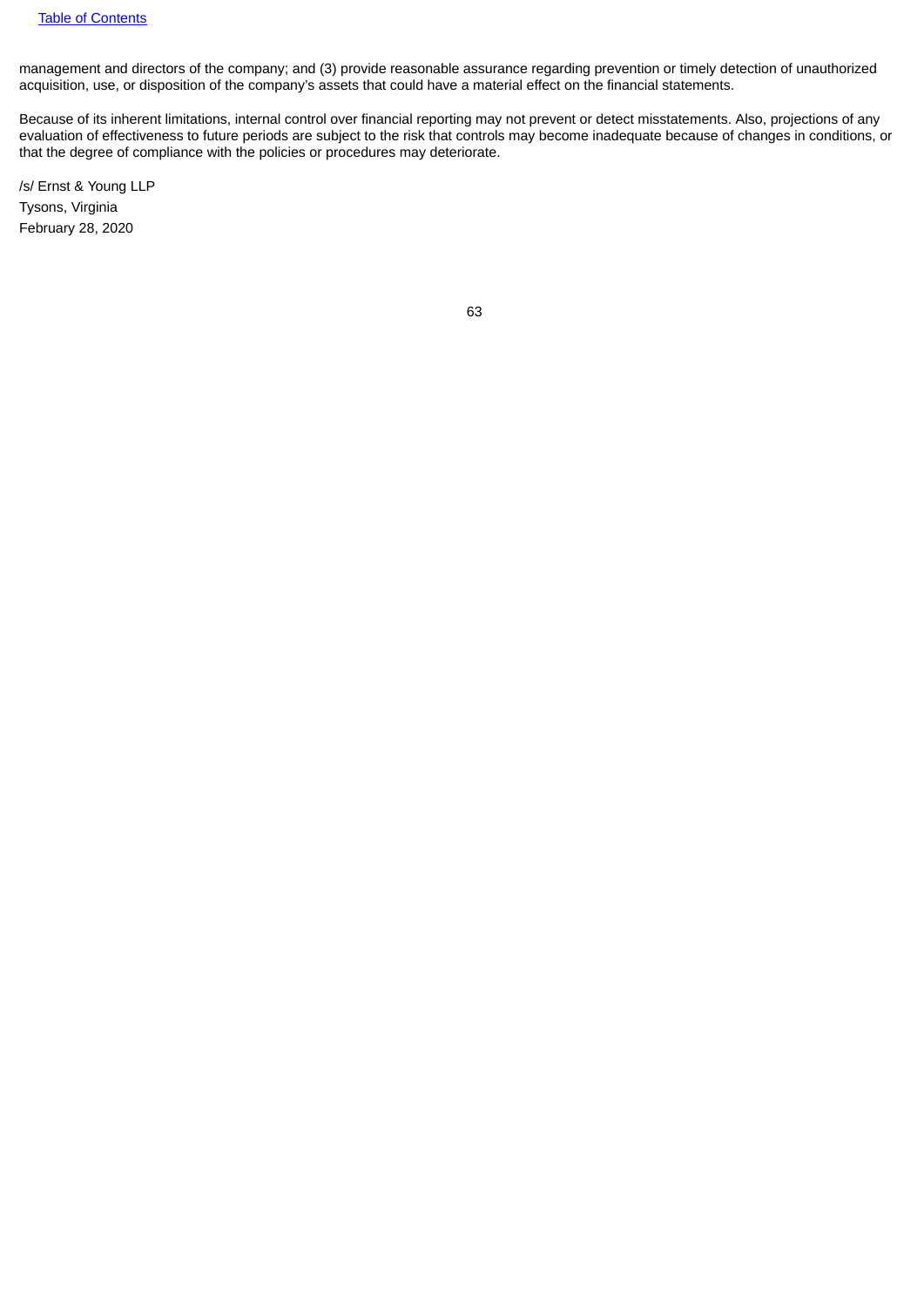management and directors of the company; and (3) provide reasonable assurance regarding prevention or timely detection of unauthorized acquisition, use, or disposition of the company's assets that could have a material effect on the financial statements.

Because of its inherent limitations, internal control over financial reporting may not prevent or detect misstatements. Also, projections of any evaluation of effectiveness to future periods are subject to the risk that controls may become inadequate because of changes in conditions, or that the degree of compliance with the policies or procedures may deteriorate.

/s/ Ernst & Young LLP Tysons, Virginia February 28, 2020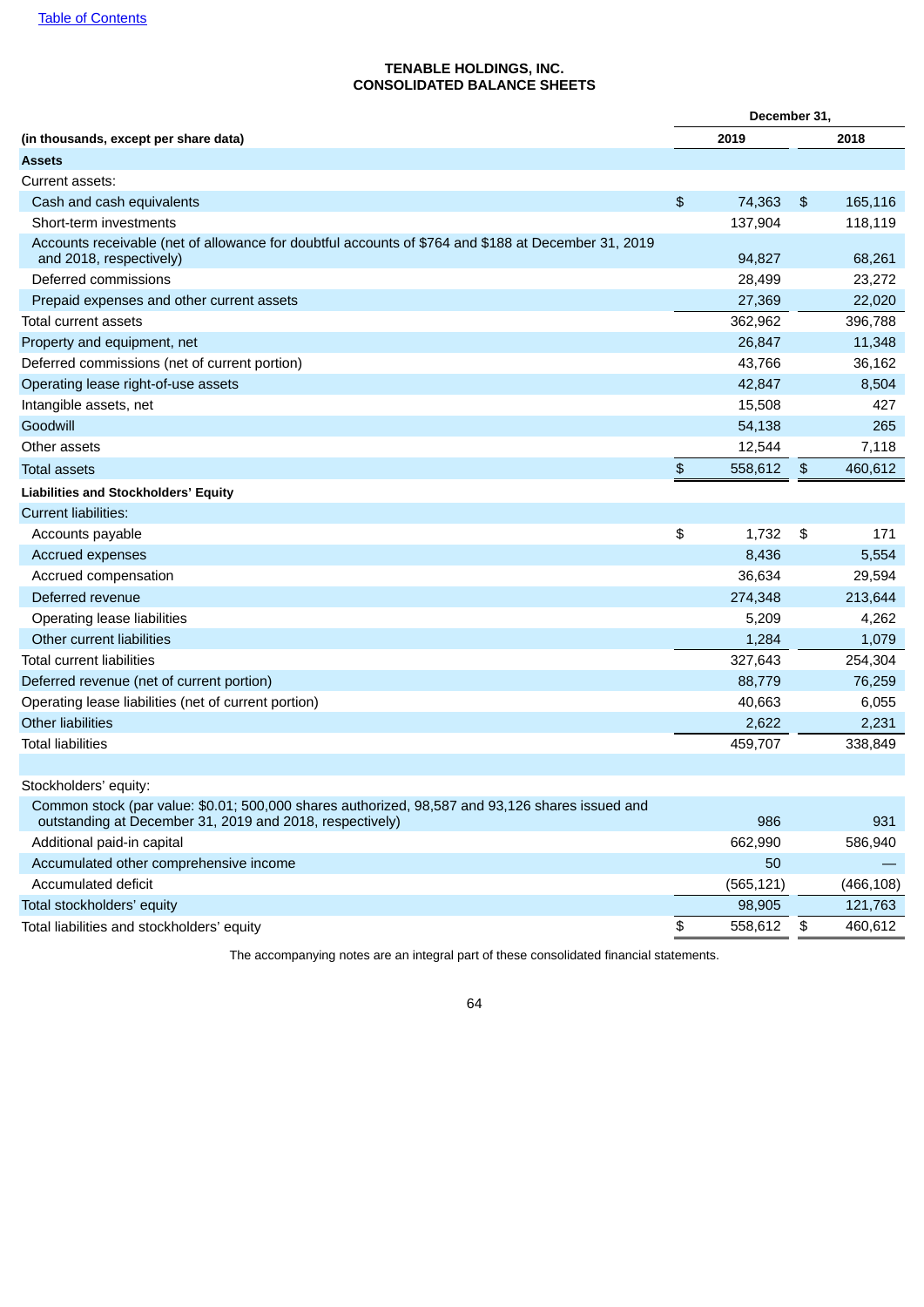# **TENABLE HOLDINGS, INC. CONSOLIDATED BALANCE SHEETS**

<span id="page-63-0"></span>

|                                                                                                                                                             | December 31, |            |               |            |  |  |
|-------------------------------------------------------------------------------------------------------------------------------------------------------------|--------------|------------|---------------|------------|--|--|
| (in thousands, except per share data)                                                                                                                       |              | 2019       |               | 2018       |  |  |
| <b>Assets</b>                                                                                                                                               |              |            |               |            |  |  |
| Current assets:                                                                                                                                             |              |            |               |            |  |  |
| Cash and cash equivalents                                                                                                                                   | \$           | 74,363     | $\frac{1}{2}$ | 165,116    |  |  |
| Short-term investments                                                                                                                                      |              | 137,904    |               | 118,119    |  |  |
| Accounts receivable (net of allowance for doubtful accounts of \$764 and \$188 at December 31, 2019<br>and 2018, respectively)                              |              | 94,827     |               | 68,261     |  |  |
| Deferred commissions                                                                                                                                        |              | 28,499     |               | 23,272     |  |  |
| Prepaid expenses and other current assets                                                                                                                   |              | 27,369     |               | 22,020     |  |  |
| Total current assets                                                                                                                                        |              | 362,962    |               | 396,788    |  |  |
| Property and equipment, net                                                                                                                                 |              | 26,847     |               | 11,348     |  |  |
| Deferred commissions (net of current portion)                                                                                                               |              | 43,766     |               | 36,162     |  |  |
| Operating lease right-of-use assets                                                                                                                         |              | 42,847     |               | 8,504      |  |  |
| Intangible assets, net                                                                                                                                      |              | 15,508     |               | 427        |  |  |
| Goodwill                                                                                                                                                    |              | 54,138     |               | 265        |  |  |
| Other assets                                                                                                                                                |              | 12,544     |               | 7,118      |  |  |
| <b>Total assets</b>                                                                                                                                         | \$           | 558,612    | $\frac{1}{2}$ | 460,612    |  |  |
| <b>Liabilities and Stockholders' Equity</b>                                                                                                                 |              |            |               |            |  |  |
| Current liabilities:                                                                                                                                        |              |            |               |            |  |  |
| Accounts payable                                                                                                                                            | \$           | 1,732      | \$            | 171        |  |  |
| Accrued expenses                                                                                                                                            |              | 8,436      |               | 5,554      |  |  |
| Accrued compensation                                                                                                                                        |              | 36,634     |               | 29,594     |  |  |
| Deferred revenue                                                                                                                                            |              | 274,348    |               | 213,644    |  |  |
| Operating lease liabilities                                                                                                                                 |              | 5,209      |               | 4,262      |  |  |
| Other current liabilities                                                                                                                                   |              | 1,284      |               | 1,079      |  |  |
| <b>Total current liabilities</b>                                                                                                                            |              | 327,643    |               | 254,304    |  |  |
| Deferred revenue (net of current portion)                                                                                                                   |              | 88,779     |               | 76,259     |  |  |
| Operating lease liabilities (net of current portion)                                                                                                        |              | 40,663     |               | 6,055      |  |  |
| <b>Other liabilities</b>                                                                                                                                    |              | 2,622      |               | 2,231      |  |  |
| <b>Total liabilities</b>                                                                                                                                    |              | 459,707    |               | 338,849    |  |  |
|                                                                                                                                                             |              |            |               |            |  |  |
| Stockholders' equity:                                                                                                                                       |              |            |               |            |  |  |
| Common stock (par value: \$0.01; 500,000 shares authorized, 98,587 and 93,126 shares issued and<br>outstanding at December 31, 2019 and 2018, respectively) |              | 986        |               | 931        |  |  |
| Additional paid-in capital                                                                                                                                  |              | 662,990    |               | 586,940    |  |  |
| Accumulated other comprehensive income                                                                                                                      |              | 50         |               |            |  |  |
| Accumulated deficit                                                                                                                                         |              | (565, 121) |               | (466, 108) |  |  |
| Total stockholders' equity                                                                                                                                  |              | 98,905     |               | 121,763    |  |  |
| Total liabilities and stockholders' equity                                                                                                                  | \$           | 558,612    | \$            | 460,612    |  |  |

The accompanying notes are an integral part of these consolidated financial statements.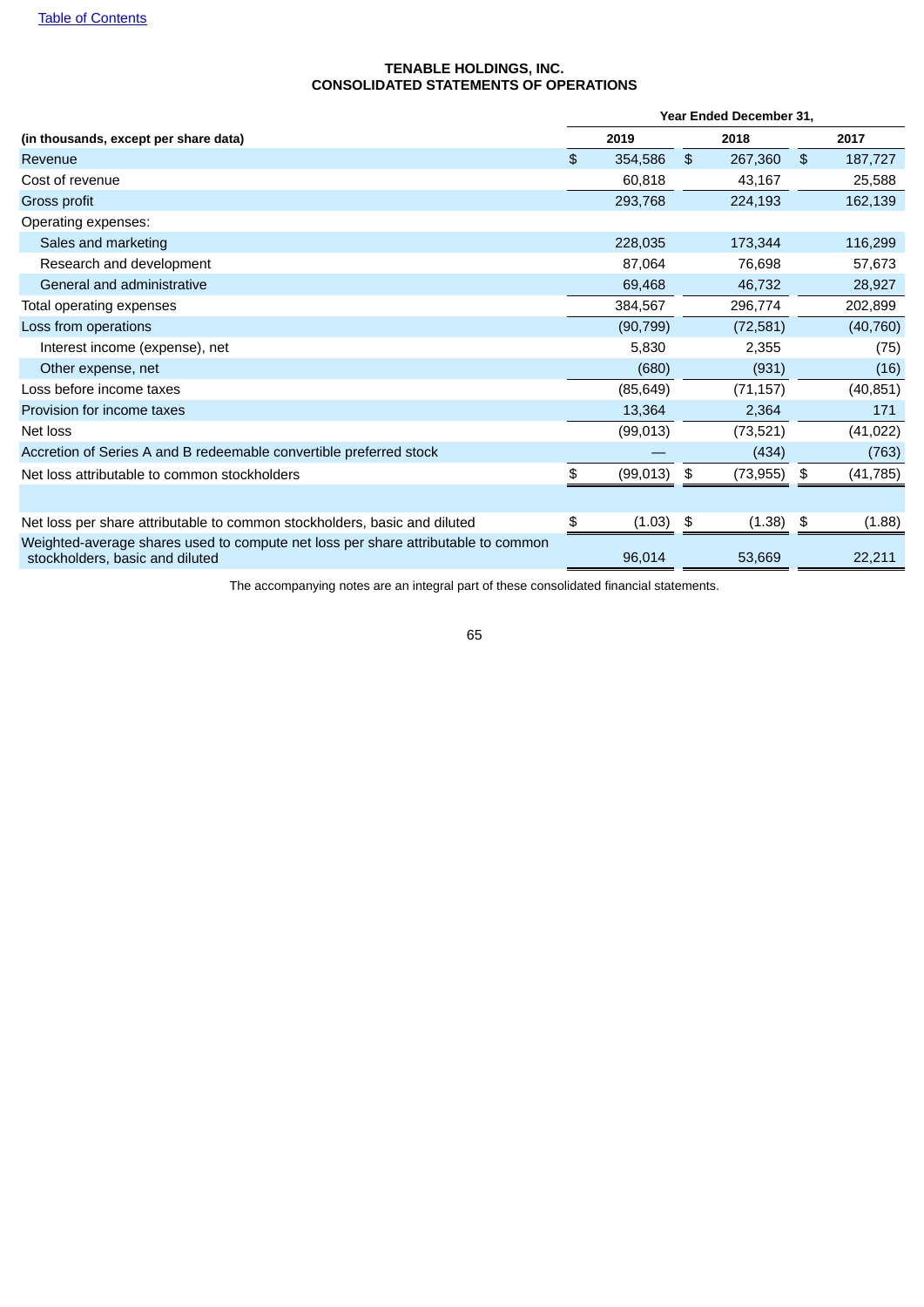# **TENABLE HOLDINGS, INC. CONSOLIDATED STATEMENTS OF OPERATIONS**

<span id="page-64-0"></span>

|                                                                                                                      | <b>Year Ended December 31.</b> |             |      |           |    |           |  |  |
|----------------------------------------------------------------------------------------------------------------------|--------------------------------|-------------|------|-----------|----|-----------|--|--|
| (in thousands, except per share data)                                                                                | 2019                           |             | 2018 |           |    | 2017      |  |  |
| Revenue                                                                                                              | \$                             | 354,586     | \$   | 267,360   | \$ | 187,727   |  |  |
| Cost of revenue                                                                                                      |                                | 60,818      |      | 43,167    |    | 25,588    |  |  |
| Gross profit                                                                                                         |                                | 293,768     |      | 224,193   |    | 162,139   |  |  |
| Operating expenses:                                                                                                  |                                |             |      |           |    |           |  |  |
| Sales and marketing                                                                                                  |                                | 228,035     |      | 173,344   |    | 116,299   |  |  |
| Research and development                                                                                             |                                | 87,064      |      | 76,698    |    | 57,673    |  |  |
| General and administrative                                                                                           |                                | 69,468      |      | 46,732    |    | 28,927    |  |  |
| Total operating expenses                                                                                             |                                | 384,567     |      | 296,774   |    | 202,899   |  |  |
| Loss from operations                                                                                                 |                                | (90, 799)   |      | (72, 581) |    | (40, 760) |  |  |
| Interest income (expense), net                                                                                       |                                | 5,830       |      | 2,355     |    | (75)      |  |  |
| Other expense, net                                                                                                   |                                | (680)       |      | (931)     |    | (16)      |  |  |
| Loss before income taxes                                                                                             |                                | (85, 649)   |      | (71, 157) |    | (40, 851) |  |  |
| Provision for income taxes                                                                                           |                                | 13,364      |      | 2,364     |    | 171       |  |  |
| Net loss                                                                                                             |                                | (99, 013)   |      | (73, 521) |    | (41, 022) |  |  |
| Accretion of Series A and B redeemable convertible preferred stock                                                   |                                |             |      | (434)     |    | (763)     |  |  |
| Net loss attributable to common stockholders                                                                         | \$                             | (99, 013)   | \$   | (73, 955) | \$ | (41, 785) |  |  |
|                                                                                                                      |                                |             |      |           |    |           |  |  |
| Net loss per share attributable to common stockholders, basic and diluted                                            | \$                             | $(1.03)$ \$ |      | (1.38)    | \$ | (1.88)    |  |  |
| Weighted-average shares used to compute net loss per share attributable to common<br>stockholders, basic and diluted |                                | 96,014      |      | 53,669    |    | 22,211    |  |  |

The accompanying notes are an integral part of these consolidated financial statements.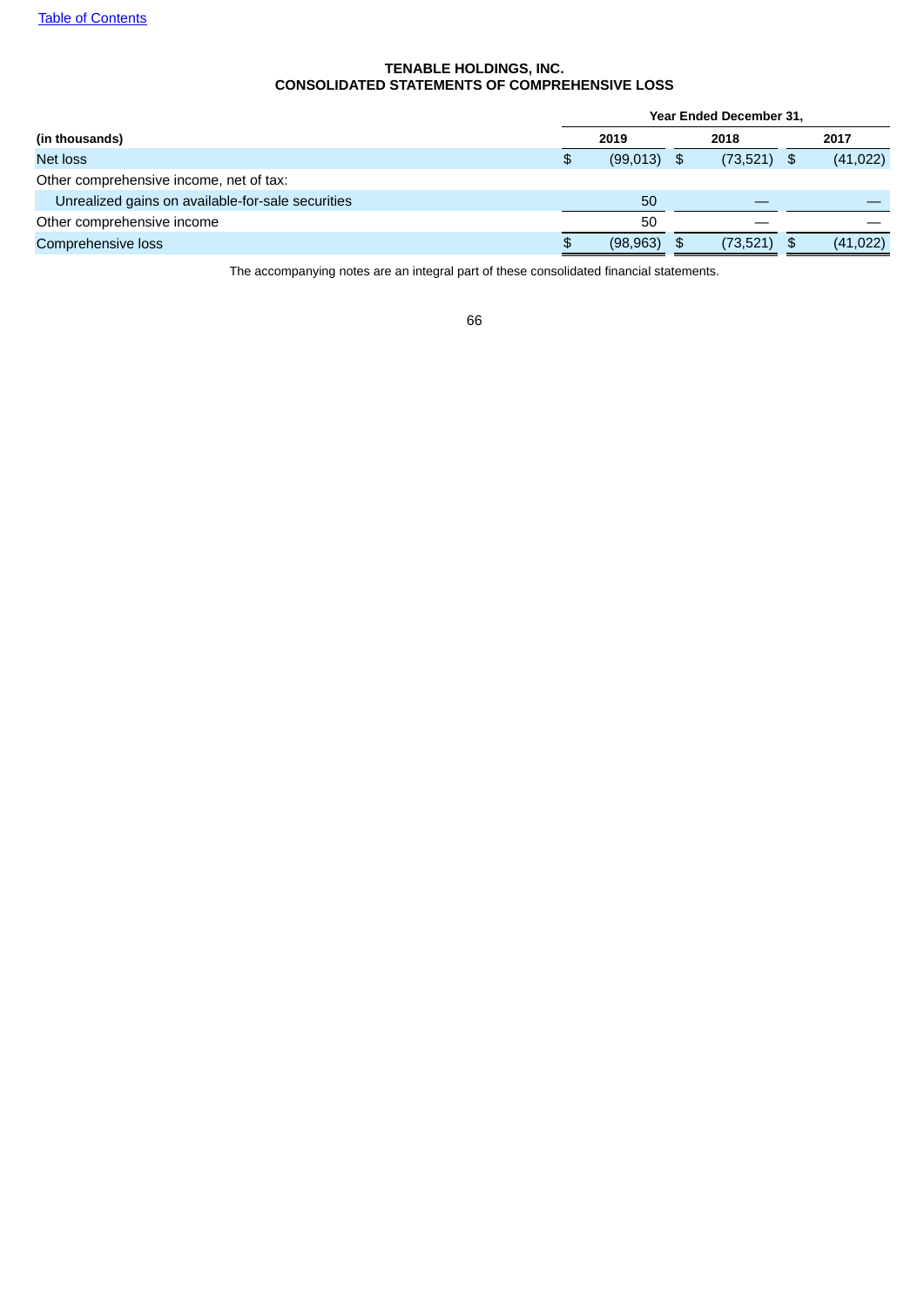# **TENABLE HOLDINGS, INC. CONSOLIDATED STATEMENTS OF COMPREHENSIVE LOSS**

<span id="page-65-0"></span>

|                                                   | Year Ended December 31, |           |      |               |  |           |  |  |
|---------------------------------------------------|-------------------------|-----------|------|---------------|--|-----------|--|--|
| (in thousands)                                    |                         | 2019      |      | 2018          |  | 2017      |  |  |
| Net loss                                          | \$                      | (99, 013) | - \$ | $(73,521)$ \$ |  | (41, 022) |  |  |
| Other comprehensive income, net of tax:           |                         |           |      |               |  |           |  |  |
| Unrealized gains on available-for-sale securities |                         | 50        |      |               |  |           |  |  |
| Other comprehensive income                        |                         | 50        |      |               |  |           |  |  |
| Comprehensive loss                                | \$                      | (98, 963) | \$   | (73,521)      |  | (41, 022) |  |  |

The accompanying notes are an integral part of these consolidated financial statements.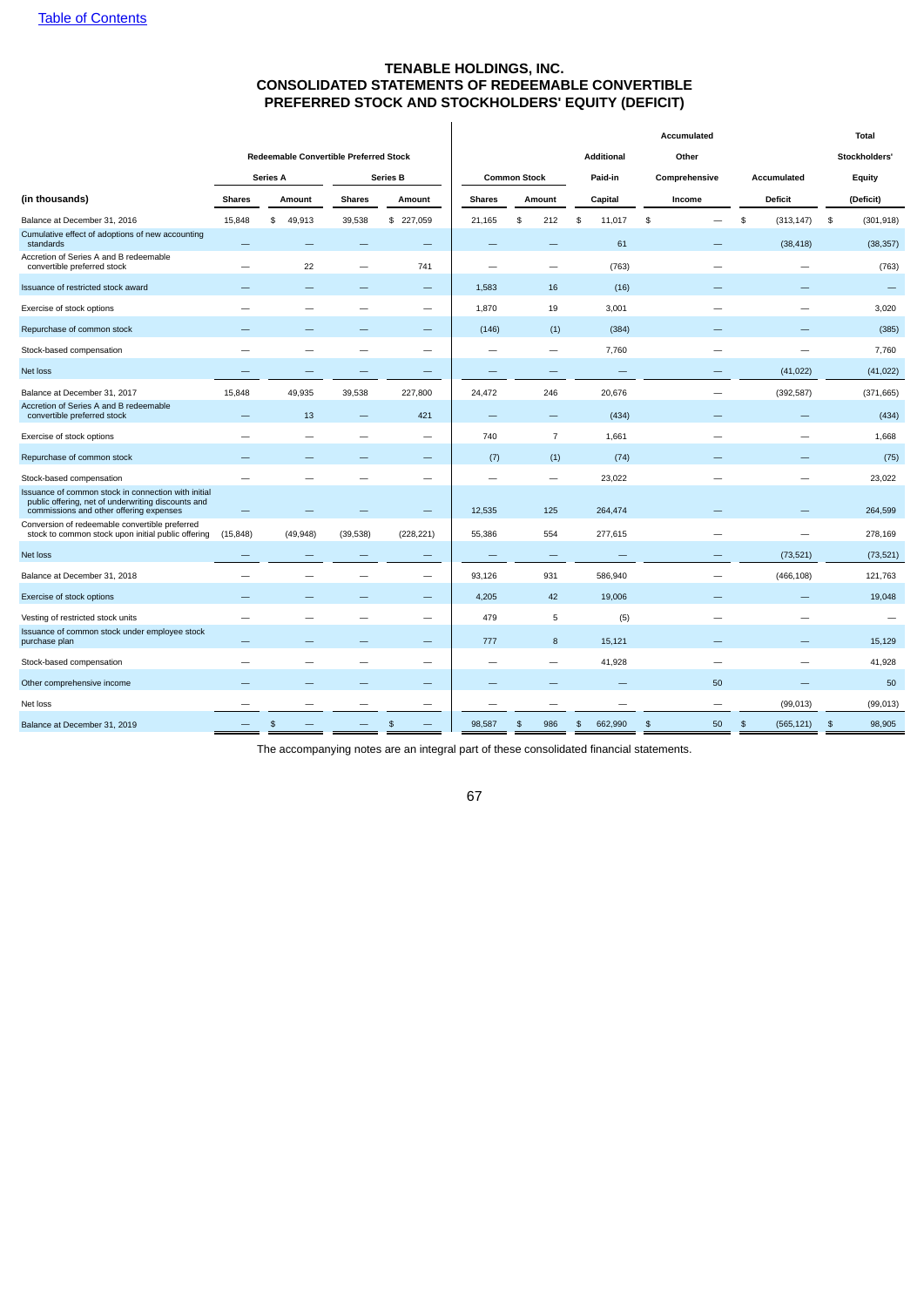# **TENABLE HOLDINGS, INC. CONSOLIDATED STATEMENTS OF REDEEMABLE CONVERTIBLE PREFERRED STOCK AND STOCKHOLDERS' EQUITY (DEFICIT)**

<span id="page-66-0"></span>

|                                                                                                                                                      |               |                                        |               |                          |                          |                     |                   | <b>Accumulated</b>  |                              | <b>Total</b>            |
|------------------------------------------------------------------------------------------------------------------------------------------------------|---------------|----------------------------------------|---------------|--------------------------|--------------------------|---------------------|-------------------|---------------------|------------------------------|-------------------------|
|                                                                                                                                                      |               | Redeemable Convertible Preferred Stock |               |                          |                          |                     | <b>Additional</b> | Other               | Stockholders'                |                         |
|                                                                                                                                                      |               | <b>Series A</b>                        |               | <b>Series B</b>          |                          | <b>Common Stock</b> | Paid-in           | Comprehensive       | Accumulated                  | Equity                  |
| (in thousands)                                                                                                                                       | <b>Shares</b> | Amount                                 | <b>Shares</b> | Amount                   | <b>Shares</b>            | Amount              | Capital           | Income              | <b>Deficit</b>               | (Deficit)               |
| Balance at December 31, 2016                                                                                                                         | 15,848        | \$<br>49,913                           | 39,538        | \$ 227,059               | 21,165                   | \$<br>212           | \$<br>11,017      | \$                  | \$<br>(313, 147)             | (301, 918)<br>\$        |
| Cumulative effect of adoptions of new accounting<br>standards                                                                                        |               |                                        |               |                          |                          |                     | 61                |                     | (38, 418)                    | (38, 357)               |
| Accretion of Series A and B redeemable<br>convertible preferred stock                                                                                |               | 22                                     |               | 741                      |                          |                     | (763)             |                     |                              | (763)                   |
| Issuance of restricted stock award                                                                                                                   |               |                                        |               |                          | 1.583                    | 16                  | (16)              |                     |                              |                         |
| Exercise of stock options                                                                                                                            |               |                                        |               | $\overline{\phantom{0}}$ | 1,870                    | 19                  | 3,001             |                     |                              | 3,020                   |
| Repurchase of common stock                                                                                                                           |               |                                        |               |                          | (146)                    | (1)                 | (384)             |                     |                              | (385)                   |
| Stock-based compensation                                                                                                                             |               |                                        |               |                          |                          | -                   | 7,760             |                     |                              | 7,760                   |
| Net loss                                                                                                                                             |               |                                        |               |                          |                          |                     |                   |                     | (41, 022)                    | (41, 022)               |
| Balance at December 31, 2017                                                                                                                         | 15,848        | 49,935                                 | 39,538        | 227,800                  | 24,472                   | 246                 | 20,676            |                     | (392, 587)                   | (371, 665)              |
| Accretion of Series A and B redeemable<br>convertible preferred stock                                                                                |               | 13                                     |               | 421                      |                          |                     | (434)             |                     |                              | (434)                   |
| Exercise of stock options                                                                                                                            |               |                                        |               | $\overline{\phantom{0}}$ | 740                      | $\overline{7}$      | 1,661             |                     |                              | 1,668                   |
| Repurchase of common stock                                                                                                                           |               |                                        |               |                          | (7)                      | (1)                 | (74)              |                     |                              | (75)                    |
| Stock-based compensation                                                                                                                             |               |                                        |               |                          | $\overline{\phantom{0}}$ | -                   | 23,022            |                     |                              | 23,022                  |
| Issuance of common stock in connection with initial<br>public offering, net of underwriting discounts and<br>commissions and other offering expenses |               |                                        |               |                          | 12,535                   | 125                 | 264,474           |                     |                              | 264,599                 |
| Conversion of redeemable convertible preferred<br>stock to common stock upon initial public offering                                                 | (15, 848)     | (49, 948)                              | (39, 538)     | (228, 221)               | 55,386                   | 554                 | 277,615           | -                   | $\overline{\phantom{0}}$     | 278,169                 |
| Net loss                                                                                                                                             |               |                                        |               |                          |                          |                     |                   |                     | (73, 521)                    | (73, 521)               |
| Balance at December 31, 2018                                                                                                                         |               |                                        |               | $\overline{\phantom{0}}$ | 93.126                   | 931                 | 586,940           |                     | (466, 108)                   | 121,763                 |
| Exercise of stock options                                                                                                                            |               |                                        |               |                          | 4,205                    | 42                  | 19,006            |                     |                              | 19,048                  |
| Vesting of restricted stock units                                                                                                                    |               |                                        |               |                          | 479                      | 5                   | (5)               |                     |                              |                         |
| Issuance of common stock under employee stock<br>purchase plan                                                                                       |               |                                        |               |                          | 777                      | 8                   | 15,121            |                     |                              | 15,129                  |
| Stock-based compensation                                                                                                                             |               |                                        |               | $\overline{\phantom{0}}$ |                          |                     | 41,928            |                     |                              | 41,928                  |
| Other comprehensive income                                                                                                                           |               |                                        |               |                          |                          |                     |                   | 50                  |                              | 50                      |
| Net loss                                                                                                                                             |               |                                        |               |                          |                          |                     |                   |                     | (99, 013)                    | (99, 013)               |
| Balance at December 31, 2019                                                                                                                         |               | \$                                     |               | \$                       | 98,587                   | 986<br>\$           | 662,990<br>\$     | $\frac{1}{2}$<br>50 | $\mathfrak{S}$<br>(565, 121) | $\frac{1}{2}$<br>98,905 |

The accompanying notes are an integral part of these consolidated financial statements.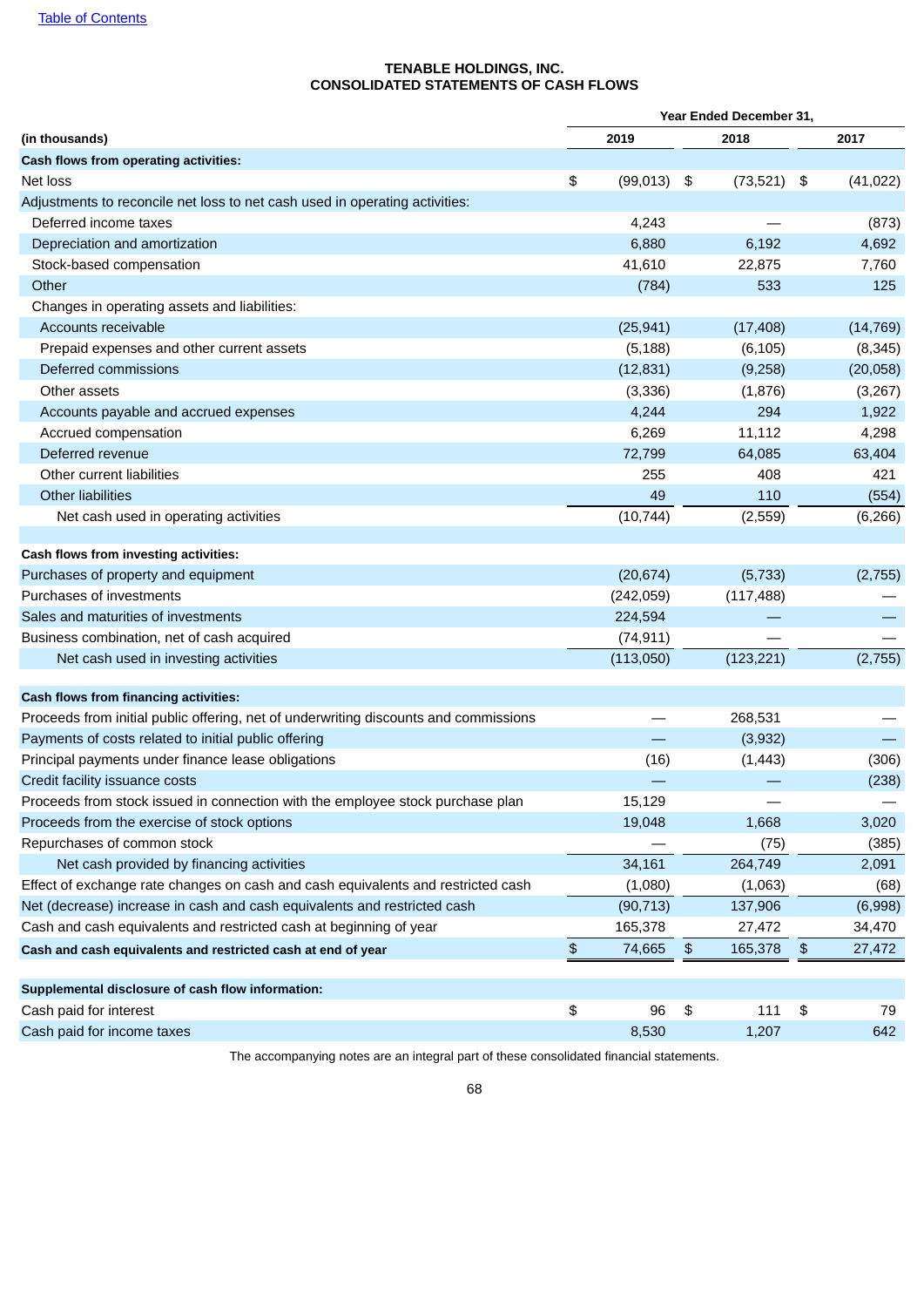# **TENABLE HOLDINGS, INC. CONSOLIDATED STATEMENTS OF CASH FLOWS**

<span id="page-67-0"></span>

|                                                                                      | Year Ended December 31, |               |    |               |    |           |  |
|--------------------------------------------------------------------------------------|-------------------------|---------------|----|---------------|----|-----------|--|
| (in thousands)                                                                       |                         | 2019          |    | 2018          |    | 2017      |  |
| Cash flows from operating activities:                                                |                         |               |    |               |    |           |  |
| Net loss                                                                             | \$                      | $(99,013)$ \$ |    | $(73,521)$ \$ |    | (41, 022) |  |
| Adjustments to reconcile net loss to net cash used in operating activities:          |                         |               |    |               |    |           |  |
| Deferred income taxes                                                                |                         | 4,243         |    |               |    | (873)     |  |
| Depreciation and amortization                                                        |                         | 6,880         |    | 6,192         |    | 4,692     |  |
| Stock-based compensation                                                             |                         | 41,610        |    | 22,875        |    | 7,760     |  |
| Other                                                                                |                         | (784)         |    | 533           |    | 125       |  |
| Changes in operating assets and liabilities:                                         |                         |               |    |               |    |           |  |
| Accounts receivable                                                                  |                         | (25, 941)     |    | (17, 408)     |    | (14, 769) |  |
| Prepaid expenses and other current assets                                            |                         | (5, 188)      |    | (6, 105)      |    | (8, 345)  |  |
| Deferred commissions                                                                 |                         | (12, 831)     |    | (9,258)       |    | (20, 058) |  |
| Other assets                                                                         |                         | (3,336)       |    | (1,876)       |    | (3, 267)  |  |
| Accounts payable and accrued expenses                                                |                         | 4,244         |    | 294           |    | 1,922     |  |
| Accrued compensation                                                                 |                         | 6,269         |    | 11,112        |    | 4,298     |  |
| Deferred revenue                                                                     |                         | 72,799        |    | 64,085        |    | 63,404    |  |
| Other current liabilities                                                            |                         | 255           |    | 408           |    | 421       |  |
| <b>Other liabilities</b>                                                             |                         | 49            |    | 110           |    | (554)     |  |
| Net cash used in operating activities                                                |                         | (10, 744)     |    | (2, 559)      |    | (6, 266)  |  |
|                                                                                      |                         |               |    |               |    |           |  |
| Cash flows from investing activities:                                                |                         |               |    |               |    |           |  |
| Purchases of property and equipment                                                  |                         | (20, 674)     |    | (5, 733)      |    | (2,755)   |  |
| Purchases of investments                                                             |                         | (242,059)     |    | (117, 488)    |    |           |  |
| Sales and maturities of investments                                                  |                         | 224,594       |    |               |    |           |  |
| Business combination, net of cash acquired                                           |                         | (74, 911)     |    |               |    |           |  |
| Net cash used in investing activities                                                |                         | (113,050)     |    | (123, 221)    |    | (2,755)   |  |
|                                                                                      |                         |               |    |               |    |           |  |
| Cash flows from financing activities:                                                |                         |               |    |               |    |           |  |
| Proceeds from initial public offering, net of underwriting discounts and commissions |                         |               |    | 268,531       |    |           |  |
| Payments of costs related to initial public offering                                 |                         |               |    | (3,932)       |    |           |  |
| Principal payments under finance lease obligations                                   |                         | (16)          |    | (1, 443)      |    | (306)     |  |
| Credit facility issuance costs                                                       |                         |               |    |               |    | (238)     |  |
| Proceeds from stock issued in connection with the employee stock purchase plan       |                         | 15,129        |    |               |    |           |  |
| Proceeds from the exercise of stock options                                          |                         | 19,048        |    | 1,668         |    | 3,020     |  |
| Repurchases of common stock                                                          |                         |               |    | (75)          |    | (385)     |  |
| Net cash provided by financing activities                                            |                         | 34,161        |    | 264,749       |    | 2,091     |  |
| Effect of exchange rate changes on cash and cash equivalents and restricted cash     |                         | (1,080)       |    | (1,063)       |    | (68)      |  |
| Net (decrease) increase in cash and cash equivalents and restricted cash             |                         | (90, 713)     |    | 137,906       |    | (6,998)   |  |
| Cash and cash equivalents and restricted cash at beginning of year                   |                         | 165,378       |    | 27,472        |    | 34,470    |  |
| Cash and cash equivalents and restricted cash at end of year                         | \$                      | 74,665        | \$ | 165,378       | \$ | 27,472    |  |
| Supplemental disclosure of cash flow information:                                    |                         |               |    |               |    |           |  |
| Cash paid for interest                                                               | \$                      | 96            | \$ | 111           | \$ | 79        |  |
| Cash paid for income taxes                                                           |                         | 8,530         |    | 1,207         |    | 642       |  |

The accompanying notes are an integral part of these consolidated financial statements.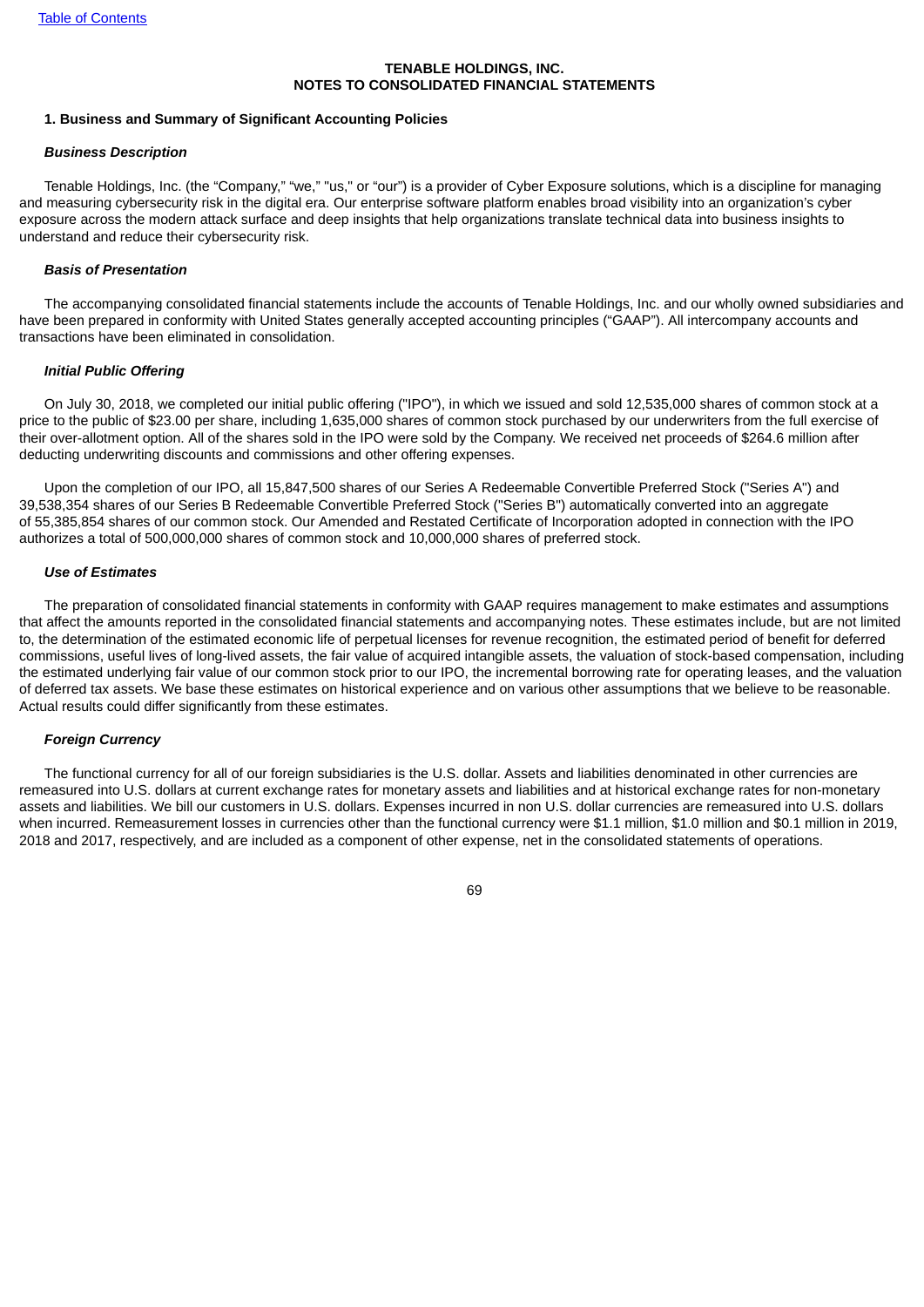# **TENABLE HOLDINGS, INC. NOTES TO CONSOLIDATED FINANCIAL STATEMENTS**

# <span id="page-68-1"></span><span id="page-68-0"></span>**1. Business and Summary of Significant Accounting Policies**

### *Business Description*

Tenable Holdings, Inc. (the "Company," "we," "us," or "our") is a provider of Cyber Exposure solutions, which is a discipline for managing and measuring cybersecurity risk in the digital era. Our enterprise software platform enables broad visibility into an organization's cyber exposure across the modern attack surface and deep insights that help organizations translate technical data into business insights to understand and reduce their cybersecurity risk.

### *Basis of Presentation*

The accompanying consolidated financial statements include the accounts of Tenable Holdings, Inc. and our wholly owned subsidiaries and have been prepared in conformity with United States generally accepted accounting principles ("GAAP"). All intercompany accounts and transactions have been eliminated in consolidation.

### *Initial Public Offering*

On July 30, 2018, we completed our initial public offering ("IPO"), in which we issued and sold 12,535,000 shares of common stock at a price to the public of \$23.00 per share, including 1,635,000 shares of common stock purchased by our underwriters from the full exercise of their over-allotment option. All of the shares sold in the IPO were sold by the Company. We received net proceeds of \$264.6 million after deducting underwriting discounts and commissions and other offering expenses.

Upon the completion of our IPO, all 15,847,500 shares of our Series A Redeemable Convertible Preferred Stock ("Series A") and 39,538,354 shares of our Series B Redeemable Convertible Preferred Stock ("Series B") automatically converted into an aggregate of 55,385,854 shares of our common stock. Our Amended and Restated Certificate of Incorporation adopted in connection with the IPO authorizes a total of 500,000,000 shares of common stock and 10,000,000 shares of preferred stock.

## *Use of Estimates*

The preparation of consolidated financial statements in conformity with GAAP requires management to make estimates and assumptions that affect the amounts reported in the consolidated financial statements and accompanying notes. These estimates include, but are not limited to, the determination of the estimated economic life of perpetual licenses for revenue recognition, the estimated period of benefit for deferred commissions, useful lives of long-lived assets, the fair value of acquired intangible assets, the valuation of stock-based compensation, including the estimated underlying fair value of our common stock prior to our IPO, the incremental borrowing rate for operating leases, and the valuation of deferred tax assets. We base these estimates on historical experience and on various other assumptions that we believe to be reasonable. Actual results could differ significantly from these estimates.

# *Foreign Currency*

The functional currency for all of our foreign subsidiaries is the U.S. dollar. Assets and liabilities denominated in other currencies are remeasured into U.S. dollars at current exchange rates for monetary assets and liabilities and at historical exchange rates for non-monetary assets and liabilities. We bill our customers in U.S. dollars. Expenses incurred in non U.S. dollar currencies are remeasured into U.S. dollars when incurred. Remeasurement losses in currencies other than the functional currency were \$1.1 million, \$1.0 million and \$0.1 million in 2019, 2018 and 2017, respectively, and are included as a component of other expense, net in the consolidated statements of operations.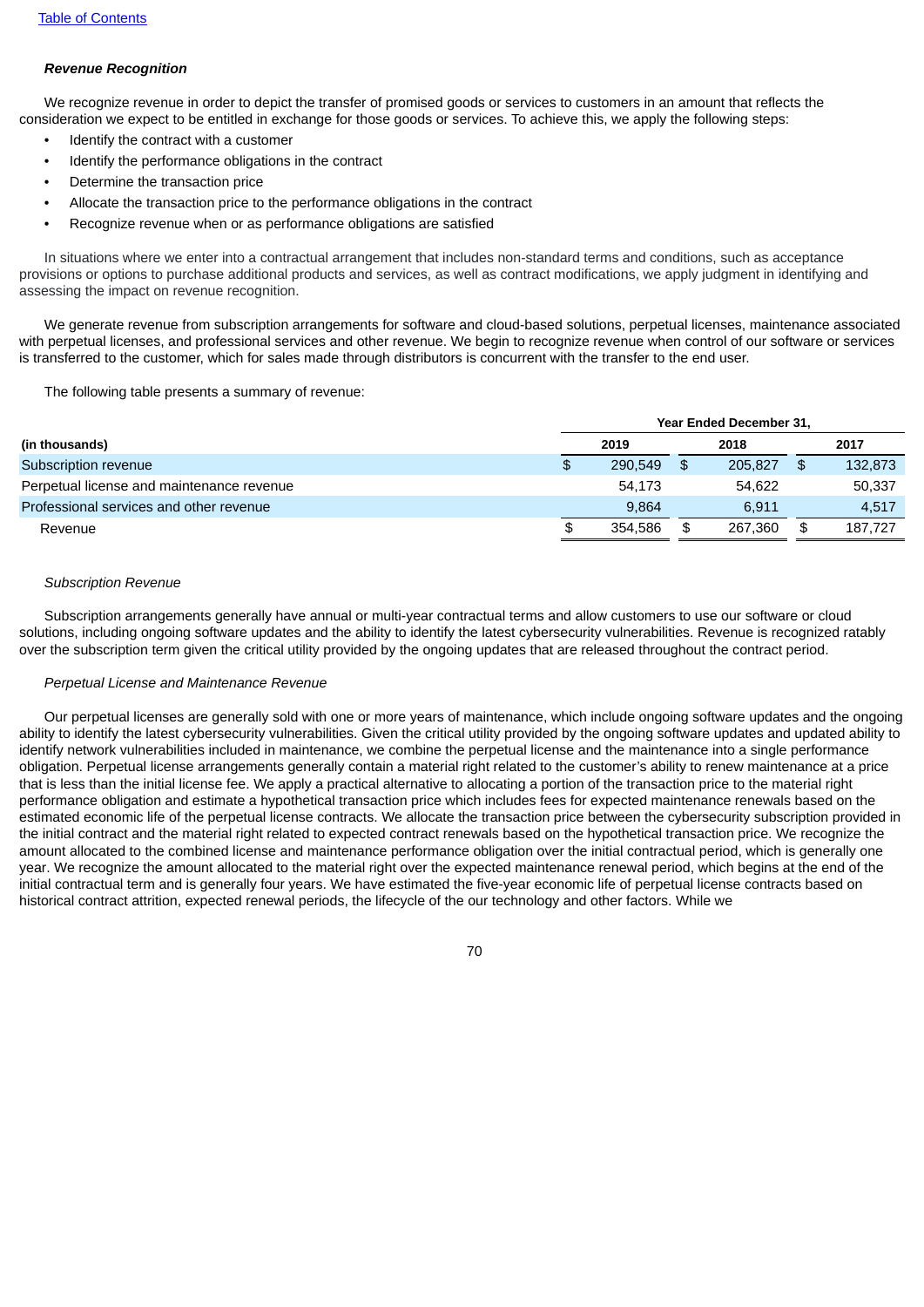# *Revenue Recognition*

We recognize revenue in order to depict the transfer of promised goods or services to customers in an amount that reflects the consideration we expect to be entitled in exchange for those goods or services. To achieve this, we apply the following steps:

- Identify the contract with a customer
- Identify the performance obligations in the contract
- Determine the transaction price
- Allocate the transaction price to the performance obligations in the contract
- Recognize revenue when or as performance obligations are satisfied

In situations where we enter into a contractual arrangement that includes non-standard terms and conditions, such as acceptance provisions or options to purchase additional products and services, as well as contract modifications, we apply judgment in identifying and assessing the impact on revenue recognition.

We generate revenue from subscription arrangements for software and cloud-based solutions, perpetual licenses, maintenance associated with perpetual licenses, and professional services and other revenue. We begin to recognize revenue when control of our software or services is transferred to the customer, which for sales made through distributors is concurrent with the transfer to the end user.

The following table presents a summary of revenue:

|                                           | Year Ended December 31, |         |    |         |    |         |
|-------------------------------------------|-------------------------|---------|----|---------|----|---------|
| (in thousands)                            |                         | 2019    |    | 2018    |    | 2017    |
| Subscription revenue                      | \$                      | 290,549 |    | 205,827 | \$ | 132,873 |
| Perpetual license and maintenance revenue |                         | 54.173  |    | 54.622  |    | 50,337  |
| Professional services and other revenue   |                         | 9.864   |    | 6.911   |    | 4,517   |
| Revenue                                   | \$                      | 354.586 | \$ | 267.360 | \$ | 187.727 |

### *Subscription Revenue*

Subscription arrangements generally have annual or multi-year contractual terms and allow customers to use our software or cloud solutions, including ongoing software updates and the ability to identify the latest cybersecurity vulnerabilities. Revenue is recognized ratably over the subscription term given the critical utility provided by the ongoing updates that are released throughout the contract period.

#### *Perpetual License and Maintenance Revenue*

Our perpetual licenses are generally sold with one or more years of maintenance, which include ongoing software updates and the ongoing ability to identify the latest cybersecurity vulnerabilities. Given the critical utility provided by the ongoing software updates and updated ability to identify network vulnerabilities included in maintenance, we combine the perpetual license and the maintenance into a single performance obligation. Perpetual license arrangements generally contain a material right related to the customer's ability to renew maintenance at a price that is less than the initial license fee. We apply a practical alternative to allocating a portion of the transaction price to the material right performance obligation and estimate a hypothetical transaction price which includes fees for expected maintenance renewals based on the estimated economic life of the perpetual license contracts. We allocate the transaction price between the cybersecurity subscription provided in the initial contract and the material right related to expected contract renewals based on the hypothetical transaction price. We recognize the amount allocated to the combined license and maintenance performance obligation over the initial contractual period, which is generally one year. We recognize the amount allocated to the material right over the expected maintenance renewal period, which begins at the end of the initial contractual term and is generally four years. We have estimated the five-year economic life of perpetual license contracts based on historical contract attrition, expected renewal periods, the lifecycle of the our technology and other factors. While we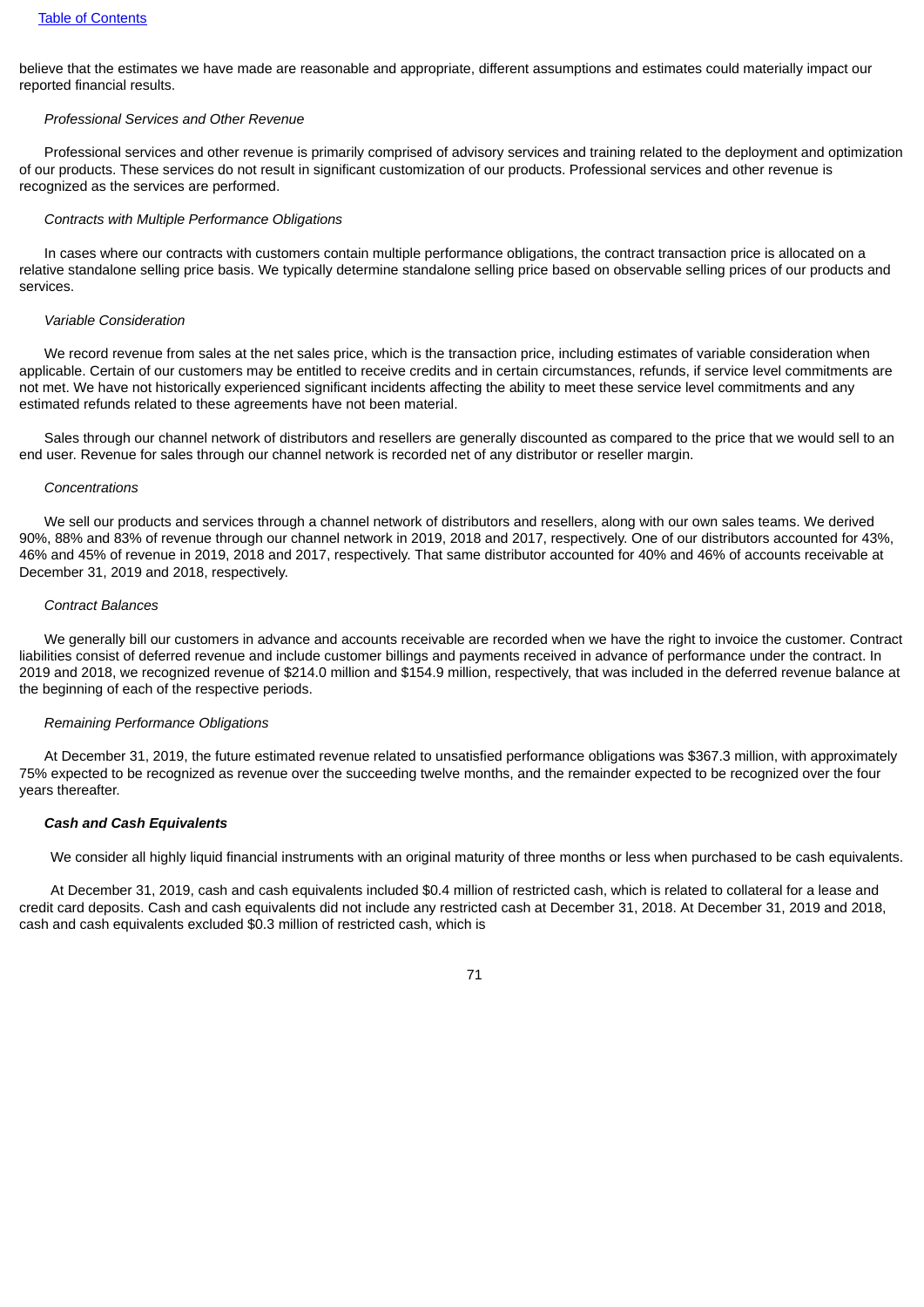believe that the estimates we have made are reasonable and appropriate, different assumptions and estimates could materially impact our reported financial results.

#### *Professional Services and Other Revenue*

Professional services and other revenue is primarily comprised of advisory services and training related to the deployment and optimization of our products. These services do not result in significant customization of our products. Professional services and other revenue is recognized as the services are performed.

#### *Contracts with Multiple Performance Obligations*

In cases where our contracts with customers contain multiple performance obligations, the contract transaction price is allocated on a relative standalone selling price basis. We typically determine standalone selling price based on observable selling prices of our products and services.

### *Variable Consideration*

We record revenue from sales at the net sales price, which is the transaction price, including estimates of variable consideration when applicable. Certain of our customers may be entitled to receive credits and in certain circumstances, refunds, if service level commitments are not met. We have not historically experienced significant incidents affecting the ability to meet these service level commitments and any estimated refunds related to these agreements have not been material.

Sales through our channel network of distributors and resellers are generally discounted as compared to the price that we would sell to an end user. Revenue for sales through our channel network is recorded net of any distributor or reseller margin.

### *Concentrations*

We sell our products and services through a channel network of distributors and resellers, along with our own sales teams. We derived 90%, 88% and 83% of revenue through our channel network in 2019, 2018 and 2017, respectively. One of our distributors accounted for 43%, 46% and 45% of revenue in 2019, 2018 and 2017, respectively. That same distributor accounted for 40% and 46% of accounts receivable at December 31, 2019 and 2018, respectively.

# *Contract Balances*

We generally bill our customers in advance and accounts receivable are recorded when we have the right to invoice the customer. Contract liabilities consist of deferred revenue and include customer billings and payments received in advance of performance under the contract. In 2019 and 2018, we recognized revenue of \$214.0 million and \$154.9 million, respectively, that was included in the deferred revenue balance at the beginning of each of the respective periods.

#### *Remaining Performance Obligations*

At December 31, 2019, the future estimated revenue related to unsatisfied performance obligations was \$367.3 million, with approximately 75% expected to be recognized as revenue over the succeeding twelve months, and the remainder expected to be recognized over the four years thereafter.

#### *Cash and Cash Equivalents*

We consider all highly liquid financial instruments with an original maturity of three months or less when purchased to be cash equivalents.

At December 31, 2019, cash and cash equivalents included \$0.4 million of restricted cash, which is related to collateral for a lease and credit card deposits. Cash and cash equivalents did not include any restricted cash at December 31, 2018. At December 31, 2019 and 2018, cash and cash equivalents excluded \$0.3 million of restricted cash, which is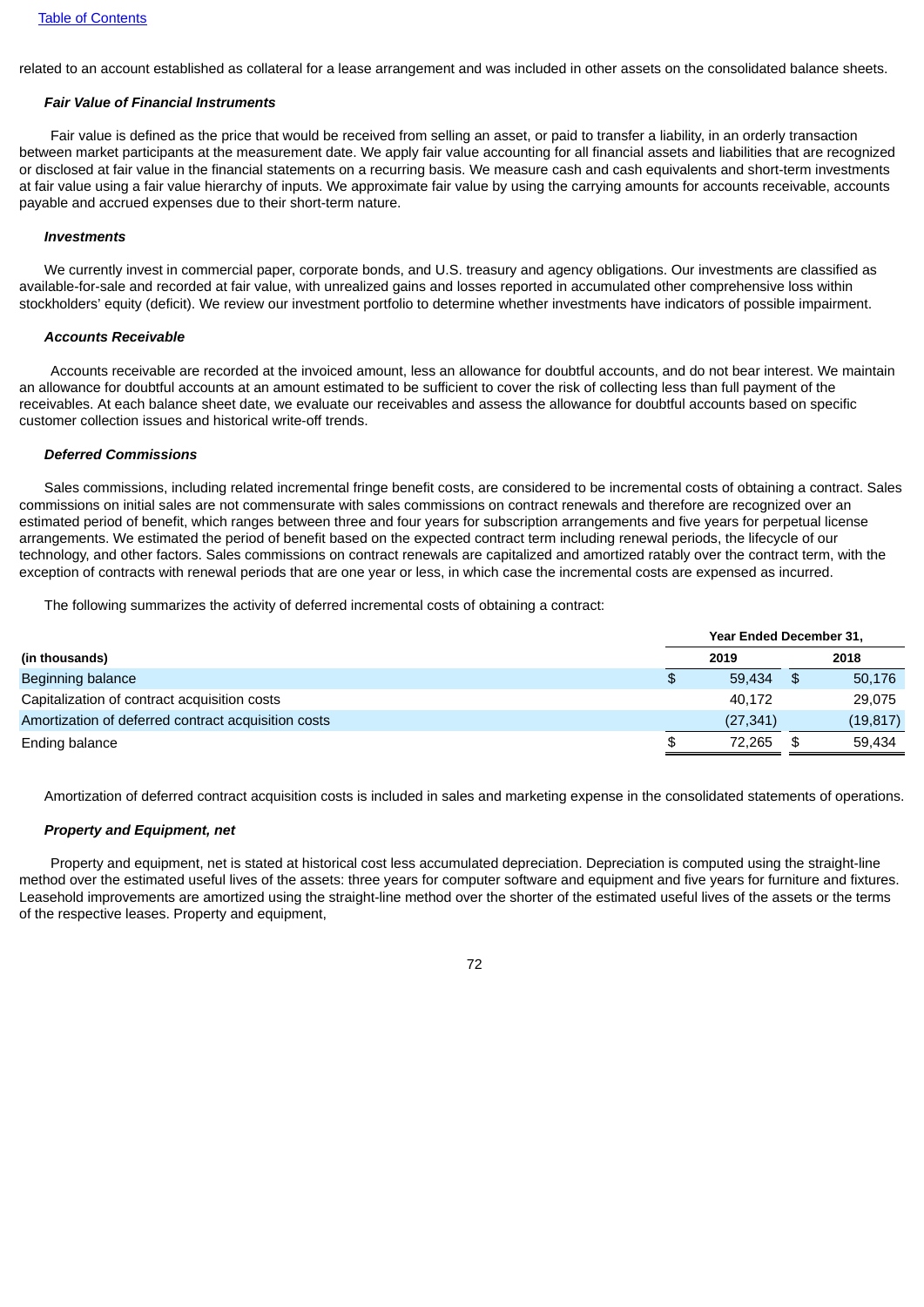related to an account established as collateral for a lease arrangement and was included in other assets on the consolidated balance sheets.

#### *Fair Value of Financial Instruments*

Fair value is defined as the price that would be received from selling an asset, or paid to transfer a liability, in an orderly transaction between market participants at the measurement date. We apply fair value accounting for all financial assets and liabilities that are recognized or disclosed at fair value in the financial statements on a recurring basis. We measure cash and cash equivalents and short-term investments at fair value using a fair value hierarchy of inputs. We approximate fair value by using the carrying amounts for accounts receivable, accounts payable and accrued expenses due to their short-term nature.

#### *Investments*

We currently invest in commercial paper, corporate bonds, and U.S. treasury and agency obligations. Our investments are classified as available-for-sale and recorded at fair value, with unrealized gains and losses reported in accumulated other comprehensive loss within stockholders' equity (deficit). We review our investment portfolio to determine whether investments have indicators of possible impairment.

#### *Accounts Receivable*

Accounts receivable are recorded at the invoiced amount, less an allowance for doubtful accounts, and do not bear interest. We maintain an allowance for doubtful accounts at an amount estimated to be sufficient to cover the risk of collecting less than full payment of the receivables. At each balance sheet date, we evaluate our receivables and assess the allowance for doubtful accounts based on specific customer collection issues and historical write-off trends.

# *Deferred Commissions*

Sales commissions, including related incremental fringe benefit costs, are considered to be incremental costs of obtaining a contract. Sales commissions on initial sales are not commensurate with sales commissions on contract renewals and therefore are recognized over an estimated period of benefit, which ranges between three and four years for subscription arrangements and five years for perpetual license arrangements. We estimated the period of benefit based on the expected contract term including renewal periods, the lifecycle of our technology, and other factors. Sales commissions on contract renewals are capitalized and amortized ratably over the contract term, with the exception of contracts with renewal periods that are one year or less, in which case the incremental costs are expensed as incurred.

The following summarizes the activity of deferred incremental costs of obtaining a contract:

| Year Ended December 31, |           |  |           |  |  |  |  |
|-------------------------|-----------|--|-----------|--|--|--|--|
|                         | 2019      |  | 2018      |  |  |  |  |
|                         | 59.434    |  | 50,176    |  |  |  |  |
|                         | 40.172    |  | 29.075    |  |  |  |  |
|                         | (27, 341) |  | (19, 817) |  |  |  |  |
|                         | 72.265    |  | 59.434    |  |  |  |  |
|                         |           |  |           |  |  |  |  |

Amortization of deferred contract acquisition costs is included in sales and marketing expense in the consolidated statements of operations.

## *Property and Equipment, net*

Property and equipment, net is stated at historical cost less accumulated depreciation. Depreciation is computed using the straight-line method over the estimated useful lives of the assets: three years for computer software and equipment and five years for furniture and fixtures. Leasehold improvements are amortized using the straight-line method over the shorter of the estimated useful lives of the assets or the terms of the respective leases. Property and equipment,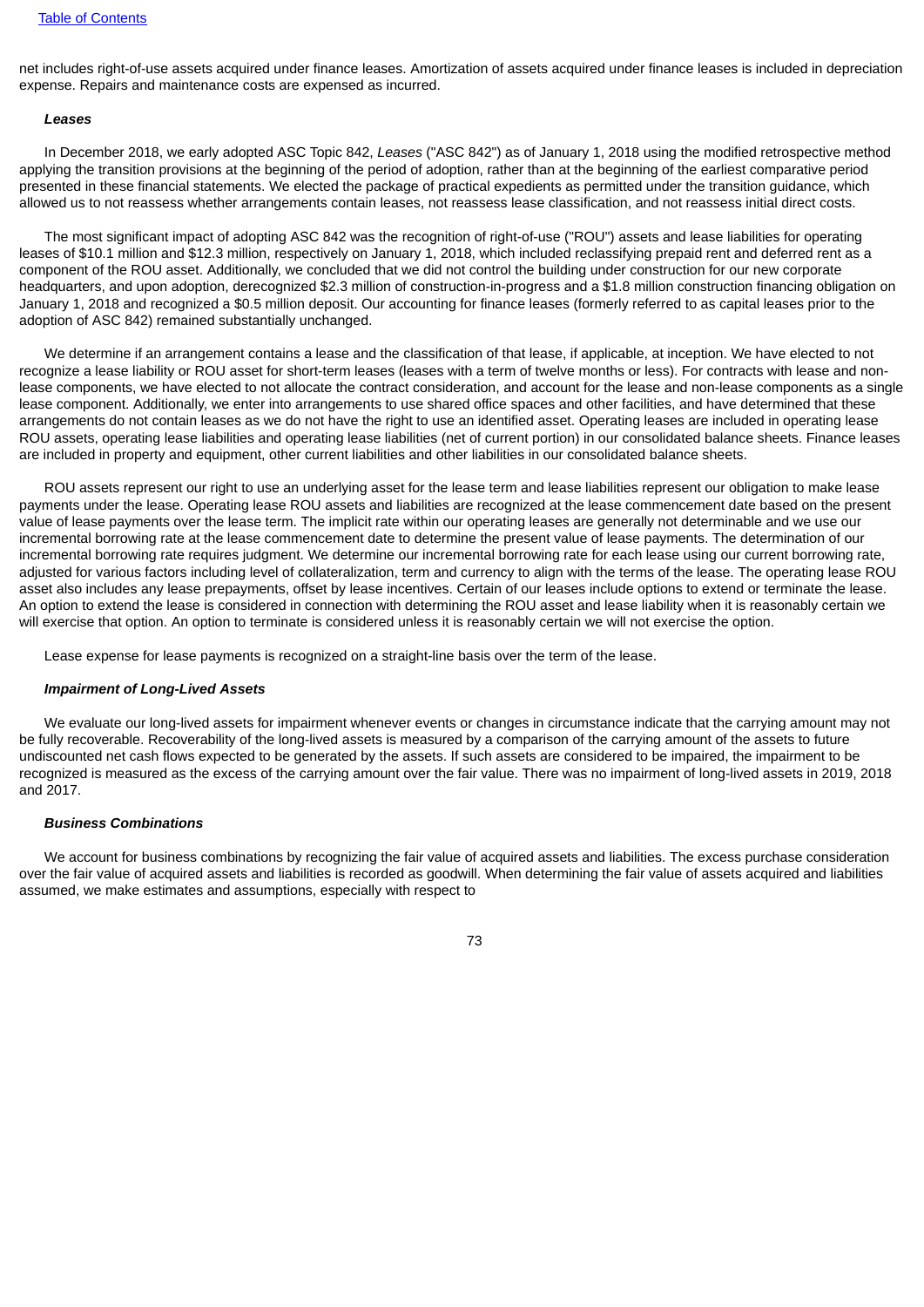net includes right-of-use assets acquired under finance leases. Amortization of assets acquired under finance leases is included in depreciation expense. Repairs and maintenance costs are expensed as incurred.

#### *Leases*

In December 2018, we early adopted ASC Topic 842, *Leases* ("ASC 842") as of January 1, 2018 using the modified retrospective method applying the transition provisions at the beginning of the period of adoption, rather than at the beginning of the earliest comparative period presented in these financial statements. We elected the package of practical expedients as permitted under the transition guidance, which allowed us to not reassess whether arrangements contain leases, not reassess lease classification, and not reassess initial direct costs.

The most significant impact of adopting ASC 842 was the recognition of right-of-use ("ROU") assets and lease liabilities for operating leases of \$10.1 million and \$12.3 million, respectively on January 1, 2018, which included reclassifying prepaid rent and deferred rent as a component of the ROU asset. Additionally, we concluded that we did not control the building under construction for our new corporate headquarters, and upon adoption, derecognized \$2.3 million of construction-in-progress and a \$1.8 million construction financing obligation on January 1, 2018 and recognized a \$0.5 million deposit. Our accounting for finance leases (formerly referred to as capital leases prior to the adoption of ASC 842) remained substantially unchanged.

We determine if an arrangement contains a lease and the classification of that lease, if applicable, at inception. We have elected to not recognize a lease liability or ROU asset for short-term leases (leases with a term of twelve months or less). For contracts with lease and nonlease components, we have elected to not allocate the contract consideration, and account for the lease and non-lease components as a single lease component. Additionally, we enter into arrangements to use shared office spaces and other facilities, and have determined that these arrangements do not contain leases as we do not have the right to use an identified asset. Operating leases are included in operating lease ROU assets, operating lease liabilities and operating lease liabilities (net of current portion) in our consolidated balance sheets. Finance leases are included in property and equipment, other current liabilities and other liabilities in our consolidated balance sheets.

ROU assets represent our right to use an underlying asset for the lease term and lease liabilities represent our obligation to make lease payments under the lease. Operating lease ROU assets and liabilities are recognized at the lease commencement date based on the present value of lease payments over the lease term. The implicit rate within our operating leases are generally not determinable and we use our incremental borrowing rate at the lease commencement date to determine the present value of lease payments. The determination of our incremental borrowing rate requires judgment. We determine our incremental borrowing rate for each lease using our current borrowing rate, adjusted for various factors including level of collateralization, term and currency to align with the terms of the lease. The operating lease ROU asset also includes any lease prepayments, offset by lease incentives. Certain of our leases include options to extend or terminate the lease. An option to extend the lease is considered in connection with determining the ROU asset and lease liability when it is reasonably certain we will exercise that option. An option to terminate is considered unless it is reasonably certain we will not exercise the option.

Lease expense for lease payments is recognized on a straight-line basis over the term of the lease.

#### *Impairment of Long-Lived Assets*

We evaluate our long-lived assets for impairment whenever events or changes in circumstance indicate that the carrying amount may not be fully recoverable. Recoverability of the long-lived assets is measured by a comparison of the carrying amount of the assets to future undiscounted net cash flows expected to be generated by the assets. If such assets are considered to be impaired, the impairment to be recognized is measured as the excess of the carrying amount over the fair value. There was no impairment of long-lived assets in 2019, 2018 and 2017.

### *Business Combinations*

We account for business combinations by recognizing the fair value of acquired assets and liabilities. The excess purchase consideration over the fair value of acquired assets and liabilities is recorded as goodwill. When determining the fair value of assets acquired and liabilities assumed, we make estimates and assumptions, especially with respect to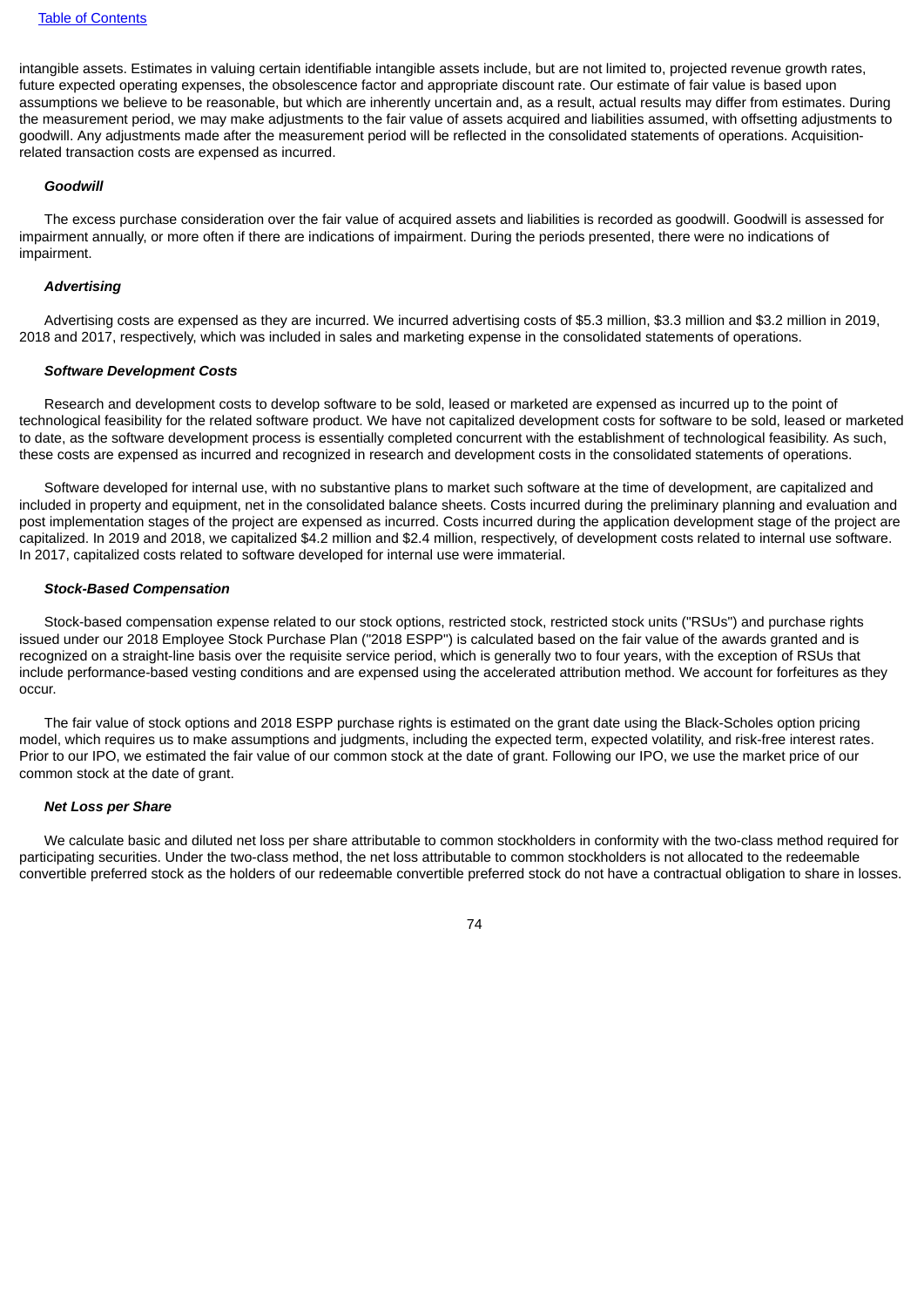intangible assets. Estimates in valuing certain identifiable intangible assets include, but are not limited to, projected revenue growth rates, future expected operating expenses, the obsolescence factor and appropriate discount rate. Our estimate of fair value is based upon assumptions we believe to be reasonable, but which are inherently uncertain and, as a result, actual results may differ from estimates. During the measurement period, we may make adjustments to the fair value of assets acquired and liabilities assumed, with offsetting adjustments to goodwill. Any adjustments made after the measurement period will be reflected in the consolidated statements of operations. Acquisitionrelated transaction costs are expensed as incurred.

#### *Goodwill*

The excess purchase consideration over the fair value of acquired assets and liabilities is recorded as goodwill. Goodwill is assessed for impairment annually, or more often if there are indications of impairment. During the periods presented, there were no indications of impairment.

#### *Advertising*

Advertising costs are expensed as they are incurred. We incurred advertising costs of \$5.3 million, \$3.3 million and \$3.2 million in 2019, 2018 and 2017, respectively, which was included in sales and marketing expense in the consolidated statements of operations.

#### *Software Development Costs*

Research and development costs to develop software to be sold, leased or marketed are expensed as incurred up to the point of technological feasibility for the related software product. We have not capitalized development costs for software to be sold, leased or marketed to date, as the software development process is essentially completed concurrent with the establishment of technological feasibility. As such, these costs are expensed as incurred and recognized in research and development costs in the consolidated statements of operations.

Software developed for internal use, with no substantive plans to market such software at the time of development, are capitalized and included in property and equipment, net in the consolidated balance sheets. Costs incurred during the preliminary planning and evaluation and post implementation stages of the project are expensed as incurred. Costs incurred during the application development stage of the project are capitalized. In 2019 and 2018, we capitalized \$4.2 million and \$2.4 million, respectively, of development costs related to internal use software. In 2017, capitalized costs related to software developed for internal use were immaterial.

### *Stock-Based Compensation*

Stock-based compensation expense related to our stock options, restricted stock, restricted stock units ("RSUs") and purchase rights issued under our 2018 Employee Stock Purchase Plan ("2018 ESPP") is calculated based on the fair value of the awards granted and is recognized on a straight-line basis over the requisite service period, which is generally two to four years, with the exception of RSUs that include performance-based vesting conditions and are expensed using the accelerated attribution method. We account for forfeitures as they occur.

The fair value of stock options and 2018 ESPP purchase rights is estimated on the grant date using the Black-Scholes option pricing model, which requires us to make assumptions and judgments, including the expected term, expected volatility, and risk-free interest rates. Prior to our IPO, we estimated the fair value of our common stock at the date of grant. Following our IPO, we use the market price of our common stock at the date of grant.

### *Net Loss per Share*

We calculate basic and diluted net loss per share attributable to common stockholders in conformity with the two-class method required for participating securities. Under the two-class method, the net loss attributable to common stockholders is not allocated to the redeemable convertible preferred stock as the holders of our redeemable convertible preferred stock do not have a contractual obligation to share in losses.

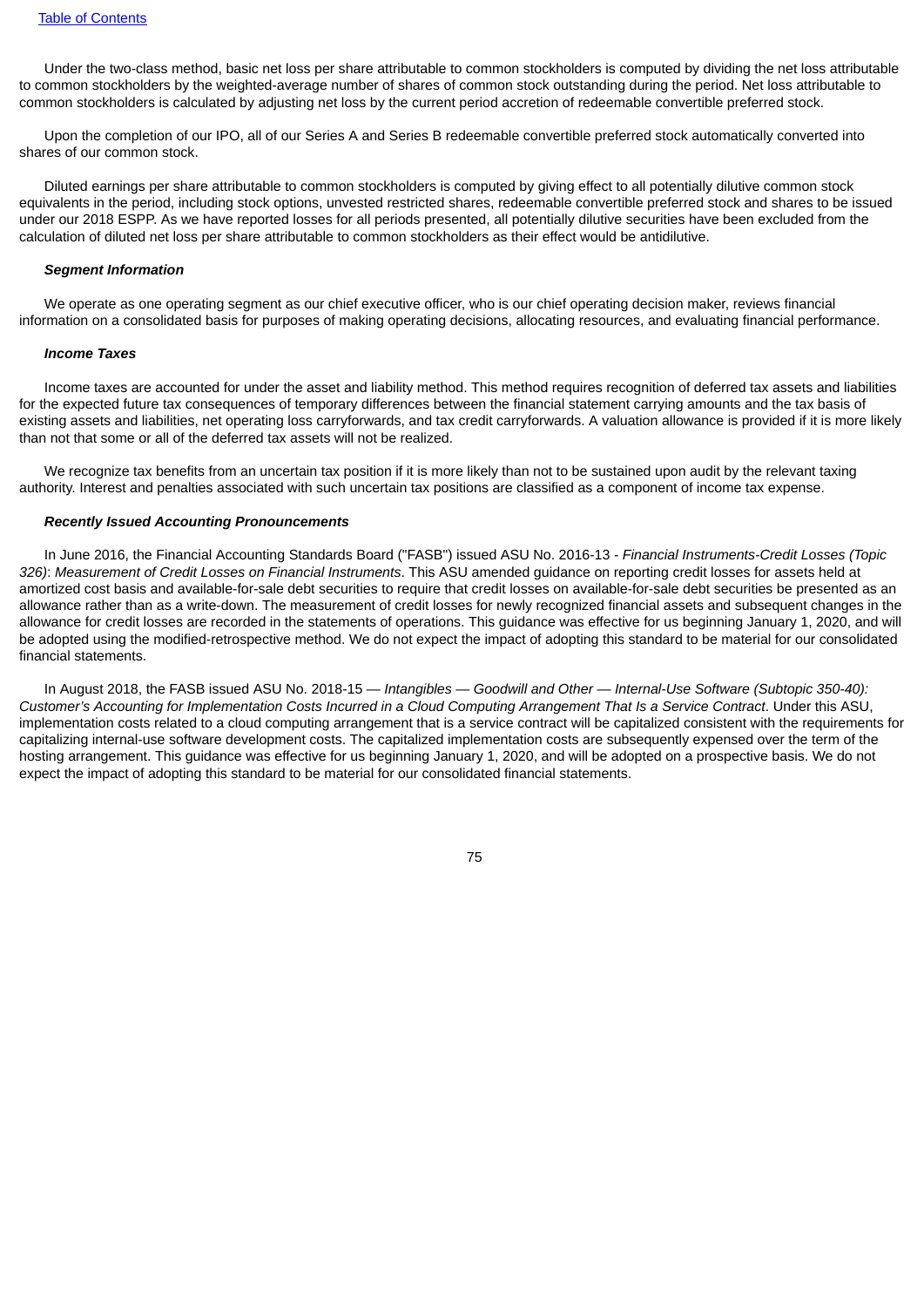Under the two-class method, basic net loss per share attributable to common stockholders is computed by dividing the net loss attributable to common stockholders by the weighted-average number of shares of common stock outstanding during the period. Net loss attributable to common stockholders is calculated by adjusting net loss by the current period accretion of redeemable convertible preferred stock.

Upon the completion of our IPO, all of our Series A and Series B redeemable convertible preferred stock automatically converted into shares of our common stock.

Diluted earnings per share attributable to common stockholders is computed by giving effect to all potentially dilutive common stock equivalents in the period, including stock options, unvested restricted shares, redeemable convertible preferred stock and shares to be issued under our 2018 ESPP. As we have reported losses for all periods presented, all potentially dilutive securities have been excluded from the calculation of diluted net loss per share attributable to common stockholders as their effect would be antidilutive.

#### *Segment Information*

We operate as one operating segment as our chief executive officer, who is our chief operating decision maker, reviews financial information on a consolidated basis for purposes of making operating decisions, allocating resources, and evaluating financial performance.

#### *Income Taxes*

Income taxes are accounted for under the asset and liability method. This method requires recognition of deferred tax assets and liabilities for the expected future tax consequences of temporary differences between the financial statement carrying amounts and the tax basis of existing assets and liabilities, net operating loss carryforwards, and tax credit carryforwards. A valuation allowance is provided if it is more likely than not that some or all of the deferred tax assets will not be realized.

We recognize tax benefits from an uncertain tax position if it is more likely than not to be sustained upon audit by the relevant taxing authority. Interest and penalties associated with such uncertain tax positions are classified as a component of income tax expense.

#### *Recently Issued Accounting Pronouncements*

In June 2016, the Financial Accounting Standards Board ("FASB") issued ASU No. 2016-13 - *Financial Instruments-Credit Losses (Topic 326)*: *Measurement of Credit Losses on Financial Instruments*. This ASU amended guidance on reporting credit losses for assets held at amortized cost basis and available-for-sale debt securities to require that credit losses on available-for-sale debt securities be presented as an allowance rather than as a write-down. The measurement of credit losses for newly recognized financial assets and subsequent changes in the allowance for credit losses are recorded in the statements of operations. This guidance was effective for us beginning January 1, 2020, and will be adopted using the modified-retrospective method. We do not expect the impact of adopting this standard to be material for our consolidated financial statements.

In August 2018, the FASB issued ASU No. 2018-15 — *Intangibles* — *Goodwill and Other* — *Internal-Use Software (Subtopic 350-40):* Customer's Accounting for Implementation Costs Incurred in a Cloud Computing Arrangement That Is a Service Contract. Under this ASU, implementation costs related to a cloud computing arrangement that is a service contract will be capitalized consistent with the requirements for capitalizing internal-use software development costs. The capitalized implementation costs are subsequently expensed over the term of the hosting arrangement. This guidance was effective for us beginning January 1, 2020, and will be adopted on a prospective basis. We do not expect the impact of adopting this standard to be material for our consolidated financial statements.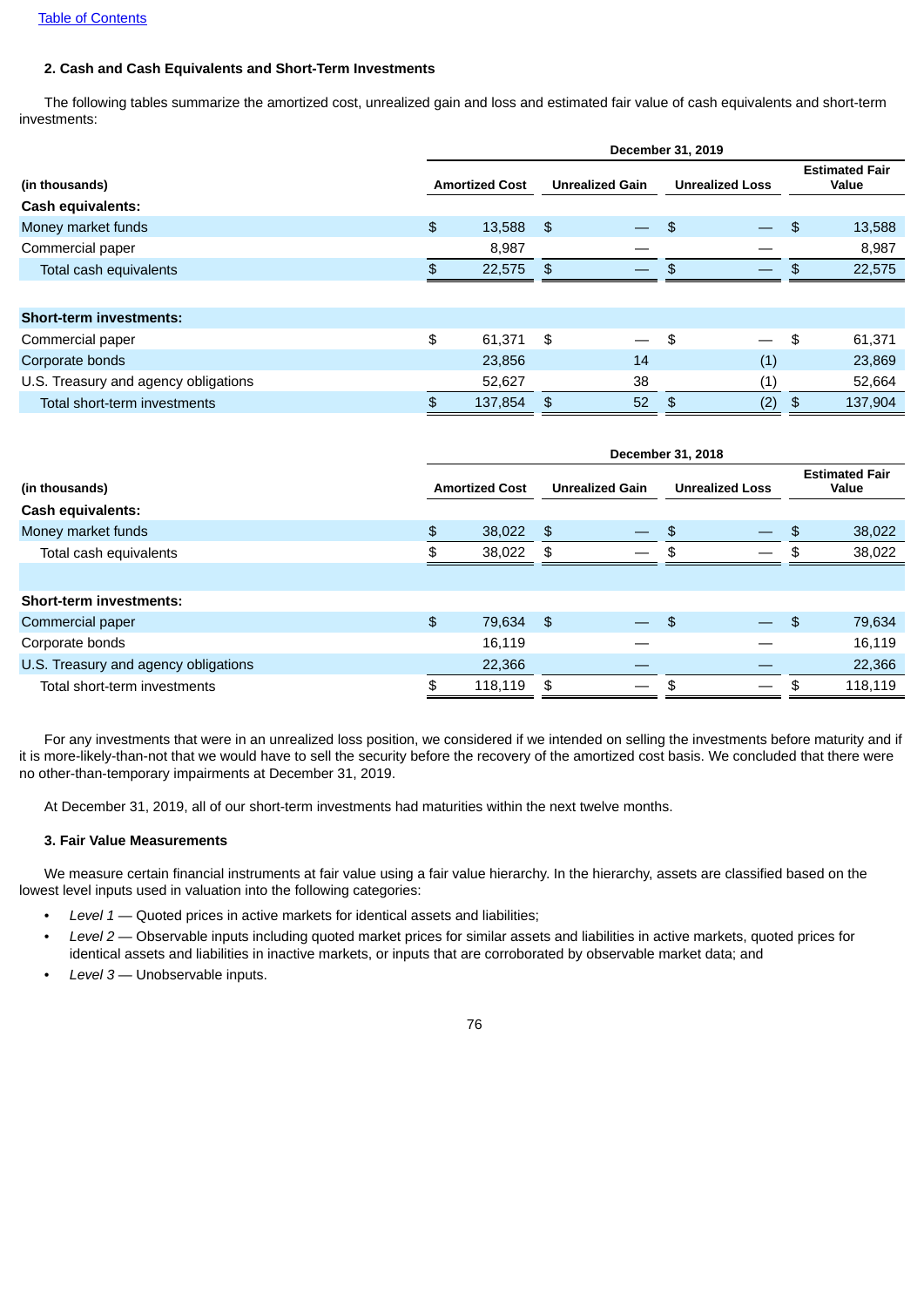### **2. Cash and Cash Equivalents and Short-Term Investments**

The following tables summarize the amortized cost, unrealized gain and loss and estimated fair value of cash equivalents and short-term investments:

| (in thousands)                       | <b>Amortized Cost</b> |     | <b>Unrealized Gain</b>   |                    | <b>Unrealized Loss</b> |    | <b>Estimated Fair</b><br>Value |
|--------------------------------------|-----------------------|-----|--------------------------|--------------------|------------------------|----|--------------------------------|
| <b>Cash equivalents:</b>             |                       |     |                          |                    |                        |    |                                |
| Money market funds                   | \$<br>13,588          | -\$ | $\overline{\phantom{m}}$ | \$                 |                        | \$ | 13,588                         |
| Commercial paper                     | 8,987                 |     |                          |                    |                        |    | 8,987                          |
| Total cash equivalents               | \$<br>22.575          | -\$ |                          | $\mathbf{\hat{z}}$ |                        | \$ | 22,575                         |
|                                      |                       |     |                          |                    |                        |    |                                |
| <b>Short-term investments:</b>       |                       |     |                          |                    |                        |    |                                |
| Commercial paper                     | \$<br>61.371          | \$  | $\overline{\phantom{a}}$ | \$                 |                        | \$ | 61,371                         |
| Corporate bonds                      | 23,856                |     | 14                       |                    | (1)                    |    | 23,869                         |
| U.S. Treasury and agency obligations | 52,627                |     | 38                       |                    | (1)                    |    | 52,664                         |
| Total short-term investments         | \$<br>137,854         | -\$ | 52                       | \$                 | (2)                    | \$ | 137,904                        |

|                                      | December 31, 2018 |                       |      |                          |      |                        |    |                                |  |
|--------------------------------------|-------------------|-----------------------|------|--------------------------|------|------------------------|----|--------------------------------|--|
| (in thousands)                       |                   | <b>Amortized Cost</b> |      | <b>Unrealized Gain</b>   |      | <b>Unrealized Loss</b> |    | <b>Estimated Fair</b><br>Value |  |
| <b>Cash equivalents:</b>             |                   |                       |      |                          |      |                        |    |                                |  |
| Money market funds                   | \$                | 38,022                | -\$  | $\qquad \qquad -$        | \$.  |                        | \$ | 38,022                         |  |
| Total cash equivalents               | \$                | 38.022                | \$   |                          | \$   |                        | \$ | 38,022                         |  |
|                                      |                   |                       |      |                          |      |                        |    |                                |  |
| <b>Short-term investments:</b>       |                   |                       |      |                          |      |                        |    |                                |  |
| Commercial paper                     | \$                | 79,634                | - \$ | $\frac{1}{2}$            | - \$ |                        | \$ | 79,634                         |  |
| Corporate bonds                      |                   | 16,119                |      |                          |      |                        |    | 16,119                         |  |
| U.S. Treasury and agency obligations |                   | 22,366                |      |                          |      |                        |    | 22,366                         |  |
| Total short-term investments         | \$                | 118,119               | \$   | $\overline{\phantom{0}}$ |      |                        |    | 118,119                        |  |

For any investments that were in an unrealized loss position, we considered if we intended on selling the investments before maturity and if it is more-likely-than-not that we would have to sell the security before the recovery of the amortized cost basis. We concluded that there were no other-than-temporary impairments at December 31, 2019.

At December 31, 2019, all of our short-term investments had maturities within the next twelve months.

#### **3. Fair Value Measurements**

We measure certain financial instruments at fair value using a fair value hierarchy. In the hierarchy, assets are classified based on the lowest level inputs used in valuation into the following categories:

- *Level 1* Quoted prices in active markets for identical assets and liabilities;
- *Level 2* Observable inputs including quoted market prices for similar assets and liabilities in active markets, quoted prices for identical assets and liabilities in inactive markets, or inputs that are corroborated by observable market data; and
- *Level 3* Unobservable inputs.

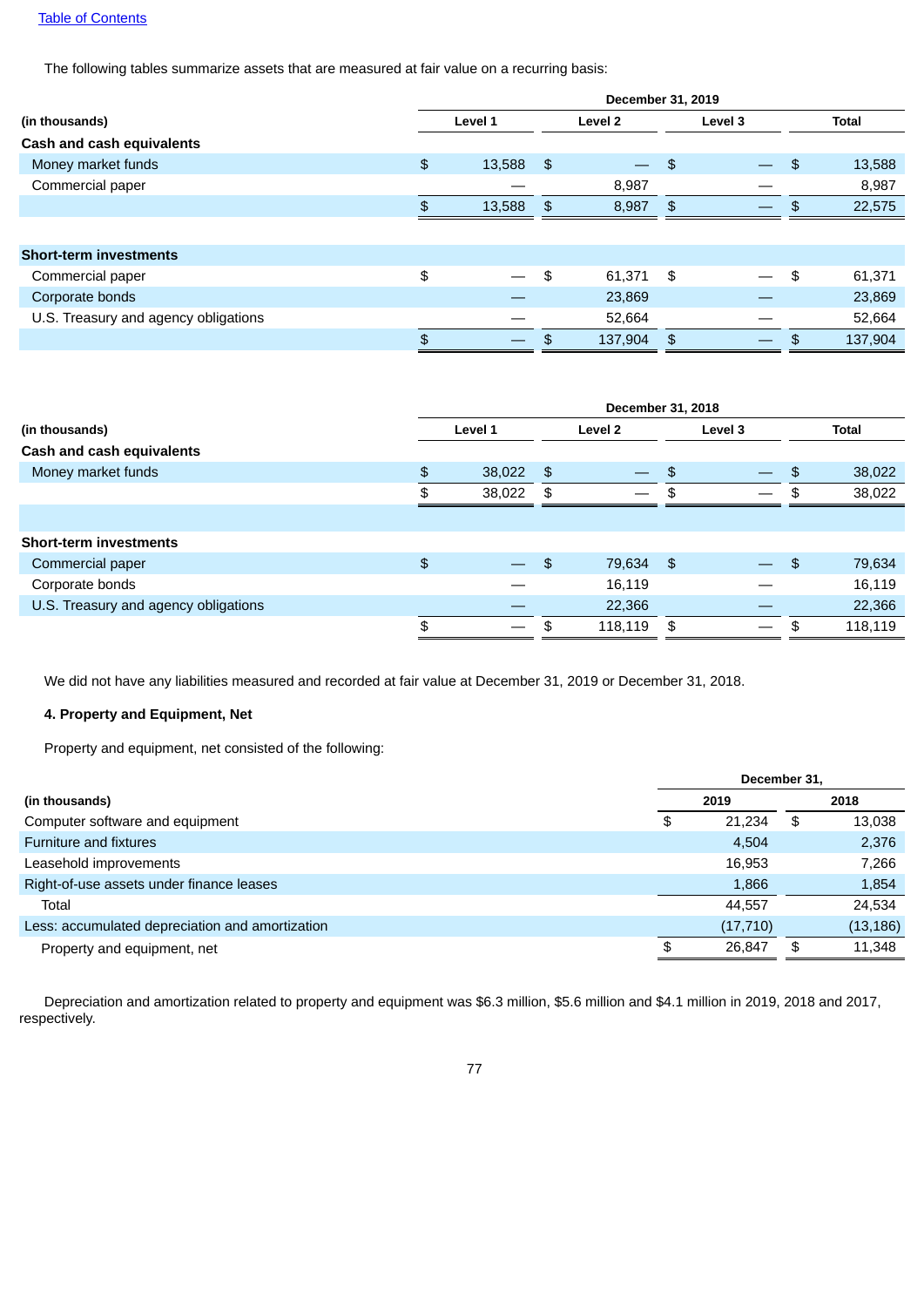## Table of [Contents](#page-1-0)

The following tables summarize assets that are measured at fair value on a recurring basis:

|                                      | December 31, 2019 |         |               |           |               |         |    |              |  |
|--------------------------------------|-------------------|---------|---------------|-----------|---------------|---------|----|--------------|--|
| (in thousands)                       |                   | Level 1 |               | Level 2   |               | Level 3 |    | <b>Total</b> |  |
| Cash and cash equivalents            |                   |         |               |           |               |         |    |              |  |
| Money market funds                   | \$                | 13,588  | $\frac{1}{2}$ | $\equiv$  | $\frac{1}{2}$ |         | \$ | 13,588       |  |
| Commercial paper                     |                   |         |               | 8,987     |               |         |    | 8,987        |  |
|                                      | \$                | 13,588  | \$            | 8,987     | \$            |         | \$ | 22,575       |  |
|                                      |                   |         |               |           |               |         |    |              |  |
| <b>Short-term investments</b>        |                   |         |               |           |               |         |    |              |  |
| Commercial paper                     | \$                |         | \$            | 61,371 \$ |               |         | \$ | 61,371       |  |
| Corporate bonds                      |                   |         |               | 23,869    |               |         |    | 23,869       |  |
| U.S. Treasury and agency obligations |                   |         |               | 52,664    |               |         |    | 52,664       |  |
|                                      | $\frac{1}{2}$     |         | \$            | 137.904   | \$            |         |    | 137.904      |  |

|                                      | December 31, 2018 |                          |         |           |         |  |              |         |  |
|--------------------------------------|-------------------|--------------------------|---------|-----------|---------|--|--------------|---------|--|
| (in thousands)                       | Level 1           |                          | Level 2 |           | Level 3 |  | <b>Total</b> |         |  |
| Cash and cash equivalents            |                   |                          |         |           |         |  |              |         |  |
| Money market funds                   | $\frac{4}{5}$     | 38,022                   | \$      |           | \$.     |  | \$.          | 38,022  |  |
|                                      | \$                | 38,022                   | \$      |           |         |  |              | 38,022  |  |
|                                      |                   |                          |         |           |         |  |              |         |  |
| <b>Short-term investments</b>        |                   |                          |         |           |         |  |              |         |  |
| Commercial paper                     | $\frac{4}{5}$     | $\overline{\phantom{a}}$ | \$      | 79,634 \$ |         |  | \$           | 79,634  |  |
| Corporate bonds                      |                   |                          |         | 16,119    |         |  |              | 16,119  |  |
| U.S. Treasury and agency obligations |                   |                          |         | 22,366    |         |  |              | 22,366  |  |
|                                      | \$                |                          | £.      | 118,119   | \$      |  |              | 118,119 |  |

We did not have any liabilities measured and recorded at fair value at December 31, 2019 or December 31, 2018.

## **4. Property and Equipment, Net**

Property and equipment, net consisted of the following:

|                                                 | December 31, |           |    |           |  |  |  |
|-------------------------------------------------|--------------|-----------|----|-----------|--|--|--|
| (in thousands)                                  |              | 2019      |    | 2018      |  |  |  |
| Computer software and equipment                 | \$           | 21.234    | \$ | 13,038    |  |  |  |
| Furniture and fixtures                          |              | 4.504     |    | 2,376     |  |  |  |
| Leasehold improvements                          |              | 16,953    |    | 7,266     |  |  |  |
| Right-of-use assets under finance leases        |              | 1,866     |    | 1,854     |  |  |  |
| Total                                           |              | 44,557    |    | 24,534    |  |  |  |
| Less: accumulated depreciation and amortization |              | (17, 710) |    | (13, 186) |  |  |  |
| Property and equipment, net                     | \$           | 26,847    | \$ | 11,348    |  |  |  |

Depreciation and amortization related to property and equipment was \$6.3 million, \$5.6 million and \$4.1 million in 2019, 2018 and 2017, respectively.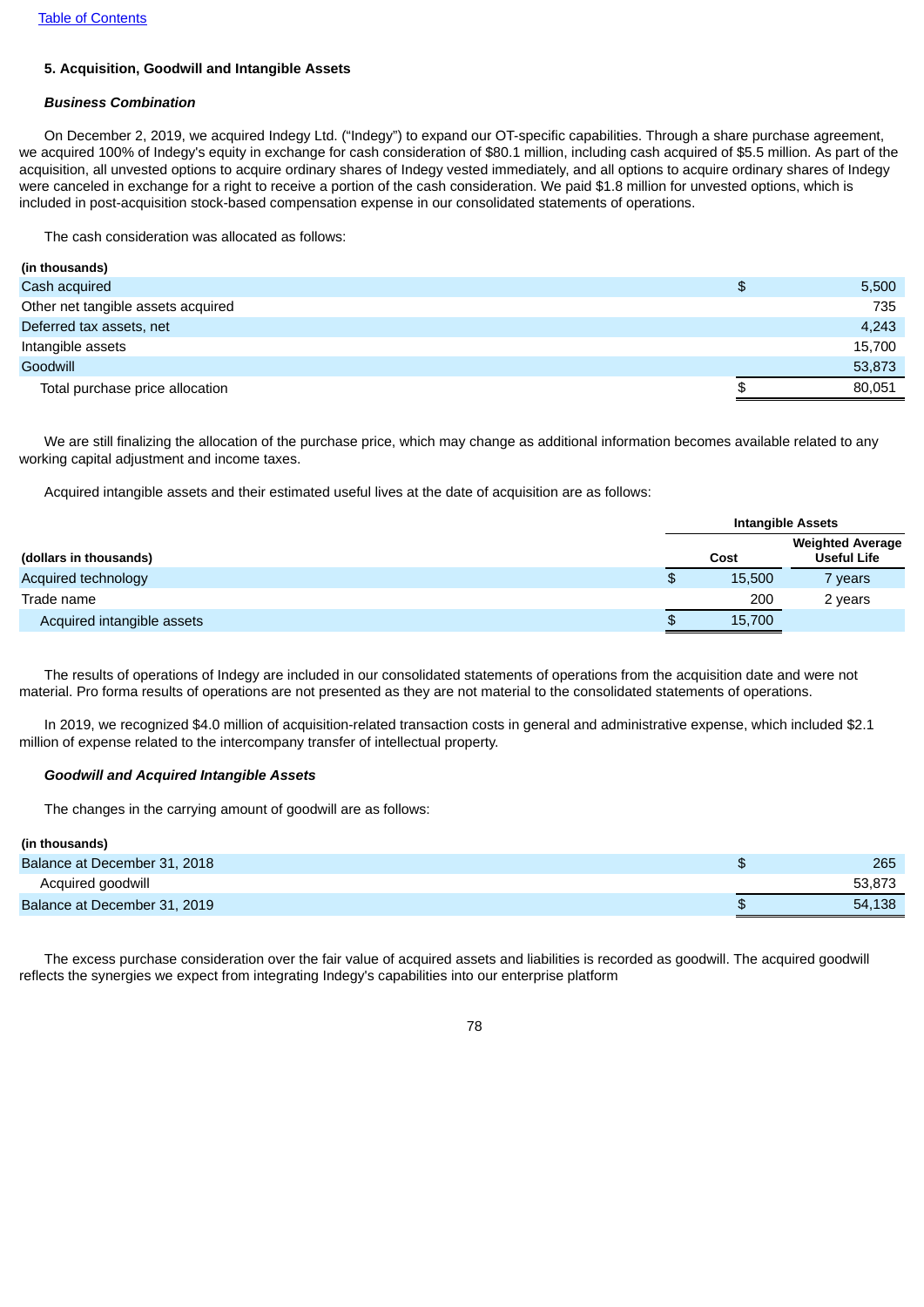### **5. Acquisition, Goodwill and Intangible Assets**

### *Business Combination*

On December 2, 2019, we acquired Indegy Ltd. ("Indegy") to expand our OT-specific capabilities. Through a share purchase agreement, we acquired 100% of Indegy's equity in exchange for cash consideration of \$80.1 million, including cash acquired of \$5.5 million. As part of the acquisition, all unvested options to acquire ordinary shares of Indegy vested immediately, and all options to acquire ordinary shares of Indegy were canceled in exchange for a right to receive a portion of the cash consideration. We paid \$1.8 million for unvested options, which is included in post-acquisition stock-based compensation expense in our consolidated statements of operations.

The cash consideration was allocated as follows:

| (in thousands)                     |   |        |
|------------------------------------|---|--------|
| Cash acquired                      | £ | 5,500  |
| Other net tangible assets acquired |   | 735    |
| Deferred tax assets, net           |   | 4,243  |
| Intangible assets                  |   | 15,700 |
| Goodwill                           |   | 53,873 |
| Total purchase price allocation    |   | 80,051 |

We are still finalizing the allocation of the purchase price, which may change as additional information becomes available related to any working capital adjustment and income taxes.

Acquired intangible assets and their estimated useful lives at the date of acquisition are as follows:

|                            |   | <b>Intangible Assets</b> |                                        |  |
|----------------------------|---|--------------------------|----------------------------------------|--|
| (dollars in thousands)     |   | Cost                     | <b>Weighted Average</b><br>Useful Life |  |
| Acquired technology        | £ | 15,500                   | ' vears                                |  |
| Trade name                 |   | 200                      | 2 years                                |  |
| Acquired intangible assets | £ | 15,700                   |                                        |  |

The results of operations of Indegy are included in our consolidated statements of operations from the acquisition date and were not material. Pro forma results of operations are not presented as they are not material to the consolidated statements of operations.

In 2019, we recognized \$4.0 million of acquisition-related transaction costs in general and administrative expense, which included \$2.1 million of expense related to the intercompany transfer of intellectual property.

### *Goodwill and Acquired Intangible Assets*

The changes in the carrying amount of goodwill are as follows:

| (in thousands)               |        |
|------------------------------|--------|
| Balance at December 31, 2018 | 265    |
| Acquired goodwill            | 53.873 |
| Balance at December 31, 2019 | 54.138 |

The excess purchase consideration over the fair value of acquired assets and liabilities is recorded as goodwill. The acquired goodwill reflects the synergies we expect from integrating Indegy's capabilities into our enterprise platform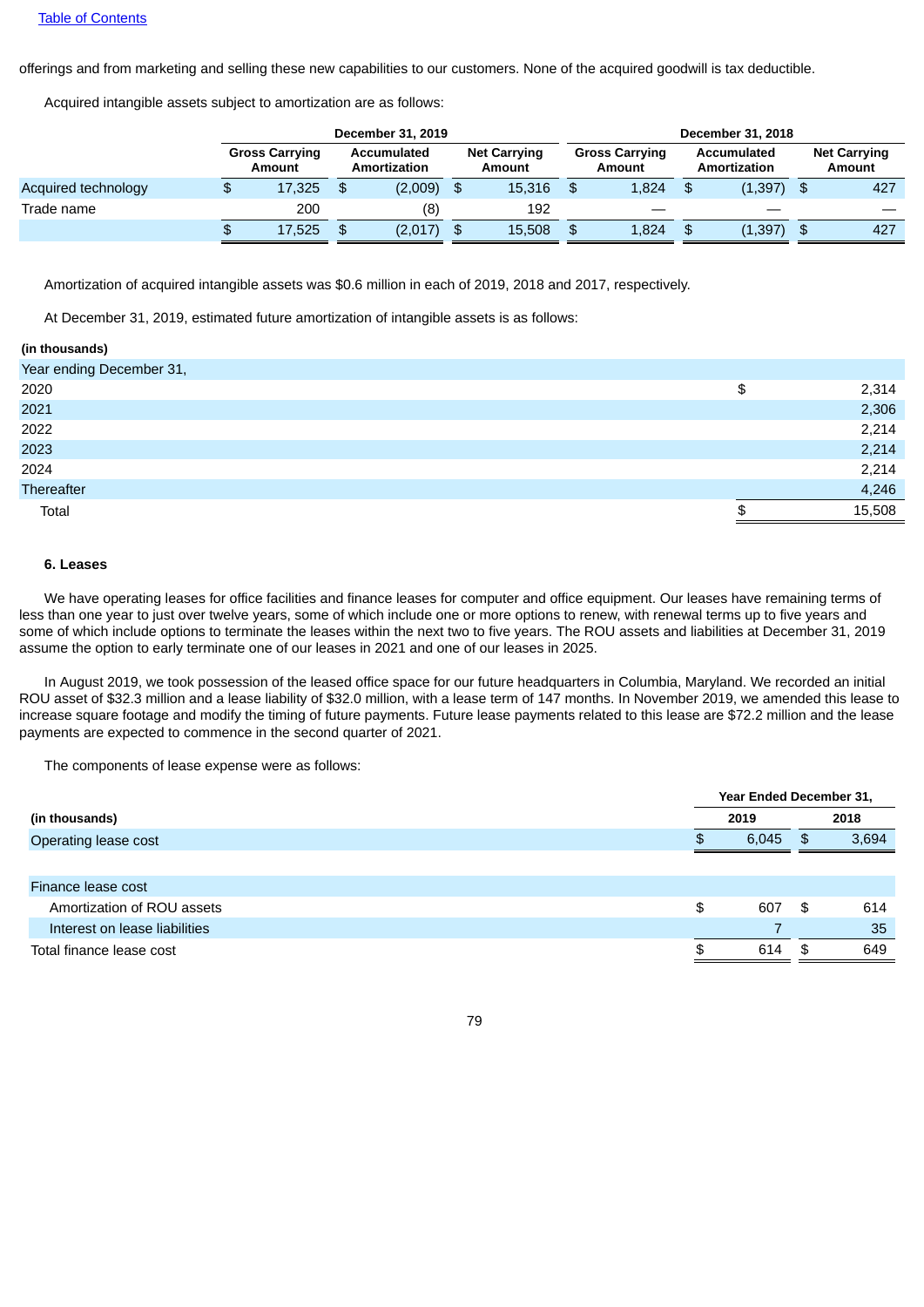offerings and from marketing and selling these new capabilities to our customers. None of the acquired goodwill is tax deductible.

Acquired intangible assets subject to amortization are as follows:

|                     |                                 | December 31, 2019           |         | December 31, 2018             |        |                                 |       |                                    |          |                               |     |
|---------------------|---------------------------------|-----------------------------|---------|-------------------------------|--------|---------------------------------|-------|------------------------------------|----------|-------------------------------|-----|
|                     | <b>Gross Carrying</b><br>Amount | Accumulated<br>Amortization |         | <b>Net Carrying</b><br>Amount |        | <b>Gross Carrying</b><br>Amount |       | <b>Accumulated</b><br>Amortization |          | <b>Net Carrying</b><br>Amount |     |
| Acquired technology | 17,325                          | \$                          | (2,009) | \$                            | 15,316 |                                 | 1.824 |                                    | (1, 397) | -\$                           | 427 |
| Trade name          | 200                             |                             | (8)     |                               | 192    |                                 | _     |                                    |          |                               |     |
|                     | 17.525                          | \$                          | (2,017) |                               | 15,508 |                                 | 1.824 |                                    | (1, 397) | \$.                           | 427 |

Amortization of acquired intangible assets was \$0.6 million in each of 2019, 2018 and 2017, respectively.

At December 31, 2019, estimated future amortization of intangible assets is as follows:

| (in thousands)           |              |
|--------------------------|--------------|
| Year ending December 31, |              |
| 2020                     | \$<br>2,314  |
| 2021                     | 2,306        |
| 2022                     | 2,214        |
| 2023                     | 2,214        |
| 2024                     | 2,214        |
| Thereafter               | 4,246        |
| Total                    | \$<br>15,508 |

#### **6. Leases**

We have operating leases for office facilities and finance leases for computer and office equipment. Our leases have remaining terms of less than one year to just over twelve years, some of which include one or more options to renew, with renewal terms up to five years and some of which include options to terminate the leases within the next two to five years. The ROU assets and liabilities at December 31, 2019 assume the option to early terminate one of our leases in 2021 and one of our leases in 2025.

In August 2019, we took possession of the leased office space for our future headquarters in Columbia, Maryland. We recorded an initial ROU asset of \$32.3 million and a lease liability of \$32.0 million, with a lease term of 147 months. In November 2019, we amended this lease to increase square footage and modify the timing of future payments. Future lease payments related to this lease are \$72.2 million and the lease payments are expected to commence in the second quarter of 2021.

The components of lease expense were as follows:

|    |       |      | 2018                    |
|----|-------|------|-------------------------|
|    | 6,045 | க    | 3,694                   |
|    |       |      |                         |
|    |       |      |                         |
| \$ | 607   | - SS | 614                     |
|    |       |      | 35                      |
| £. | 614   | \$.  | 649                     |
|    |       | 2019 | Year Ended December 31, |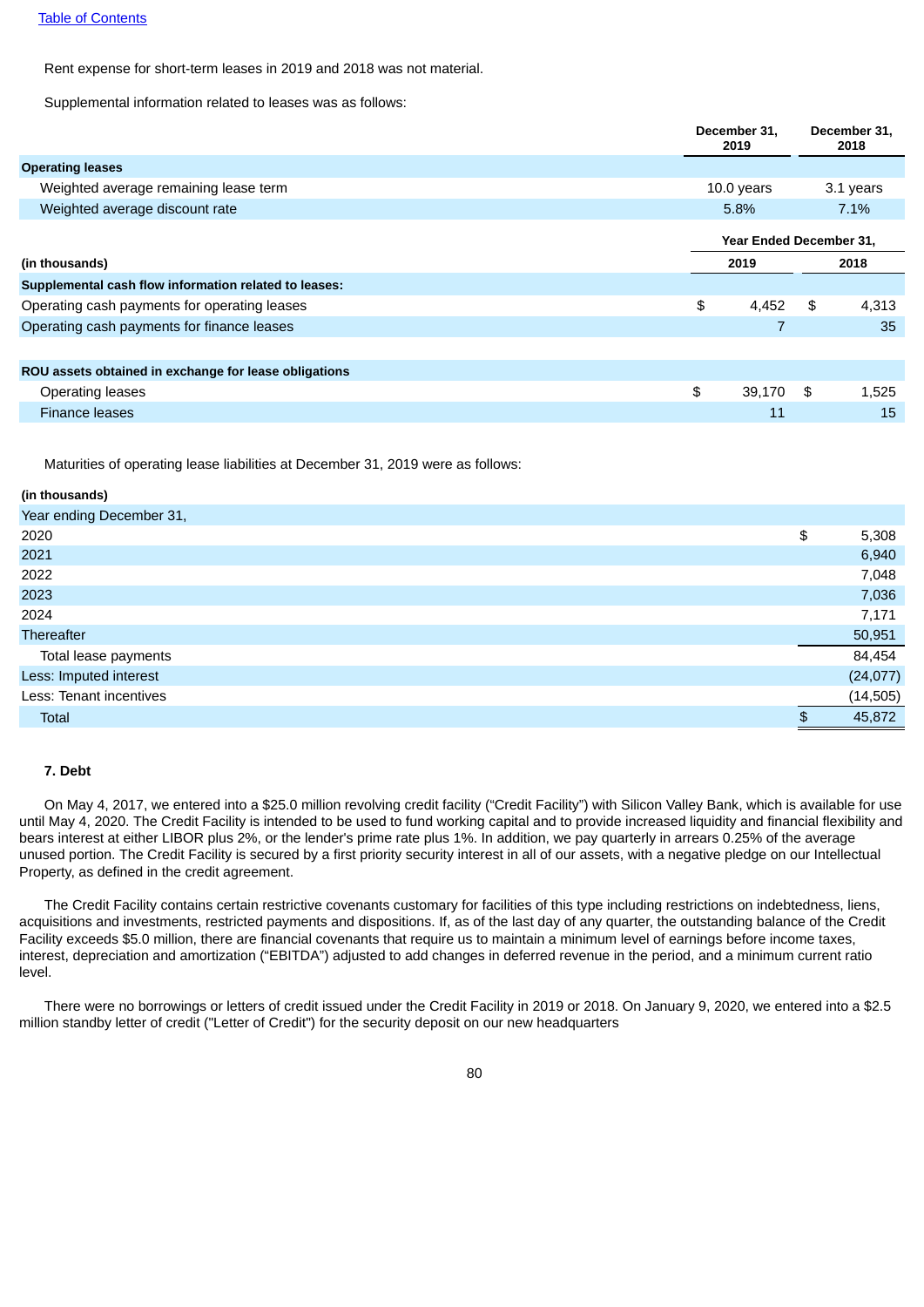Rent expense for short-term leases in 2019 and 2018 was not material.

Supplemental information related to leases was as follows:

|                                                       | December 31,<br>2019 |     | December 31,<br>2018    |
|-------------------------------------------------------|----------------------|-----|-------------------------|
| <b>Operating leases</b>                               |                      |     |                         |
| Weighted average remaining lease term                 | 10.0 years           |     | 3.1 years               |
| Weighted average discount rate                        | 5.8%                 |     | $7.1\%$                 |
|                                                       |                      |     | Year Ended December 31, |
| (in thousands)                                        | 2019                 |     | 2018                    |
| Supplemental cash flow information related to leases: |                      |     |                         |
| Operating cash payments for operating leases          | \$<br>4,452          | \$  | 4,313                   |
| Operating cash payments for finance leases            |                      |     | 35                      |
|                                                       |                      |     |                         |
| ROU assets obtained in exchange for lease obligations |                      |     |                         |
| Operating leases                                      | \$<br>39,170         | -\$ | 1,525                   |
| <b>Finance leases</b>                                 | 11                   |     | 15                      |

Maturities of operating lease liabilities at December 31, 2019 were as follows:

**(in thousands)**

| Year ending December 31, |              |
|--------------------------|--------------|
| 2020                     | \$<br>5,308  |
| 2021                     | 6,940        |
| 2022                     | 7,048        |
| 2023                     | 7,036        |
| 2024                     | 7,171        |
| Thereafter               | 50,951       |
| Total lease payments     | 84,454       |
| Less: Imputed interest   | (24, 077)    |
| Less: Tenant incentives  | (14, 505)    |
| <b>Total</b>             | \$<br>45,872 |

### **7. Debt**

On May 4, 2017, we entered into a \$25.0 million revolving credit facility ("Credit Facility") with Silicon Valley Bank, which is available for use until May 4, 2020. The Credit Facility is intended to be used to fund working capital and to provide increased liquidity and financial flexibility and bears interest at either LIBOR plus 2%, or the lender's prime rate plus 1%. In addition, we pay quarterly in arrears 0.25% of the average unused portion. The Credit Facility is secured by a first priority security interest in all of our assets, with a negative pledge on our Intellectual Property, as defined in the credit agreement.

The Credit Facility contains certain restrictive covenants customary for facilities of this type including restrictions on indebtedness, liens, acquisitions and investments, restricted payments and dispositions. If, as of the last day of any quarter, the outstanding balance of the Credit Facility exceeds \$5.0 million, there are financial covenants that require us to maintain a minimum level of earnings before income taxes, interest, depreciation and amortization ("EBITDA") adjusted to add changes in deferred revenue in the period, and a minimum current ratio level.

There were no borrowings or letters of credit issued under the Credit Facility in 2019 or 2018. On January 9, 2020, we entered into a \$2.5 million standby letter of credit ("Letter of Credit") for the security deposit on our new headquarters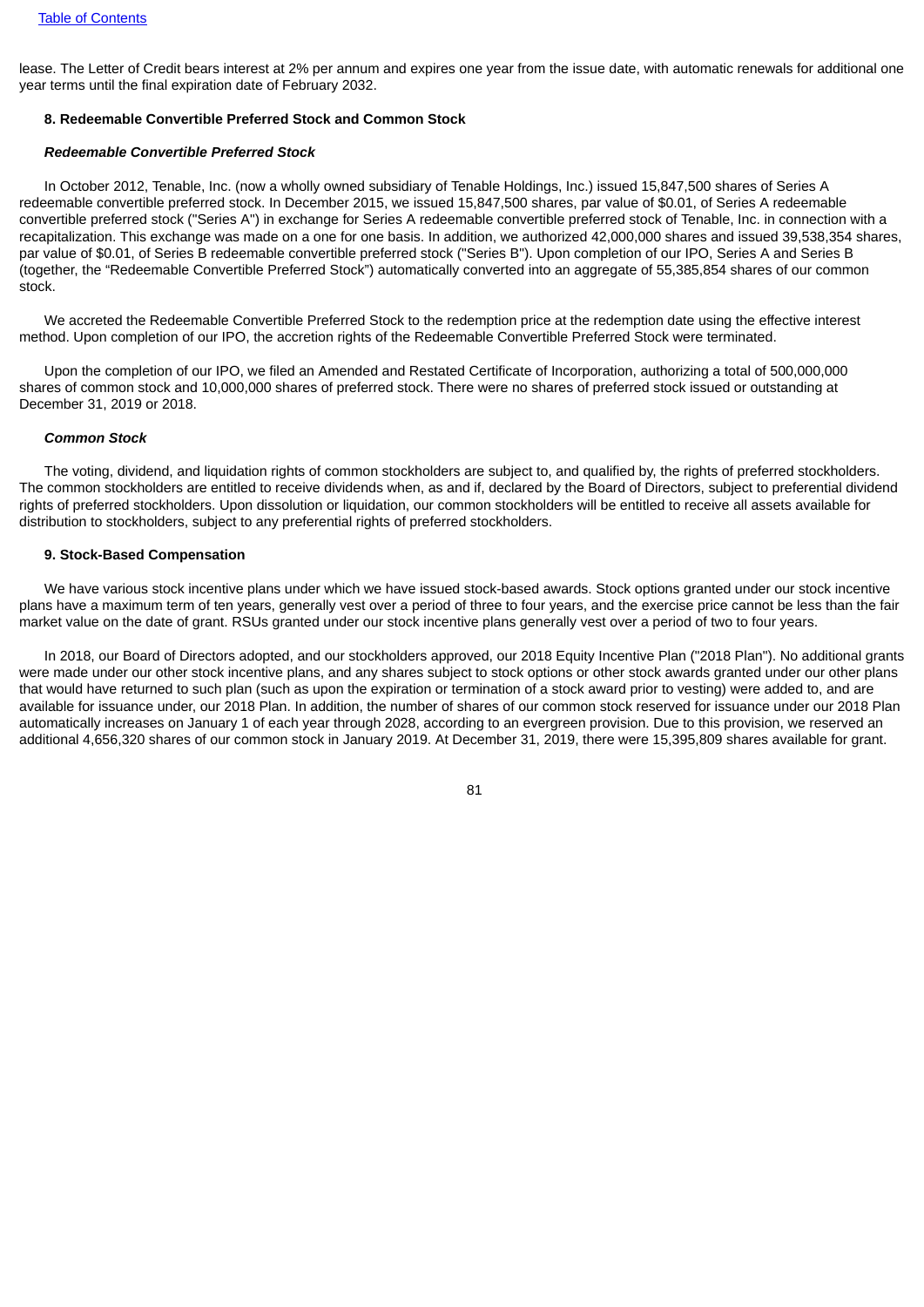lease. The Letter of Credit bears interest at 2% per annum and expires one year from the issue date, with automatic renewals for additional one year terms until the final expiration date of February 2032.

#### **8. Redeemable Convertible Preferred Stock and Common Stock**

#### *Redeemable Convertible Preferred Stock*

In October 2012, Tenable, Inc. (now a wholly owned subsidiary of Tenable Holdings, Inc.) issued 15,847,500 shares of Series A redeemable convertible preferred stock. In December 2015, we issued 15,847,500 shares, par value of \$0.01, of Series A redeemable convertible preferred stock ("Series A") in exchange for Series A redeemable convertible preferred stock of Tenable, Inc. in connection with a recapitalization. This exchange was made on a one for one basis. In addition, we authorized 42,000,000 shares and issued 39,538,354 shares, par value of \$0.01, of Series B redeemable convertible preferred stock ("Series B"). Upon completion of our IPO, Series A and Series B (together, the "Redeemable Convertible Preferred Stock") automatically converted into an aggregate of 55,385,854 shares of our common stock.

We accreted the Redeemable Convertible Preferred Stock to the redemption price at the redemption date using the effective interest method. Upon completion of our IPO, the accretion rights of the Redeemable Convertible Preferred Stock were terminated.

Upon the completion of our IPO, we filed an Amended and Restated Certificate of Incorporation, authorizing a total of 500,000,000 shares of common stock and 10,000,000 shares of preferred stock. There were no shares of preferred stock issued or outstanding at December 31, 2019 or 2018.

#### *Common Stock*

The voting, dividend, and liquidation rights of common stockholders are subject to, and qualified by, the rights of preferred stockholders. The common stockholders are entitled to receive dividends when, as and if, declared by the Board of Directors, subject to preferential dividend rights of preferred stockholders. Upon dissolution or liquidation, our common stockholders will be entitled to receive all assets available for distribution to stockholders, subject to any preferential rights of preferred stockholders.

#### **9. Stock-Based Compensation**

We have various stock incentive plans under which we have issued stock-based awards. Stock options granted under our stock incentive plans have a maximum term of ten years, generally vest over a period of three to four years, and the exercise price cannot be less than the fair market value on the date of grant. RSUs granted under our stock incentive plans generally vest over a period of two to four years.

In 2018, our Board of Directors adopted, and our stockholders approved, our 2018 Equity Incentive Plan ("2018 Plan"). No additional grants were made under our other stock incentive plans, and any shares subject to stock options or other stock awards granted under our other plans that would have returned to such plan (such as upon the expiration or termination of a stock award prior to vesting) were added to, and are available for issuance under, our 2018 Plan. In addition, the number of shares of our common stock reserved for issuance under our 2018 Plan automatically increases on January 1 of each year through 2028, according to an evergreen provision. Due to this provision, we reserved an additional 4,656,320 shares of our common stock in January 2019. At December 31, 2019, there were 15,395,809 shares available for grant.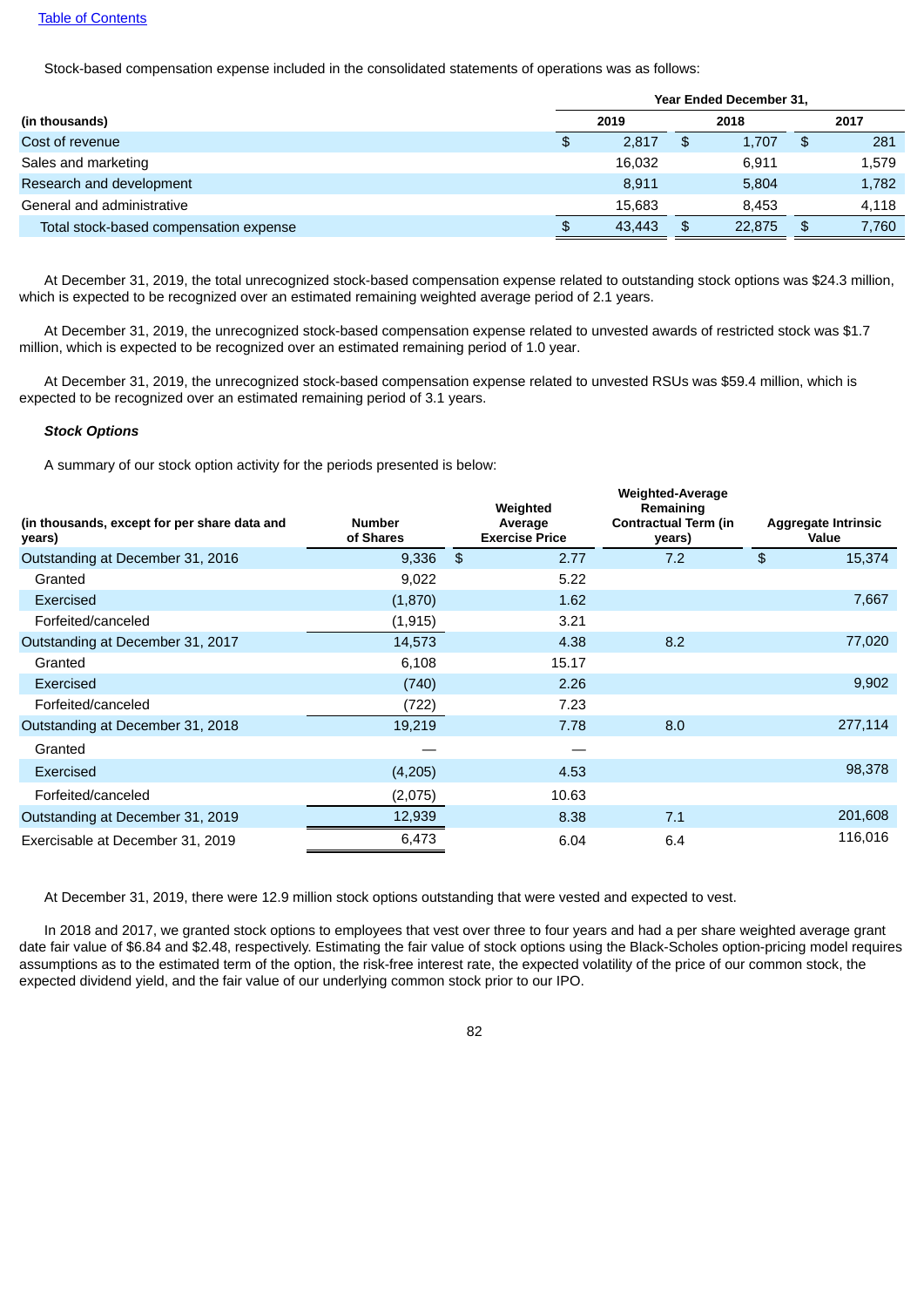#### Table of [Contents](#page-1-0)

Stock-based compensation expense included in the consolidated statements of operations was as follows:

| (in thousands)                         |    | <b>Year Ended December 31.</b> |                |        |    |       |  |  |
|----------------------------------------|----|--------------------------------|----------------|--------|----|-------|--|--|
|                                        |    | 2019                           |                | 2018   |    | 2017  |  |  |
| Cost of revenue                        | \$ | 2.817                          | \$             | 1,707  | \$ | 281   |  |  |
| Sales and marketing                    |    | 16.032                         |                | 6.911  |    | 1,579 |  |  |
| Research and development               |    | 8.911                          |                | 5.804  |    | 1,782 |  |  |
| General and administrative             |    | 15.683                         |                | 8.453  |    | 4,118 |  |  |
| Total stock-based compensation expense | \$ | 43.443                         | $\mathfrak{p}$ | 22,875 | \$ | 7,760 |  |  |

At December 31, 2019, the total unrecognized stock-based compensation expense related to outstanding stock options was \$24.3 million, which is expected to be recognized over an estimated remaining weighted average period of 2.1 years.

At December 31, 2019, the unrecognized stock-based compensation expense related to unvested awards of restricted stock was \$1.7 million, which is expected to be recognized over an estimated remaining period of 1.0 year.

At December 31, 2019, the unrecognized stock-based compensation expense related to unvested RSUs was \$59.4 million, which is expected to be recognized over an estimated remaining period of 3.1 years.

## *Stock Options*

A summary of our stock option activity for the periods presented is below:

| (in thousands, except for per share data and<br>years) | <b>Number</b><br>of Shares | Weighted<br>Average<br><b>Exercise Price</b> | <b>Weighted-Average</b><br>Remaining<br><b>Contractual Term (in</b><br>years) |                | <b>Aggregate Intrinsic</b><br>Value |
|--------------------------------------------------------|----------------------------|----------------------------------------------|-------------------------------------------------------------------------------|----------------|-------------------------------------|
| Outstanding at December 31, 2016                       | 9,336                      | \$<br>2.77                                   | 7.2                                                                           | $\mathfrak{D}$ | 15,374                              |
| Granted                                                | 9,022                      | 5.22                                         |                                                                               |                |                                     |
| Exercised                                              | (1,870)                    | 1.62                                         |                                                                               |                | 7,667                               |
| Forfeited/canceled                                     | (1, 915)                   | 3.21                                         |                                                                               |                |                                     |
| Outstanding at December 31, 2017                       | 14,573                     | 4.38                                         | 8.2                                                                           |                | 77,020                              |
| Granted                                                | 6,108                      | 15.17                                        |                                                                               |                |                                     |
| Exercised                                              | (740)                      | 2.26                                         |                                                                               |                | 9,902                               |
| Forfeited/canceled                                     | (722)                      | 7.23                                         |                                                                               |                |                                     |
| Outstanding at December 31, 2018                       | 19,219                     | 7.78                                         | 8.0                                                                           |                | 277,114                             |
| Granted                                                |                            |                                              |                                                                               |                |                                     |
| Exercised                                              | (4,205)                    | 4.53                                         |                                                                               |                | 98,378                              |
| Forfeited/canceled                                     | (2,075)                    | 10.63                                        |                                                                               |                |                                     |
| Outstanding at December 31, 2019                       | 12,939                     | 8.38                                         | 7.1                                                                           |                | 201,608                             |
| Exercisable at December 31, 2019                       | 6,473                      | 6.04                                         | 6.4                                                                           |                | 116,016                             |

At December 31, 2019, there were 12.9 million stock options outstanding that were vested and expected to vest.

In 2018 and 2017, we granted stock options to employees that vest over three to four years and had a per share weighted average grant date fair value of \$6.84 and \$2.48, respectively. Estimating the fair value of stock options using the Black-Scholes option-pricing model requires assumptions as to the estimated term of the option, the risk-free interest rate, the expected volatility of the price of our common stock, the expected dividend yield, and the fair value of our underlying common stock prior to our IPO.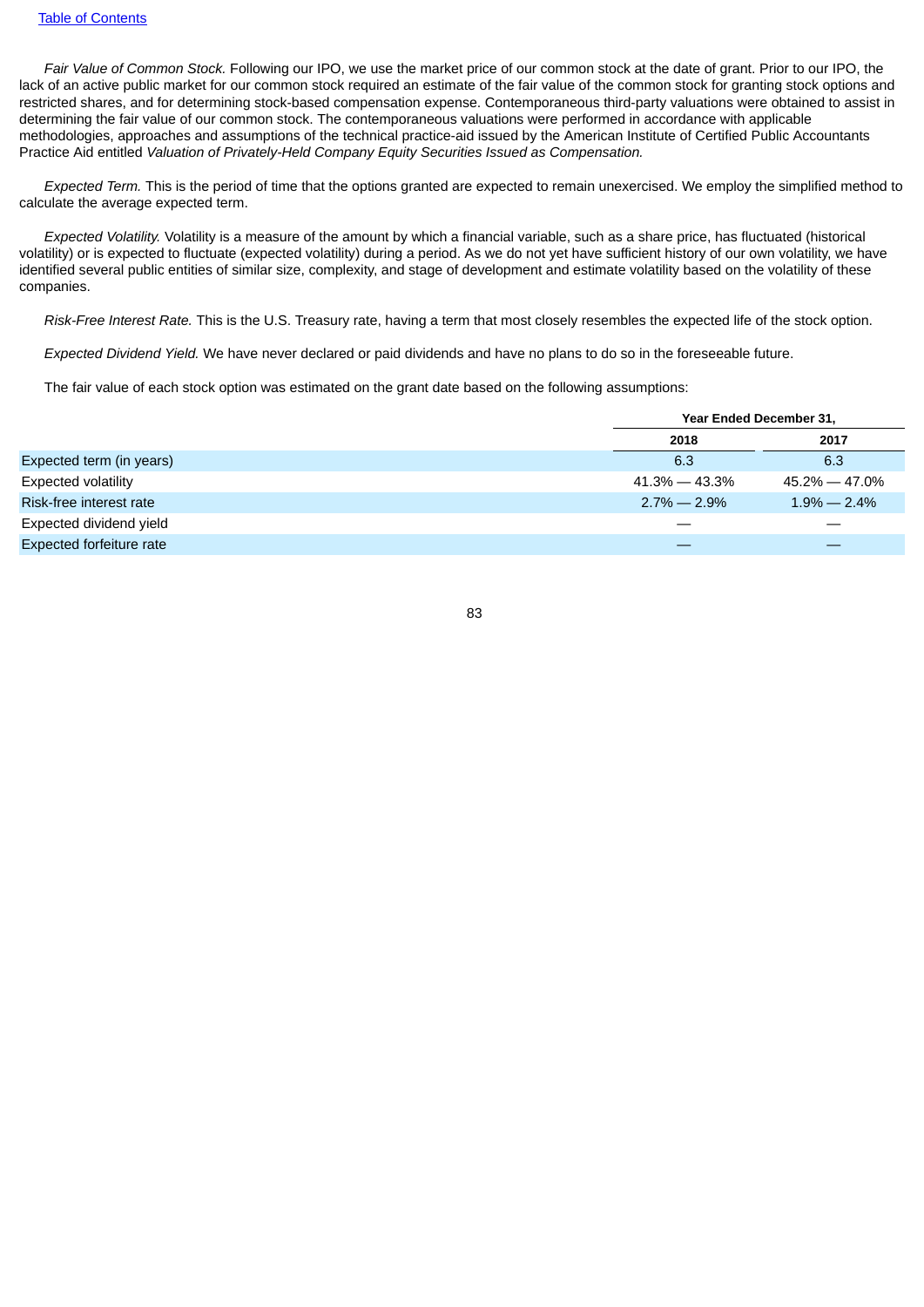*Fair Value of Common Stock.* Following our IPO, we use the market price of our common stock at the date of grant. Prior to our IPO, the lack of an active public market for our common stock required an estimate of the fair value of the common stock for granting stock options and restricted shares, and for determining stock-based compensation expense. Contemporaneous third-party valuations were obtained to assist in determining the fair value of our common stock. The contemporaneous valuations were performed in accordance with applicable methodologies, approaches and assumptions of the technical practice-aid issued by the American Institute of Certified Public Accountants Practice Aid entitled *Valuation of Privately-Held Company Equity Securities Issued as Compensation.*

*Expected Term.* This is the period of time that the options granted are expected to remain unexercised. We employ the simplified method to calculate the average expected term.

*Expected Volatility.* Volatility is a measure of the amount by which a financial variable, such as a share price, has fluctuated (historical volatility) or is expected to fluctuate (expected volatility) during a period. As we do not yet have sufficient history of our own volatility, we have identified several public entities of similar size, complexity, and stage of development and estimate volatility based on the volatility of these companies.

*Risk-Free Interest Rate.* This is the U.S. Treasury rate, having a term that most closely resembles the expected life of the stock option.

*Expected Dividend Yield.* We have never declared or paid dividends and have no plans to do so in the foreseeable future.

The fair value of each stock option was estimated on the grant date based on the following assumptions:

|                                 | Year Ended December 31, |                   |  |  |
|---------------------------------|-------------------------|-------------------|--|--|
|                                 | 2018                    | 2017              |  |  |
| Expected term (in years)        | 6.3                     | 6.3               |  |  |
| <b>Expected volatility</b>      | $41.3\% - 43.3\%$       | $45.2\% - 47.0\%$ |  |  |
| Risk-free interest rate         | $2.7\% - 2.9\%$         | $1.9\% - 2.4\%$   |  |  |
| Expected dividend yield         |                         |                   |  |  |
| <b>Expected forfeiture rate</b> |                         |                   |  |  |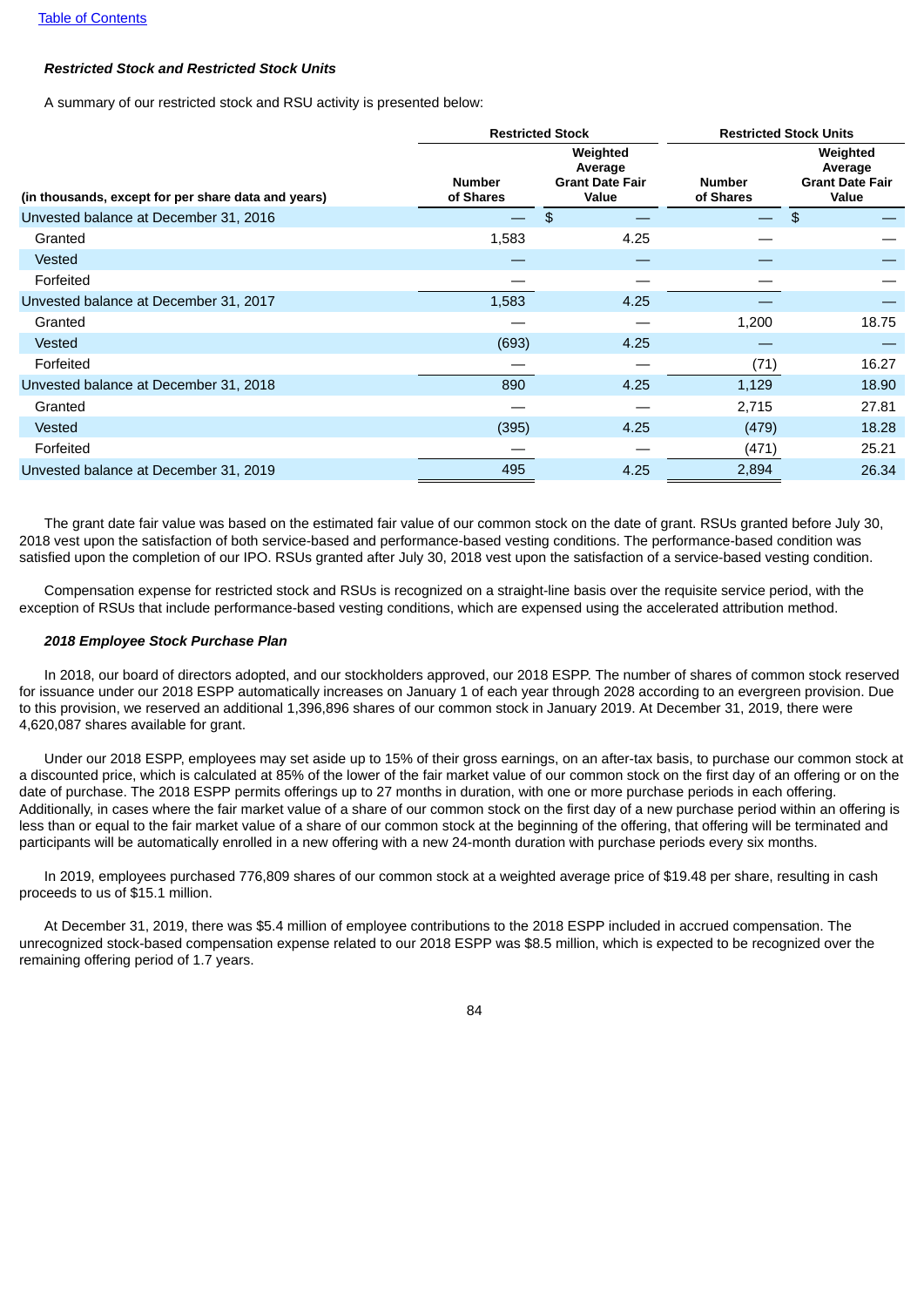### *Restricted Stock and Restricted Stock Units*

A summary of our restricted stock and RSU activity is presented below:

|                                                     |                            | <b>Restricted Stock</b>                                |                            | <b>Restricted Stock Units</b>                          |  |  |  |
|-----------------------------------------------------|----------------------------|--------------------------------------------------------|----------------------------|--------------------------------------------------------|--|--|--|
| (in thousands, except for per share data and years) | <b>Number</b><br>of Shares | Weighted<br>Average<br><b>Grant Date Fair</b><br>Value | <b>Number</b><br>of Shares | Weighted<br>Average<br><b>Grant Date Fair</b><br>Value |  |  |  |
| Unvested balance at December 31, 2016               |                            | \$                                                     |                            | $\frac{1}{2}$                                          |  |  |  |
| Granted                                             | 1,583                      | 4.25                                                   |                            |                                                        |  |  |  |
| Vested                                              |                            |                                                        |                            |                                                        |  |  |  |
| Forfeited                                           |                            |                                                        |                            |                                                        |  |  |  |
| Unvested balance at December 31, 2017               | 1,583                      | 4.25                                                   |                            |                                                        |  |  |  |
| Granted                                             |                            |                                                        | 1,200                      | 18.75                                                  |  |  |  |
| Vested                                              | (693)                      | 4.25                                                   |                            |                                                        |  |  |  |
| Forfeited                                           |                            |                                                        | (71)                       | 16.27                                                  |  |  |  |
| Unvested balance at December 31, 2018               | 890                        | 4.25                                                   | 1,129                      | 18.90                                                  |  |  |  |
| Granted                                             |                            |                                                        | 2,715                      | 27.81                                                  |  |  |  |
| Vested                                              | (395)                      | 4.25                                                   | (479)                      | 18.28                                                  |  |  |  |
| Forfeited                                           |                            |                                                        | (471)                      | 25.21                                                  |  |  |  |
| Unvested balance at December 31, 2019               | 495                        | 4.25                                                   | 2,894                      | 26.34                                                  |  |  |  |

The grant date fair value was based on the estimated fair value of our common stock on the date of grant. RSUs granted before July 30, 2018 vest upon the satisfaction of both service-based and performance-based vesting conditions. The performance-based condition was satisfied upon the completion of our IPO. RSUs granted after July 30, 2018 vest upon the satisfaction of a service-based vesting condition.

Compensation expense for restricted stock and RSUs is recognized on a straight-line basis over the requisite service period, with the exception of RSUs that include performance-based vesting conditions, which are expensed using the accelerated attribution method.

#### *2018 Employee Stock Purchase Plan*

In 2018, our board of directors adopted, and our stockholders approved, our 2018 ESPP. The number of shares of common stock reserved for issuance under our 2018 ESPP automatically increases on January 1 of each year through 2028 according to an evergreen provision. Due to this provision, we reserved an additional 1,396,896 shares of our common stock in January 2019. At December 31, 2019, there were 4,620,087 shares available for grant.

Under our 2018 ESPP, employees may set aside up to 15% of their gross earnings, on an after-tax basis, to purchase our common stock at a discounted price, which is calculated at 85% of the lower of the fair market value of our common stock on the first day of an offering or on the date of purchase. The 2018 ESPP permits offerings up to 27 months in duration, with one or more purchase periods in each offering. Additionally, in cases where the fair market value of a share of our common stock on the first day of a new purchase period within an offering is less than or equal to the fair market value of a share of our common stock at the beginning of the offering, that offering will be terminated and participants will be automatically enrolled in a new offering with a new 24-month duration with purchase periods every six months.

In 2019, employees purchased 776,809 shares of our common stock at a weighted average price of \$19.48 per share, resulting in cash proceeds to us of \$15.1 million.

At December 31, 2019, there was \$5.4 million of employee contributions to the 2018 ESPP included in accrued compensation. The unrecognized stock-based compensation expense related to our 2018 ESPP was \$8.5 million, which is expected to be recognized over the remaining offering period of 1.7 years.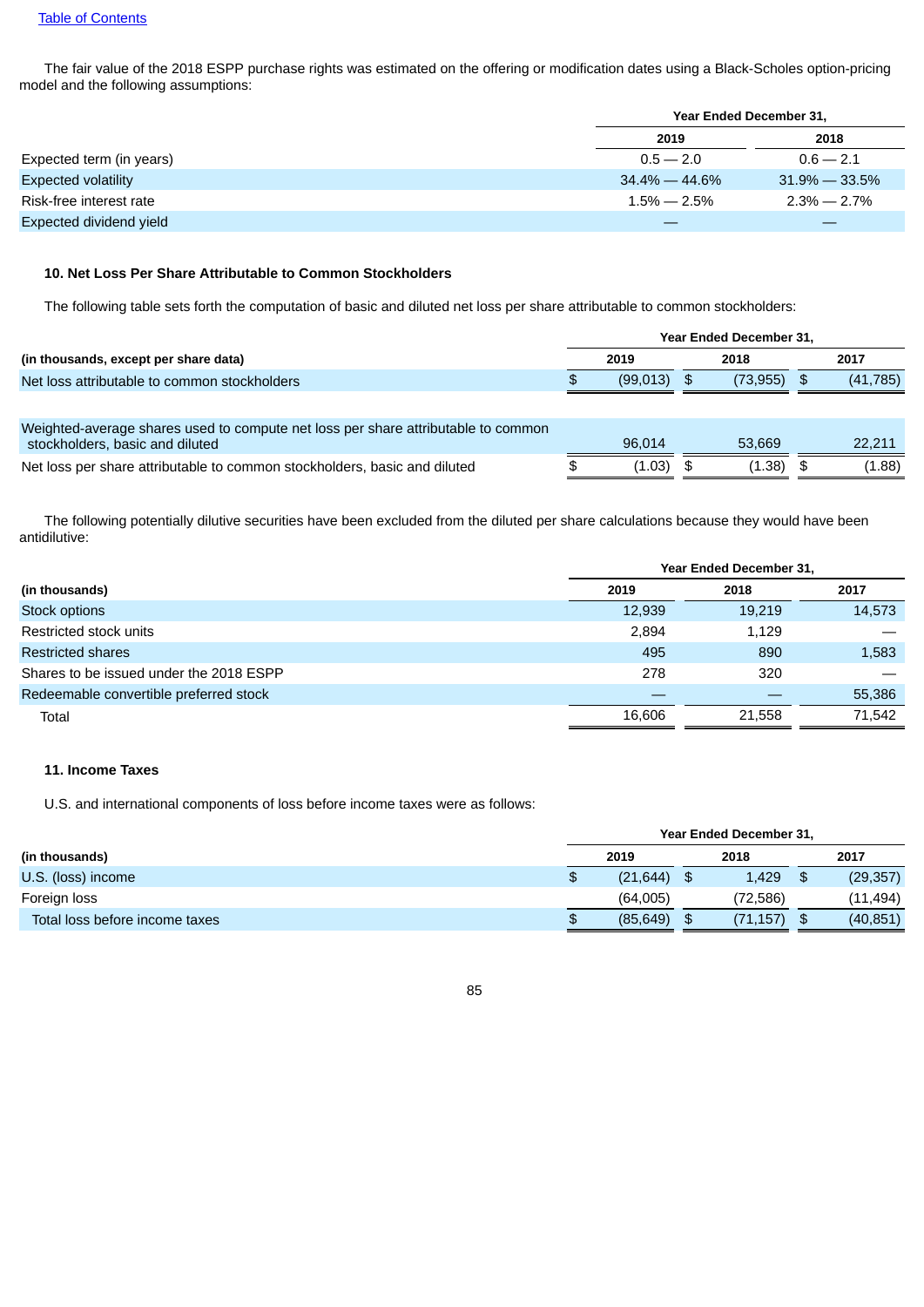The fair value of the 2018 ESPP purchase rights was estimated on the offering or modification dates using a Black-Scholes option-pricing model and the following assumptions:

|                            | Year Ended December 31, |                   |
|----------------------------|-------------------------|-------------------|
|                            | 2019                    | 2018              |
| Expected term (in years)   | $0.5 - 2.0$             | $0.6 - 2.1$       |
| <b>Expected volatility</b> | $34.4\% - 44.6\%$       | $31.9\% - 33.5\%$ |
| Risk-free interest rate    | $1.5\% - 2.5\%$         | $2.3\% - 2.7\%$   |
| Expected dividend yield    |                         |                   |

### **10. Net Loss Per Share Attributable to Common Stockholders**

The following table sets forth the computation of basic and diluted net loss per share attributable to common stockholders:

|                                                                                                                      | Year Ended December 31, |           |      |           |     |           |
|----------------------------------------------------------------------------------------------------------------------|-------------------------|-----------|------|-----------|-----|-----------|
| (in thousands, except per share data)                                                                                |                         | 2019      |      | 2018      |     | 2017      |
| Net loss attributable to common stockholders                                                                         |                         | (99, 013) | - SS | (73, 955) | \$. | (41, 785) |
|                                                                                                                      |                         |           |      |           |     |           |
| Weighted-average shares used to compute net loss per share attributable to common<br>stockholders, basic and diluted |                         | 96.014    |      | 53.669    |     | 22.211    |
| Net loss per share attributable to common stockholders, basic and diluted                                            |                         | (1.03)    |      | (1.38)    |     | (1.88)    |

The following potentially dilutive securities have been excluded from the diluted per share calculations because they would have been antidilutive:

|                                         |        | Year Ended December 31, |        |  |  |  |
|-----------------------------------------|--------|-------------------------|--------|--|--|--|
| (in thousands)                          | 2019   | 2018                    | 2017   |  |  |  |
| Stock options                           | 12,939 | 19,219                  | 14,573 |  |  |  |
| Restricted stock units                  | 2.894  | 1.129                   |        |  |  |  |
| <b>Restricted shares</b>                | 495    | 890                     | 1,583  |  |  |  |
| Shares to be issued under the 2018 ESPP | 278    | 320                     |        |  |  |  |
| Redeemable convertible preferred stock  |        |                         | 55,386 |  |  |  |
| Total                                   | 16,606 | 21.558                  | 71,542 |  |  |  |

#### **11. Income Taxes**

U.S. and international components of loss before income taxes were as follows:

|                                | Year Ended December 31, |  |           |    |           |  |  |
|--------------------------------|-------------------------|--|-----------|----|-----------|--|--|
| (in thousands)                 | 2019                    |  | 2018      |    | 2017      |  |  |
| U.S. (loss) income             | (21, 644)               |  | 1,429     |    | (29, 357) |  |  |
| Foreign loss                   | (64.005)                |  | (72.586)  |    | (11, 494) |  |  |
| Total loss before income taxes | (85, 649)               |  | (71, 157) | \$ | (40, 851) |  |  |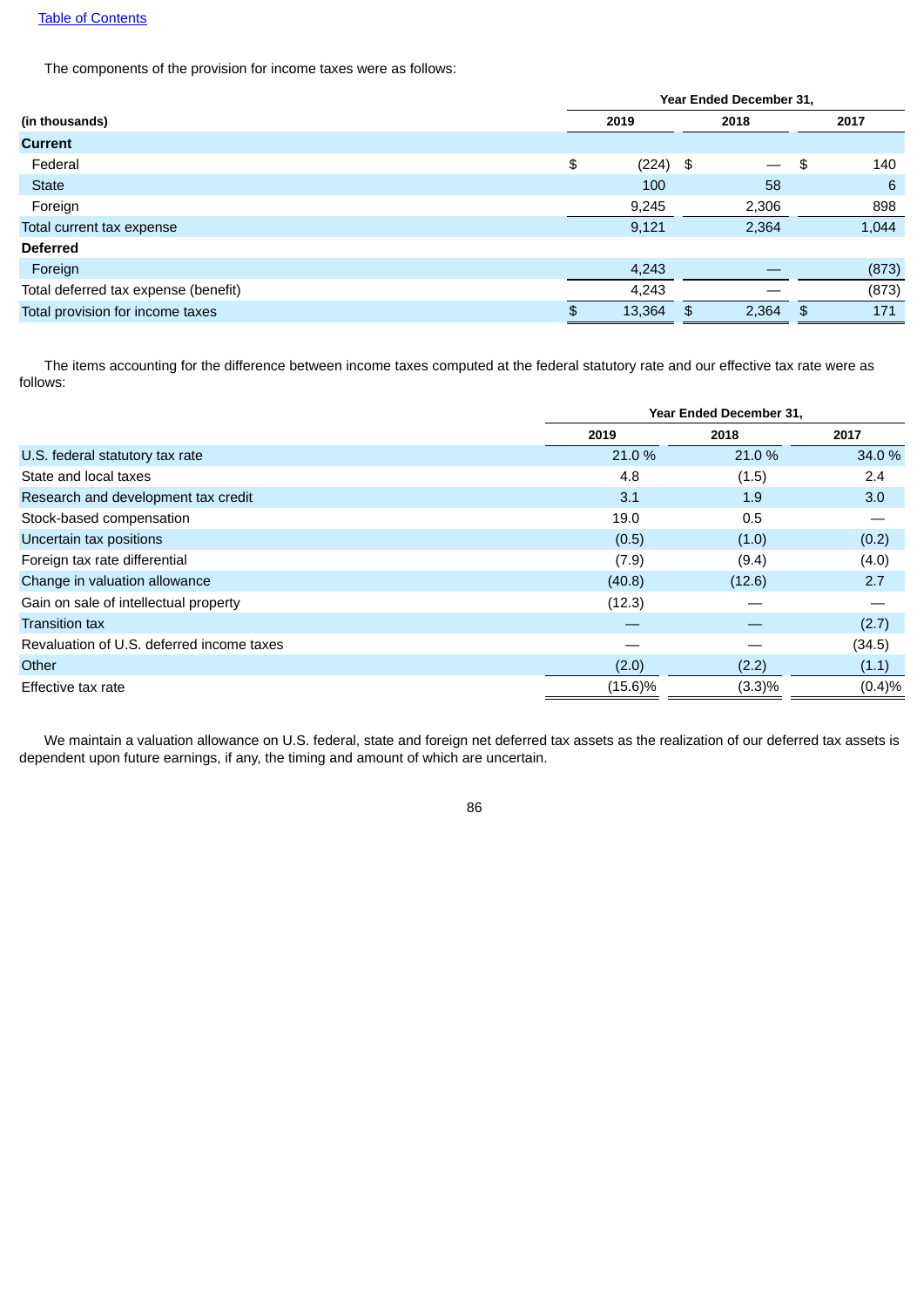## Table of [Contents](#page-1-0)

The components of the provision for income taxes were as follows:

|                                      | Year Ended December 31, |             |      |       |  |  |  |
|--------------------------------------|-------------------------|-------------|------|-------|--|--|--|
| (in thousands)                       | 2019                    | 2018        | 2017 |       |  |  |  |
| <b>Current</b>                       |                         |             |      |       |  |  |  |
| Federal                              | \$<br>$(224)$ \$        |             | \$   | 140   |  |  |  |
| <b>State</b>                         | 100                     | 58          |      | 6     |  |  |  |
| Foreign                              | 9,245                   | 2,306       |      | 898   |  |  |  |
| Total current tax expense            | 9,121                   | 2,364       |      | 1,044 |  |  |  |
| <b>Deferred</b>                      |                         |             |      |       |  |  |  |
| Foreign                              | 4,243                   |             |      | (873) |  |  |  |
| Total deferred tax expense (benefit) | 4,243                   |             |      | (873) |  |  |  |
| Total provision for income taxes     | \$<br>13,364            | 2,364<br>\$ | \$   | 171   |  |  |  |
|                                      |                         |             |      |       |  |  |  |

The items accounting for the difference between income taxes computed at the federal statutory rate and our effective tax rate were as follows:

|                                           | Year Ended December 31, |           |        |  |
|-------------------------------------------|-------------------------|-----------|--------|--|
|                                           | 2019                    | 2018      | 2017   |  |
| U.S. federal statutory tax rate           | 21.0 %                  | 21.0 %    | 34.0 % |  |
| State and local taxes                     | 4.8                     | (1.5)     | 2.4    |  |
| Research and development tax credit       | 3.1                     | 1.9       | 3.0    |  |
| Stock-based compensation                  | 19.0                    | 0.5       |        |  |
| Uncertain tax positions                   | (0.5)                   | (1.0)     | (0.2)  |  |
| Foreign tax rate differential             | (7.9)                   | (9.4)     | (4.0)  |  |
| Change in valuation allowance             | (40.8)                  | (12.6)    | 2.7    |  |
| Gain on sale of intellectual property     | (12.3)                  |           |        |  |
| <b>Transition tax</b>                     |                         |           | (2.7)  |  |
| Revaluation of U.S. deferred income taxes |                         |           | (34.5) |  |
| Other                                     | (2.0)                   | (2.2)     | (1.1)  |  |
| Effective tax rate                        | $(15.6)\%$              | $(3.3)\%$ | (0.4)% |  |

We maintain a valuation allowance on U.S. federal, state and foreign net deferred tax assets as the realization of our deferred tax assets is dependent upon future earnings, if any, the timing and amount of which are uncertain.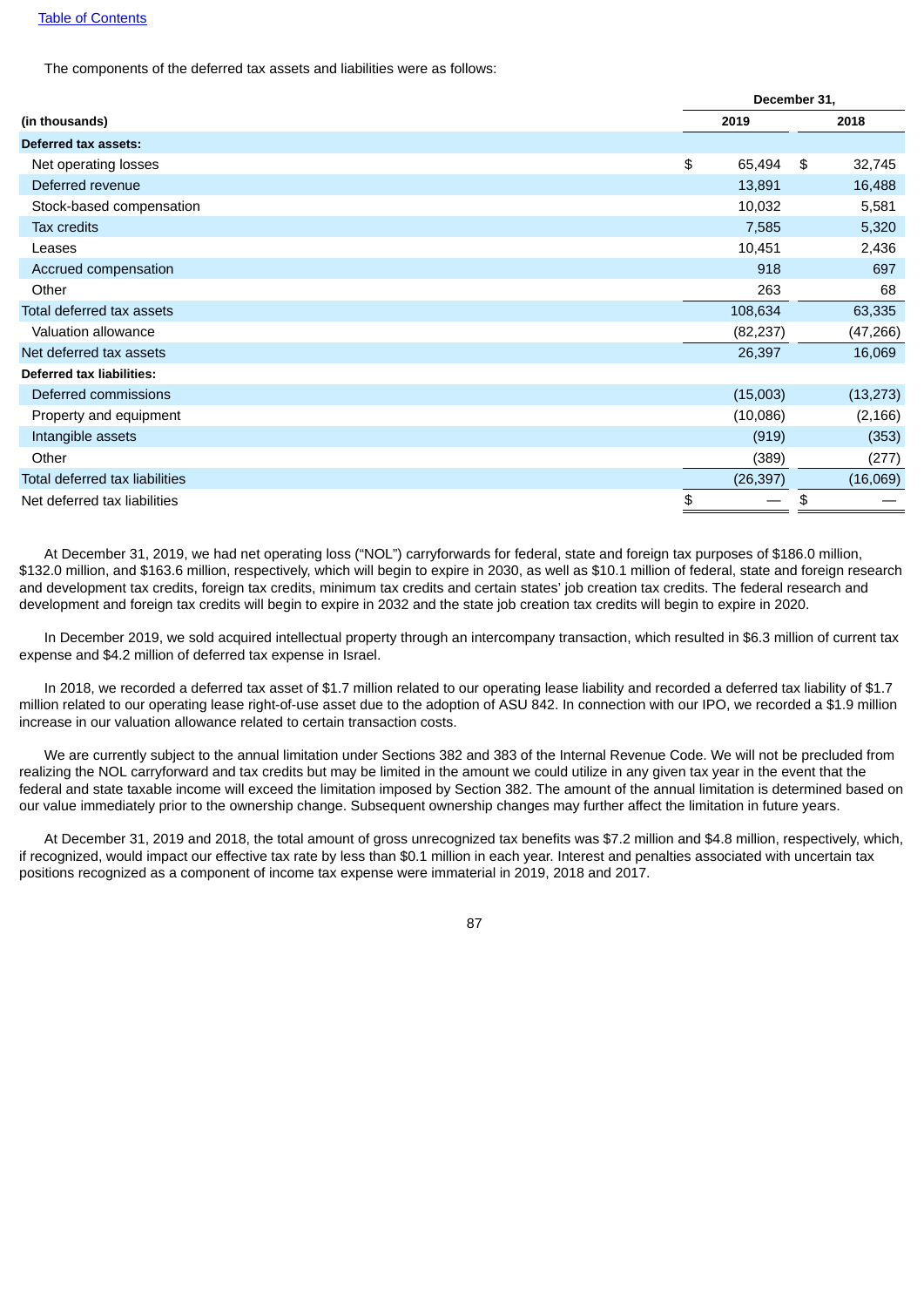### Table of [Contents](#page-1-0)

The components of the deferred tax assets and liabilities were as follows:

|                                |              | December 31, |
|--------------------------------|--------------|--------------|
| (in thousands)                 | 2019         | 2018         |
| Deferred tax assets:           |              |              |
| Net operating losses           | \$<br>65,494 | 32,745<br>\$ |
| Deferred revenue               | 13,891       | 16,488       |
| Stock-based compensation       | 10,032       | 5,581        |
| Tax credits                    | 7,585        | 5,320        |
| Leases                         | 10,451       | 2,436        |
| Accrued compensation           | 918          | 697          |
| Other                          | 263          | 68           |
| Total deferred tax assets      | 108,634      | 63,335       |
| Valuation allowance            | (82, 237)    | (47, 266)    |
| Net deferred tax assets        | 26,397       | 16,069       |
| Deferred tax liabilities:      |              |              |
| Deferred commissions           | (15,003)     | (13, 273)    |
| Property and equipment         | (10,086)     | (2, 166)     |
| Intangible assets              | (919)        | (353)        |
| Other                          | (389)        | (277)        |
| Total deferred tax liabilities | (26, 397)    | (16,069)     |
| Net deferred tax liabilities   | \$           | \$           |

At December 31, 2019, we had net operating loss ("NOL") carryforwards for federal, state and foreign tax purposes of \$186.0 million, \$132.0 million, and \$163.6 million, respectively, which will begin to expire in 2030, as well as \$10.1 million of federal, state and foreign research and development tax credits, foreign tax credits, minimum tax credits and certain states' job creation tax credits. The federal research and development and foreign tax credits will begin to expire in 2032 and the state job creation tax credits will begin to expire in 2020.

In December 2019, we sold acquired intellectual property through an intercompany transaction, which resulted in \$6.3 million of current tax expense and \$4.2 million of deferred tax expense in Israel.

In 2018, we recorded a deferred tax asset of \$1.7 million related to our operating lease liability and recorded a deferred tax liability of \$1.7 million related to our operating lease right-of-use asset due to the adoption of ASU 842. In connection with our IPO, we recorded a \$1.9 million increase in our valuation allowance related to certain transaction costs.

We are currently subject to the annual limitation under Sections 382 and 383 of the Internal Revenue Code. We will not be precluded from realizing the NOL carryforward and tax credits but may be limited in the amount we could utilize in any given tax year in the event that the federal and state taxable income will exceed the limitation imposed by Section 382. The amount of the annual limitation is determined based on our value immediately prior to the ownership change. Subsequent ownership changes may further affect the limitation in future years.

At December 31, 2019 and 2018, the total amount of gross unrecognized tax benefits was \$7.2 million and \$4.8 million, respectively, which, if recognized, would impact our effective tax rate by less than \$0.1 million in each year. Interest and penalties associated with uncertain tax positions recognized as a component of income tax expense were immaterial in 2019, 2018 and 2017.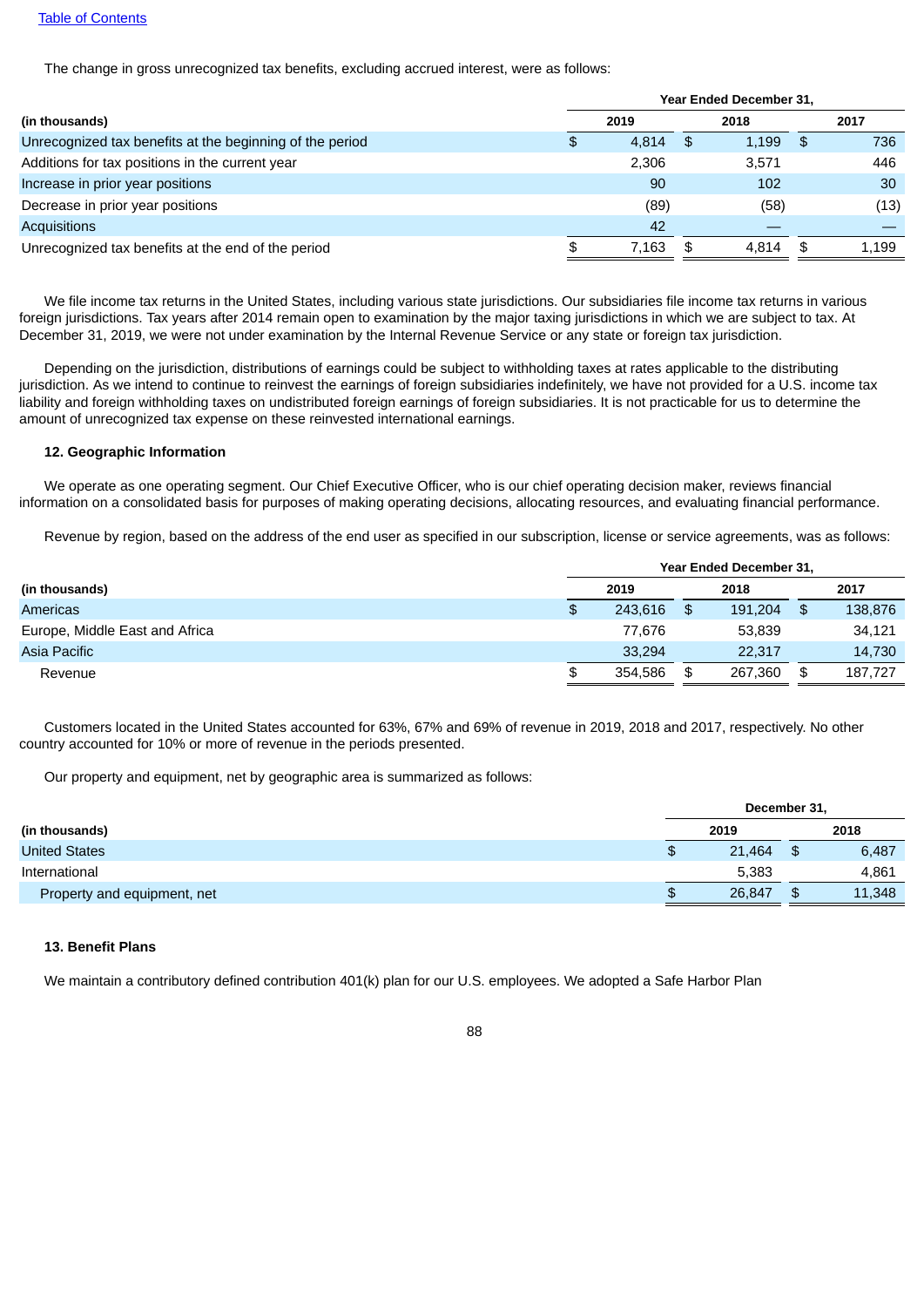The change in gross unrecognized tax benefits, excluding accrued interest, were as follows:

|                                                          | Year Ended December 31, |       |      |       |     |       |  |  |  |
|----------------------------------------------------------|-------------------------|-------|------|-------|-----|-------|--|--|--|
| (in thousands)                                           |                         | 2019  | 2018 |       |     | 2017  |  |  |  |
| Unrecognized tax benefits at the beginning of the period | \$                      | 4.814 | - S  | 1,199 | \$. | 736   |  |  |  |
| Additions for tax positions in the current year          |                         | 2,306 |      | 3.571 |     | 446   |  |  |  |
| Increase in prior year positions                         |                         | 90    |      | 102   |     | 30    |  |  |  |
| Decrease in prior year positions                         |                         | (89)  |      | (58)  |     | (13)  |  |  |  |
| <b>Acquisitions</b>                                      |                         | 42    |      |       |     |       |  |  |  |
| Unrecognized tax benefits at the end of the period       | \$                      | 7.163 |      | 4.814 | S   | 1.199 |  |  |  |

We file income tax returns in the United States, including various state jurisdictions. Our subsidiaries file income tax returns in various foreign jurisdictions. Tax years after 2014 remain open to examination by the major taxing jurisdictions in which we are subject to tax. At December 31, 2019, we were not under examination by the Internal Revenue Service or any state or foreign tax jurisdiction.

Depending on the jurisdiction, distributions of earnings could be subject to withholding taxes at rates applicable to the distributing jurisdiction. As we intend to continue to reinvest the earnings of foreign subsidiaries indefinitely, we have not provided for a U.S. income tax liability and foreign withholding taxes on undistributed foreign earnings of foreign subsidiaries. It is not practicable for us to determine the amount of unrecognized tax expense on these reinvested international earnings.

### **12. Geographic Information**

We operate as one operating segment. Our Chief Executive Officer, who is our chief operating decision maker, reviews financial information on a consolidated basis for purposes of making operating decisions, allocating resources, and evaluating financial performance.

Revenue by region, based on the address of the end user as specified in our subscription, license or service agreements, was as follows:

|    | 2019    | 2018    |    | 2017                    |
|----|---------|---------|----|-------------------------|
| \$ | 243.616 | 191,204 | \$ | 138,876                 |
|    | 77.676  | 53,839  |    | 34,121                  |
|    | 33.294  | 22,317  |    | 14,730                  |
|    | 354.586 | 267.360 | \$ | 187,727                 |
|    |         |         |    | Year Ended December 31, |

Customers located in the United States accounted for 63%, 67% and 69% of revenue in 2019, 2018 and 2017, respectively. No other country accounted for 10% or more of revenue in the periods presented.

Our property and equipment, net by geographic area is summarized as follows:

|                             | December 31, |     |        |  |
|-----------------------------|--------------|-----|--------|--|
| (in thousands)              | 2019         |     | 2018   |  |
| <b>United States</b>        | \$<br>21,464 | -\$ | 6,487  |  |
| International               | 5.383        |     | 4,861  |  |
| Property and equipment, net | \$<br>26.847 | \$  | 11,348 |  |

## **13. Benefit Plans**

We maintain a contributory defined contribution 401(k) plan for our U.S. employees. We adopted a Safe Harbor Plan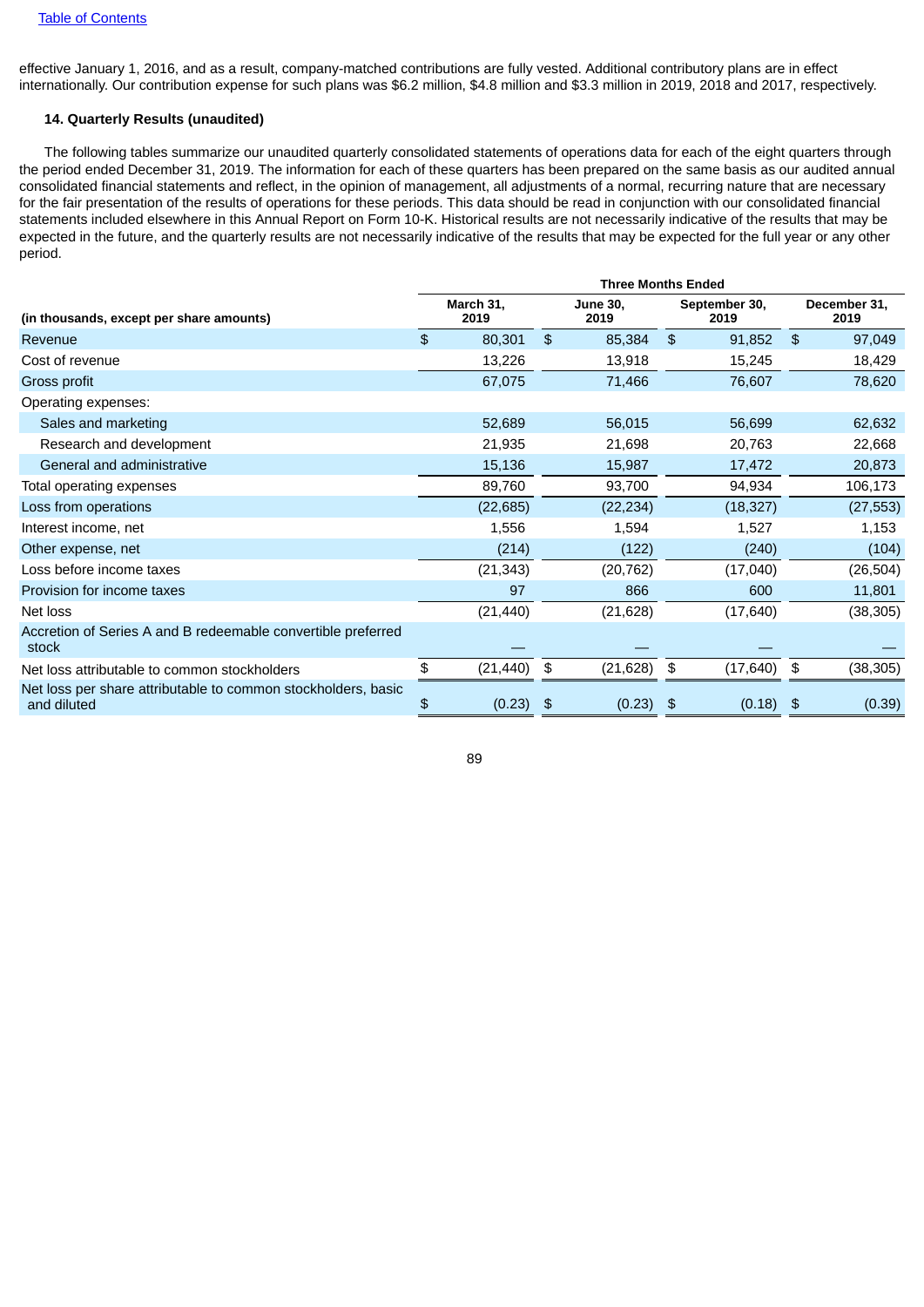effective January 1, 2016, and as a result, company-matched contributions are fully vested. Additional contributory plans are in effect internationally. Our contribution expense for such plans was \$6.2 million, \$4.8 million and \$3.3 million in 2019, 2018 and 2017, respectively.

## **14. Quarterly Results (unaudited)**

The following tables summarize our unaudited quarterly consolidated statements of operations data for each of the eight quarters through the period ended December 31, 2019. The information for each of these quarters has been prepared on the same basis as our audited annual consolidated financial statements and reflect, in the opinion of management, all adjustments of a normal, recurring nature that are necessary for the fair presentation of the results of operations for these periods. This data should be read in conjunction with our consolidated financial statements included elsewhere in this Annual Report on Form 10-K. Historical results are not necessarily indicative of the results that may be expected in the future, and the quarterly results are not necessarily indicative of the results that may be expected for the full year or any other period.

|                                                                              | <b>Three Months Ended</b> |                   |    |                  |    |                       |    |                      |  |  |  |
|------------------------------------------------------------------------------|---------------------------|-------------------|----|------------------|----|-----------------------|----|----------------------|--|--|--|
| (in thousands, except per share amounts)                                     |                           | March 31,<br>2019 |    | June 30,<br>2019 |    | September 30,<br>2019 |    | December 31,<br>2019 |  |  |  |
| Revenue                                                                      | $\mathfrak{P}$            | 80,301            | \$ | 85,384           | \$ | 91,852                | \$ | 97,049               |  |  |  |
| Cost of revenue                                                              |                           | 13,226            |    | 13,918           |    | 15,245                |    | 18,429               |  |  |  |
| Gross profit                                                                 |                           | 67,075            |    | 71,466           |    | 76,607                |    | 78,620               |  |  |  |
| Operating expenses:                                                          |                           |                   |    |                  |    |                       |    |                      |  |  |  |
| Sales and marketing                                                          |                           | 52,689            |    | 56,015           |    | 56,699                |    | 62,632               |  |  |  |
| Research and development                                                     |                           | 21,935            |    | 21,698           |    | 20,763                |    | 22,668               |  |  |  |
| General and administrative                                                   |                           | 15,136            |    | 15,987           |    | 17,472                |    | 20,873               |  |  |  |
| Total operating expenses                                                     |                           | 89,760            |    | 93,700           |    | 94,934                |    | 106,173              |  |  |  |
| Loss from operations                                                         |                           | (22, 685)         |    | (22, 234)        |    | (18, 327)             |    | (27, 553)            |  |  |  |
| Interest income, net                                                         |                           | 1,556             |    | 1,594            |    | 1,527                 |    | 1,153                |  |  |  |
| Other expense, net                                                           |                           | (214)             |    | (122)            |    | (240)                 |    | (104)                |  |  |  |
| Loss before income taxes                                                     |                           | (21, 343)         |    | (20, 762)        |    | (17,040)              |    | (26, 504)            |  |  |  |
| Provision for income taxes                                                   |                           | 97                |    | 866              |    | 600                   |    | 11,801               |  |  |  |
| Net loss                                                                     |                           | (21, 440)         |    | (21, 628)        |    | (17, 640)             |    | (38, 305)            |  |  |  |
| Accretion of Series A and B redeemable convertible preferred<br>stock        |                           |                   |    |                  |    |                       |    |                      |  |  |  |
| Net loss attributable to common stockholders                                 | \$                        | (21,440)          | \$ | (21, 628)        | \$ | (17, 640)             | \$ | (38, 305)            |  |  |  |
| Net loss per share attributable to common stockholders, basic<br>and diluted | \$                        | (0.23)            | \$ | (0.23)           | \$ | (0.18)                | \$ | (0.39)               |  |  |  |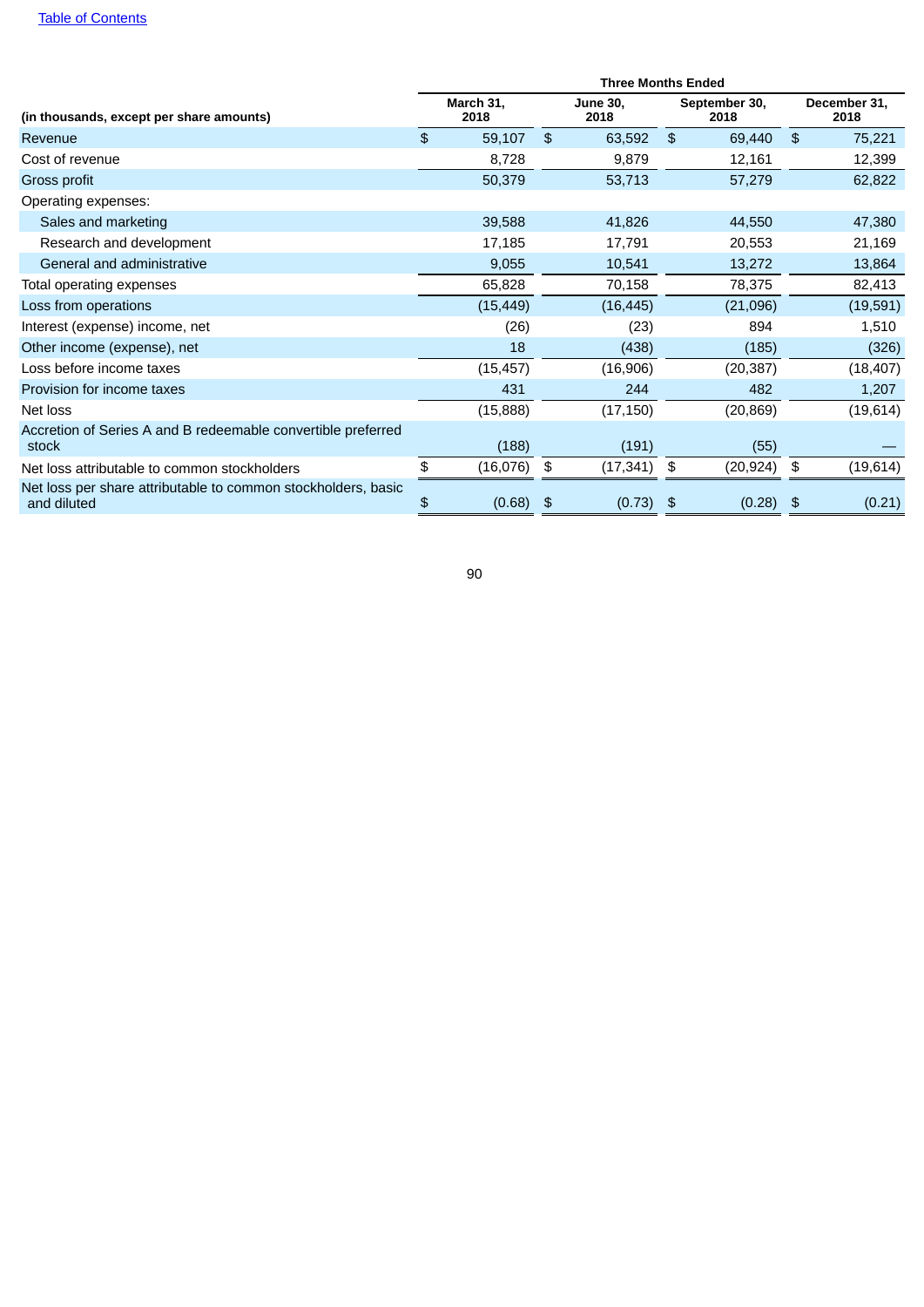# **Table of [Contents](#page-1-0)**

|                                                                              | <b>Three Months Ended</b> |                   |                  |           |    |                       |    |                      |
|------------------------------------------------------------------------------|---------------------------|-------------------|------------------|-----------|----|-----------------------|----|----------------------|
| (in thousands, except per share amounts)                                     |                           | March 31,<br>2018 | June 30,<br>2018 |           |    | September 30,<br>2018 |    | December 31,<br>2018 |
| Revenue                                                                      | \$                        | 59,107            | \$               | 63,592    | \$ | 69,440                | \$ | 75,221               |
| Cost of revenue                                                              |                           | 8,728             |                  | 9,879     |    | 12,161                |    | 12,399               |
| Gross profit                                                                 |                           | 50,379            |                  | 53,713    |    | 57,279                |    | 62,822               |
| Operating expenses:                                                          |                           |                   |                  |           |    |                       |    |                      |
| Sales and marketing                                                          |                           | 39,588            |                  | 41,826    |    | 44,550                |    | 47,380               |
| Research and development                                                     |                           | 17,185            |                  | 17,791    |    | 20,553                |    | 21,169               |
| General and administrative                                                   |                           | 9,055             |                  | 10,541    |    | 13,272                |    | 13,864               |
| Total operating expenses                                                     |                           | 65,828            |                  | 70,158    |    | 78,375                |    | 82,413               |
| Loss from operations                                                         |                           | (15, 449)         |                  | (16, 445) |    | (21,096)              |    | (19, 591)            |
| Interest (expense) income, net                                               |                           | (26)              |                  | (23)      |    | 894                   |    | 1,510                |
| Other income (expense), net                                                  |                           | 18                |                  | (438)     |    | (185)                 |    | (326)                |
| Loss before income taxes                                                     |                           | (15, 457)         |                  | (16,906)  |    | (20, 387)             |    | (18, 407)            |
| Provision for income taxes                                                   |                           | 431               |                  | 244       |    | 482                   |    | 1,207                |
| Net loss                                                                     |                           | (15, 888)         |                  | (17, 150) |    | (20, 869)             |    | (19, 614)            |
| Accretion of Series A and B redeemable convertible preferred<br>stock        |                           | (188)             |                  | (191)     |    | (55)                  |    |                      |
| Net loss attributable to common stockholders                                 | \$                        | (16,076)          | \$               | (17, 341) | \$ | (20, 924)             | \$ | (19, 614)            |
| Net loss per share attributable to common stockholders, basic<br>and diluted | \$                        | (0.68)            | \$               | (0.73)    | \$ | (0.28)                | \$ | (0.21)               |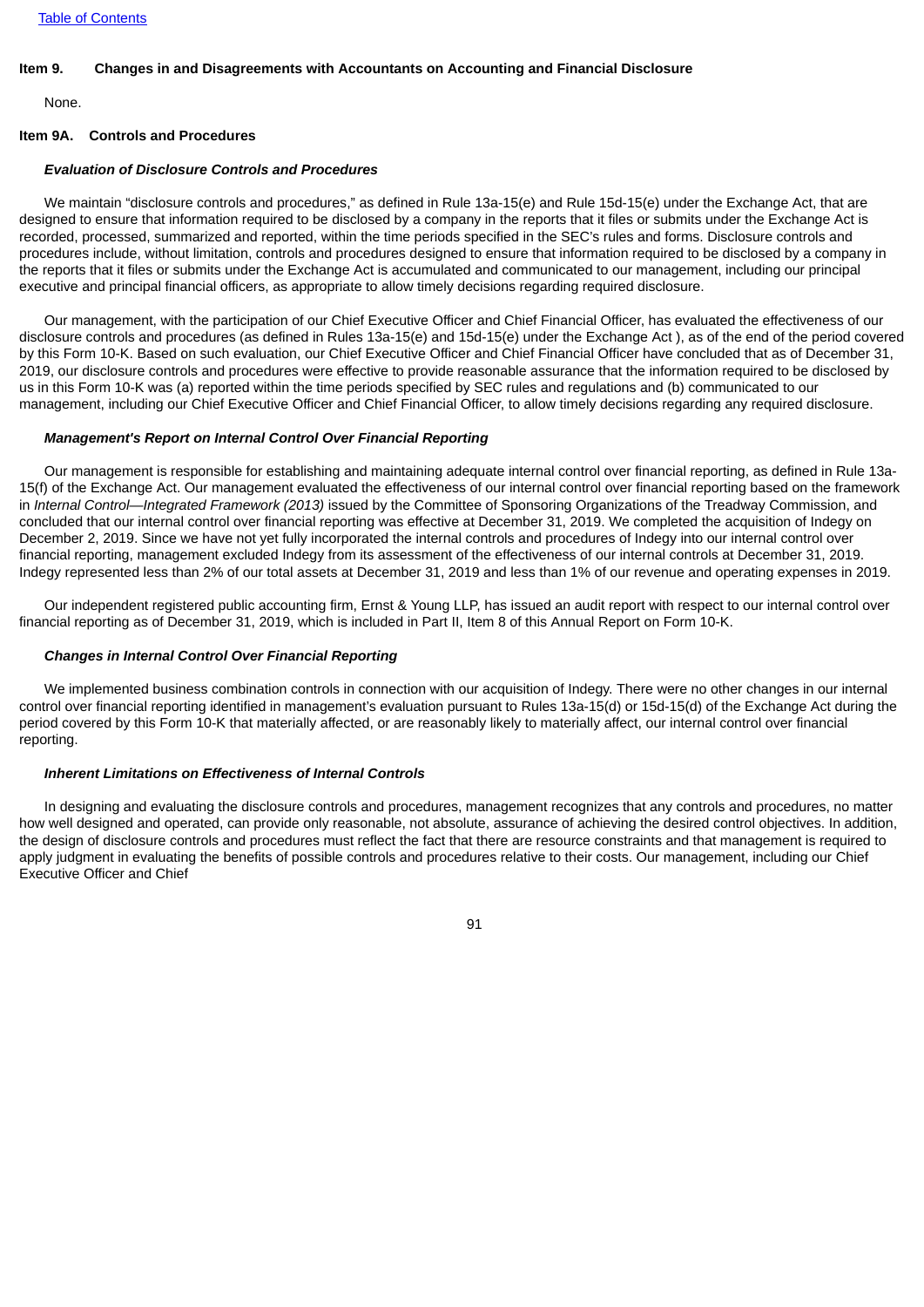#### **Item 9. Changes in and Disagreements with Accountants on Accounting and Financial Disclosure**

None.

#### **Item 9A. Controls and Procedures**

#### *Evaluation of Disclosure Controls and Procedures*

We maintain "disclosure controls and procedures," as defined in Rule 13a-15(e) and Rule 15d-15(e) under the Exchange Act, that are designed to ensure that information required to be disclosed by a company in the reports that it files or submits under the Exchange Act is recorded, processed, summarized and reported, within the time periods specified in the SEC's rules and forms. Disclosure controls and procedures include, without limitation, controls and procedures designed to ensure that information required to be disclosed by a company in the reports that it files or submits under the Exchange Act is accumulated and communicated to our management, including our principal executive and principal financial officers, as appropriate to allow timely decisions regarding required disclosure.

Our management, with the participation of our Chief Executive Officer and Chief Financial Officer, has evaluated the effectiveness of our disclosure controls and procedures (as defined in Rules 13a-15(e) and 15d-15(e) under the Exchange Act ), as of the end of the period covered by this Form 10-K. Based on such evaluation, our Chief Executive Officer and Chief Financial Officer have concluded that as of December 31, 2019, our disclosure controls and procedures were effective to provide reasonable assurance that the information required to be disclosed by us in this Form 10-K was (a) reported within the time periods specified by SEC rules and regulations and (b) communicated to our management, including our Chief Executive Officer and Chief Financial Officer, to allow timely decisions regarding any required disclosure.

### *Management's Report on Internal Control Over Financial Reporting*

Our management is responsible for establishing and maintaining adequate internal control over financial reporting, as defined in Rule 13a-15(f) of the Exchange Act. Our management evaluated the effectiveness of our internal control over financial reporting based on the framework in *Internal Control—Integrated Framework (2013)* issued by the Committee of Sponsoring Organizations of the Treadway Commission, and concluded that our internal control over financial reporting was effective at December 31, 2019. We completed the acquisition of Indegy on December 2, 2019. Since we have not yet fully incorporated the internal controls and procedures of Indegy into our internal control over financial reporting, management excluded Indegy from its assessment of the effectiveness of our internal controls at December 31, 2019. Indegy represented less than 2% of our total assets at December 31, 2019 and less than 1% of our revenue and operating expenses in 2019.

Our independent registered public accounting firm, Ernst & Young LLP, has issued an audit report with respect to our internal control over financial reporting as of December 31, 2019, which is included in Part II, Item 8 of this Annual Report on Form 10-K.

## *Changes in Internal Control Over Financial Reporting*

We implemented business combination controls in connection with our acquisition of Indegy. There were no other changes in our internal control over financial reporting identified in management's evaluation pursuant to Rules 13a-15(d) or 15d-15(d) of the Exchange Act during the period covered by this Form 10-K that materially affected, or are reasonably likely to materially affect, our internal control over financial reporting.

## *Inherent Limitations on Effectiveness of Internal Controls*

In designing and evaluating the disclosure controls and procedures, management recognizes that any controls and procedures, no matter how well designed and operated, can provide only reasonable, not absolute, assurance of achieving the desired control objectives. In addition, the design of disclosure controls and procedures must reflect the fact that there are resource constraints and that management is required to apply judgment in evaluating the benefits of possible controls and procedures relative to their costs. Our management, including our Chief Executive Officer and Chief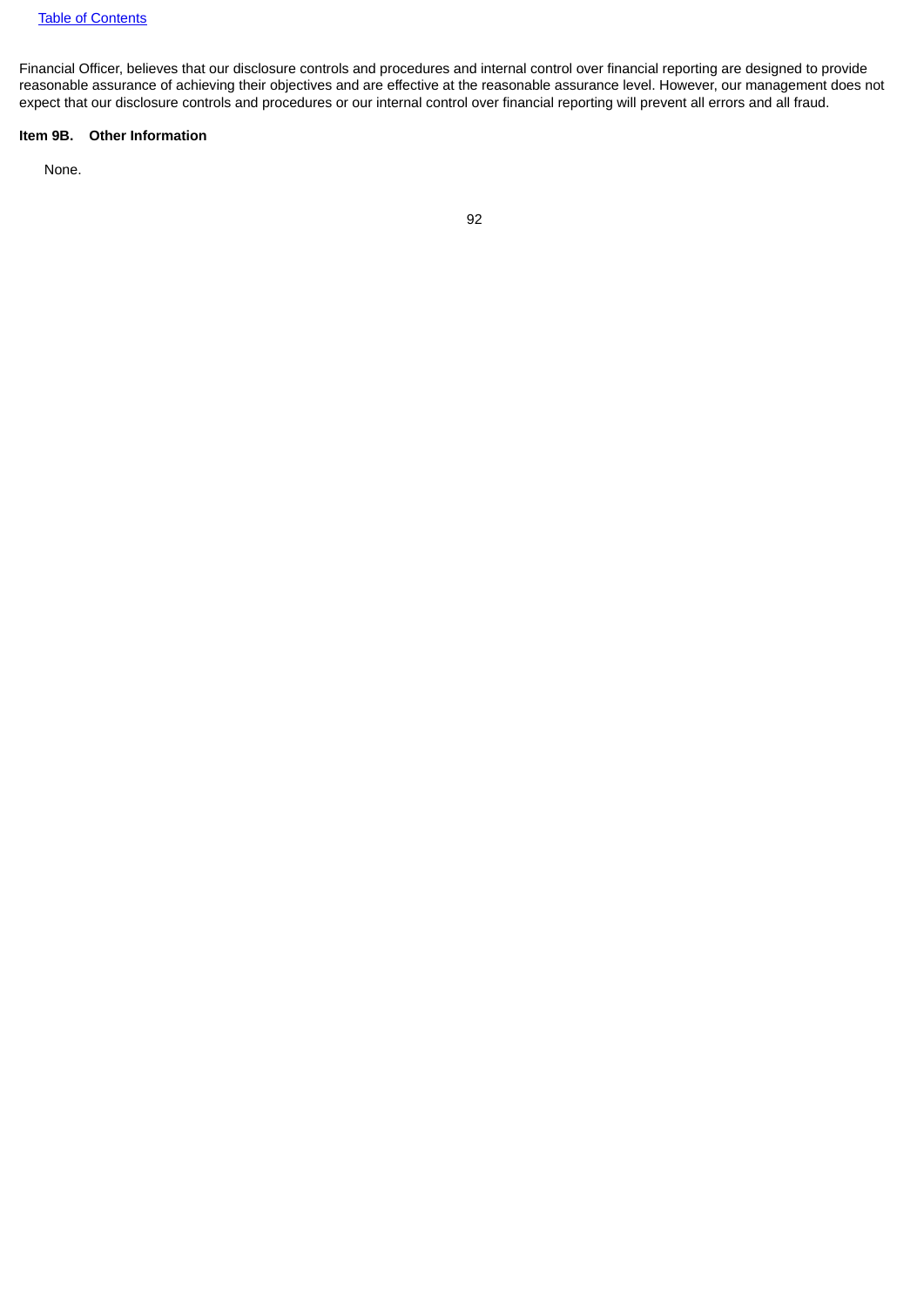Financial Officer, believes that our disclosure controls and procedures and internal control over financial reporting are designed to provide reasonable assurance of achieving their objectives and are effective at the reasonable assurance level. However, our management does not expect that our disclosure controls and procedures or our internal control over financial reporting will prevent all errors and all fraud.

## **Item 9B. Other Information**

None.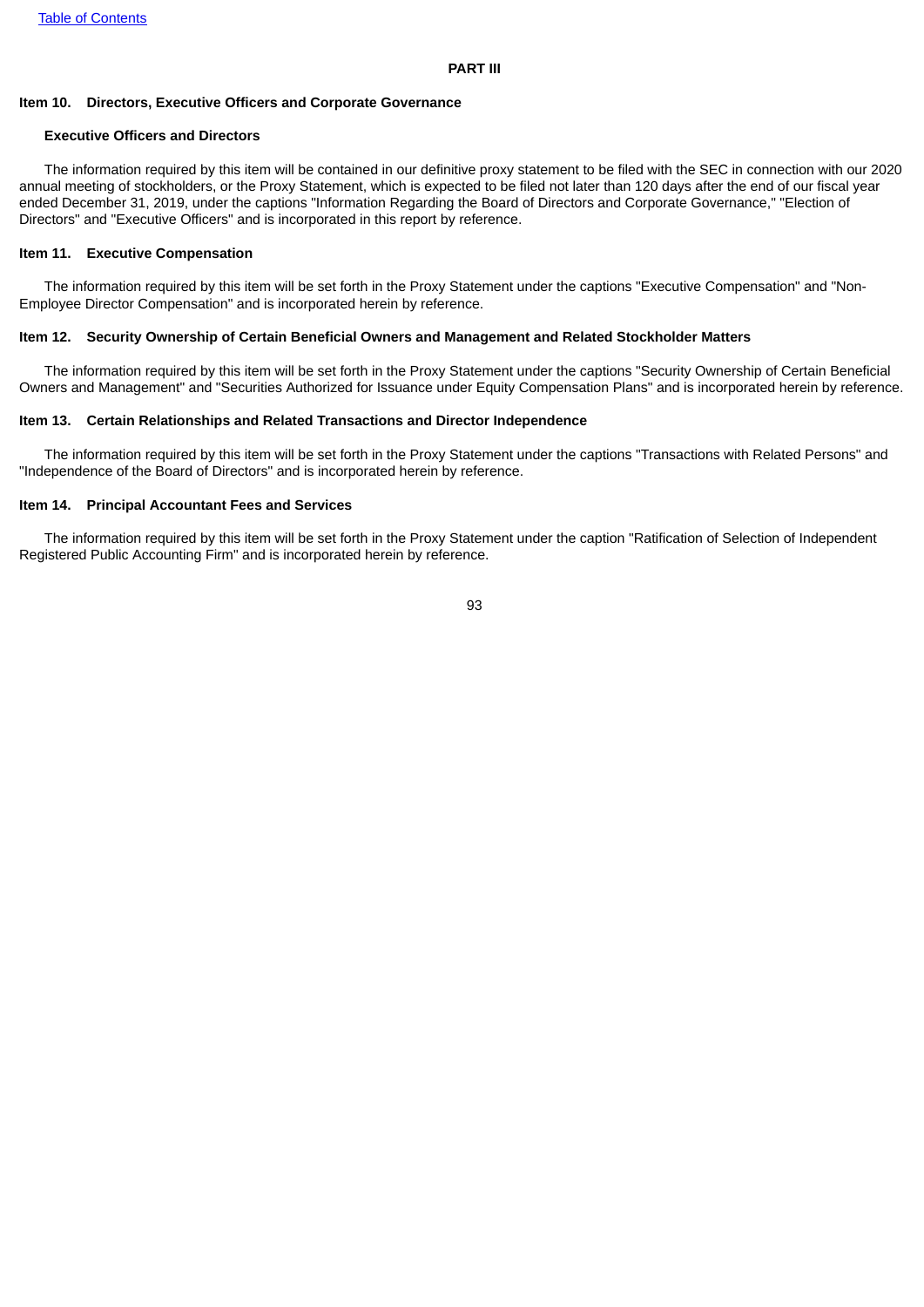## **Item 10. Directors, Executive Officers and Corporate Governance**

## **Executive Officers and Directors**

The information required by this item will be contained in our definitive proxy statement to be filed with the SEC in connection with our 2020 annual meeting of stockholders, or the Proxy Statement, which is expected to be filed not later than 120 days after the end of our fiscal year ended December 31, 2019, under the captions "Information Regarding the Board of Directors and Corporate Governance," "Election of Directors" and "Executive Officers" and is incorporated in this report by reference.

## **Item 11. Executive Compensation**

The information required by this item will be set forth in the Proxy Statement under the captions "Executive Compensation" and "Non-Employee Director Compensation" and is incorporated herein by reference.

## **Item 12. Security Ownership of Certain Beneficial Owners and Management and Related Stockholder Matters**

The information required by this item will be set forth in the Proxy Statement under the captions "Security Ownership of Certain Beneficial Owners and Management" and "Securities Authorized for Issuance under Equity Compensation Plans" and is incorporated herein by reference.

## **Item 13. Certain Relationships and Related Transactions and Director Independence**

The information required by this item will be set forth in the Proxy Statement under the captions "Transactions with Related Persons" and "Independence of the Board of Directors" and is incorporated herein by reference.

## **Item 14. Principal Accountant Fees and Services**

The information required by this item will be set forth in the Proxy Statement under the caption "Ratification of Selection of Independent Registered Public Accounting Firm" and is incorporated herein by reference.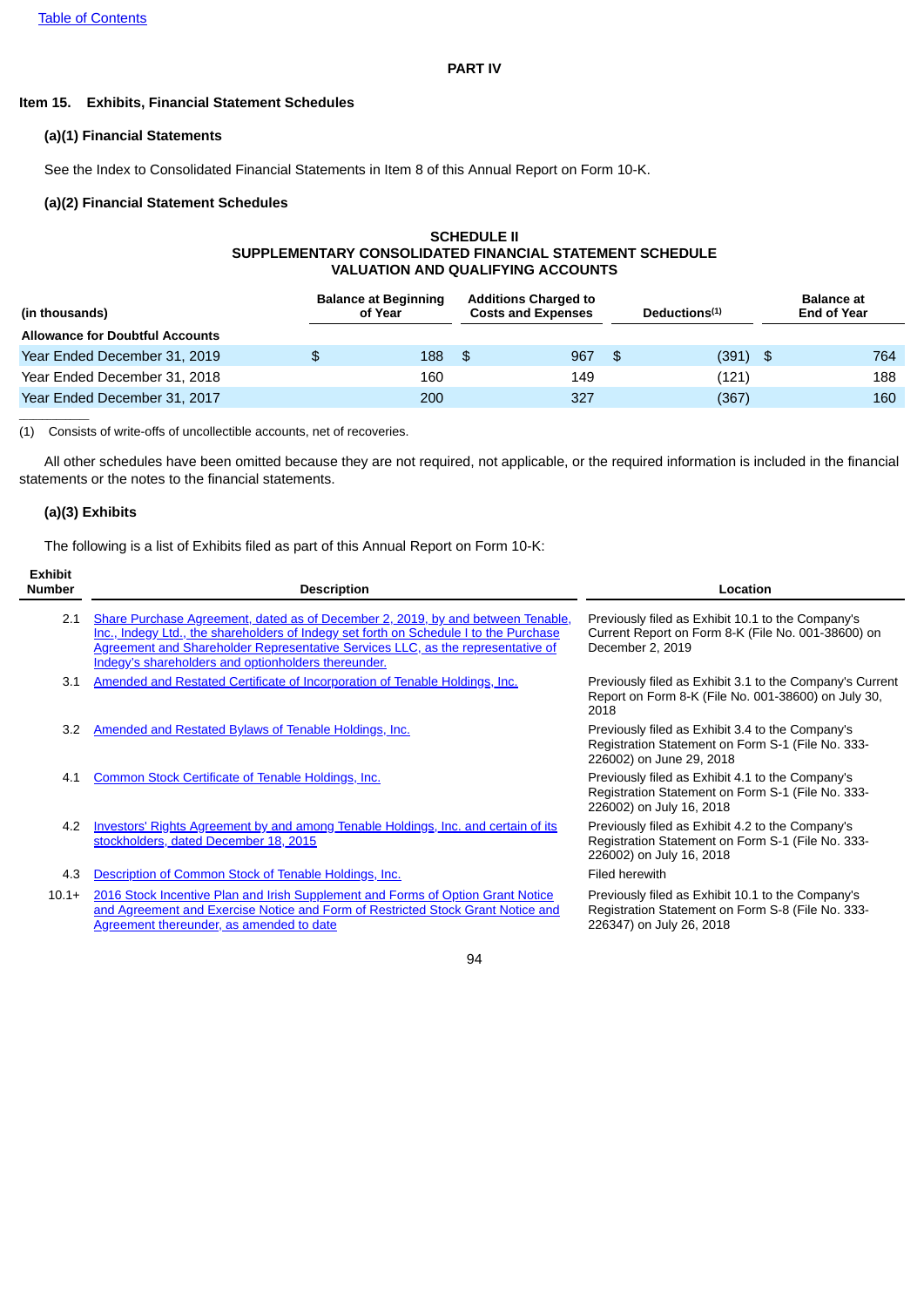## **Item 15. Exhibits, Financial Statement Schedules**

## **(a)(1) Financial Statements**

See the Index to Consolidated Financial Statements in Item 8 of this Annual Report on Form 10-K.

#### **(a)(2) Financial Statement Schedules**

### **SCHEDULE II SUPPLEMENTARY CONSOLIDATED FINANCIAL STATEMENT SCHEDULE VALUATION AND QUALIFYING ACCOUNTS**

| (in thousands)                         | <b>Balance at Beginning</b><br>of Year |  | <b>Additions Charged to</b><br><b>Costs and Expenses</b> |      | Deduction <sub>5</sub> <sup>(1)</sup> |  | <b>Balance at</b><br><b>End of Year</b> |
|----------------------------------------|----------------------------------------|--|----------------------------------------------------------|------|---------------------------------------|--|-----------------------------------------|
| <b>Allowance for Doubtful Accounts</b> |                                        |  |                                                          |      |                                       |  |                                         |
| Year Ended December 31, 2019           | 188 \$                                 |  | 967                                                      | - \$ | $(391)$ \$                            |  | 764                                     |
| Year Ended December 31, 2018           | 160                                    |  | 149                                                      |      | (121)                                 |  | 188                                     |
| Year Ended December 31, 2017           | 200                                    |  | 327                                                      |      | (367)                                 |  | 160                                     |

(1) Consists of write-offs of uncollectible accounts, net of recoveries.

All other schedules have been omitted because they are not required, not applicable, or the required information is included in the financial statements or the notes to the financial statements.

## **(a)(3) Exhibits**

The following is a list of Exhibits filed as part of this Annual Report on Form 10-K:

| <b>Exhibit</b><br><b>Number</b> | <b>Description</b>                                                                                                                                                                                                                                                                                                 | Location                                                                                                                           |
|---------------------------------|--------------------------------------------------------------------------------------------------------------------------------------------------------------------------------------------------------------------------------------------------------------------------------------------------------------------|------------------------------------------------------------------------------------------------------------------------------------|
| 2.1                             | Share Purchase Agreement, dated as of December 2, 2019, by and between Tenable,<br>Inc., Indegy Ltd., the shareholders of Indegy set forth on Schedule I to the Purchase<br>Agreement and Shareholder Representative Services LLC, as the representative of<br>Indegy's shareholders and optionholders thereunder. | Previously filed as Exhibit 10.1 to the Company's<br>Current Report on Form 8-K (File No. 001-38600) on<br>December 2, 2019        |
| 3.1                             | Amended and Restated Certificate of Incorporation of Tenable Holdings, Inc.                                                                                                                                                                                                                                        | Previously filed as Exhibit 3.1 to the Company's Current<br>Report on Form 8-K (File No. 001-38600) on July 30,<br>2018            |
| 3.2                             | Amended and Restated Bylaws of Tenable Holdings, Inc.                                                                                                                                                                                                                                                              | Previously filed as Exhibit 3.4 to the Company's<br>Registration Statement on Form S-1 (File No. 333-<br>226002) on June 29, 2018  |
| 4.1                             | <b>Common Stock Certificate of Tenable Holdings, Inc.</b>                                                                                                                                                                                                                                                          | Previously filed as Exhibit 4.1 to the Company's<br>Registration Statement on Form S-1 (File No. 333-<br>226002) on July 16, 2018  |
| 4.2                             | <b>Investors' Rights Agreement by and among Tenable Holdings, Inc. and certain of its</b><br>stockholders, dated December 18, 2015                                                                                                                                                                                 | Previously filed as Exhibit 4.2 to the Company's<br>Registration Statement on Form S-1 (File No. 333-<br>226002) on July 16, 2018  |
| 4.3                             | Description of Common Stock of Tenable Holdings, Inc.                                                                                                                                                                                                                                                              | Filed herewith                                                                                                                     |
| $10.1+$                         | 2016 Stock Incentive Plan and Irish Supplement and Forms of Option Grant Notice<br>and Agreement and Exercise Notice and Form of Restricted Stock Grant Notice and<br>Agreement thereunder, as amended to date                                                                                                     | Previously filed as Exhibit 10.1 to the Company's<br>Registration Statement on Form S-8 (File No. 333-<br>226347) on July 26, 2018 |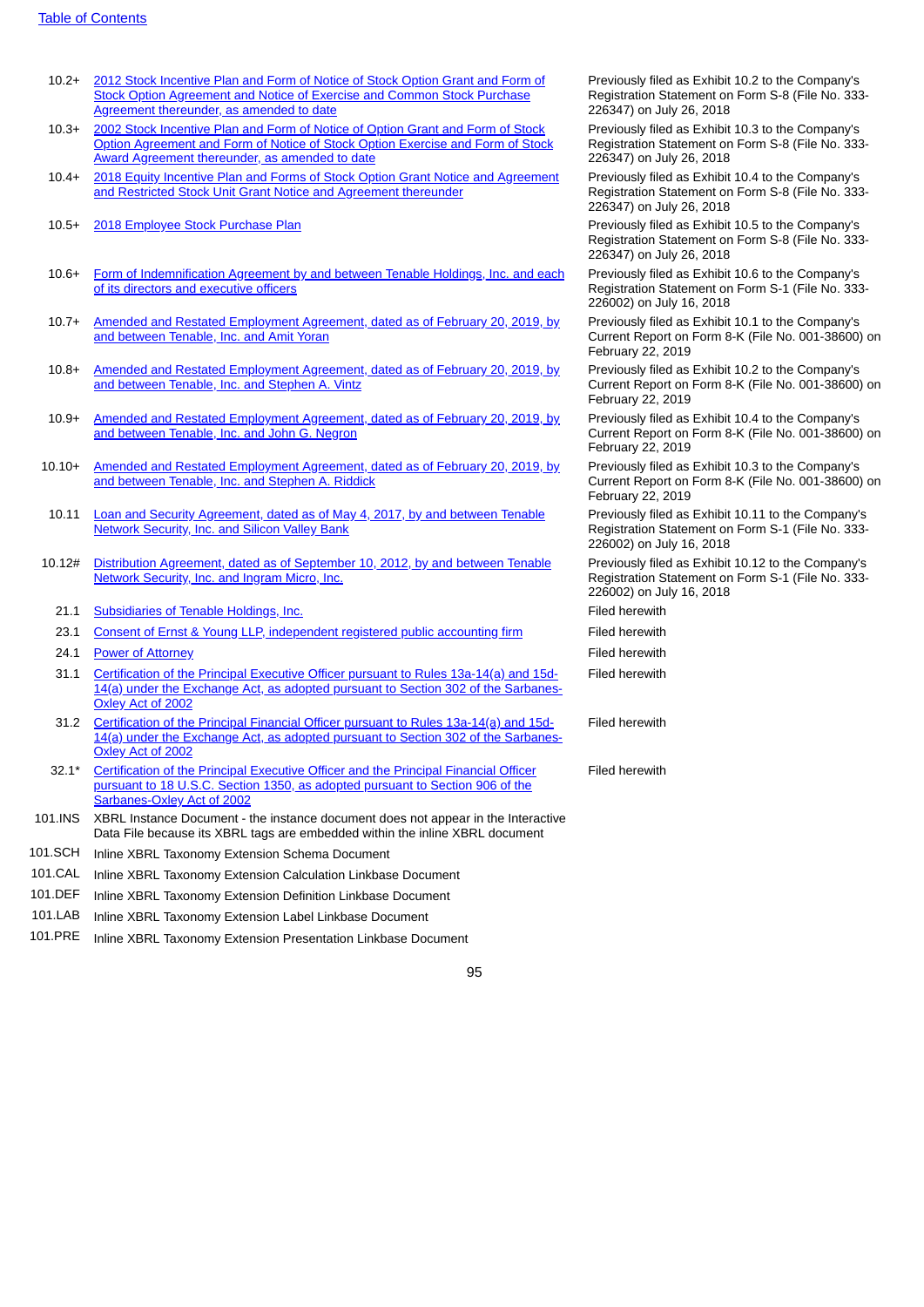- 10.2+ [2012 Stock Incentive Plan and Form of Notice of Stock Option Grant and Form of](http://www.sec.gov/Archives/edgar/data/1660280/000119312518226924/d494510dex102.htm) Stock Option Agreement and Notice of Exercise and Common Stock Purchase Agreement thereunder, as amended to date
- 10.3+ 2002 Stock Incentive Plan and Form of Notice of Option Grant and Form of Stock [Option Agreement and Form of Notice of Stock Option Exercise and Form of Stock](http://www.sec.gov/Archives/edgar/data/1660280/000119312518226924/d494510dex103.htm) Award Agreement thereunder, as amended to date
- 10.4+ [2018 Equity Incentive Plan and Forms of Stock Option Grant Notice and Agreement](http://www.sec.gov/Archives/edgar/data/1660280/000119312518226924/d494510dex104.htm) and Restricted Stock Unit Grant Notice and Agreement thereunder
- 
- 10.6+ [Form of Indemnification Agreement by and between Tenable Holdings, Inc. and each](http://www.sec.gov/Archives/edgar/data/0001660280/000119312518209705/d548092dex106.htm) of its directors and executive officers
- 10.7+ [Amended and Restated Employment Agreement, dated as of February 20, 2019, by](http://www.sec.gov/Archives/edgar/data/1660280/000166028019000005/yoranamendedandrestatedemp.htm) and between Tenable, Inc. and Amit Yoran
- 10.8+ [Amended and Restated Employment Agreement, dated as of February 20, 2019, by](http://www.sec.gov/Archives/edgar/data/1660280/000166028019000005/vintz-amendedandrestatedem.htm) and between Tenable, Inc. and Stephen A. Vintz
- 10.9+ [Amended and Restated Employment Agreement, dated as of February 20, 2019, by](http://www.sec.gov/Archives/edgar/data/1660280/000166028019000005/negron-amendedandrestatede.htm) and between Tenable, Inc. and John G. Negron
- 10.10+ [Amended and Restated Employment Agreement, dated as of February 20, 2019, by](http://www.sec.gov/Archives/edgar/data/1660280/000166028019000005/riddick-amendedandrestated.htm) and between Tenable, Inc. and Stephen A. Riddick
- 10.11 [Loan and Security Agreement, dated as of May 4, 2017, by and between Tenable](http://www.sec.gov/Archives/edgar/data/0001660280/000119312518209705/d548092dex1011.htm) Network Security, Inc. and Silicon Valley Bank
- 10.12# [Distribution Agreement, dated as of September 10, 2012, by and between Tenable](http://www.sec.gov/Archives/edgar/data/0001660280/000119312518209705/d548092dex1012.htm) Network Security, Inc. and Ingram Micro, Inc.
	- 21.1 [Subsidiaries of Tenable Holdings, Inc.](#page-101-0) **Filed herewith** Filed herewith
	- 23.1 [Consent of Ernst & Young LLP, independent registered public accounting firm](#page-102-0) Filed herewith
	- 24.1 [Power of Attorney](#page-97-0) Filed herewith the state of Attorney Filed herewith the state of Attorney Filed herewith
	- 31.1 Certification of the Principal Executive Officer pursuant to Rules 13a-14(a) and 15d-[14\(a\) under the Exchange Act, as adopted pursuant to Section 302 of the Sarbanes-](#page-103-0)Oxley Act of 2002
	- 31.2 Certification of the Principal Financial Officer pursuant to Rules 13a-14(a) and 15d-[14\(a\) under the Exchange Act, as adopted pursuant to Section 302 of the Sarbanes-](#page-104-0)Oxley Act of 2002
	- 32.1\* [Certification of the Principal Executive Officer and the Principal Financial Officer](#page-105-0) pursuant to 18 U.S.C. Section 1350, as adopted pursuant to Section 906 of the Sarbanes-Oxley Act of 2002
- 101.INS XBRL Instance Document the instance document does not appear in the Interactive Data File because its XBRL tags are embedded within the inline XBRL document
- 101.SCH Inline XBRL Taxonomy Extension Schema Document
- 101.CAL Inline XBRL Taxonomy Extension Calculation Linkbase Document
- 101.DEF Inline XBRL Taxonomy Extension Definition Linkbase Document
- 101.LAB Inline XBRL Taxonomy Extension Label Linkbase Document
- 101.PRE Inline XBRL Taxonomy Extension Presentation Linkbase Document

Previously filed as Exhibit 10.2 to the Company's Registration Statement on Form S-8 (File No. 333- 226347) on July 26, 2018

Previously filed as Exhibit 10.3 to the Company's Registration Statement on Form S-8 (File No. 333- 226347) on July 26, 2018

Previously filed as Exhibit 10.4 to the Company's Registration Statement on Form S-8 (File No. 333- 226347) on July 26, 2018

10.5+ [2018 Employee Stock Purchase Plan](http://www.sec.gov/Archives/edgar/data/1660280/000119312518226924/d494510dex105.htm) Previously filed as Exhibit 10.5 to the Company's Registration Statement on Form S-8 (File No. 333- 226347) on July 26, 2018

> Previously filed as Exhibit 10.6 to the Company's Registration Statement on Form S-1 (File No. 333- 226002) on July 16, 2018

Previously filed as Exhibit 10.1 to the Company's Current Report on Form 8-K (File No. 001-38600) on February 22, 2019

Previously filed as Exhibit 10.2 to the Company's Current Report on Form 8-K (File No. 001-38600) on February 22, 2019

Previously filed as Exhibit 10.4 to the Company's Current Report on Form 8-K (File No. 001-38600) on February 22, 2019

Previously filed as Exhibit 10.3 to the Company's Current Report on Form 8-K (File No. 001-38600) on February 22, 2019

Previously filed as Exhibit 10.11 to the Company's Registration Statement on Form S-1 (File No. 333- 226002) on July 16, 2018

Previously filed as Exhibit 10.12 to the Company's Registration Statement on Form S-1 (File No. 333- 226002) on July 16, 2018

- 
- 
- Filed herewith

Filed herewith

Filed herewith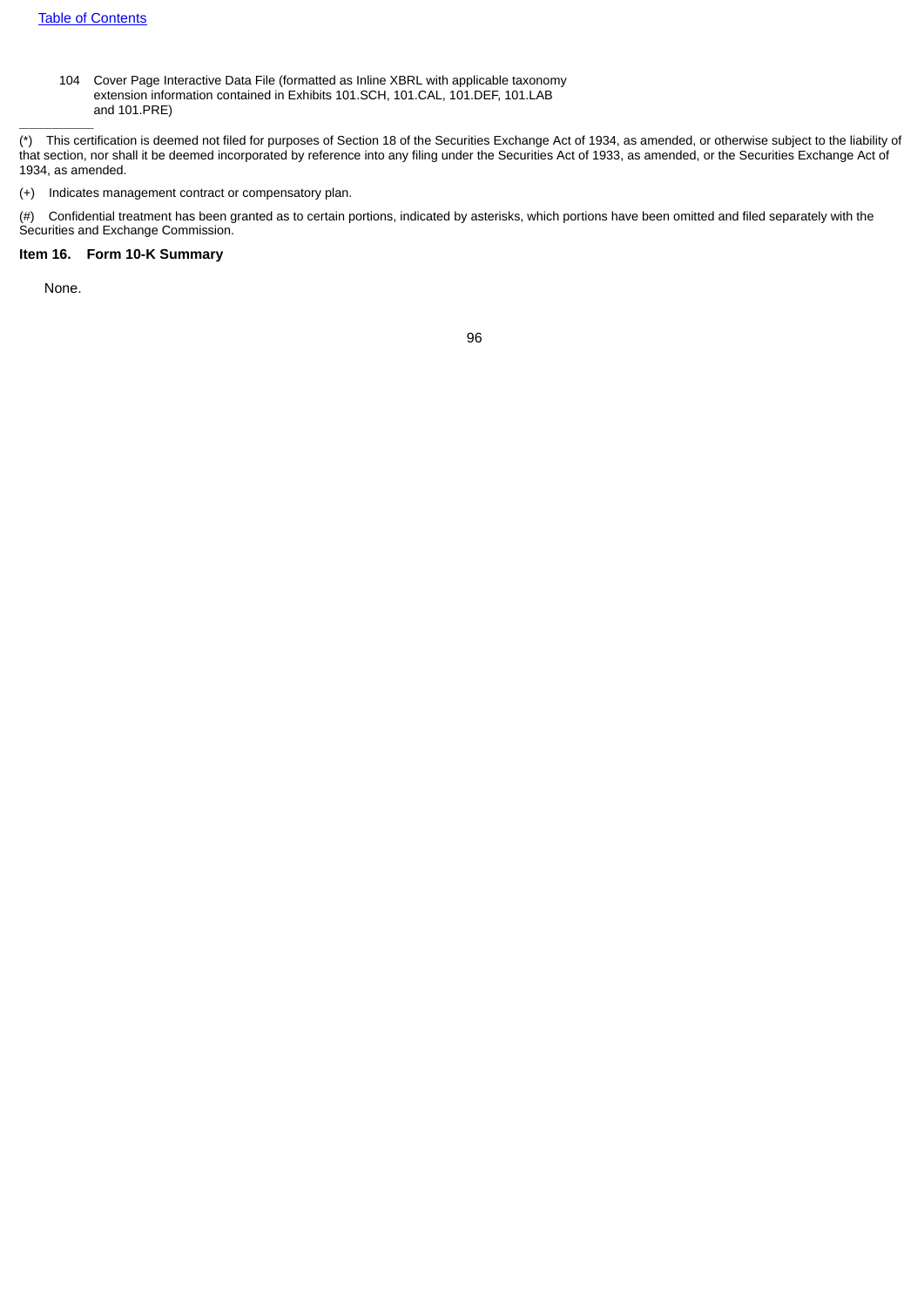104 Cover Page Interactive Data File (formatted as Inline XBRL with applicable taxonomy extension information contained in Exhibits 101.SCH, 101.CAL, 101.DEF, 101.LAB and 101.PRE)

(\*) This certification is deemed not filed for purposes of Section 18 of the Securities Exchange Act of 1934, as amended, or otherwise subject to the liability of that section, nor shall it be deemed incorporated by reference into any filing under the Securities Act of 1933, as amended, or the Securities Exchange Act of 1934, as amended.

(+) Indicates management contract or compensatory plan.

(#) Confidential treatment has been granted as to certain portions, indicated by asterisks, which portions have been omitted and filed separately with the Securities and Exchange Commission.

### **Item 16. Form 10-K Summary**

None.

 $\mathcal{L}_\text{max}$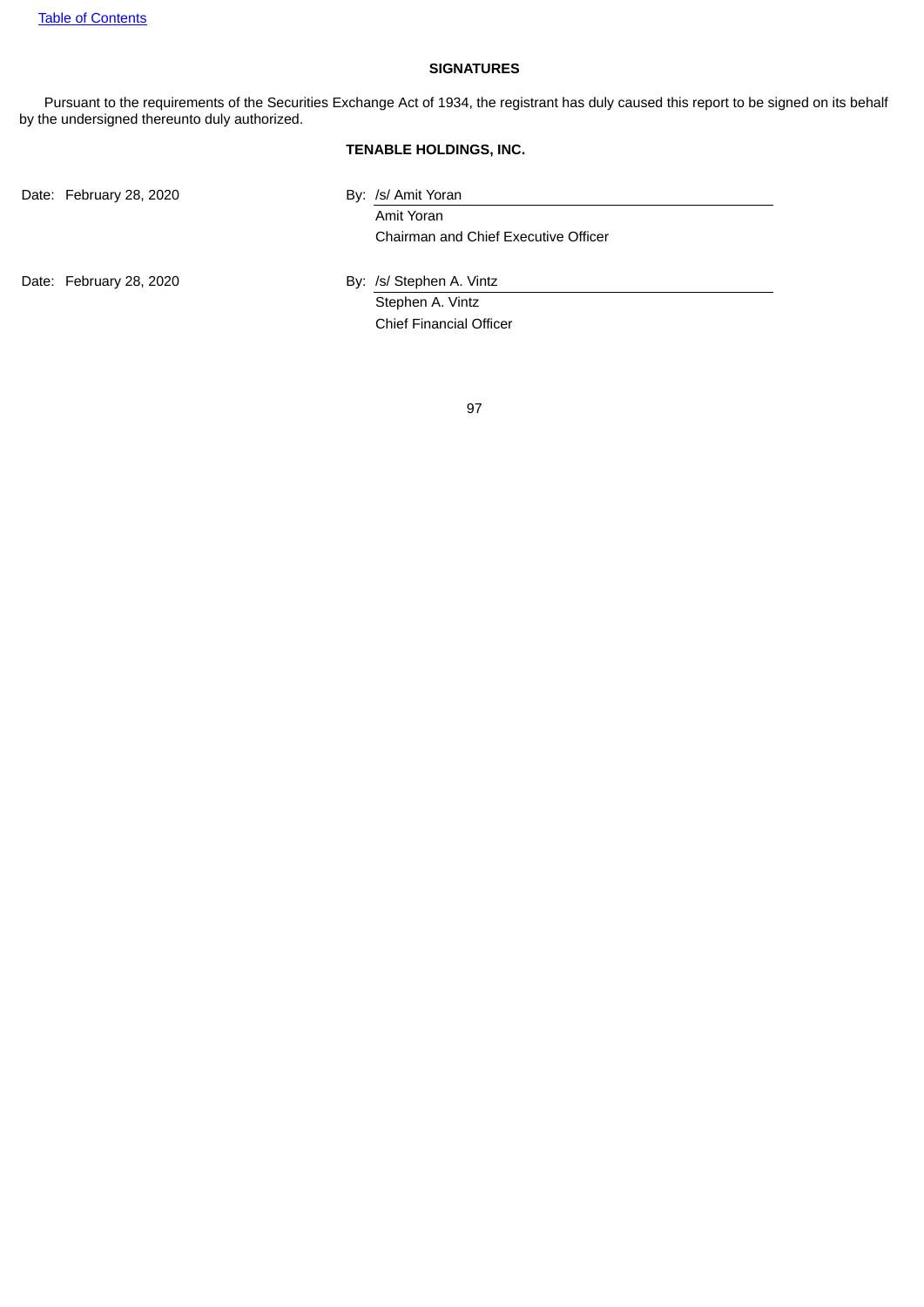Table of [Contents](#page-1-0)

### **SIGNATURES**

Pursuant to the requirements of the Securities Exchange Act of 1934, the registrant has duly caused this report to be signed on its behalf by the undersigned thereunto duly authorized.

# **TENABLE HOLDINGS, INC.**

Date: February 28, 2020 By: /s/ Amit Yoran

Amit Yoran Chairman and Chief Executive Officer

Date: February 28, 2020 By: /s/ Stephen A. Vintz

Stephen A. Vintz Chief Financial Officer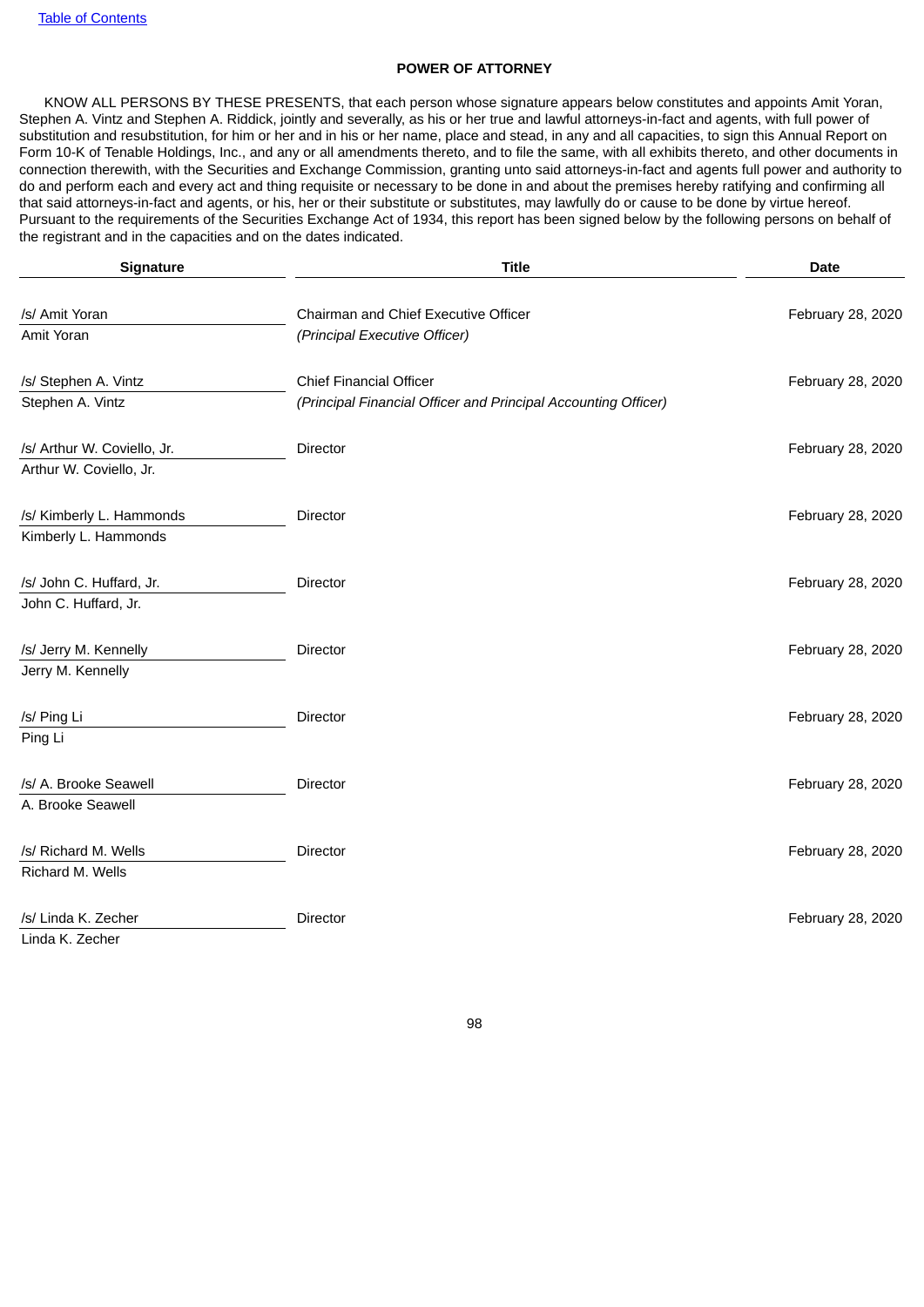### **POWER OF ATTORNEY**

<span id="page-97-0"></span>KNOW ALL PERSONS BY THESE PRESENTS, that each person whose signature appears below constitutes and appoints Amit Yoran, Stephen A. Vintz and Stephen A. Riddick, jointly and severally, as his or her true and lawful attorneys-in-fact and agents, with full power of substitution and resubstitution, for him or her and in his or her name, place and stead, in any and all capacities, to sign this Annual Report on Form 10-K of Tenable Holdings, Inc., and any or all amendments thereto, and to file the same, with all exhibits thereto, and other documents in connection therewith, with the Securities and Exchange Commission, granting unto said attorneys-in-fact and agents full power and authority to do and perform each and every act and thing requisite or necessary to be done in and about the premises hereby ratifying and confirming all that said attorneys-in-fact and agents, or his, her or their substitute or substitutes, may lawfully do or cause to be done by virtue hereof. Pursuant to the requirements of the Securities Exchange Act of 1934, this report has been signed below by the following persons on behalf of the registrant and in the capacities and on the dates indicated.

| Signature                   | <b>Title</b>                                                   | <b>Date</b>       |
|-----------------------------|----------------------------------------------------------------|-------------------|
| /s/ Amit Yoran              | Chairman and Chief Executive Officer                           | February 28, 2020 |
| Amit Yoran                  | (Principal Executive Officer)                                  |                   |
| /s/ Stephen A. Vintz        | <b>Chief Financial Officer</b>                                 | February 28, 2020 |
| Stephen A. Vintz            | (Principal Financial Officer and Principal Accounting Officer) |                   |
| /s/ Arthur W. Coviello, Jr. | <b>Director</b>                                                | February 28, 2020 |
| Arthur W. Coviello, Jr.     |                                                                |                   |
| /s/ Kimberly L. Hammonds    | <b>Director</b>                                                | February 28, 2020 |
| Kimberly L. Hammonds        |                                                                |                   |
| /s/ John C. Huffard, Jr.    | Director                                                       | February 28, 2020 |
| John C. Huffard, Jr.        |                                                                |                   |
| /s/ Jerry M. Kennelly       | Director                                                       | February 28, 2020 |
| Jerry M. Kennelly           |                                                                |                   |
| /s/ Ping Li                 | <b>Director</b>                                                | February 28, 2020 |
| Ping Li                     |                                                                |                   |
| /s/ A. Brooke Seawell       | <b>Director</b>                                                | February 28, 2020 |
| A. Brooke Seawell           |                                                                |                   |
| /s/ Richard M. Wells        | <b>Director</b>                                                | February 28, 2020 |
| Richard M. Wells            |                                                                |                   |
| /s/ Linda K. Zecher         | <b>Director</b>                                                | February 28, 2020 |
| Linda K. Zecher             |                                                                |                   |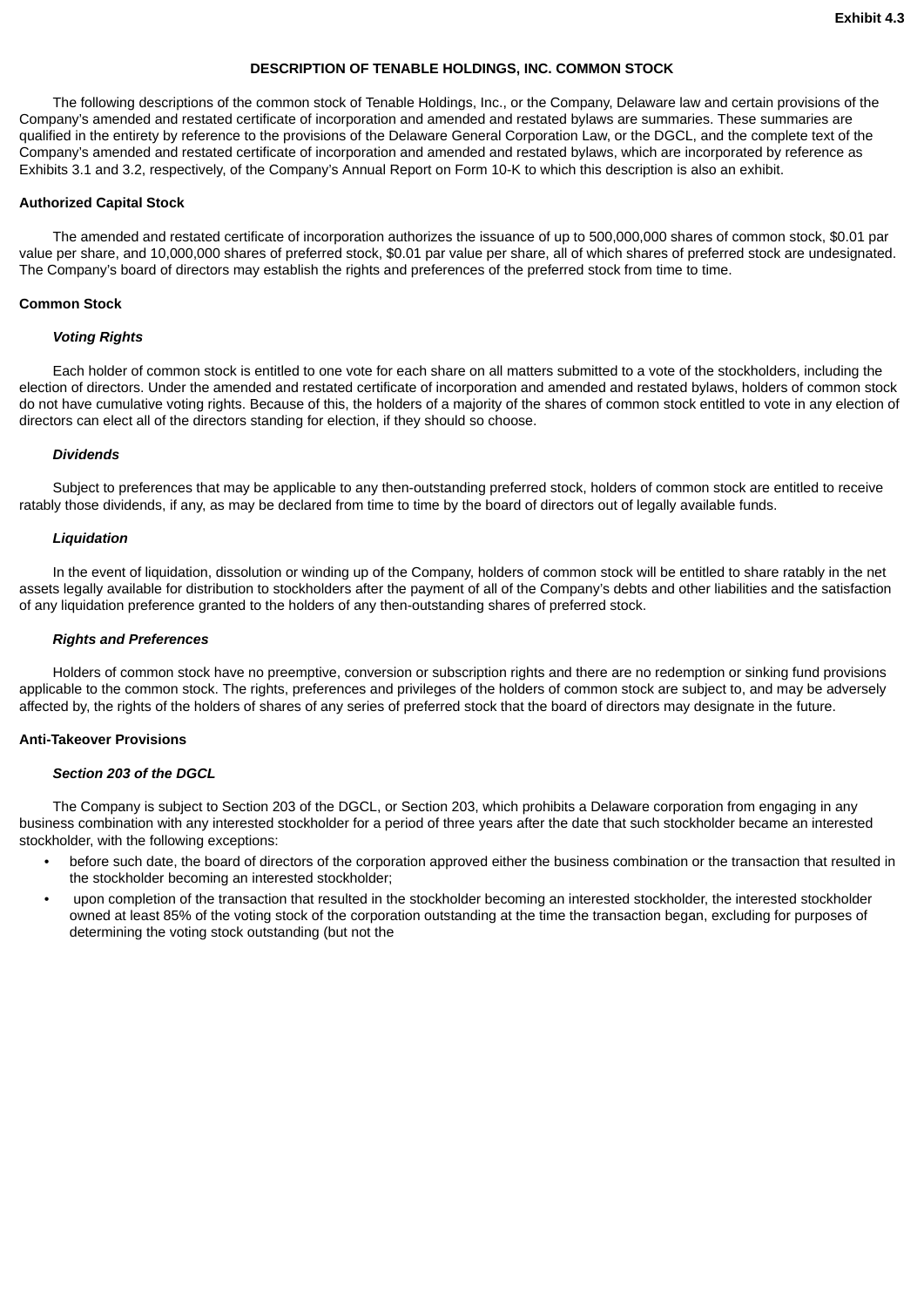### **DESCRIPTION OF TENABLE HOLDINGS, INC. COMMON STOCK**

<span id="page-98-0"></span>The following descriptions of the common stock of Tenable Holdings, Inc., or the Company, Delaware law and certain provisions of the Company's amended and restated certificate of incorporation and amended and restated bylaws are summaries. These summaries are qualified in the entirety by reference to the provisions of the Delaware General Corporation Law, or the DGCL, and the complete text of the Company's amended and restated certificate of incorporation and amended and restated bylaws, which are incorporated by reference as Exhibits 3.1 and 3.2, respectively, of the Company's Annual Report on Form 10-K to which this description is also an exhibit.

### **Authorized Capital Stock**

The amended and restated certificate of incorporation authorizes the issuance of up to 500,000,000 shares of common stock, \$0.01 par value per share, and 10,000,000 shares of preferred stock, \$0.01 par value per share, all of which shares of preferred stock are undesignated. The Company's board of directors may establish the rights and preferences of the preferred stock from time to time.

### **Common Stock**

## *Voting Rights*

Each holder of common stock is entitled to one vote for each share on all matters submitted to a vote of the stockholders, including the election of directors. Under the amended and restated certificate of incorporation and amended and restated bylaws, holders of common stock do not have cumulative voting rights. Because of this, the holders of a majority of the shares of common stock entitled to vote in any election of directors can elect all of the directors standing for election, if they should so choose.

### *Dividends*

Subject to preferences that may be applicable to any then-outstanding preferred stock, holders of common stock are entitled to receive ratably those dividends, if any, as may be declared from time to time by the board of directors out of legally available funds.

#### *Liquidation*

In the event of liquidation, dissolution or winding up of the Company, holders of common stock will be entitled to share ratably in the net assets legally available for distribution to stockholders after the payment of all of the Company's debts and other liabilities and the satisfaction of any liquidation preference granted to the holders of any then-outstanding shares of preferred stock.

#### *Rights and Preferences*

Holders of common stock have no preemptive, conversion or subscription rights and there are no redemption or sinking fund provisions applicable to the common stock. The rights, preferences and privileges of the holders of common stock are subject to, and may be adversely affected by, the rights of the holders of shares of any series of preferred stock that the board of directors may designate in the future.

### **Anti-Takeover Provisions**

### *Section 203 of the DGCL*

The Company is subject to Section 203 of the DGCL, or Section 203, which prohibits a Delaware corporation from engaging in any business combination with any interested stockholder for a period of three years after the date that such stockholder became an interested stockholder, with the following exceptions:

- before such date, the board of directors of the corporation approved either the business combination or the transaction that resulted in the stockholder becoming an interested stockholder;
- upon completion of the transaction that resulted in the stockholder becoming an interested stockholder, the interested stockholder owned at least 85% of the voting stock of the corporation outstanding at the time the transaction began, excluding for purposes of determining the voting stock outstanding (but not the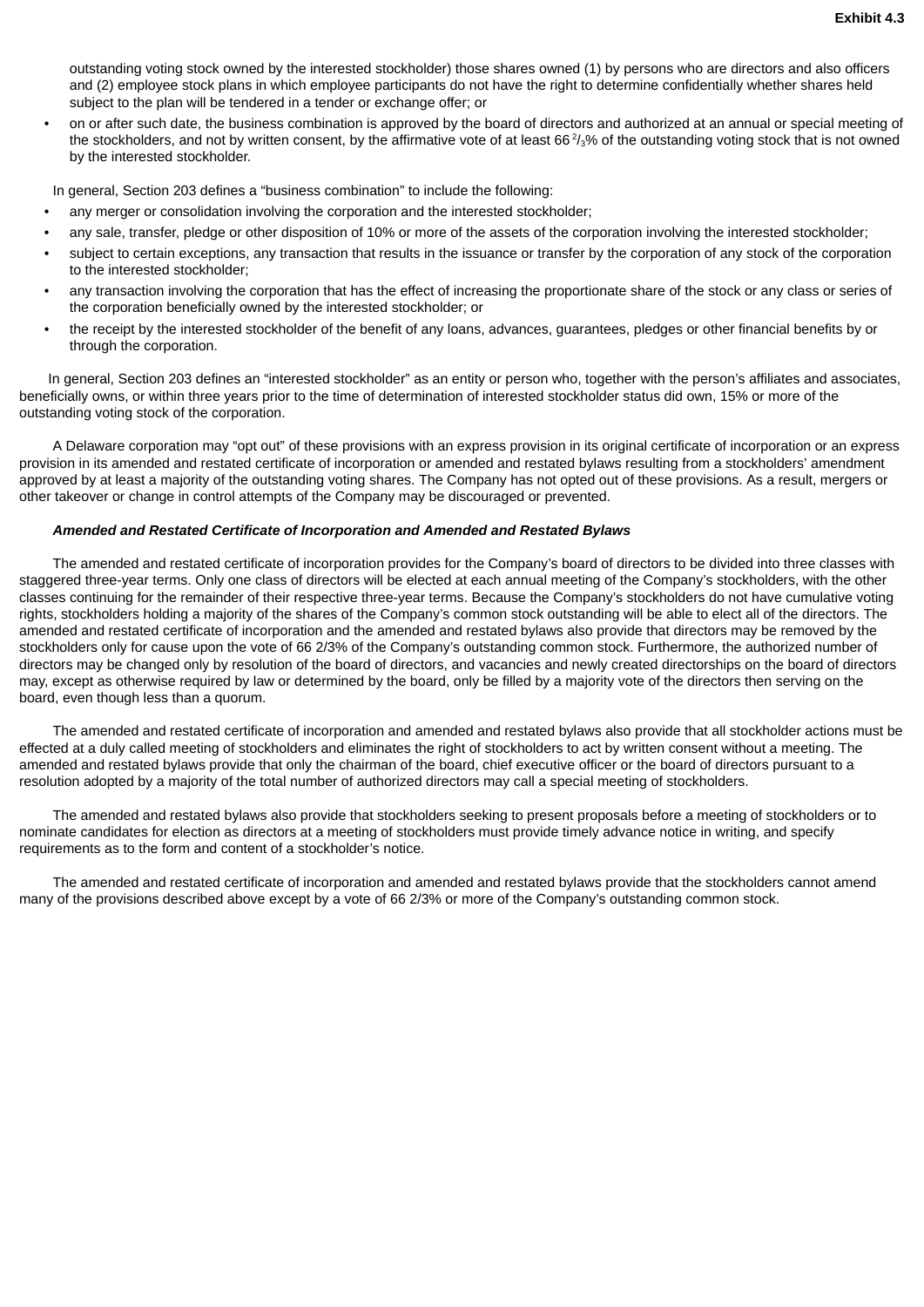outstanding voting stock owned by the interested stockholder) those shares owned (1) by persons who are directors and also officers and (2) employee stock plans in which employee participants do not have the right to determine confidentially whether shares held subject to the plan will be tendered in a tender or exchange offer; or

• on or after such date, the business combination is approved by the board of directors and authorized at an annual or special meeting of the stockholders, and not by written consent, by the affirmative vote of at least 66 $^2\!{}_3\%$  of the outstanding voting stock that is not owned by the interested stockholder.

In general, Section 203 defines a "business combination" to include the following:

- any merger or consolidation involving the corporation and the interested stockholder;
- any sale, transfer, pledge or other disposition of 10% or more of the assets of the corporation involving the interested stockholder;
- subject to certain exceptions, any transaction that results in the issuance or transfer by the corporation of any stock of the corporation to the interested stockholder;
- any transaction involving the corporation that has the effect of increasing the proportionate share of the stock or any class or series of the corporation beneficially owned by the interested stockholder; or
- the receipt by the interested stockholder of the benefit of any loans, advances, guarantees, pledges or other financial benefits by or through the corporation.

In general, Section 203 defines an "interested stockholder" as an entity or person who, together with the person's affiliates and associates, beneficially owns, or within three years prior to the time of determination of interested stockholder status did own, 15% or more of the outstanding voting stock of the corporation.

A Delaware corporation may "opt out" of these provisions with an express provision in its original certificate of incorporation or an express provision in its amended and restated certificate of incorporation or amended and restated bylaws resulting from a stockholders' amendment approved by at least a majority of the outstanding voting shares. The Company has not opted out of these provisions. As a result, mergers or other takeover or change in control attempts of the Company may be discouraged or prevented.

### *Amended and Restated Certificate of Incorporation and Amended and Restated Bylaws*

The amended and restated certificate of incorporation provides for the Company's board of directors to be divided into three classes with staggered three-year terms. Only one class of directors will be elected at each annual meeting of the Company's stockholders, with the other classes continuing for the remainder of their respective three-year terms. Because the Company's stockholders do not have cumulative voting rights, stockholders holding a majority of the shares of the Company's common stock outstanding will be able to elect all of the directors. The amended and restated certificate of incorporation and the amended and restated bylaws also provide that directors may be removed by the stockholders only for cause upon the vote of 66 2/3% of the Company's outstanding common stock. Furthermore, the authorized number of directors may be changed only by resolution of the board of directors, and vacancies and newly created directorships on the board of directors may, except as otherwise required by law or determined by the board, only be filled by a majority vote of the directors then serving on the board, even though less than a quorum.

The amended and restated certificate of incorporation and amended and restated bylaws also provide that all stockholder actions must be effected at a duly called meeting of stockholders and eliminates the right of stockholders to act by written consent without a meeting. The amended and restated bylaws provide that only the chairman of the board, chief executive officer or the board of directors pursuant to a resolution adopted by a majority of the total number of authorized directors may call a special meeting of stockholders.

The amended and restated bylaws also provide that stockholders seeking to present proposals before a meeting of stockholders or to nominate candidates for election as directors at a meeting of stockholders must provide timely advance notice in writing, and specify requirements as to the form and content of a stockholder's notice.

The amended and restated certificate of incorporation and amended and restated bylaws provide that the stockholders cannot amend many of the provisions described above except by a vote of 66 2/3% or more of the Company's outstanding common stock.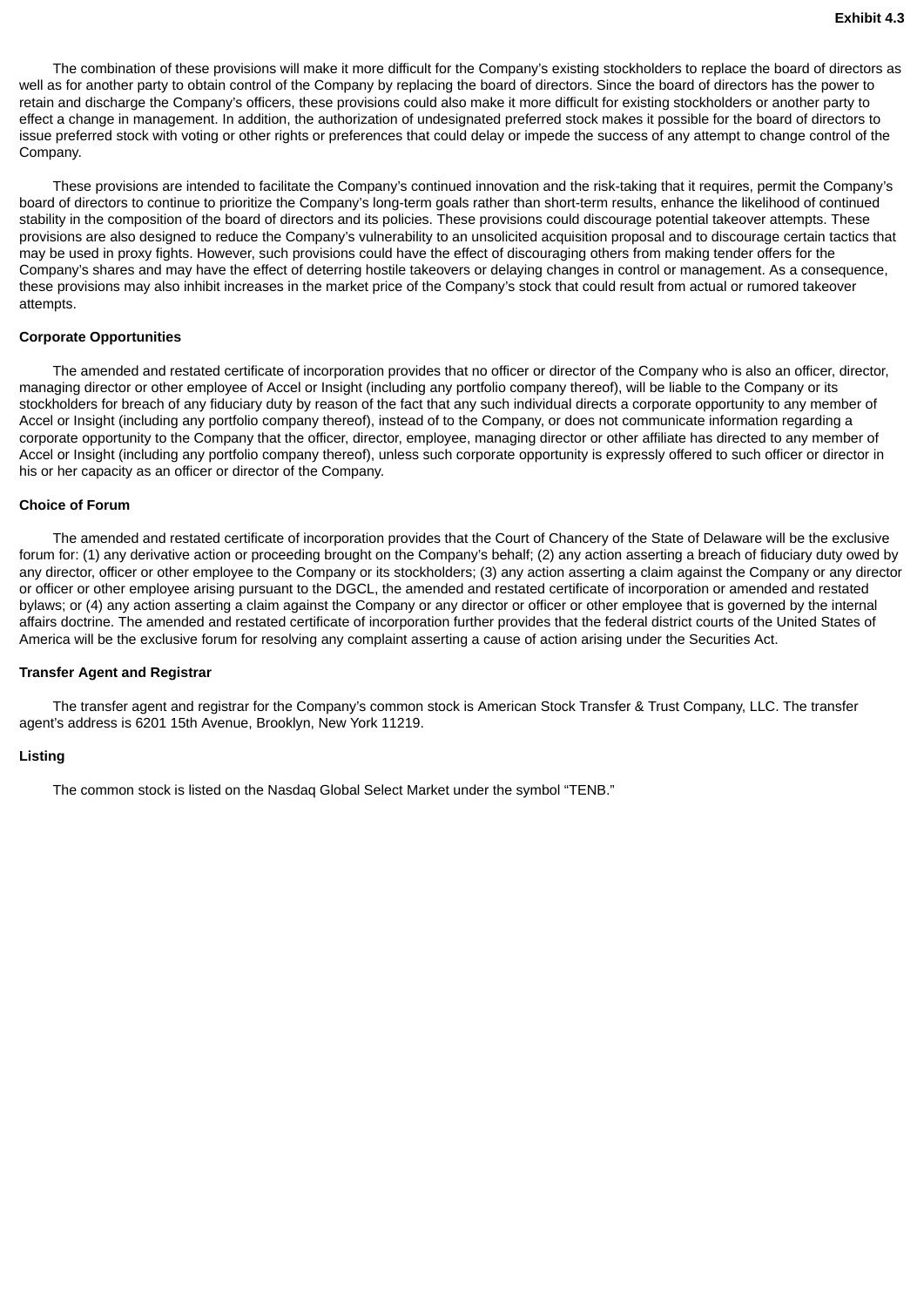The combination of these provisions will make it more difficult for the Company's existing stockholders to replace the board of directors as well as for another party to obtain control of the Company by replacing the board of directors. Since the board of directors has the power to retain and discharge the Company's officers, these provisions could also make it more difficult for existing stockholders or another party to effect a change in management. In addition, the authorization of undesignated preferred stock makes it possible for the board of directors to issue preferred stock with voting or other rights or preferences that could delay or impede the success of any attempt to change control of the Company.

These provisions are intended to facilitate the Company's continued innovation and the risk-taking that it requires, permit the Company's board of directors to continue to prioritize the Company's long-term goals rather than short-term results, enhance the likelihood of continued stability in the composition of the board of directors and its policies. These provisions could discourage potential takeover attempts. These provisions are also designed to reduce the Company's vulnerability to an unsolicited acquisition proposal and to discourage certain tactics that may be used in proxy fights. However, such provisions could have the effect of discouraging others from making tender offers for the Company's shares and may have the effect of deterring hostile takeovers or delaying changes in control or management. As a consequence, these provisions may also inhibit increases in the market price of the Company's stock that could result from actual or rumored takeover attempts.

### **Corporate Opportunities**

The amended and restated certificate of incorporation provides that no officer or director of the Company who is also an officer, director, managing director or other employee of Accel or Insight (including any portfolio company thereof), will be liable to the Company or its stockholders for breach of any fiduciary duty by reason of the fact that any such individual directs a corporate opportunity to any member of Accel or Insight (including any portfolio company thereof), instead of to the Company, or does not communicate information regarding a corporate opportunity to the Company that the officer, director, employee, managing director or other affiliate has directed to any member of Accel or Insight (including any portfolio company thereof), unless such corporate opportunity is expressly offered to such officer or director in his or her capacity as an officer or director of the Company.

#### **Choice of Forum**

The amended and restated certificate of incorporation provides that the Court of Chancery of the State of Delaware will be the exclusive forum for: (1) any derivative action or proceeding brought on the Company's behalf; (2) any action asserting a breach of fiduciary duty owed by any director, officer or other employee to the Company or its stockholders; (3) any action asserting a claim against the Company or any director or officer or other employee arising pursuant to the DGCL, the amended and restated certificate of incorporation or amended and restated bylaws; or (4) any action asserting a claim against the Company or any director or officer or other employee that is governed by the internal affairs doctrine. The amended and restated certificate of incorporation further provides that the federal district courts of the United States of America will be the exclusive forum for resolving any complaint asserting a cause of action arising under the Securities Act.

### **Transfer Agent and Registrar**

The transfer agent and registrar for the Company's common stock is American Stock Transfer & Trust Company, LLC. The transfer agent's address is 6201 15th Avenue, Brooklyn, New York 11219.

### **Listing**

The common stock is listed on the Nasdaq Global Select Market under the symbol "TENB."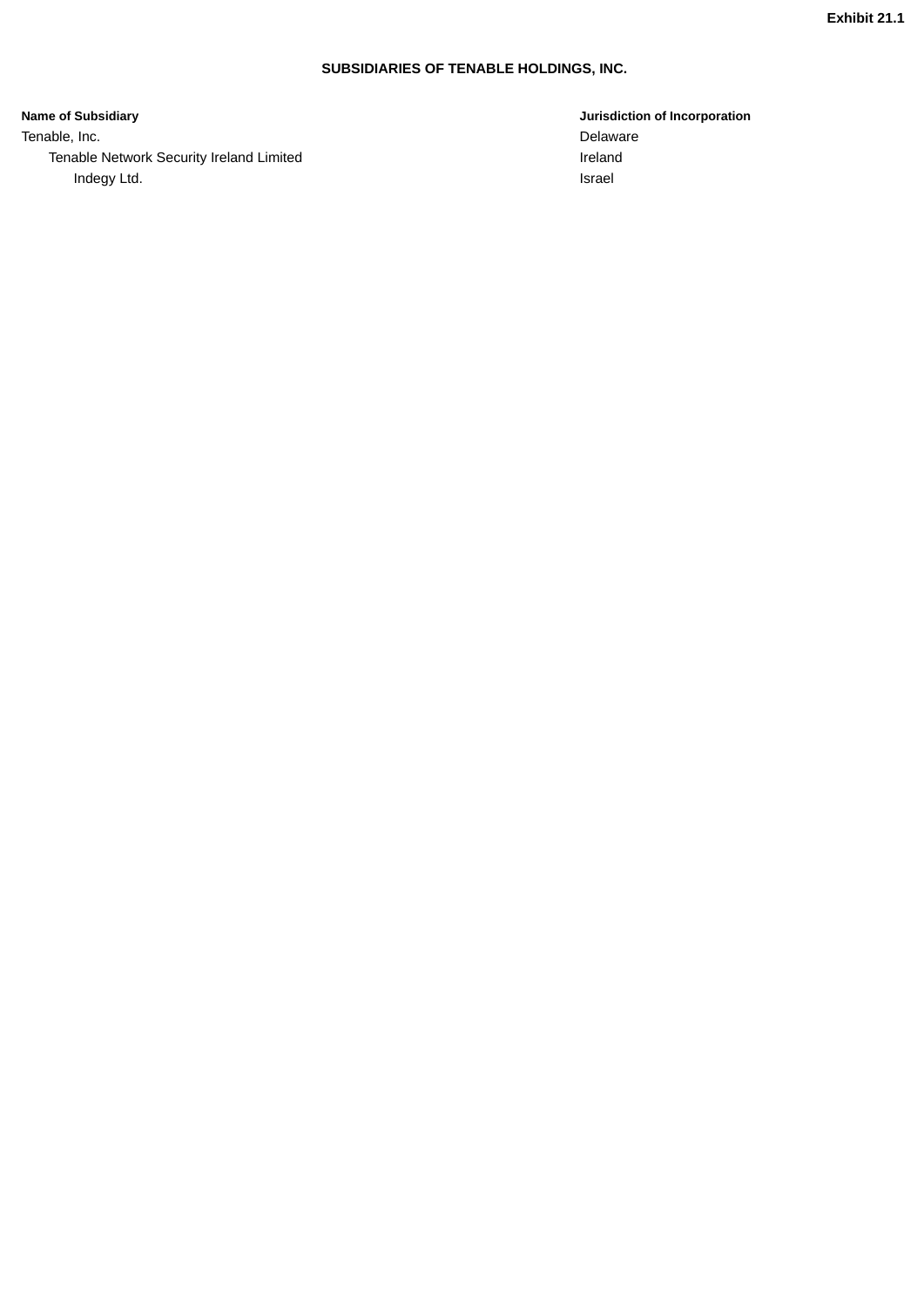# **SUBSIDIARIES OF TENABLE HOLDINGS, INC.**

Tenable, Inc. Delaware

Tenable Network Security Ireland Limited **Ireland** Ireland Indegy Ltd. **Indegy Ltd.** Israel

<span id="page-101-0"></span>**Name of Subsidiary Jurisdiction of Incorporation**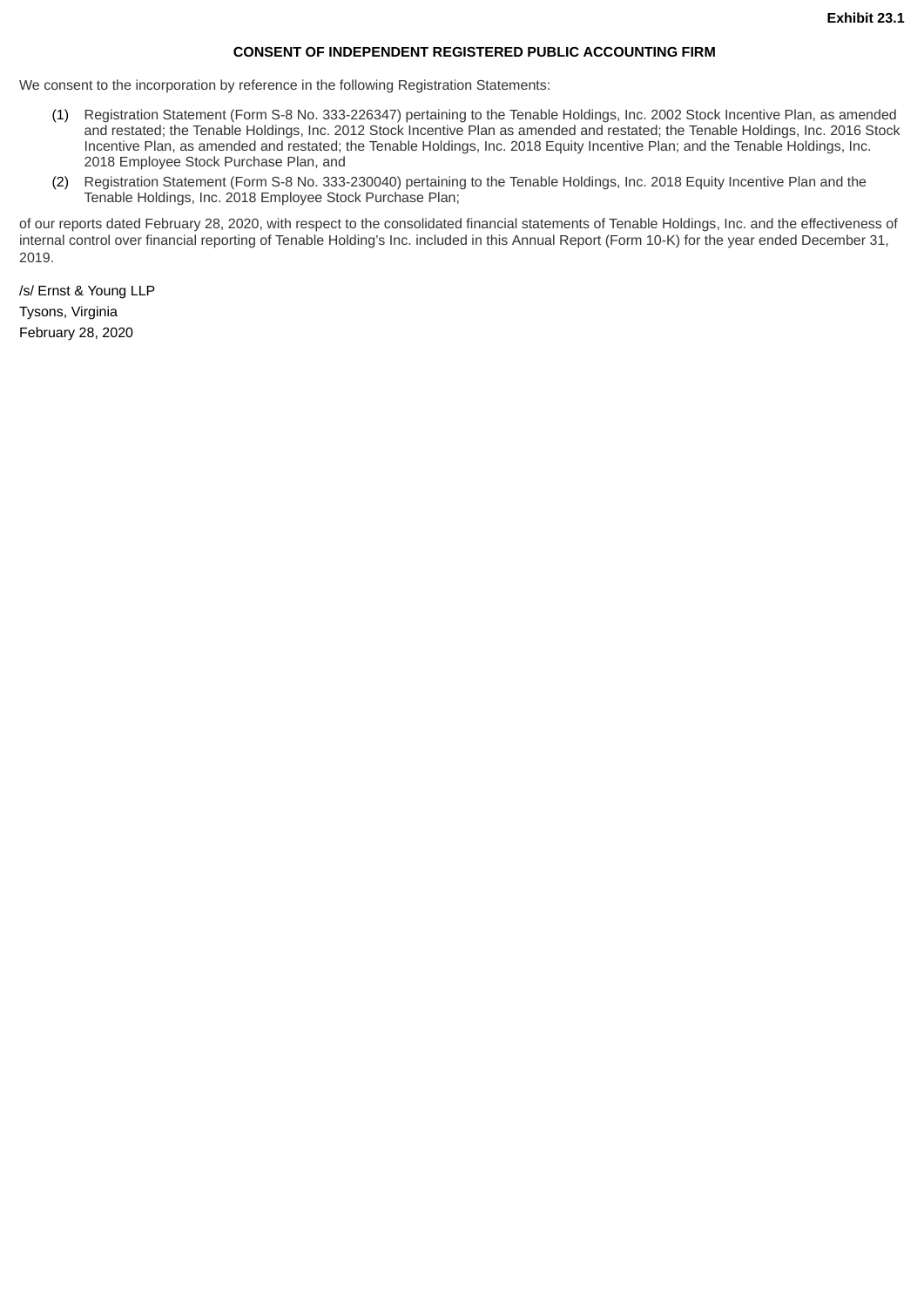### **CONSENT OF INDEPENDENT REGISTERED PUBLIC ACCOUNTING FIRM**

<span id="page-102-0"></span>We consent to the incorporation by reference in the following Registration Statements:

- (1) Registration Statement (Form S-8 No. 333-226347) pertaining to the Tenable Holdings, Inc. 2002 Stock Incentive Plan, as amended and restated; the Tenable Holdings, Inc. 2012 Stock Incentive Plan as amended and restated; the Tenable Holdings, Inc. 2016 Stock Incentive Plan, as amended and restated; the Tenable Holdings, Inc. 2018 Equity Incentive Plan; and the Tenable Holdings, Inc. 2018 Employee Stock Purchase Plan, and
- (2) Registration Statement (Form S-8 No. 333-230040) pertaining to the Tenable Holdings, Inc. 2018 Equity Incentive Plan and the Tenable Holdings, Inc. 2018 Employee Stock Purchase Plan;

of our reports dated February 28, 2020, with respect to the consolidated financial statements of Tenable Holdings, Inc. and the effectiveness of internal control over financial reporting of Tenable Holding's Inc. included in this Annual Report (Form 10-K) for the year ended December 31, 2019.

/s/ Ernst & Young LLP Tysons, Virginia February 28, 2020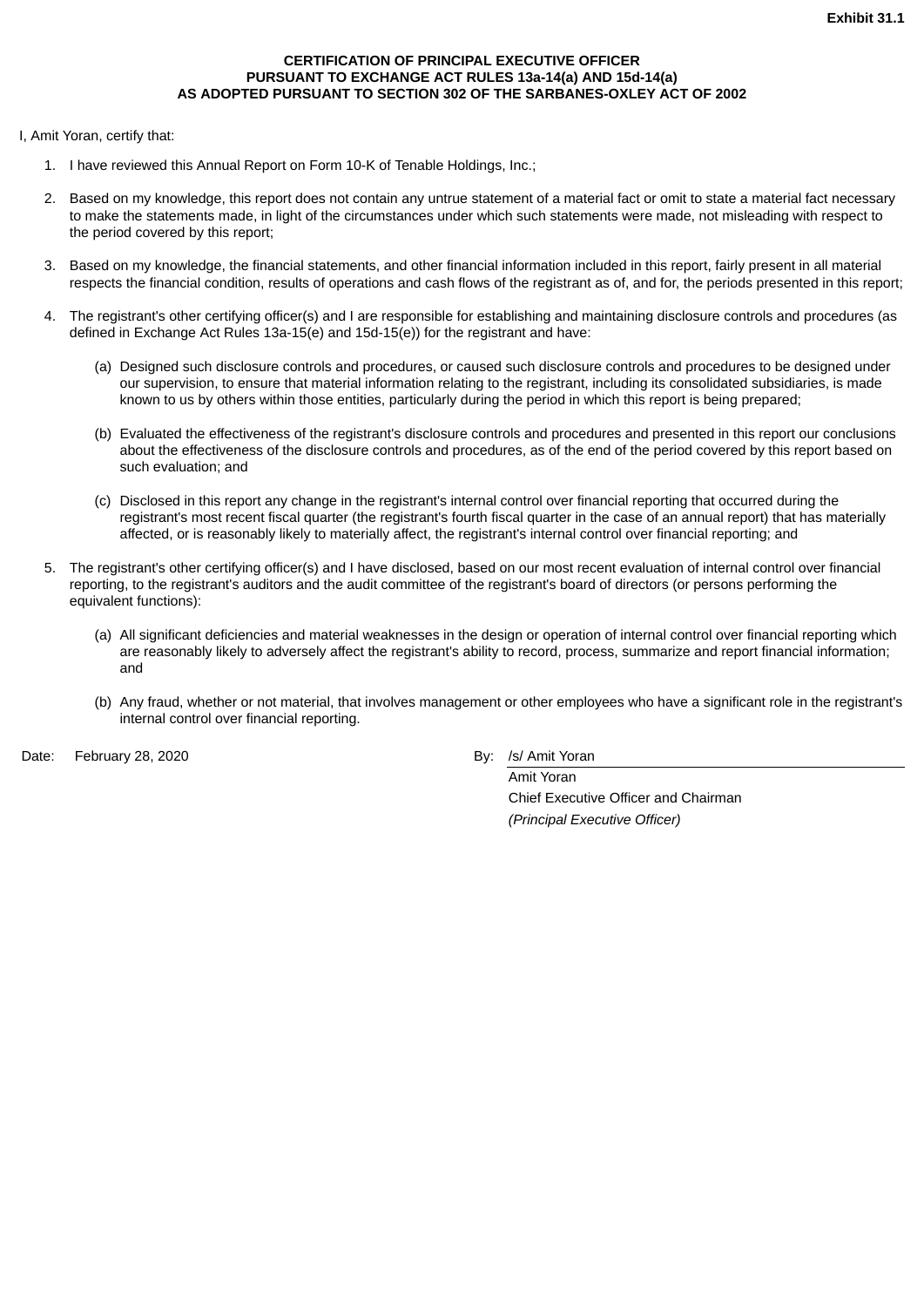### **CERTIFICATION OF PRINCIPAL EXECUTIVE OFFICER PURSUANT TO EXCHANGE ACT RULES 13a-14(a) AND 15d-14(a) AS ADOPTED PURSUANT TO SECTION 302 OF THE SARBANES-OXLEY ACT OF 2002**

<span id="page-103-0"></span>I, Amit Yoran, certify that:

- 1. I have reviewed this Annual Report on Form 10-K of Tenable Holdings, Inc.;
- 2. Based on my knowledge, this report does not contain any untrue statement of a material fact or omit to state a material fact necessary to make the statements made, in light of the circumstances under which such statements were made, not misleading with respect to the period covered by this report;
- 3. Based on my knowledge, the financial statements, and other financial information included in this report, fairly present in all material respects the financial condition, results of operations and cash flows of the registrant as of, and for, the periods presented in this report;
- 4. The registrant's other certifying officer(s) and I are responsible for establishing and maintaining disclosure controls and procedures (as defined in Exchange Act Rules 13a-15(e) and 15d-15(e)) for the registrant and have:
	- (a) Designed such disclosure controls and procedures, or caused such disclosure controls and procedures to be designed under our supervision, to ensure that material information relating to the registrant, including its consolidated subsidiaries, is made known to us by others within those entities, particularly during the period in which this report is being prepared;
	- (b) Evaluated the effectiveness of the registrant's disclosure controls and procedures and presented in this report our conclusions about the effectiveness of the disclosure controls and procedures, as of the end of the period covered by this report based on such evaluation; and
	- (c) Disclosed in this report any change in the registrant's internal control over financial reporting that occurred during the registrant's most recent fiscal quarter (the registrant's fourth fiscal quarter in the case of an annual report) that has materially affected, or is reasonably likely to materially affect, the registrant's internal control over financial reporting; and
- 5. The registrant's other certifying officer(s) and I have disclosed, based on our most recent evaluation of internal control over financial reporting, to the registrant's auditors and the audit committee of the registrant's board of directors (or persons performing the equivalent functions):
	- (a) All significant deficiencies and material weaknesses in the design or operation of internal control over financial reporting which are reasonably likely to adversely affect the registrant's ability to record, process, summarize and report financial information; and
	- (b) Any fraud, whether or not material, that involves management or other employees who have a significant role in the registrant's internal control over financial reporting.

Date: February 28, 2020 **By: /s/ Amit Yoran** 

Amit Yoran Chief Executive Officer and Chairman *(Principal Executive Officer)*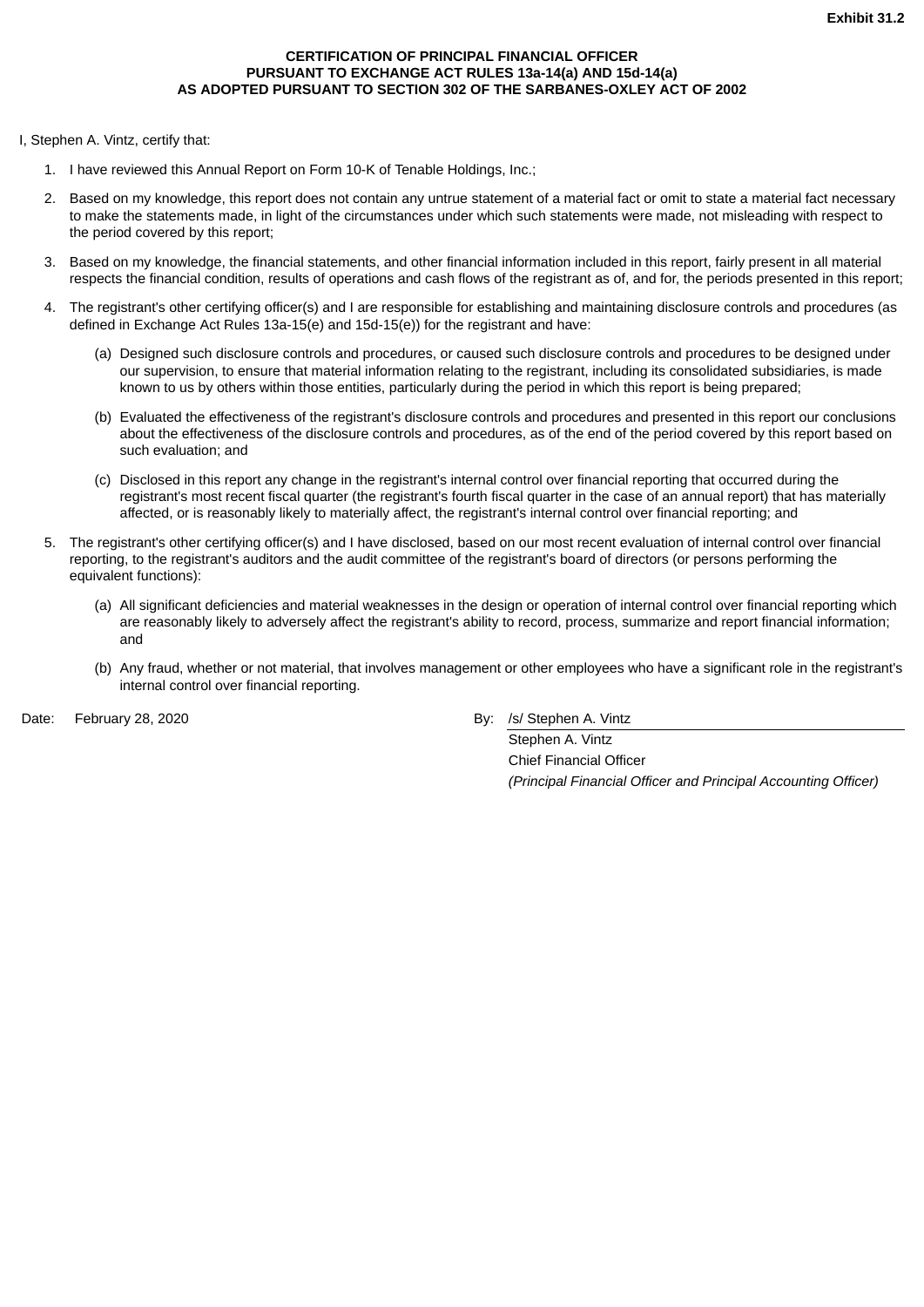### **CERTIFICATION OF PRINCIPAL FINANCIAL OFFICER PURSUANT TO EXCHANGE ACT RULES 13a-14(a) AND 15d-14(a) AS ADOPTED PURSUANT TO SECTION 302 OF THE SARBANES-OXLEY ACT OF 2002**

<span id="page-104-0"></span>I, Stephen A. Vintz, certify that:

- 1. I have reviewed this Annual Report on Form 10-K of Tenable Holdings, Inc.;
- 2. Based on my knowledge, this report does not contain any untrue statement of a material fact or omit to state a material fact necessary to make the statements made, in light of the circumstances under which such statements were made, not misleading with respect to the period covered by this report;
- 3. Based on my knowledge, the financial statements, and other financial information included in this report, fairly present in all material respects the financial condition, results of operations and cash flows of the registrant as of, and for, the periods presented in this report;
- 4. The registrant's other certifying officer(s) and I are responsible for establishing and maintaining disclosure controls and procedures (as defined in Exchange Act Rules 13a-15(e) and 15d-15(e)) for the registrant and have:
	- (a) Designed such disclosure controls and procedures, or caused such disclosure controls and procedures to be designed under our supervision, to ensure that material information relating to the registrant, including its consolidated subsidiaries, is made known to us by others within those entities, particularly during the period in which this report is being prepared;
	- (b) Evaluated the effectiveness of the registrant's disclosure controls and procedures and presented in this report our conclusions about the effectiveness of the disclosure controls and procedures, as of the end of the period covered by this report based on such evaluation; and
	- (c) Disclosed in this report any change in the registrant's internal control over financial reporting that occurred during the registrant's most recent fiscal quarter (the registrant's fourth fiscal quarter in the case of an annual report) that has materially affected, or is reasonably likely to materially affect, the registrant's internal control over financial reporting; and
- 5. The registrant's other certifying officer(s) and I have disclosed, based on our most recent evaluation of internal control over financial reporting, to the registrant's auditors and the audit committee of the registrant's board of directors (or persons performing the equivalent functions):
	- (a) All significant deficiencies and material weaknesses in the design or operation of internal control over financial reporting which are reasonably likely to adversely affect the registrant's ability to record, process, summarize and report financial information; and
	- (b) Any fraud, whether or not material, that involves management or other employees who have a significant role in the registrant's internal control over financial reporting.

Date: February 28, 2020 **By: /s/ Stephen A. Vintz** 

Stephen A. Vintz Chief Financial Officer *(Principal Financial Officer and Principal Accounting Officer)*